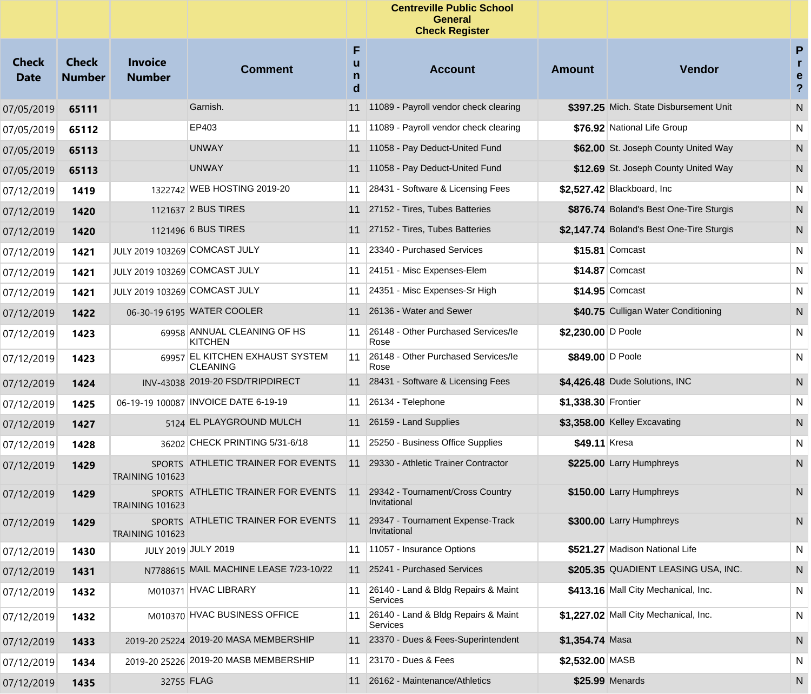|                             |                               |                                 |                                                                        |                  | <b>Centreville Public School</b><br><b>General</b><br><b>Check Register</b> |                     |                                           |                                     |
|-----------------------------|-------------------------------|---------------------------------|------------------------------------------------------------------------|------------------|-----------------------------------------------------------------------------|---------------------|-------------------------------------------|-------------------------------------|
| <b>Check</b><br><b>Date</b> | <b>Check</b><br><b>Number</b> | <b>Invoice</b><br><b>Number</b> | <b>Comment</b>                                                         | F<br>u<br>n<br>d | <b>Account</b>                                                              | <b>Amount</b>       | Vendor                                    | P<br>r<br>e<br>$\ddot{\phantom{0}}$ |
| 07/05/2019                  | 65111                         |                                 | Garnish.                                                               |                  | 11 11089 - Payroll vendor check clearing                                    |                     | \$397.25 Mich. State Disbursement Unit    | N                                   |
| 07/05/2019                  | 65112                         |                                 | EP403                                                                  | 11               | 11089 - Payroll vendor check clearing                                       |                     | \$76.92 National Life Group               | N                                   |
| 07/05/2019                  | 65113                         |                                 | <b>UNWAY</b>                                                           |                  | 11 11058 - Pay Deduct-United Fund                                           |                     | \$62.00 St. Joseph County United Way      | N                                   |
| 07/05/2019                  | 65113                         |                                 | <b>UNWAY</b>                                                           |                  | 11 11058 - Pay Deduct-United Fund                                           |                     | \$12.69 St. Joseph County United Way      | N                                   |
| 07/12/2019                  | 1419                          |                                 | 1322742 WEB HOSTING 2019-20                                            | 11               | 28431 - Software & Licensing Fees                                           |                     | \$2,527.42 Blackboard, Inc                | N                                   |
| 07/12/2019                  | 1420                          |                                 | 1121637 2 BUS TIRES                                                    |                  | 11 27152 - Tires, Tubes Batteries                                           |                     | \$876.74 Boland's Best One-Tire Sturgis   | N                                   |
| 07/12/2019                  | 1420                          |                                 | 1121496 6 BUS TIRES                                                    |                  | 11 27152 - Tires, Tubes Batteries                                           |                     | \$2.147.74 Boland's Best One-Tire Sturgis | N                                   |
| 07/12/2019                  | 1421                          | JULY 2019 103269 COMCAST JULY   |                                                                        | 11               | 23340 - Purchased Services                                                  |                     | \$15.81 Comcast                           | N                                   |
| 07/12/2019                  | 1421                          | JULY 2019 103269 COMCAST JULY   |                                                                        | 11               | 24151 - Misc Expenses-Elem                                                  |                     | \$14.87 Comcast                           | N                                   |
| 07/12/2019                  | 1421                          | JULY 2019 103269 COMCAST JULY   |                                                                        | 11               | 24351 - Misc Expenses-Sr High                                               |                     | $$14.95$ Comcast                          | N                                   |
| 07/12/2019                  | 1422                          |                                 | 06-30-19 6195 WATER COOLER                                             |                  | 11 26136 - Water and Sewer                                                  |                     | \$40.75 Culligan Water Conditioning       | N                                   |
| 07/12/2019                  | 1423                          |                                 | 69958 ANNUAL CLEANING OF HS<br><b>KITCHEN</b>                          | 11               | 26148 - Other Purchased Services/le<br>Rose                                 | \$2,230.00 D Poole  |                                           | N                                   |
| 07/12/2019                  | 1423                          |                                 | 69957 EL KITCHEN EXHAUST SYSTEM<br><b>CLEANING</b>                     | 11               | 26148 - Other Purchased Services/le<br>Rose                                 | \$849.00 D Poole    |                                           | N                                   |
| 07/12/2019                  | 1424                          |                                 | INV-43038 2019-20 FSD/TRIPDIRECT                                       | 11               | 28431 - Software & Licensing Fees                                           |                     | \$4,426.48 Dude Solutions, INC            | N                                   |
| 07/12/2019                  | 1425                          |                                 | 06-19-19 100087 INVOICE DATE 6-19-19                                   | 11               | 26134 - Telephone                                                           | \$1,338.30 Frontier |                                           | N                                   |
| 07/12/2019                  | 1427                          |                                 | 5124 EL PLAYGROUND MULCH                                               | 11               | 26159 - Land Supplies                                                       |                     | \$3,358.00 Kelley Excavating              | N                                   |
| 07/12/2019                  | 1428                          |                                 | 36202 CHECK PRINTING 5/31-6/18                                         | 11               | 25250 - Business Office Supplies                                            | \$49.11 Kresa       |                                           | $\mathsf{N}$                        |
| 07/12/2019                  | 1429                          | <b>TRAINING 101623</b>          | SPORTS ATHLETIC TRAINER FOR EVENTS                                     | 11               | 29330 - Athletic Trainer Contractor                                         |                     | \$225.00 Larry Humphreys                  | N                                   |
| 07/12/2019                  | 1429                          | <b>TRAINING 101623</b>          | SPORTS ATHLETIC TRAINER FOR EVENTS                                     | 11               | 29342 - Tournament/Cross Country<br>Invitational                            |                     | \$150.00 Larry Humphreys                  | N                                   |
| 07/12/2019                  | 1429                          | <b>TRAINING 101623</b>          | SPORTS ATHLETIC TRAINER FOR EVENTS 11 29347 - Tournament Expense-Track |                  | Invitational                                                                |                     | \$300.00 Larry Humphreys                  | N                                   |
| 07/12/2019                  | 1430                          |                                 | JULY 2019 JULY 2019                                                    | 11               | 11057 - Insurance Options                                                   |                     | \$521.27 Madison National Life            | N                                   |
| 07/12/2019                  | 1431                          |                                 | N7788615 MAIL MACHINE LEASE 7/23-10/22                                 |                  | 11 25241 - Purchased Services                                               |                     | \$205.35 QUADIENT LEASING USA, INC.       | N                                   |
| 07/12/2019                  | 1432                          |                                 | M010371 HVAC LIBRARY                                                   | 11               | 26140 - Land & Bldg Repairs & Maint<br>Services                             |                     | \$413.16 Mall City Mechanical, Inc.       | N                                   |
| 07/12/2019                  | 1432                          |                                 | M010370 HVAC BUSINESS OFFICE                                           | 11               | 26140 - Land & Bldg Repairs & Maint<br>Services                             |                     | \$1,227.02 Mall City Mechanical, Inc.     | N                                   |
| 07/12/2019                  | 1433                          |                                 | 2019-20 25224 2019-20 MASA MEMBERSHIP                                  |                  | 11 23370 - Dues & Fees-Superintendent                                       | \$1,354.74 Masa     |                                           | N                                   |
| 07/12/2019                  | 1434                          |                                 | 2019-20 25226 2019-20 MASB MEMBERSHIP                                  | 11               | 23170 - Dues & Fees                                                         | \$2,532.00 MASB     |                                           | N                                   |
| 07/12/2019                  | 1435                          |                                 | 32755 FLAG                                                             |                  | 11 26162 - Maintenance/Athletics                                            |                     | \$25.99 Menards                           | N                                   |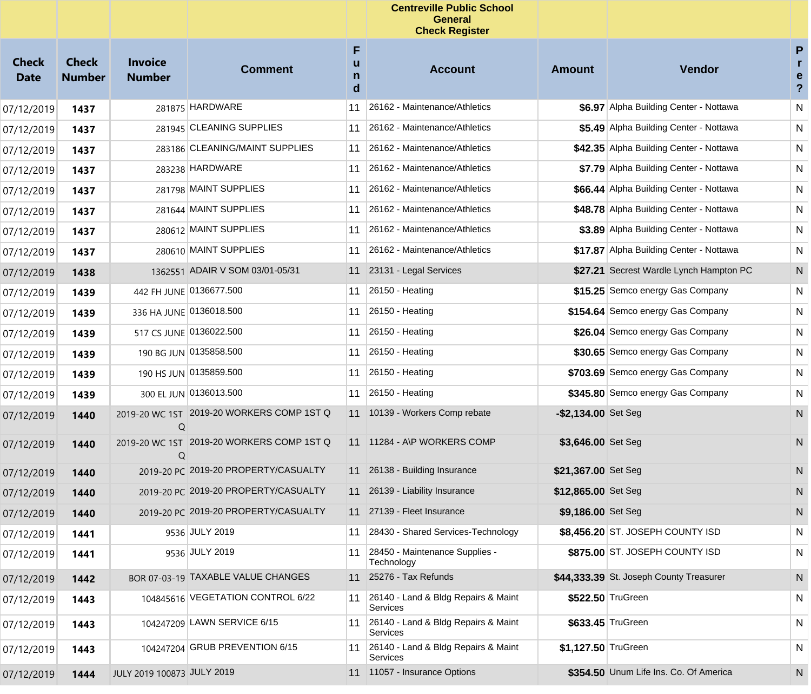|                             |                               |                                 |                                           |                  | <b>Centreville Public School</b><br><b>General</b><br><b>Check Register</b> |                      |                                         |                                     |
|-----------------------------|-------------------------------|---------------------------------|-------------------------------------------|------------------|-----------------------------------------------------------------------------|----------------------|-----------------------------------------|-------------------------------------|
| <b>Check</b><br><b>Date</b> | <b>Check</b><br><b>Number</b> | <b>Invoice</b><br><b>Number</b> | <b>Comment</b>                            | F<br>u<br>n<br>d | <b>Account</b>                                                              | <b>Amount</b>        | Vendor                                  | P<br>r<br>e<br>$\ddot{\phantom{0}}$ |
| 07/12/2019                  | 1437                          |                                 | 281875 HARDWARE                           | 11               | 26162 - Maintenance/Athletics                                               |                      | \$6.97 Alpha Building Center - Nottawa  | N                                   |
| 07/12/2019                  | 1437                          |                                 | 281945 CLEANING SUPPLIES                  | 11               | 26162 - Maintenance/Athletics                                               |                      | \$5.49 Alpha Building Center - Nottawa  | N                                   |
| 07/12/2019                  | 1437                          |                                 | 283186 CLEANING/MAINT SUPPLIES            |                  | 11 26162 - Maintenance/Athletics                                            |                      | \$42.35 Alpha Building Center - Nottawa | N                                   |
| 07/12/2019                  | 1437                          |                                 | 283238 HARDWARE                           |                  | 11 26162 - Maintenance/Athletics                                            |                      | \$7.79 Alpha Building Center - Nottawa  | N                                   |
| 07/12/2019                  | 1437                          |                                 | 281798 MAINT SUPPLIES                     |                  | 11 26162 - Maintenance/Athletics                                            |                      | \$66.44 Alpha Building Center - Nottawa | N                                   |
| 07/12/2019                  | 1437                          |                                 | 281644 MAINT SUPPLIES                     | 11               | 26162 - Maintenance/Athletics                                               |                      | \$48.78 Alpha Building Center - Nottawa | N                                   |
| 07/12/2019                  | 1437                          |                                 | 280612 MAINT SUPPLIES                     |                  | 11 26162 - Maintenance/Athletics                                            |                      | \$3.89 Alpha Building Center - Nottawa  | N                                   |
| 07/12/2019                  | 1437                          |                                 | 280610 MAINT SUPPLIES                     |                  | 11 26162 - Maintenance/Athletics                                            |                      | \$17.87 Alpha Building Center - Nottawa | N                                   |
| 07/12/2019                  | 1438                          |                                 | 1362551 ADAIR V SOM 03/01-05/31           |                  | 11 23131 - Legal Services                                                   |                      | \$27.21 Secrest Wardle Lynch Hampton PC | N                                   |
| 07/12/2019                  | 1439                          |                                 | 442 FH JUNE 0136677.500                   |                  | 11 26150 - Heating                                                          |                      | \$15.25 Semco energy Gas Company        | N                                   |
| 07/12/2019                  | 1439                          |                                 | 336 HA JUNE 0136018.500                   |                  | 11 26150 - Heating                                                          |                      | \$154.64 Semco energy Gas Company       | N                                   |
| 07/12/2019                  | 1439                          |                                 | 517 CS JUNE 0136022.500                   |                  | 11 26150 - Heating                                                          |                      | \$26.04 Semco energy Gas Company        | N                                   |
| 07/12/2019                  | 1439                          |                                 | 190 BG JUN 0135858.500                    |                  | 11 26150 - Heating                                                          |                      | \$30.65 Semco energy Gas Company        | N                                   |
| 07/12/2019                  | 1439                          |                                 | 190 HS JUN 0135859.500                    |                  | 11 26150 - Heating                                                          |                      | \$703.69 Semco energy Gas Company       | N                                   |
| 07/12/2019                  | 1439                          |                                 | 300 EL JUN 0136013.500                    |                  | 11 26150 - Heating                                                          |                      | \$345.80 Semco energy Gas Company       | N                                   |
| 07/12/2019                  | 1440                          | 2019-20 WC 1ST<br>Q             | 2019-20 WORKERS COMP 1ST Q                |                  | 11 10139 - Workers Comp rebate                                              | $-$2,134.00$ Set Seg |                                         | N                                   |
| 07/12/2019                  | 1440                          | Q                               | 2019-20 WC 1ST 2019-20 WORKERS COMP 1ST Q |                  | 11 11284 - A\P WORKERS COMP                                                 | \$3,646.00 Set Seg   |                                         | N                                   |
| 07/12/2019                  | 1440                          |                                 | 2019-20 PC 2019-20 PROPERTY/CASUALTY      |                  | 11 26138 - Building Insurance                                               | \$21,367.00 Set Seg  |                                         | N                                   |
| 07/12/2019                  | 1440                          |                                 | 2019-20 PC 2019-20 PROPERTY/CASUALTY      |                  | 11 26139 - Liability Insurance                                              | \$12,865.00 Set Seg  |                                         | N                                   |
| 07/12/2019                  | 1440                          |                                 | 2019-20 PC 2019-20 PROPERTY/CASUALTY      |                  | 11 27139 - Fleet Insurance                                                  | \$9,186.00 Set Seg   |                                         | N                                   |
| 07/12/2019                  | 1441                          |                                 | 9536 JULY 2019                            |                  | 11 28430 - Shared Services-Technology                                       |                      | \$8,456.20 ST. JOSEPH COUNTY ISD        | N                                   |
| 07/12/2019                  | 1441                          |                                 | 9536 JULY 2019                            | 11               | 28450 - Maintenance Supplies -<br>Technology                                |                      | \$875.00 ST. JOSEPH COUNTY ISD          | N                                   |
| 07/12/2019                  | 1442                          |                                 | BOR 07-03-19 TAXABLE VALUE CHANGES        |                  | 11 25276 - Tax Refunds                                                      |                      | \$44,333.39 St. Joseph County Treasurer | N                                   |
| 07/12/2019                  | 1443                          |                                 | 104845616 VEGETATION CONTROL 6/22         |                  | 11 26140 - Land & Bldg Repairs & Maint<br>Services                          |                      | \$522.50 TruGreen                       | N                                   |
| 07/12/2019                  | 1443                          |                                 | 104247209 LAWN SERVICE 6/15               |                  | 11 26140 - Land & Bldg Repairs & Maint<br>Services                          |                      | \$633.45 TruGreen                       | N                                   |
| 07/12/2019                  | 1443                          |                                 | 104247204 GRUB PREVENTION 6/15            |                  | 11 26140 - Land & Bldg Repairs & Maint<br>Services                          | \$1,127.50 TruGreen  |                                         | N                                   |
| 07/12/2019                  | 1444                          | JULY 2019 100873 JULY 2019      |                                           |                  | 11 11057 - Insurance Options                                                |                      | \$354.50 Unum Life Ins. Co. Of America  | N.                                  |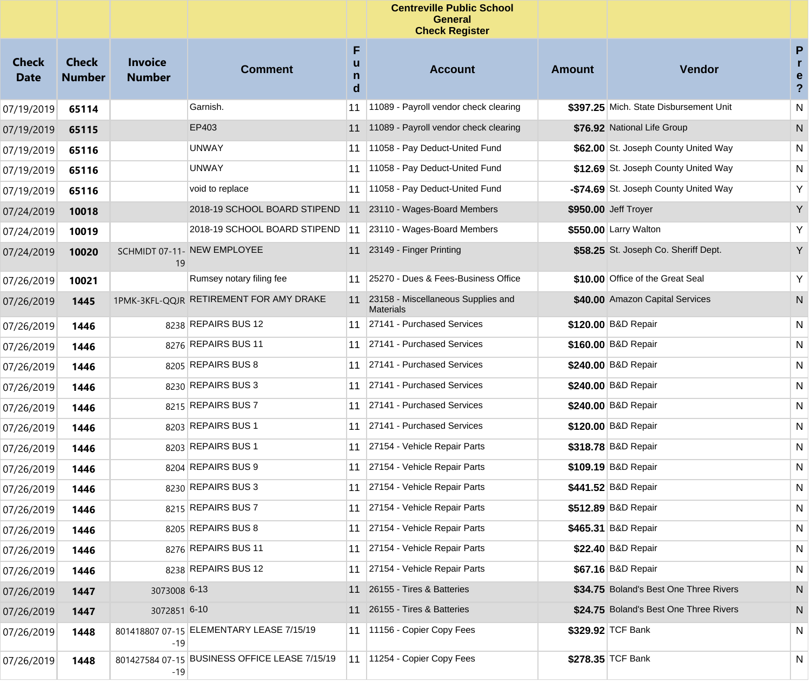|                             |                               |                                 |                                               |                             | <b>Centreville Public School</b><br><b>General</b><br><b>Check Register</b> |        |                                        |                                                      |
|-----------------------------|-------------------------------|---------------------------------|-----------------------------------------------|-----------------------------|-----------------------------------------------------------------------------|--------|----------------------------------------|------------------------------------------------------|
| <b>Check</b><br><b>Date</b> | <b>Check</b><br><b>Number</b> | <b>Invoice</b><br><b>Number</b> | <b>Comment</b>                                | F<br>u<br>$\mathsf{n}$<br>d | <b>Account</b>                                                              | Amount | <b>Vendor</b>                          | $\mathsf{P}$<br>r.<br>e<br>$\boldsymbol{\mathsf{?}}$ |
| 07/19/2019                  | 65114                         |                                 | Garnish.                                      | 11                          | 11089 - Payroll vendor check clearing                                       |        | \$397.25 Mich. State Disbursement Unit | ${\sf N}$                                            |
| 07/19/2019                  | 65115                         |                                 | EP403                                         | 11                          | 11089 - Payroll vendor check clearing                                       |        | \$76.92 National Life Group            | N                                                    |
| 07/19/2019                  | 65116                         |                                 | UNWAY                                         | 11                          | 11058 - Pay Deduct-United Fund                                              |        | \$62.00 St. Joseph County United Way   | N                                                    |
| 07/19/2019                  | 65116                         |                                 | UNWAY                                         | 11                          | 11058 - Pay Deduct-United Fund                                              |        | \$12.69 St. Joseph County United Way   | N                                                    |
| 07/19/2019                  | 65116                         |                                 | void to replace                               | 11                          | 11058 - Pay Deduct-United Fund                                              |        | -\$74.69 St. Joseph County United Way  | Υ                                                    |
| 07/24/2019                  | 10018                         |                                 | 2018-19 SCHOOL BOARD STIPEND                  | 11                          | 23110 - Wages-Board Members                                                 |        | \$950.00 Jeff Troyer                   | Y                                                    |
| 07/24/2019                  | 10019                         |                                 | 2018-19 SCHOOL BOARD STIPEND                  | 11                          | 23110 - Wages-Board Members                                                 |        | \$550.00 Larry Walton                  | Υ                                                    |
| 07/24/2019                  | 10020                         | 19                              | SCHMIDT 07-11- NEW EMPLOYEE                   |                             | 11 23149 - Finger Printing                                                  |        | \$58.25 St. Joseph Co. Sheriff Dept.   | Y                                                    |
| 07/26/2019                  | 10021                         |                                 | Rumsey notary filing fee                      | 11                          | 25270 - Dues & Fees-Business Office                                         |        | \$10.00 Office of the Great Seal       | Υ                                                    |
| 07/26/2019                  | 1445                          |                                 | 1PMK-3KFL-QQJR RETIREMENT FOR AMY DRAKE       | 11                          | 23158 - Miscellaneous Supplies and<br><b>Materials</b>                      |        | \$40.00 Amazon Capital Services        | N                                                    |
| 07/26/2019                  | 1446                          |                                 | 8238 REPAIRS BUS 12                           | 11                          | 27141 - Purchased Services                                                  |        | \$120.00 B&D Repair                    | N                                                    |
| 07/26/2019                  | 1446                          |                                 | 8276 REPAIRS BUS 11                           | 11                          | 27141 - Purchased Services                                                  |        | \$160.00 B&D Repair                    | N                                                    |
| 07/26/2019                  | 1446                          |                                 | 8205 REPAIRS BUS 8                            | 11                          | 27141 - Purchased Services                                                  |        | \$240.00 B&D Repair                    | N                                                    |
| 07/26/2019                  | 1446                          |                                 | 8230 REPAIRS BUS 3                            | 11                          | 27141 - Purchased Services                                                  |        | \$240.00 B&D Repair                    | N                                                    |
| 07/26/2019                  | 1446                          |                                 | 8215 REPAIRS BUS 7                            | 11                          | 27141 - Purchased Services                                                  |        | \$240.00 B&D Repair                    | N                                                    |
| 07/26/2019                  | 1446                          |                                 | 8203 REPAIRS BUS 1                            | 11                          | 27141 - Purchased Services                                                  |        | \$120.00 B&D Repair                    | N                                                    |
| 07/26/2019                  | 1446                          |                                 | 8203 REPAIRS BUS 1                            | 11                          | 27154 - Vehicle Repair Parts                                                |        | \$318.78 B&D Repair                    | N                                                    |
| 07/26/2019                  | 1446                          |                                 | 8204 REPAIRS BUS 9                            | 11                          | 27154 - Vehicle Repair Parts                                                |        | \$109.19 B&D Repair                    | N                                                    |
| 07/26/2019                  | 1446                          |                                 | 8230 REPAIRS BUS 3                            | 11                          | 27154 - Vehicle Repair Parts                                                |        | \$441.52 B&D Repair                    | N                                                    |
| 07/26/2019                  | 1446                          |                                 | 8215 REPAIRS BUS 7                            |                             | 11 27154 - Vehicle Repair Parts                                             |        | \$512.89 B&D Repair                    | N                                                    |
| 07/26/2019                  | 1446                          |                                 | 8205 REPAIRS BUS 8                            |                             | 11 27154 - Vehicle Repair Parts                                             |        | \$465.31 B&D Repair                    | N                                                    |
| 07/26/2019                  | 1446                          |                                 | 8276 REPAIRS BUS 11                           |                             | 11 27154 - Vehicle Repair Parts                                             |        | \$22.40 B&D Repair                     | N                                                    |
| 07/26/2019                  | 1446                          |                                 | 8238 REPAIRS BUS 12                           |                             | 11 27154 - Vehicle Repair Parts                                             |        | \$67.16 B&D Repair                     | N                                                    |
| 07/26/2019                  | 1447                          | 3073008 6-13                    |                                               |                             | 11 26155 - Tires & Batteries                                                |        | \$34.75 Boland's Best One Three Rivers | N                                                    |
| 07/26/2019                  | 1447                          | 3072851 6-10                    |                                               |                             | 11 26155 - Tires & Batteries                                                |        | \$24.75 Boland's Best One Three Rivers | N                                                    |
| 07/26/2019                  | 1448                          | -19                             | 801418807 07-15 ELEMENTARY LEASE 7/15/19      |                             | 11   11156 - Copier Copy Fees                                               |        | \$329.92 TCF Bank                      | N                                                    |
| 07/26/2019                  | 1448                          | $-19$                           | 801427584 07-15 BUSINESS OFFICE LEASE 7/15/19 | 11                          | 11254 - Copier Copy Fees                                                    |        | \$278.35 TCF Bank                      | N.                                                   |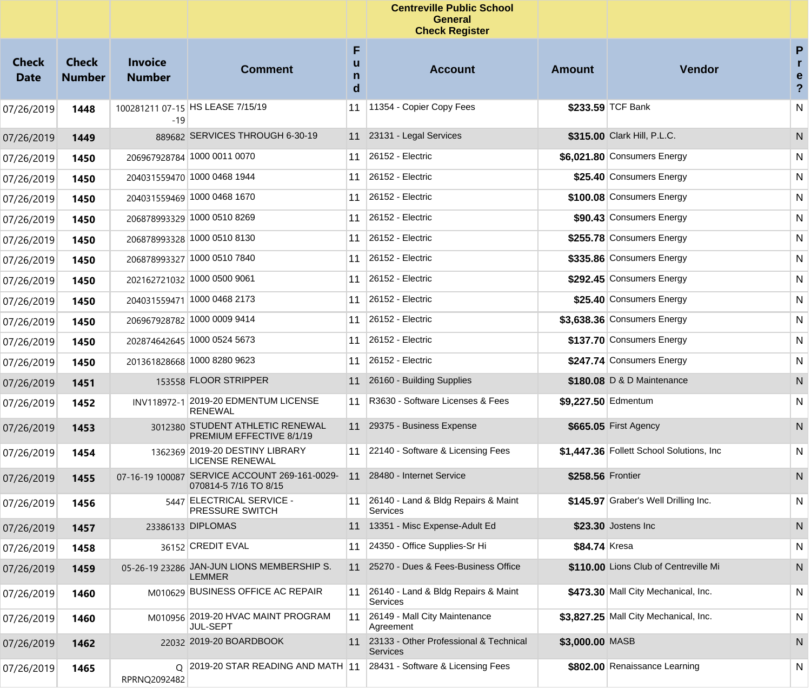|                             |                               |                                 |                                                                        |             | <b>Centreville Public School</b><br><b>General</b><br><b>Check Register</b> |                     |                                          |                                         |
|-----------------------------|-------------------------------|---------------------------------|------------------------------------------------------------------------|-------------|-----------------------------------------------------------------------------|---------------------|------------------------------------------|-----------------------------------------|
| <b>Check</b><br><b>Date</b> | <b>Check</b><br><b>Number</b> | <b>Invoice</b><br><b>Number</b> | <b>Comment</b>                                                         | F<br>n<br>d | <b>Account</b>                                                              | <b>Amount</b>       | Vendor                                   | P<br>r.<br>e<br>$\overline{\mathbf{?}}$ |
| 07/26/2019                  | 1448                          | -19                             | 100281211 07-15 HS LEASE 7/15/19                                       | 11          | 11354 - Copier Copy Fees                                                    |                     | \$233.59 TCF Bank                        | N                                       |
| 07/26/2019                  | 1449                          |                                 | 889682 SERVICES THROUGH 6-30-19                                        |             | 11 23131 - Legal Services                                                   |                     | \$315.00 Clark Hill, P.L.C.              | N                                       |
| 07/26/2019                  | 1450                          |                                 | 206967928784 1000 0011 0070                                            | 11          | 26152 - Electric                                                            |                     | \$6,021.80 Consumers Energy              | N                                       |
| 07/26/2019                  | 1450                          |                                 | 204031559470 1000 0468 1944                                            | 11          | 26152 - Electric                                                            |                     | \$25.40 Consumers Energy                 | N                                       |
| 07/26/2019                  | 1450                          |                                 | 204031559469 1000 0468 1670                                            | 11          | 26152 - Electric                                                            |                     | \$100.08 Consumers Energy                | N                                       |
| 07/26/2019                  | 1450                          |                                 | 206878993329 1000 0510 8269                                            | 11          | 26152 - Electric                                                            |                     | \$90.43 Consumers Energy                 | N                                       |
| 07/26/2019                  | 1450                          |                                 | 206878993328 1000 0510 8130                                            | 11          | 26152 - Electric                                                            |                     | \$255.78 Consumers Energy                | N                                       |
| 07/26/2019                  | 1450                          |                                 | 206878993327 1000 0510 7840                                            | 11          | 26152 - Electric                                                            |                     | \$335.86 Consumers Energy                | N                                       |
| 07/26/2019                  | 1450                          |                                 | 202162721032 1000 0500 9061                                            | 11          | 26152 - Electric                                                            |                     | \$292.45 Consumers Energy                | N                                       |
| 07/26/2019                  | 1450                          |                                 | 204031559471 1000 0468 2173                                            | 11          | 26152 - Electric                                                            |                     | \$25.40 Consumers Energy                 | N                                       |
| 07/26/2019                  | 1450                          |                                 | 206967928782 1000 0009 9414                                            | 11          | 26152 - Electric                                                            |                     | \$3,638.36 Consumers Energy              | N                                       |
| 07/26/2019                  | 1450                          |                                 | 202874642645 1000 0524 5673                                            | 11          | 26152 - Electric                                                            |                     | \$137.70 Consumers Energy                | N                                       |
| 07/26/2019                  | 1450                          |                                 | 201361828668 1000 8280 9623                                            | 11          | 26152 - Electric                                                            |                     | \$247.74 Consumers Energy                | N                                       |
| 07/26/2019                  | 1451                          |                                 | 153558 FLOOR STRIPPER                                                  |             | 11 26160 - Building Supplies                                                |                     | \$180.08 D & D Maintenance               | N                                       |
| 07/26/2019                  | 1452                          |                                 | INV118972-1 2019-20 EDMENTUM LICENSE<br><b>RENEWAL</b>                 | 11          | R3630 - Software Licenses & Fees                                            | \$9,227.50 Edmentum |                                          | N                                       |
| 07/26/2019                  | 1453                          |                                 | 3012380 STUDENT ATHLETIC RENEWAL<br>PREMIUM EFFECTIVE 8/1/19           |             | 11 29375 - Business Expense                                                 |                     | \$665.05 First Agency                    | N                                       |
| 07/26/2019                  | 1454                          |                                 | 1362369 2019-20 DESTINY LIBRARY<br>LICENSE RENEWAL                     | 11          | 22140 - Software & Licensing Fees                                           |                     | \$1,447.36 Follett School Solutions, Inc | N                                       |
| 07/26/2019                  | 1455                          |                                 | 07-16-19 100087 SERVICE ACCOUNT 269-161-0029-<br>070814-5 7/16 TO 8/15 | 11          | 28480 - Internet Service                                                    | \$258.56 Frontier   |                                          | N                                       |
| 07/26/2019                  | 1456                          |                                 | 5447 ELECTRICAL SERVICE -<br><b>PRESSURE SWITCH</b>                    | 11          | 26140 - Land & Bldg Repairs & Maint<br>Services                             |                     | \$145.97 Graber's Well Drilling Inc.     | N                                       |
| 07/26/2019                  | 1457                          |                                 | 23386133 DIPLOMAS                                                      |             | 11 13351 - Misc Expense-Adult Ed                                            |                     | \$23.30 Jostens Inc                      | $\mathsf{N}$                            |
| 07/26/2019                  | 1458                          |                                 | 36152 CREDIT EVAL                                                      | 11          | 24350 - Office Supplies-Sr Hi                                               | \$84.74 Kresa       |                                          | N                                       |
| 07/26/2019                  | 1459                          |                                 | 05-26-19 23286 JAN-JUN LIONS MEMBERSHIP S.<br><b>LEMMER</b>            | 11          | 25270 - Dues & Fees-Business Office                                         |                     | \$110.00 Lions Club of Centreville Mi    | N                                       |
| 07/26/2019                  | 1460                          |                                 | M010629 BUSINESS OFFICE AC REPAIR                                      |             | 11 26140 - Land & Bldg Repairs & Maint<br>Services                          |                     | \$473.30 Mall City Mechanical, Inc.      | N                                       |
| 07/26/2019                  | 1460                          |                                 | M010956 2019-20 HVAC MAINT PROGRAM<br>JUL-SEPT                         | 11          | 26149 - Mall City Maintenance<br>Agreement                                  |                     | \$3,827.25 Mall City Mechanical, Inc.    | N                                       |
| 07/26/2019                  | 1462                          |                                 | 22032 2019-20 BOARDBOOK                                                | 11          | 23133 - Other Professional & Technical<br><b>Services</b>                   | \$3,000.00 MASB     |                                          | N                                       |
| 07/26/2019                  | 1465                          | RPRNQ2092482                    | Q 2019-20 STAR READING AND MATH 11 28431 - Software & Licensing Fees   |             |                                                                             |                     | \$802.00 Renaissance Learning            | N                                       |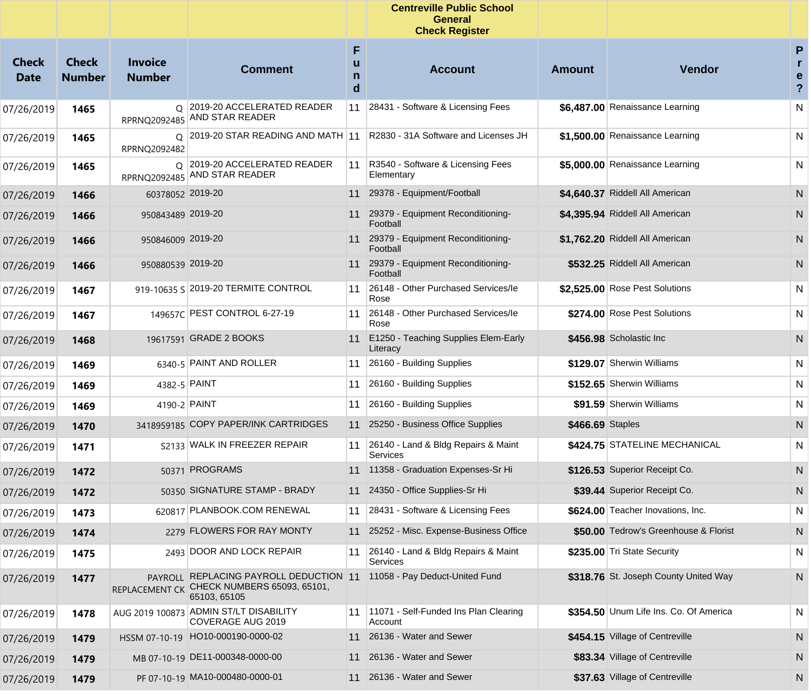|                      |                               |                                 |                                                                                                      |                  | <b>Centreville Public School</b><br><b>General</b><br><b>Check Register</b> |                  |                                        |                                |
|----------------------|-------------------------------|---------------------------------|------------------------------------------------------------------------------------------------------|------------------|-----------------------------------------------------------------------------|------------------|----------------------------------------|--------------------------------|
| Check<br><b>Date</b> | <b>Check</b><br><b>Number</b> | <b>Invoice</b><br><b>Number</b> | <b>Comment</b>                                                                                       | F<br>u<br>n<br>d | <b>Account</b>                                                              | <b>Amount</b>    | <b>Vendor</b>                          | P<br>e<br>$\ddot{\phantom{0}}$ |
| 07/26/2019           | 1465                          |                                 | Q 2019-20 ACCELERATED READER<br>RPRNQ2092485 AND STAR READER                                         | 11               | 28431 - Software & Licensing Fees                                           |                  | \$6,487.00 Renaissance Learning        | N                              |
| 07/26/2019           | 1465                          | RPRNQ2092482                    | Q 2019-20 STAR READING AND MATH 11                                                                   |                  | R2830 - 31A Software and Licenses JH                                        |                  | \$1.500.00 Renaissance Learning        | N                              |
| 07/26/2019           | 1465                          | RPRNQ2092485                    | Q 2019-20 ACCELERATED READER<br>AND STAR READER                                                      | 11               | R3540 - Software & Licensing Fees<br>Elementary                             |                  | \$5,000.00 Renaissance Learning        | N                              |
| 07/26/2019           | 1466                          | 60378052 2019-20                |                                                                                                      | 11               | 29378 - Equipment/Football                                                  |                  | \$4,640.37 Riddell All American        | N                              |
| 07/26/2019           | 1466                          | 950843489 2019-20               |                                                                                                      |                  | 29379 - Equipment Reconditioning-<br>Football                               |                  | \$4,395.94 Riddell All American        | N                              |
| 07/26/2019           | 1466                          | 950846009 2019-20               |                                                                                                      |                  | 11 29379 - Equipment Reconditioning-<br>Football                            |                  | \$1,762.20 Riddell All American        | N                              |
| 07/26/2019           | 1466                          | 950880539 2019-20               |                                                                                                      |                  | 11 29379 - Equipment Reconditioning-<br>Football                            |                  | \$532.25 Riddell All American          | N                              |
| 07/26/2019           | 1467                          |                                 | 919-10635 S 2019-20 TERMITE CONTROL                                                                  | 11               | 26148 - Other Purchased Services/le<br>Rose                                 |                  | \$2,525.00 Rose Pest Solutions         | N                              |
| 07/26/2019           | 1467                          |                                 | 149657C PEST CONTROL 6-27-19                                                                         | 11               | 26148 - Other Purchased Services/le<br>Rose                                 |                  | \$274.00 Rose Pest Solutions           | N                              |
| 07/26/2019           | 1468                          |                                 | 19617591 GRADE 2 BOOKS                                                                               | 11               | E1250 - Teaching Supplies Elem-Early<br>Literacy                            |                  | \$456.98 Scholastic Inc                | N                              |
| 07/26/2019           | 1469                          |                                 | 6340-5 PAINT AND ROLLER                                                                              | 11               | 26160 - Building Supplies                                                   |                  | \$129.07 Sherwin Williams              | N                              |
| 07/26/2019           | 1469                          | 4382-5 PAINT                    |                                                                                                      | 11               | 26160 - Building Supplies                                                   |                  | \$152.65 Sherwin Williams              | N                              |
| 07/26/2019           | 1469                          | 4190-2 PAINT                    |                                                                                                      | 11               | 26160 - Building Supplies                                                   |                  | \$91.59 Sherwin Williams               | N                              |
| 07/26/2019           | 1470                          |                                 | 3418959185 COPY PAPER/INK CARTRIDGES                                                                 | 11               | 25250 - Business Office Supplies                                            | \$466.69 Staples |                                        | N                              |
| 07/26/2019           | 1471                          |                                 | S2133 WALK IN FREEZER REPAIR                                                                         | 11               | 26140 - Land & Bldg Repairs & Maint<br>Services                             |                  | \$424.75 STATELINE MECHANICAL          | N                              |
| 07/26/2019           | 1472                          |                                 | 50371 PROGRAMS                                                                                       |                  | 11 11358 - Graduation Expenses-Sr Hi                                        |                  | \$126.53 Superior Receipt Co.          | N                              |
| 07/26/2019           | 1472                          |                                 | 50350 SIGNATURE STAMP - BRADY                                                                        |                  | 11 24350 - Office Supplies-Sr Hi                                            |                  | \$39.44 Superior Receipt Co.           | N                              |
| 07/26/2019           | 1473                          |                                 | 620817 PLANBOOK.COM RENEWAL                                                                          |                  | 11 28431 - Software & Licensing Fees                                        |                  | \$624.00 Teacher Inovations, Inc.      | ${\sf N}$                      |
| 07/26/2019           | 1474                          |                                 | 2279 FLOWERS FOR RAY MONTY                                                                           |                  | 11 25252 - Misc. Expense-Business Office                                    |                  | \$50.00 Tedrow's Greenhouse & Florist  | N                              |
| 07/26/2019           | 1475                          |                                 | 2493 DOOR AND LOCK REPAIR                                                                            |                  | 11 26140 - Land & Bldg Repairs & Maint<br>Services                          |                  | \$235.00 Tri State Security            | N                              |
| 07/26/2019           | 1477                          |                                 | PAYROLL REPLACING PAYROLL DEDUCTION 11<br>REPLACEMENT CK CHECK NUMBERS 65093, 65101,<br>65103, 65105 |                  | 11058 - Pay Deduct-United Fund                                              |                  | \$318.76 St. Joseph County United Way  | N                              |
| 07/26/2019           | 1478                          |                                 | AUG 2019 100873 ADMIN ST/LT DISABILITY<br>COVERAGE AUG 2019                                          |                  | 11   11071 - Self-Funded Ins Plan Clearing<br>Account                       |                  | \$354.50 Unum Life Ins. Co. Of America | N                              |
| 07/26/2019           | 1479                          |                                 | HSSM 07-10-19 HO10-000190-0000-02                                                                    |                  | 11 26136 - Water and Sewer                                                  |                  | \$454.15 Village of Centreville        | N                              |
| 07/26/2019           | 1479                          |                                 | MB 07-10-19 DE11-000348-0000-00                                                                      | 11               | 26136 - Water and Sewer                                                     |                  | \$83.34 Village of Centreville         | N                              |
| 07/26/2019           | 1479                          |                                 | PF 07-10-19 MA10-000480-0000-01                                                                      |                  | 11 26136 - Water and Sewer                                                  |                  | \$37.63 Village of Centreville         | N                              |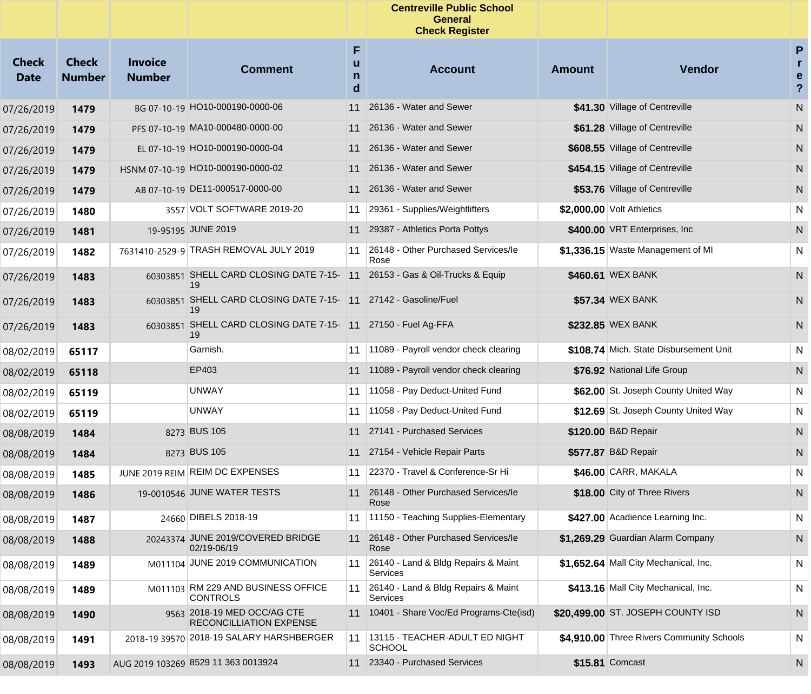|                             |                               |                                 |                                                               |                  | <b>Centreville Public School</b><br><b>General</b><br><b>Check Register</b> |               |                                           |                                                   |
|-----------------------------|-------------------------------|---------------------------------|---------------------------------------------------------------|------------------|-----------------------------------------------------------------------------|---------------|-------------------------------------------|---------------------------------------------------|
| <b>Check</b><br><b>Date</b> | <b>Check</b><br><b>Number</b> | <b>Invoice</b><br><b>Number</b> | <b>Comment</b>                                                | F<br>u<br>n<br>d | <b>Account</b>                                                              | <b>Amount</b> | Vendor                                    | P<br>$\mathbf{r}$<br>e<br>$\overline{\mathbf{?}}$ |
| 07/26/2019                  | 1479                          |                                 | BG 07-10-19 HO10-000190-0000-06                               | 11               | 26136 - Water and Sewer                                                     |               | \$41.30 Village of Centreville            | N                                                 |
| 07/26/2019                  | 1479                          |                                 | PFS 07-10-19 MA10-000480-0000-00                              | 11               | 26136 - Water and Sewer                                                     |               | \$61.28 Village of Centreville            | N                                                 |
| 07/26/2019                  | 1479                          |                                 | EL 07-10-19 HO10-000190-0000-04                               | 11               | 26136 - Water and Sewer                                                     |               | \$608.55 Village of Centreville           | N                                                 |
| 07/26/2019                  | 1479                          |                                 | HSNM 07-10-19 HO10-000190-0000-02                             | 11               | 26136 - Water and Sewer                                                     |               | \$454.15 Village of Centreville           | N                                                 |
| 07/26/2019                  | 1479                          |                                 | AB 07-10-19 DE11-000517-0000-00                               | 11               | 26136 - Water and Sewer                                                     |               | \$53.76 Village of Centreville            | N                                                 |
| 07/26/2019                  | 1480                          |                                 | 3557 VOLT SOFTWARE 2019-20                                    | 11               | 29361 - Supplies/Weightlifters                                              |               | \$2,000.00 Volt Athletics                 | N                                                 |
| 07/26/2019                  | 1481                          |                                 | 19-95195 JUNE 2019                                            | 11               | 29387 - Athletics Porta Pottys                                              |               | \$400.00 VRT Enterprises, Inc.            | N                                                 |
| 07/26/2019                  | 1482                          |                                 | 7631410-2529-9 TRASH REMOVAL JULY 2019                        | 11               | 26148 - Other Purchased Services/le<br>Rose                                 |               | \$1,336.15 Waste Management of MI         | N                                                 |
| 07/26/2019                  | 1483                          |                                 | 60303851 SHELL CARD CLOSING DATE 7-15- 11<br>19               |                  | 26153 - Gas & Oil-Trucks & Equip                                            |               | \$460.61 WEX BANK                         | ${\sf N}$                                         |
| 07/26/2019                  | 1483                          | 60303851                        | SHELL CARD CLOSING DATE 7-15-11<br>19                         |                  | 27142 - Gasoline/Fuel                                                       |               | \$57.34 WEX BANK                          | N                                                 |
| 07/26/2019                  | 1483                          | 60303851                        | SHELL CARD CLOSING DATE 7-15- 11 27150 - Fuel Ag-FFA<br>19    |                  |                                                                             |               | \$232.85 WEX BANK                         | N                                                 |
| 08/02/2019                  | 65117                         |                                 | Garnish.                                                      | 11               | 11089 - Payroll vendor check clearing                                       |               | \$108.74 Mich. State Disbursement Unit    | N                                                 |
| 08/02/2019                  | 65118                         |                                 | EP403                                                         |                  | 11 11089 - Payroll vendor check clearing                                    |               | \$76.92 National Life Group               | ${\sf N}$                                         |
| 08/02/2019                  | 65119                         |                                 | <b>UNWAY</b>                                                  | 11               | 11058 - Pay Deduct-United Fund                                              |               | \$62.00 St. Joseph County United Way      | N                                                 |
| 08/02/2019                  | 65119                         |                                 | <b>UNWAY</b>                                                  | 11               | 11058 - Pay Deduct-United Fund                                              |               | \$12.69 St. Joseph County United Way      | N                                                 |
| 08/08/2019                  | 1484                          |                                 | 8273 BUS 105                                                  | 11               | 27141 - Purchased Services                                                  |               | \$120.00 B&D Repair                       | ${\sf N}$                                         |
| 08/08/2019                  | 1484                          |                                 | 8273 BUS 105                                                  | 11               | 27154 - Vehicle Repair Parts                                                |               | \$577.87 B&D Repair                       | N                                                 |
| 08/08/2019                  | 1485                          |                                 | JUNE 2019 REIM REIM DC EXPENSES                               | 11               | 22370 - Travel & Conference-Sr Hi                                           |               | $$46.00$ CARR, MAKALA                     | N                                                 |
| 08/08/2019                  | 1486                          |                                 | 19-0010546 JUNE WATER TESTS                                   | 11               | 26148 - Other Purchased Services/le<br>Rose                                 |               | \$18.00 City of Three Rivers              | N                                                 |
| 08/08/2019                  | 1487                          |                                 | 24660 DIBELS 2018-19                                          | 11               | 11150 - Teaching Supplies-Elementary                                        |               | \$427.00 Acadience Learning Inc.          | N                                                 |
| 08/08/2019                  | 1488                          |                                 | 20243374 JUNE 2019/COVERED BRIDGE<br>02/19-06/19              | 11               | 26148 - Other Purchased Services/le<br>Rose                                 |               | \$1,269.29 Guardian Alarm Company         | N                                                 |
| 08/08/2019                  | 1489                          |                                 | M011104 JUNE 2019 COMMUNICATION                               | 11               | 26140 - Land & Bldg Repairs & Maint<br>Services                             |               | \$1,652.64 Mall City Mechanical, Inc.     | N                                                 |
| 08/08/2019                  | 1489                          |                                 | M011103 RM 229 AND BUSINESS OFFICE<br><b>CONTROLS</b>         | 11               | 26140 - Land & Bldg Repairs & Maint<br>Services                             |               | \$413.16 Mall City Mechanical, Inc.       | N                                                 |
| 08/08/2019                  | 1490                          |                                 | 9563 2018-19 MED OCC/AG CTE<br><b>RECONCILLIATION EXPENSE</b> | 11               | 10401 - Share Voc/Ed Programs-Cte(isd)                                      |               | \$20,499.00 ST. JOSEPH COUNTY ISD         | N                                                 |
| 08/08/2019                  | 1491                          |                                 | 2018-19 39570 2018-19 SALARY HARSHBERGER                      | 11               | 13115 - TEACHER-ADULT ED NIGHT<br><b>SCHOOL</b>                             |               | \$4.910.00 Three Rivers Community Schools | N                                                 |
| 08/08/2019                  | 1493                          |                                 | AUG 2019 103269 8529 11 363 0013924                           |                  | 11 23340 - Purchased Services                                               |               | \$15.81 Comcast                           | N                                                 |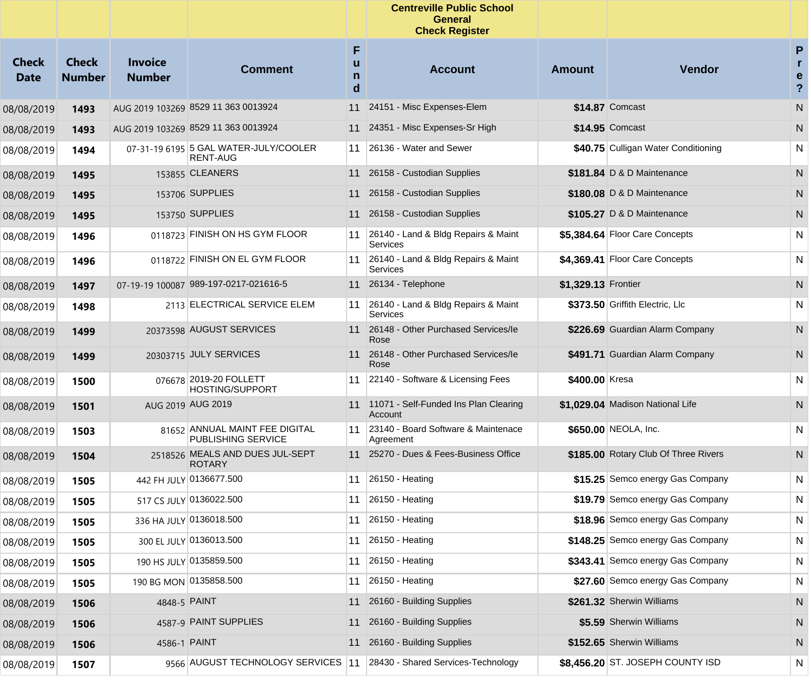|                      |                               |                                 |                                                          |                  | <b>Centreville Public School</b><br><b>General</b><br><b>Check Register</b> |                     |                                      |                                                   |
|----------------------|-------------------------------|---------------------------------|----------------------------------------------------------|------------------|-----------------------------------------------------------------------------|---------------------|--------------------------------------|---------------------------------------------------|
| Check<br><b>Date</b> | <b>Check</b><br><b>Number</b> | <b>Invoice</b><br><b>Number</b> | <b>Comment</b>                                           | F<br>u<br>n<br>d | <b>Account</b>                                                              | <b>Amount</b>       | Vendor                               | P<br>$\mathbf{r}$<br>e<br>$\overline{\mathbf{?}}$ |
| 08/08/2019           | 1493                          |                                 | AUG 2019 103269 8529 11 363 0013924                      | 11               | 24151 - Misc Expenses-Elem                                                  |                     | \$14.87 Comcast                      | ${\sf N}$                                         |
| 08/08/2019           | 1493                          |                                 | AUG 2019 103269 8529 11 363 0013924                      | 11               | 24351 - Misc Expenses-Sr High                                               |                     | \$14.95 Comcast                      | N                                                 |
| 08/08/2019           | 1494                          |                                 | 07-31-19 6195 5 GAL WATER-JULY/COOLER<br><b>RENT-AUG</b> | 11               | 26136 - Water and Sewer                                                     |                     | \$40.75 Culligan Water Conditioning  | N                                                 |
| 08/08/2019           | 1495                          |                                 | 153855 CLEANERS                                          |                  | 11 26158 - Custodian Supplies                                               |                     | \$181.84 D & D Maintenance           | N                                                 |
| 08/08/2019           | 1495                          |                                 | 153706 SUPPLIES                                          | 11               | 26158 - Custodian Supplies                                                  |                     | \$180.08 D & D Maintenance           | N                                                 |
| 08/08/2019           | 1495                          |                                 | 153750 SUPPLIES                                          |                  | 11 26158 - Custodian Supplies                                               |                     | \$105.27 D & D Maintenance           | N                                                 |
| 08/08/2019           | 1496                          |                                 | 0118723 FINISH ON HS GYM FLOOR                           | 11               | 26140 - Land & Bldg Repairs & Maint<br>Services                             |                     | \$5,384.64 Floor Care Concepts       | N                                                 |
| 08/08/2019           | 1496                          |                                 | 0118722 FINISH ON EL GYM FLOOR                           | 11               | 26140 - Land & Bldg Repairs & Maint<br>Services                             |                     | \$4,369.41 Floor Care Concepts       | N                                                 |
| 08/08/2019           | 1497                          |                                 | 07-19-19 100087 989-197-0217-021616-5                    | 11               | 26134 - Telephone                                                           | \$1,329.13 Frontier |                                      | N                                                 |
| 08/08/2019           | 1498                          |                                 | 2113 ELECTRICAL SERVICE ELEM                             | 11               | 26140 - Land & Bldg Repairs & Maint<br>Services                             |                     | \$373.50 Griffith Electric, Llc      | N                                                 |
| 08/08/2019           | 1499                          |                                 | 20373598 AUGUST SERVICES                                 | 11               | 26148 - Other Purchased Services/le<br>Rose                                 |                     | \$226.69 Guardian Alarm Company      | N                                                 |
| 08/08/2019           | 1499                          |                                 | 20303715 JULY SERVICES                                   |                  | 11 26148 - Other Purchased Services/le<br>Rose                              |                     | \$491.71 Guardian Alarm Company      | N                                                 |
| 08/08/2019           | 1500                          |                                 | 076678 2019-20 FOLLETT<br><b>HOSTING/SUPPORT</b>         | 11               | 22140 - Software & Licensing Fees                                           | \$400.00 Kresa      |                                      | N                                                 |
| 08/08/2019           | 1501                          |                                 | AUG 2019 AUG 2019                                        |                  | 11 11071 - Self-Funded Ins Plan Clearing<br>Account                         |                     | \$1,029.04 Madison National Life     | N                                                 |
| 08/08/2019           | 1503                          |                                 | 81652 ANNUAL MAINT FEE DIGITAL<br>PUBLISHING SERVICE     | 11               | 23140 - Board Software & Maintenace<br>Agreement                            |                     | \$650.00 NEOLA, Inc.                 | N                                                 |
| 08/08/2019           | 1504                          |                                 | 2518526 MEALS AND DUES JUL-SEPT<br><b>ROTARY</b>         |                  | 11 25270 - Dues & Fees-Business Office                                      |                     | \$185.00 Rotary Club Of Three Rivers | N                                                 |
| 08/08/2019           | 1505                          |                                 | 442 FH JULY 0136677.500                                  | 11               | $26150 - Heating$                                                           |                     | \$15.25 Semco energy Gas Company     | N                                                 |
| 08/08/2019           | 1505                          |                                 | 517 CS JULY 0136022.500                                  | 11               | $ 26150 - Heating$                                                          |                     | \$19.79 Semco energy Gas Company     | N                                                 |
| 08/08/2019           | 1505                          |                                 | 336 HA JULY 0136018.500                                  | 11               | $26150 - Heating$                                                           |                     | \$18.96 Semco energy Gas Company     | N                                                 |
| 08/08/2019           | 1505                          |                                 | 300 EL JULY 0136013.500                                  | 11               | 26150 - Heating                                                             |                     | \$148.25 Semco energy Gas Company    | N                                                 |
| 08/08/2019           | 1505                          |                                 | 190 HS JULY 0135859.500                                  | 11               | $ 26150 - Heating$                                                          |                     | \$343.41 Semco energy Gas Company    | N                                                 |
| 08/08/2019           | 1505                          |                                 | 190 BG MON 0135858.500                                   | 11               | $26150 - Heating$                                                           |                     | \$27.60 Semco energy Gas Company     | N                                                 |
| 08/08/2019           | 1506                          |                                 | 4848-5 PAINT                                             |                  | 11 26160 - Building Supplies                                                |                     | \$261.32 Sherwin Williams            | ${\sf N}$                                         |
| 08/08/2019           | 1506                          |                                 | 4587-9 PAINT SUPPLIES                                    | 11               | 26160 - Building Supplies                                                   |                     | \$5.59 Sherwin Williams              | N                                                 |
| 08/08/2019           | 1506                          |                                 | 4586-1 PAINT                                             |                  | 11 26160 - Building Supplies                                                |                     | \$152.65 Sherwin Williams            | N                                                 |
| 08/08/2019           | 1507                          |                                 | 9566 AUGUST TECHNOLOGY SERVICES 11                       |                  | 28430 - Shared Services-Technology                                          |                     | \$8,456.20 ST. JOSEPH COUNTY ISD     | N                                                 |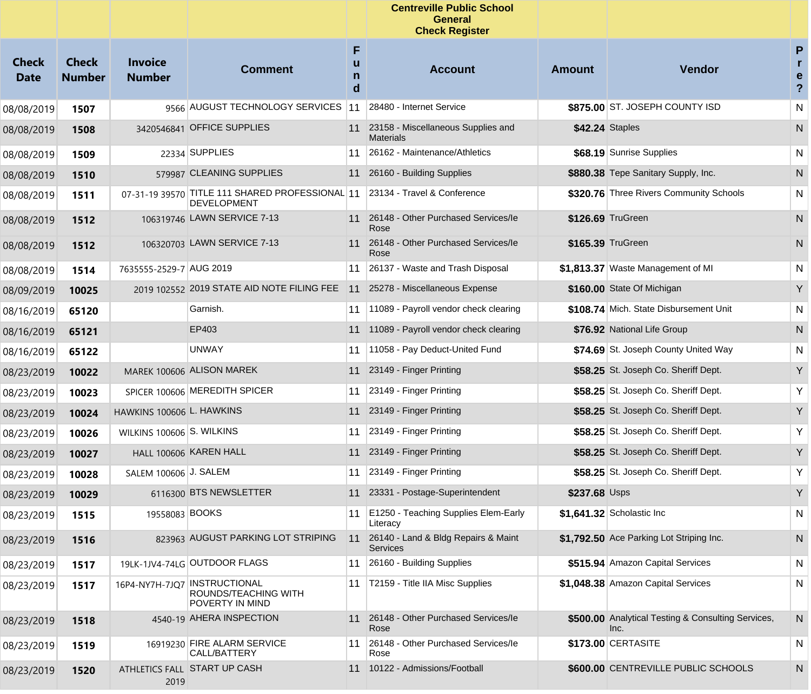|                             |                               |                                 |                                                                           |                  | <b>Centreville Public School</b><br><b>General</b><br><b>Check Register</b> |                 |                                                            |                                     |
|-----------------------------|-------------------------------|---------------------------------|---------------------------------------------------------------------------|------------------|-----------------------------------------------------------------------------|-----------------|------------------------------------------------------------|-------------------------------------|
| <b>Check</b><br><b>Date</b> | <b>Check</b><br><b>Number</b> | <b>Invoice</b><br><b>Number</b> | <b>Comment</b>                                                            | F<br>u<br>n<br>d | <b>Account</b>                                                              | <b>Amount</b>   | <b>Vendor</b>                                              | P<br>r<br>е<br>$\ddot{\phantom{0}}$ |
| 08/08/2019                  | 1507                          |                                 | 9566 AUGUST TECHNOLOGY SERVICES 11                                        |                  | 28480 - Internet Service                                                    |                 | \$875.00 ST. JOSEPH COUNTY ISD                             | N                                   |
| 08/08/2019                  | 1508                          |                                 | 3420546841 OFFICE SUPPLIES                                                |                  | 11 23158 - Miscellaneous Supplies and<br><b>Materials</b>                   | \$42.24 Staples |                                                            | ${\sf N}$                           |
| 08/08/2019                  | 1509                          |                                 | 22334 SUPPLIES                                                            | 11               | 26162 - Maintenance/Athletics                                               |                 | \$68.19 Sunrise Supplies                                   | N                                   |
| 08/08/2019                  | 1510                          |                                 | 579987 CLEANING SUPPLIES                                                  | 11               | 26160 - Building Supplies                                                   |                 | \$880.38 Tepe Sanitary Supply, Inc.                        | N                                   |
| 08/08/2019                  | 1511                          |                                 | 07-31-19 39570 TITLE 111 SHARED PROFESSIONAL 11<br><b>DEVELOPMENT</b>     |                  | 23134 - Travel & Conference                                                 |                 | \$320.76 Three Rivers Community Schools                    | N                                   |
| 08/08/2019                  | 1512                          |                                 | 106319746 LAWN SERVICE 7-13                                               |                  | 11 26148 - Other Purchased Services/le<br>Rose                              |                 | \$126.69 TruGreen                                          | N                                   |
| 08/08/2019                  | 1512                          |                                 | 106320703 LAWN SERVICE 7-13                                               |                  | 11 26148 - Other Purchased Services/le<br>Rose                              |                 | \$165.39 TruGreen                                          | N                                   |
| 08/08/2019                  | 1514                          | 7635555-2529-7 AUG 2019         |                                                                           | 11               | 26137 - Waste and Trash Disposal                                            |                 | \$1,813.37 Waste Management of MI                          | N                                   |
| 08/09/2019                  | 10025                         |                                 | 2019 102552 2019 STATE AID NOTE FILING FEE                                | 11               | 25278 - Miscellaneous Expense                                               |                 | \$160.00 State Of Michigan                                 | Y                                   |
| 08/16/2019                  | 65120                         |                                 | Garnish.                                                                  | 11               | 11089 - Payroll vendor check clearing                                       |                 | \$108.74 Mich. State Disbursement Unit                     | N                                   |
| 08/16/2019                  | 65121                         |                                 | EP403                                                                     | 11               | 11089 - Payroll vendor check clearing                                       |                 | \$76.92 National Life Group                                | N                                   |
| 08/16/2019                  | 65122                         |                                 | <b>UNWAY</b>                                                              | 11               | 11058 - Pay Deduct-United Fund                                              |                 | \$74.69 St. Joseph County United Way                       | N                                   |
| 08/23/2019                  | 10022                         |                                 | MAREK 100606 ALISON MAREK                                                 | 11               | 23149 - Finger Printing                                                     |                 | \$58.25 St. Joseph Co. Sheriff Dept.                       | Y                                   |
| 08/23/2019                  | 10023                         |                                 | SPICER 100606 MEREDITH SPICER                                             | 11               | 23149 - Finger Printing                                                     |                 | \$58.25 St. Joseph Co. Sheriff Dept.                       | Y                                   |
| 08/23/2019                  | 10024                         | HAWKINS 100606 L. HAWKINS       |                                                                           | 11               | 23149 - Finger Printing                                                     |                 | \$58.25 St. Joseph Co. Sheriff Dept.                       | Y                                   |
| 08/23/2019                  | 10026                         | WILKINS 100606 S. WILKINS       |                                                                           | 11               | 23149 - Finger Printing                                                     |                 | \$58.25 St. Joseph Co. Sheriff Dept.                       | Y                                   |
| 08/23/2019                  | 10027                         |                                 | HALL 100606 KAREN HALL                                                    | 11               | 23149 - Finger Printing                                                     |                 | \$58.25 St. Joseph Co. Sheriff Dept.                       | Y                                   |
| 08/23/2019                  | 10028                         | SALEM 100606 J. SALEM           |                                                                           | 11               | 23149 - Finger Printing                                                     |                 | \$58.25 St. Joseph Co. Sheriff Dept.                       | Y                                   |
| 08/23/2019                  | 10029                         |                                 | 6116300 BTS NEWSLETTER                                                    | 11               | 23331 - Postage-Superintendent                                              | \$237.68 Usps   |                                                            | Y                                   |
| 08/23/2019                  | 1515                          | 19558083 BOOKS                  |                                                                           |                  | 11   E1250 - Teaching Supplies Elem-Early<br>Literacy                       |                 | \$1,641.32 Scholastic Inc                                  | ${\sf N}$                           |
| 08/23/2019                  | 1516                          |                                 | 823963 AUGUST PARKING LOT STRIPING                                        | 11               | 26140 - Land & Bldg Repairs & Maint<br><b>Services</b>                      |                 | \$1,792.50 Ace Parking Lot Striping Inc.                   | N                                   |
| 08/23/2019                  | 1517                          |                                 | 19LK-1JV4-74LG OUTDOOR FLAGS                                              | 11               | 26160 - Building Supplies                                                   |                 | \$515.94 Amazon Capital Services                           | N                                   |
| 08/23/2019                  | 1517                          |                                 | 16P4-NY7H-7JQ7   INSTRUCTIONAL<br>ROUNDS/TEACHING WITH<br>POVERTY IN MIND | 11               | T2159 - Title IIA Misc Supplies                                             |                 | \$1,048.38 Amazon Capital Services                         | N                                   |
| 08/23/2019                  | 1518                          |                                 | 4540-19 AHERA INSPECTION                                                  | 11               | 26148 - Other Purchased Services/le<br>Rose                                 |                 | \$500.00 Analytical Testing & Consulting Services,<br>Inc. | N                                   |
| 08/23/2019                  | 1519                          |                                 | 16919230 FIRE ALARM SERVICE<br>CALL/BATTERY                               | 11               | 26148 - Other Purchased Services/le<br>Rose                                 |                 | \$173.00 CERTASITE                                         | N                                   |
| 08/23/2019                  | 1520                          | 2019                            | ATHLETICS FALL START UP CASH                                              | 11               | 10122 - Admissions/Football                                                 |                 | \$600.00 CENTREVILLE PUBLIC SCHOOLS                        | N                                   |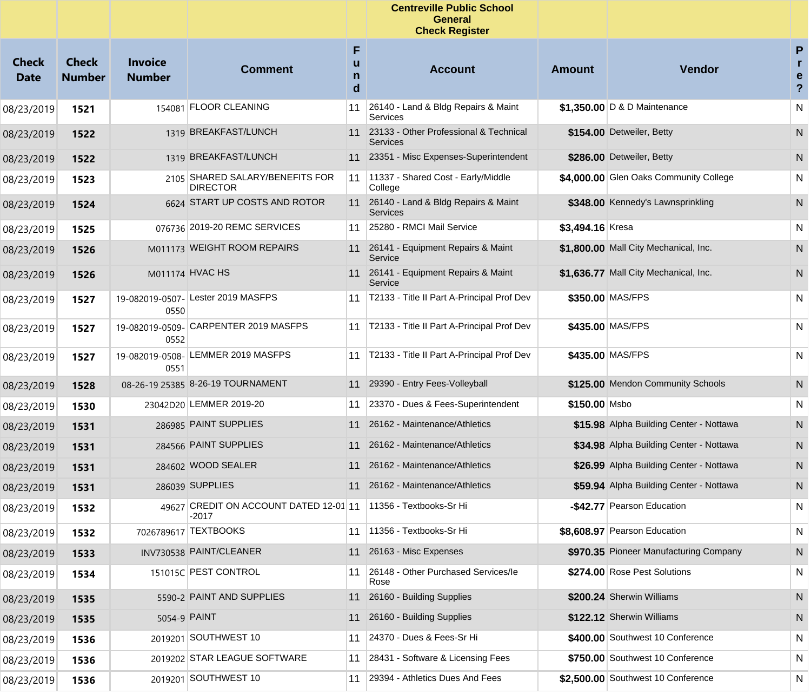|                      |                               |                                 |                                                                          |             | <b>Centreville Public School</b><br><b>General</b><br><b>Check Register</b> |                  |                                         |                                |
|----------------------|-------------------------------|---------------------------------|--------------------------------------------------------------------------|-------------|-----------------------------------------------------------------------------|------------------|-----------------------------------------|--------------------------------|
| Check<br><b>Date</b> | <b>Check</b><br><b>Number</b> | <b>Invoice</b><br><b>Number</b> | <b>Comment</b>                                                           | F<br>n<br>d | <b>Account</b>                                                              | <b>Amount</b>    | <b>Vendor</b>                           | P<br>r.<br>e<br>$\overline{?}$ |
| 08/23/2019           | 1521                          |                                 | 154081 FLOOR CLEANING                                                    | 11          | 26140 - Land & Bldg Repairs & Maint<br>Services                             |                  | \$1,350.00 D & D Maintenance            | N                              |
| 08/23/2019           | 1522                          |                                 | 1319 BREAKFAST/LUNCH                                                     | 11          | 23133 - Other Professional & Technical<br><b>Services</b>                   |                  | \$154.00 Detweiler, Betty               | N                              |
| 08/23/2019           | 1522                          |                                 | 1319 BREAKFAST/LUNCH                                                     |             | 11 23351 - Misc Expenses-Superintendent                                     |                  | \$286.00 Detweiler, Betty               | N                              |
| 08/23/2019           | 1523                          |                                 | 2105 SHARED SALARY/BENEFITS FOR<br><b>DIRECTOR</b>                       | 11          | 11337 - Shared Cost - Early/Middle<br>College                               |                  | \$4,000.00 Glen Oaks Community College  | N                              |
| 08/23/2019           | 1524                          |                                 | 6624 START UP COSTS AND ROTOR                                            |             | 11 26140 - Land & Bldg Repairs & Maint<br><b>Services</b>                   |                  | \$348.00 Kennedy's Lawnsprinkling       | N                              |
| 08/23/2019           | 1525                          |                                 | 076736 2019-20 REMC SERVICES                                             | 11          | 25280 - RMCI Mail Service                                                   | \$3,494.16 Kresa |                                         | N                              |
| 08/23/2019           | 1526                          |                                 | M011173 WEIGHT ROOM REPAIRS                                              | 11          | 26141 - Equipment Repairs & Maint<br>Service                                |                  | \$1,800.00 Mall City Mechanical, Inc.   | N                              |
| 08/23/2019           | 1526                          |                                 | M011174 HVAC HS                                                          |             | 11 26141 - Equipment Repairs & Maint<br>Service                             |                  | \$1.636.77 Mall City Mechanical, Inc.   | N.                             |
| 08/23/2019           | 1527                          | 0550                            | 19-082019-0507- Lester 2019 MASFPS                                       |             | 11   T2133 - Title II Part A-Principal Prof Dev                             |                  | \$350.00 MAS/FPS                        | N                              |
| 08/23/2019           | 1527                          | 0552                            | 19-082019-0509- CARPENTER 2019 MASFPS                                    | 11          | T2133 - Title II Part A-Principal Prof Dev                                  |                  | \$435.00 MAS/FPS                        | N                              |
| 08/23/2019           | 1527                          | 19-082019-0508-<br>0551         | LEMMER 2019 MASFPS                                                       | 11          | T2133 - Title II Part A-Principal Prof Dev                                  |                  | \$435.00 MAS/FPS                        | N                              |
| 08/23/2019           | 1528                          |                                 | 08-26-19 25385 8-26-19 TOURNAMENT                                        | 11          | 29390 - Entry Fees-Volleyball                                               |                  | \$125.00 Mendon Community Schools       | N                              |
| 08/23/2019           | 1530                          |                                 | 23042D20 LEMMER 2019-20                                                  | 11          | 23370 - Dues & Fees-Superintendent                                          | \$150.00 Msbo    |                                         | N                              |
| 08/23/2019           | 1531                          |                                 | 286985 PAINT SUPPLIES                                                    | 11          | 26162 - Maintenance/Athletics                                               |                  | \$15.98 Alpha Building Center - Nottawa | N                              |
| 08/23/2019           | 1531                          |                                 | 284566 PAINT SUPPLIES                                                    | 11          | 26162 - Maintenance/Athletics                                               |                  | \$34.98 Alpha Building Center - Nottawa | N.                             |
| 08/23/2019           | 1531                          |                                 | 284602 WOOD SEALER                                                       | 11          | 26162 - Maintenance/Athletics                                               |                  | \$26.99 Alpha Building Center - Nottawa | N                              |
| 08/23/2019           | 1531                          |                                 | 286039 SUPPLIES                                                          | 11          | 26162 - Maintenance/Athletics                                               |                  | \$59.94 Alpha Building Center - Nottawa | N.                             |
| 08/23/2019           | 1532                          |                                 | 49627 CREDIT ON ACCOUNT DATED 12-01 11 1356 - Textbooks-Sr Hi<br>$-2017$ |             |                                                                             |                  | -\$42.77 Pearson Education              | N                              |
| 08/23/2019           | 1532                          |                                 | 7026789617 TEXTBOOKS                                                     | 11          | 11356 - Textbooks-Sr Hi                                                     |                  | \$8,608.97 Pearson Education            | N                              |
| 08/23/2019           | 1533                          |                                 | INV730538 PAINT/CLEANER                                                  | 11          | 26163 - Misc Expenses                                                       |                  | \$970.35 Pioneer Manufacturing Company  | N                              |
| 08/23/2019           | 1534                          |                                 | 151015C PEST CONTROL                                                     | 11          | 26148 - Other Purchased Services/le<br>Rose                                 |                  | \$274.00 Rose Pest Solutions            | N                              |
| 08/23/2019           | 1535                          |                                 | 5590-2 PAINT AND SUPPLIES                                                | 11          | 26160 - Building Supplies                                                   |                  | \$200.24 Sherwin Williams               | N                              |
| 08/23/2019           | 1535                          |                                 | 5054-9 PAINT                                                             | 11          | 26160 - Building Supplies                                                   |                  | \$122.12 Sherwin Williams               | N                              |
| 08/23/2019           | 1536                          | 2019201                         | SOUTHWEST 10                                                             | 11          | 24370 - Dues & Fees-Sr Hi                                                   |                  | \$400.00 Southwest 10 Conference        | N                              |
| 08/23/2019           | 1536                          |                                 | 2019202 STAR LEAGUE SOFTWARE                                             | 11          | 28431 - Software & Licensing Fees                                           |                  | \$750.00 Southwest 10 Conference        | N                              |
| 08/23/2019           | 1536                          | 2019201                         | SOUTHWEST 10                                                             | 11          | 29394 - Athletics Dues And Fees                                             |                  | \$2.500.00 Southwest 10 Conference      | N                              |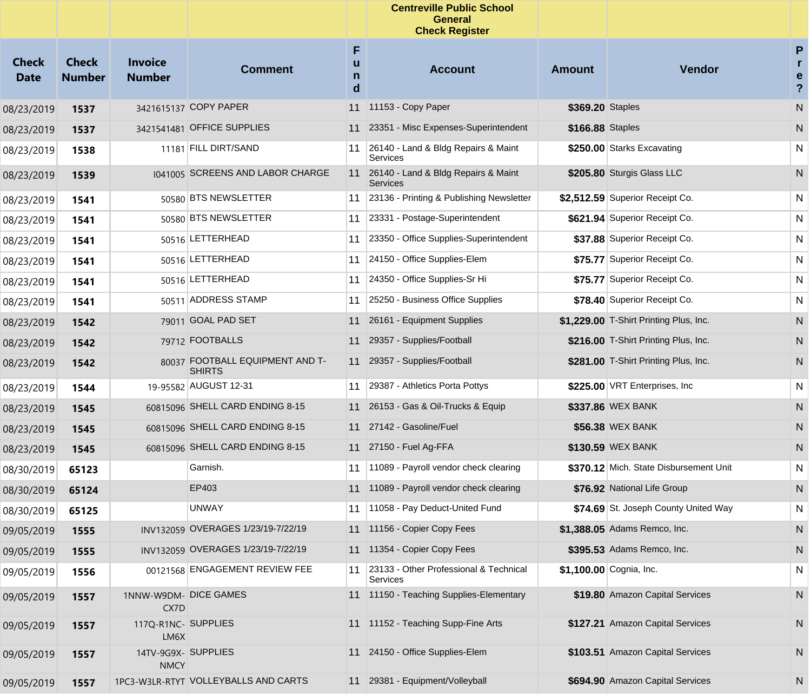|                             |                               |                                    |                                                  |                  | <b>Centreville Public School</b><br>General<br><b>Check Register</b> |                  |                                        |                                      |
|-----------------------------|-------------------------------|------------------------------------|--------------------------------------------------|------------------|----------------------------------------------------------------------|------------------|----------------------------------------|--------------------------------------|
| <b>Check</b><br><b>Date</b> | <b>Check</b><br><b>Number</b> | <b>Invoice</b><br><b>Number</b>    | <b>Comment</b>                                   | F<br>u<br>n<br>d | <b>Account</b>                                                       | <b>Amount</b>    | Vendor                                 | P<br>r.<br>e<br>$\ddot{\phantom{0}}$ |
| 08/23/2019                  | 1537                          |                                    | 3421615137 COPY PAPER                            | 11               | 11153 - Copy Paper                                                   | \$369.20 Staples |                                        | ${\sf N}$                            |
| 08/23/2019                  | 1537                          |                                    | 3421541481 OFFICE SUPPLIES                       | 11               | 23351 - Misc Expenses-Superintendent                                 | \$166.88 Staples |                                        | N                                    |
| 08/23/2019                  | 1538                          |                                    | 11181 FILL DIRT/SAND                             | 11               | 26140 - Land & Bldg Repairs & Maint<br>Services                      |                  | \$250.00 Starks Excavating             | N                                    |
| 08/23/2019                  | 1539                          |                                    | 1041005 SCREENS AND LABOR CHARGE                 |                  | 11 26140 - Land & Bldg Repairs & Maint<br>Services                   |                  | \$205.80 Sturgis Glass LLC             | N                                    |
| 08/23/2019                  | 1541                          |                                    | 50580 BTS NEWSLETTER                             |                  | 11 23136 - Printing & Publishing Newsletter                          |                  | \$2,512.59 Superior Receipt Co.        | N                                    |
| 08/23/2019                  | 1541                          |                                    | 50580 BTS NEWSLETTER                             |                  | 11 23331 - Postage-Superintendent                                    |                  | \$621.94 Superior Receipt Co.          | N                                    |
| 08/23/2019                  | 1541                          |                                    | 50516 LETTERHEAD                                 | 11               | 23350 - Office Supplies-Superintendent                               |                  | \$37.88 Superior Receipt Co.           | N                                    |
| 08/23/2019                  | 1541                          |                                    | 50516 LETTERHEAD                                 |                  | 11 24150 - Office Supplies-Elem                                      |                  | \$75.77 Superior Receipt Co.           | N                                    |
| 08/23/2019                  | 1541                          |                                    | 50516 LETTERHEAD                                 |                  | 11 24350 - Office Supplies-Sr Hi                                     |                  | \$75.77 Superior Receipt Co.           | N                                    |
| 08/23/2019                  | 1541                          |                                    | 50511 ADDRESS STAMP                              |                  | 11 25250 - Business Office Supplies                                  |                  | \$78.40 Superior Receipt Co.           | N                                    |
| 08/23/2019                  | 1542                          |                                    | 79011 GOAL PAD SET                               | 11               | 26161 - Equipment Supplies                                           |                  | \$1,229.00 T-Shirt Printing Plus, Inc. | N                                    |
| 08/23/2019                  | 1542                          |                                    | 79712 FOOTBALLS                                  | 11               | 29357 - Supplies/Football                                            |                  | \$216.00 T-Shirt Printing Plus, Inc.   | N,                                   |
| 08/23/2019                  | 1542                          |                                    | 80037 FOOTBALL EQUIPMENT AND T-<br><b>SHIRTS</b> |                  | 11 29357 - Supplies/Football                                         |                  | \$281.00 T-Shirt Printing Plus, Inc.   | N.                                   |
| 08/23/2019                  | 1544                          |                                    | 19-95582 AUGUST 12-31                            |                  | 11 29387 - Athletics Porta Pottys                                    |                  | \$225.00 VRT Enterprises, Inc          | N                                    |
| 08/23/2019                  | 1545                          |                                    | 60815096 SHELL CARD ENDING 8-15                  |                  | 11 26153 - Gas & Oil-Trucks & Equip                                  |                  | \$337.86 WEX BANK                      | N                                    |
| 08/23/2019                  | 1545                          |                                    | 60815096 SHELL CARD ENDING 8-15                  |                  | 11 27142 - Gasoline/Fuel                                             |                  | \$56.38 WEX BANK                       | N                                    |
| 08/23/2019                  | 1545                          |                                    | 60815096 SHELL CARD ENDING 8-15                  |                  | 11 27150 - Fuel Ag-FFA                                               |                  | \$130.59 WEX BANK                      | N                                    |
| 08/30/2019                  | 65123                         |                                    | Garnish.                                         | 11               | 11089 - Payroll vendor check clearing                                |                  | \$370.12 Mich. State Disbursement Unit | N                                    |
| 08/30/2019                  | 65124                         |                                    | EP403                                            |                  | 11 11089 - Payroll vendor check clearing                             |                  | \$76.92 National Life Group            | N                                    |
| 08/30/2019                  | 65125                         |                                    | <b>UNWAY</b>                                     |                  | 11   11058 - Pay Deduct-United Fund                                  |                  | \$74.69 St. Joseph County United Way   | N                                    |
| 09/05/2019                  | 1555                          |                                    | INV132059 OVERAGES 1/23/19-7/22/19               |                  | 11 11156 - Copier Copy Fees                                          |                  | \$1,388.05 Adams Remco, Inc.           | N                                    |
| 09/05/2019                  | 1555                          |                                    | INV132059 OVERAGES 1/23/19-7/22/19               |                  | 11 11354 - Copier Copy Fees                                          |                  | \$395.53 Adams Remco, Inc.             | N                                    |
| 09/05/2019                  | 1556                          |                                    | 00121568 ENGAGEMENT REVIEW FEE                   |                  | 11 23133 - Other Professional & Technical<br>Services                |                  | \$1,100.00 Cognia, Inc.                | N                                    |
| 09/05/2019                  | 1557                          | 1NNW-W9DM- DICE GAMES<br>CX7D      |                                                  |                  | 11 11150 - Teaching Supplies-Elementary                              |                  | \$19.80 Amazon Capital Services        | N                                    |
| 09/05/2019                  | 1557                          | 117Q-R1NC- SUPPLIES<br>LM6X        |                                                  |                  | 11 1152 - Teaching Supp-Fine Arts                                    |                  | \$127.21 Amazon Capital Services       | N.                                   |
| 09/05/2019                  | 1557                          | 14TV-9G9X- SUPPLIES<br><b>NMCY</b> |                                                  |                  | 11 24150 - Office Supplies-Elem                                      |                  | \$103.51 Amazon Capital Services       | N.                                   |
| 09/05/2019                  | 1557                          |                                    | 1PC3-W3LR-RTYT VOLLEYBALLS AND CARTS             |                  | 11 29381 - Equipment/Volleyball                                      |                  | \$694.90 Amazon Capital Services       | N                                    |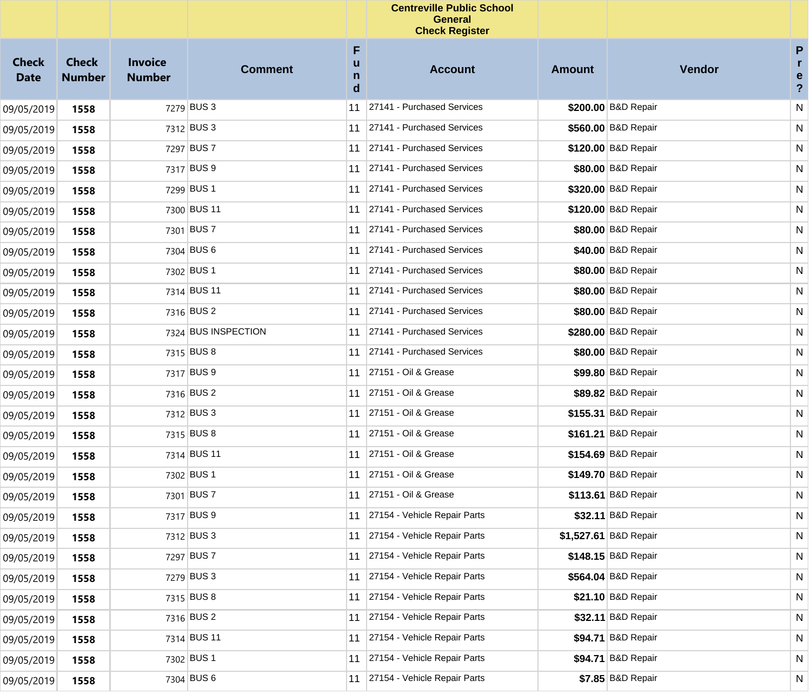|                             |                               |                                 |                     |                  | <b>Centreville Public School</b><br><b>General</b><br><b>Check Register</b> |               |                       |                                        |
|-----------------------------|-------------------------------|---------------------------------|---------------------|------------------|-----------------------------------------------------------------------------|---------------|-----------------------|----------------------------------------|
| <b>Check</b><br><b>Date</b> | <b>Check</b><br><b>Number</b> | <b>Invoice</b><br><b>Number</b> | <b>Comment</b>      | F<br>u<br>n<br>d | <b>Account</b>                                                              | <b>Amount</b> | Vendor                | P<br>r<br>e<br>$\overline{\mathbf{?}}$ |
| 09/05/2019                  | 1558                          |                                 | 7279 BUS 3          | 11               | 27141 - Purchased Services                                                  |               | \$200.00 B&D Repair   | N                                      |
| 09/05/2019                  | 1558                          |                                 | 7312 BUS 3          | 11               | 27141 - Purchased Services                                                  |               | \$560.00 B&D Repair   | N                                      |
| 09/05/2019                  | 1558                          |                                 | 7297 BUS 7          |                  | 11 27141 - Purchased Services                                               |               | \$120.00 B&D Repair   | N                                      |
| 09/05/2019                  | 1558                          |                                 | 7317 BUS 9          | 11               | 27141 - Purchased Services                                                  |               | \$80.00 B&D Repair    | N                                      |
| 09/05/2019                  | 1558                          |                                 | 7299 BUS 1          |                  | 11 27141 - Purchased Services                                               |               | \$320.00 B&D Repair   | N                                      |
| 09/05/2019                  | 1558                          |                                 | 7300 BUS 11         | 11               | 27141 - Purchased Services                                                  |               | \$120.00 B&D Repair   | N                                      |
| 09/05/2019                  | 1558                          |                                 | 7301 BUS 7          |                  | 11 27141 - Purchased Services                                               |               | \$80.00 B&D Repair    | N                                      |
| 09/05/2019                  | 1558                          |                                 | 7304 BUS 6          | 11               | 27141 - Purchased Services                                                  |               | \$40.00 B&D Repair    | N                                      |
| 09/05/2019                  | 1558                          |                                 | 7302 BUS 1          |                  | 11 27141 - Purchased Services                                               |               | \$80.00 B&D Repair    | N                                      |
| 09/05/2019                  | 1558                          |                                 | 7314 BUS 11         | 11               | 27141 - Purchased Services                                                  |               | \$80.00 B&D Repair    | N                                      |
| 09/05/2019                  | 1558                          |                                 | 7316 BUS 2          |                  | 11 27141 - Purchased Services                                               |               | \$80.00 B&D Repair    | N                                      |
| 09/05/2019                  | 1558                          |                                 | 7324 BUS INSPECTION | 11               | 27141 - Purchased Services                                                  |               | \$280.00 B&D Repair   | N                                      |
| 09/05/2019                  | 1558                          |                                 | 7315 BUS 8          |                  | 11 27141 - Purchased Services                                               |               | \$80.00 B&D Repair    | N                                      |
| 09/05/2019                  | 1558                          |                                 | 7317 BUS 9          | 11               | 27151 - Oil & Grease                                                        |               | \$99.80 B&D Repair    | N                                      |
| 09/05/2019                  | 1558                          |                                 | 7316 BUS 2          | 11               | 27151 - Oil & Grease                                                        |               | \$89.82 B&D Repair    | N                                      |
| 09/05/2019                  | 1558                          |                                 | 7312 BUS 3          | 11               | 27151 - Oil & Grease                                                        |               | \$155.31 B&D Repair   | N                                      |
| 09/05/2019                  | 1558                          |                                 | 7315 BUS 8          |                  | 11 27151 - Oil & Grease                                                     |               | \$161.21 B&D Repair   | N                                      |
| 09/05/2019                  | 1558                          |                                 | 7314 BUS 11         | 11               | 27151 - Oil & Grease                                                        |               | \$154.69 B&D Repair   | N                                      |
| 09/05/2019                  | 1558                          |                                 | 7302 BUS 1          |                  | 11 27151 - Oil & Grease                                                     |               | \$149.70 B&D Repair   | N                                      |
| 09/05/2019                  | 1558                          |                                 | 7301 BUS 7          |                  | 11 27151 - Oil & Grease                                                     |               | \$113.61 B&D Repair   | N                                      |
| 09/05/2019                  | 1558                          |                                 | 7317 BUS 9          |                  | 27154 - Vehicle Repair Parts                                                |               | \$32.11 B&D Repair    | ${\sf N}$                              |
| 09/05/2019                  | 1558                          |                                 | 7312 BUS 3          |                  | 11 27154 - Vehicle Repair Parts                                             |               | \$1,527.61 B&D Repair | N                                      |
| 09/05/2019                  | 1558                          |                                 | 7297 BUS 7          | 11               | 27154 - Vehicle Repair Parts                                                |               | \$148.15 B&D Repair   | N                                      |
| 09/05/2019                  | 1558                          |                                 | 7279 BUS 3          | 11               | 27154 - Vehicle Repair Parts                                                |               | \$564.04 B&D Repair   | N                                      |
| 09/05/2019                  | 1558                          |                                 | 7315 BUS 8          | 11               | 27154 - Vehicle Repair Parts                                                |               | \$21.10 B&D Repair    | N                                      |
| 09/05/2019                  | 1558                          |                                 | 7316 BUS 2          | 11               | 27154 - Vehicle Repair Parts                                                |               | \$32.11 B&D Repair    | N                                      |
| 09/05/2019                  | 1558                          |                                 | 7314 BUS 11         | 11               | 27154 - Vehicle Repair Parts                                                |               | \$94.71 B&D Repair    | N                                      |
| 09/05/2019                  | 1558                          |                                 | 7302 BUS 1          | 11               | 27154 - Vehicle Repair Parts                                                |               | \$94.71 B&D Repair    | N                                      |
| 09/05/2019                  | 1558                          |                                 | 7304 BUS 6          |                  | 11 27154 - Vehicle Repair Parts                                             |               | \$7.85 B&D Repair     | N                                      |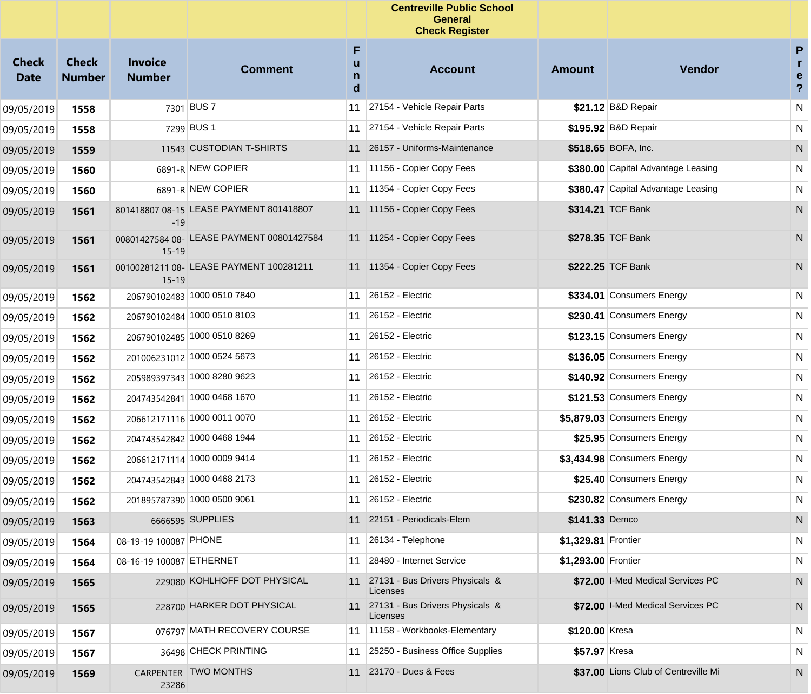|                             |                               |                                 |                                           |                  | <b>Centreville Public School</b><br><b>General</b><br><b>Check Register</b> |                     |                                      |                                         |
|-----------------------------|-------------------------------|---------------------------------|-------------------------------------------|------------------|-----------------------------------------------------------------------------|---------------------|--------------------------------------|-----------------------------------------|
| <b>Check</b><br><b>Date</b> | <b>Check</b><br><b>Number</b> | <b>Invoice</b><br><b>Number</b> | <b>Comment</b>                            | F<br>u<br>n<br>d | <b>Account</b>                                                              | <b>Amount</b>       | Vendor                               | P<br>r.<br>e<br>$\overline{\mathbf{?}}$ |
| 09/05/2019                  | 1558                          |                                 | 7301 BUS 7                                | 11               | 27154 - Vehicle Repair Parts                                                |                     | \$21.12 B&D Repair                   | ${\sf N}$                               |
| 09/05/2019                  | 1558                          |                                 | 7299 BUS 1                                |                  | 11 27154 - Vehicle Repair Parts                                             |                     | \$195.92 B&D Repair                  | N                                       |
| 09/05/2019                  | 1559                          |                                 | 11543 CUSTODIAN T-SHIRTS                  |                  | 11 26157 - Uniforms-Maintenance                                             |                     | \$518.65 BOFA, Inc.                  | N                                       |
| 09/05/2019                  | 1560                          |                                 | 6891-R NEW COPIER                         |                  | 11 11156 - Copier Copy Fees                                                 |                     | \$380.00 Capital Advantage Leasing   | N                                       |
| 09/05/2019                  | 1560                          |                                 | 6891-R NEW COPIER                         |                  | 11   11354 - Copier Copy Fees                                               |                     | \$380.47 Capital Advantage Leasing   | N                                       |
| 09/05/2019                  | 1561                          | $-19$                           | 801418807 08-15 LEASE PAYMENT 801418807   |                  | 11 11156 - Copier Copy Fees                                                 |                     | \$314.21 TCF Bank                    | N                                       |
| 09/05/2019                  | 1561                          | $15 - 19$                       | 00801427584 08- LEASE PAYMENT 00801427584 |                  | 11 11254 - Copier Copy Fees                                                 |                     | \$278.35 TCF Bank                    | N                                       |
| 09/05/2019                  | 1561                          | $15 - 19$                       | 00100281211 08- LEASE PAYMENT 100281211   |                  | 11 11354 - Copier Copy Fees                                                 |                     | \$222.25 TCF Bank                    | N                                       |
| 09/05/2019                  | 1562                          |                                 | 206790102483 1000 0510 7840               |                  | 11 26152 - Electric                                                         |                     | \$334.01 Consumers Energy            | N                                       |
| 09/05/2019                  | 1562                          |                                 | 206790102484 1000 0510 8103               |                  | 11 26152 - Electric                                                         |                     | \$230.41 Consumers Energy            | N                                       |
| 09/05/2019                  | 1562                          |                                 | 206790102485 1000 0510 8269               |                  | 11 26152 - Electric                                                         |                     | \$123.15 Consumers Energy            | N                                       |
| 09/05/2019                  | 1562                          |                                 | 201006231012 1000 0524 5673               |                  | 11 26152 - Electric                                                         |                     | \$136.05 Consumers Energy            | N                                       |
| 09/05/2019                  | 1562                          |                                 | 205989397343 1000 8280 9623               |                  | 11 26152 - Electric                                                         |                     | \$140.92 Consumers Energy            | N.                                      |
| 09/05/2019                  | 1562                          |                                 | 204743542841 1000 0468 1670               |                  | 11 26152 - Electric                                                         |                     | \$121.53 Consumers Energy            | N                                       |
| 09/05/2019                  | 1562                          |                                 | 206612171116 1000 0011 0070               |                  | 11 26152 - Electric                                                         |                     | \$5,879.03 Consumers Energy          | N                                       |
| 09/05/2019                  | 1562                          |                                 | 204743542842 1000 0468 1944               |                  | 11 26152 - Electric                                                         |                     | \$25.95 Consumers Energy             | N                                       |
| 09/05/2019                  | 1562                          |                                 | 206612171114 1000 0009 9414               |                  | 11 26152 - Electric                                                         |                     | \$3,434.98 Consumers Energy          | N                                       |
| 09/05/2019                  | 1562                          |                                 | 204743542843 1000 0468 2173               |                  | 11 26152 - Electric                                                         |                     | \$25.40 Consumers Energy             | N                                       |
| 09/05/2019                  | 1562                          |                                 | 201895787390 1000 0500 9061               |                  | 11 26152 - Electric                                                         |                     | \$230.82 Consumers Energy            | N                                       |
| 09/05/2019                  | 1563                          |                                 | 6666595 SUPPLIES                          |                  | 11 22151 - Periodicals-Elem                                                 | \$141.33 Demco      |                                      | N                                       |
| 09/05/2019                  | 1564                          | 08-19-19 100087 PHONE           |                                           |                  | 11 26134 - Telephone                                                        | \$1,329.81 Frontier |                                      | N                                       |
| 09/05/2019                  | 1564                          | 08-16-19 100087 ETHERNET        |                                           | 11               | 28480 - Internet Service                                                    | \$1,293.00 Frontier |                                      | N                                       |
| 09/05/2019                  | 1565                          |                                 | 229080 KOHLHOFF DOT PHYSICAL              | 11               | 27131 - Bus Drivers Physicals &<br>Licenses                                 |                     | \$72.00 I-Med Medical Services PC    | N                                       |
| 09/05/2019                  | 1565                          |                                 | 228700 HARKER DOT PHYSICAL                |                  | 11 27131 - Bus Drivers Physicals &<br>Licenses                              |                     | \$72.00 I-Med Medical Services PC    | N.                                      |
| 09/05/2019                  | 1567                          |                                 | 076797 MATH RECOVERY COURSE               |                  | 11 1158 - Workbooks-Elementary                                              | \$120.00 Kresa      |                                      | N                                       |
| 09/05/2019                  | 1567                          |                                 | 36498 CHECK PRINTING                      |                  | 11 25250 - Business Office Supplies                                         | \$57.97 Kresa       |                                      | N                                       |
| 09/05/2019                  | 1569                          | 23286                           | CARPENTER TWO MONTHS                      |                  | 11 23170 - Dues & Fees                                                      |                     | \$37.00 Lions Club of Centreville Mi | N                                       |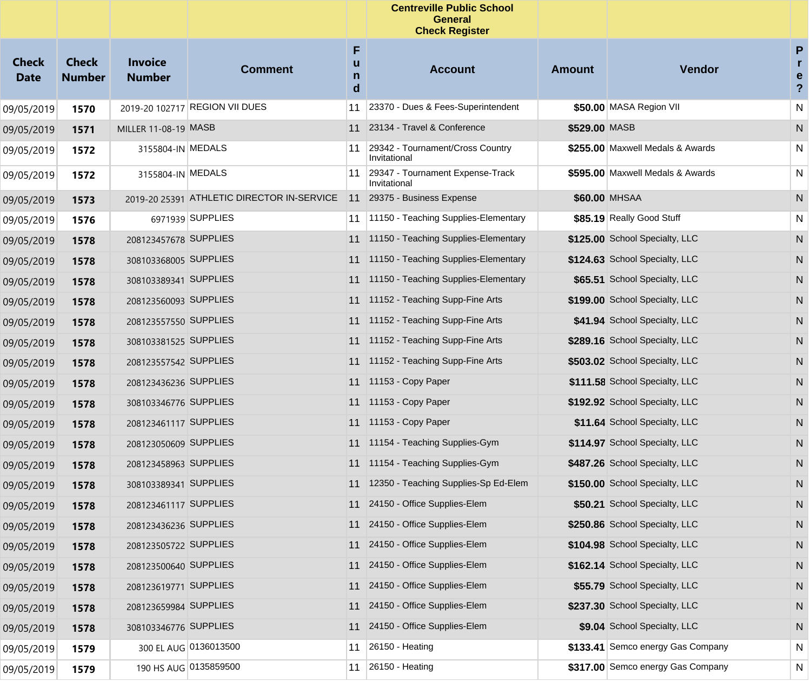|                             |                               |                                 |                                            |                  | <b>Centreville Public School</b><br><b>General</b><br><b>Check Register</b> |               |                                   |                                                   |
|-----------------------------|-------------------------------|---------------------------------|--------------------------------------------|------------------|-----------------------------------------------------------------------------|---------------|-----------------------------------|---------------------------------------------------|
| <b>Check</b><br><b>Date</b> | <b>Check</b><br><b>Number</b> | <b>Invoice</b><br><b>Number</b> | <b>Comment</b>                             | F<br>u<br>n<br>d | <b>Account</b>                                                              | <b>Amount</b> | Vendor                            | P<br>$\mathbf{r}$<br>e<br>$\overline{\mathbf{?}}$ |
| 09/05/2019                  | 1570                          |                                 | 2019-20 102717 REGION VII DUES             | 11               | 23370 - Dues & Fees-Superintendent                                          |               | \$50.00 MASA Region VII           | N                                                 |
| 09/05/2019                  | 1571                          | MILLER 11-08-19 MASB            |                                            | 11               | 23134 - Travel & Conference                                                 | \$529.00 MASB |                                   | N                                                 |
| 09/05/2019                  | 1572                          | 3155804-IN MEDALS               |                                            | 11               | 29342 - Tournament/Cross Country<br>Invitational                            |               | \$255.00 Maxwell Medals & Awards  | N                                                 |
| 09/05/2019                  | 1572                          | 3155804-IN MEDALS               |                                            | 11               | 29347 - Tournament Expense-Track<br>Invitational                            |               | \$595.00 Maxwell Medals & Awards  | N                                                 |
| 09/05/2019                  | 1573                          |                                 | 2019-20 25391 ATHLETIC DIRECTOR IN-SERVICE | 11               | 29375 - Business Expense                                                    |               | \$60.00 MHSAA                     | N                                                 |
| 09/05/2019                  | 1576                          |                                 | 6971939 SUPPLIES                           | 11               | 11150 - Teaching Supplies-Elementary                                        |               | \$85.19 Really Good Stuff         | N                                                 |
| 09/05/2019                  | 1578                          | 208123457678 SUPPLIES           |                                            | 11               | 11150 - Teaching Supplies-Elementary                                        |               | \$125.00 School Specialty, LLC    | N                                                 |
| 09/05/2019                  | 1578                          | 308103368005 SUPPLIES           |                                            | 11               | 11150 - Teaching Supplies-Elementary                                        |               | \$124.63 School Specialty, LLC    | N                                                 |
| 09/05/2019                  | 1578                          | 308103389341 SUPPLIES           |                                            | 11               | 11150 - Teaching Supplies-Elementary                                        |               | \$65.51 School Specialty, LLC     | N                                                 |
| 09/05/2019                  | 1578                          | 208123560093 SUPPLIES           |                                            | 11               | 11152 - Teaching Supp-Fine Arts                                             |               | \$199.00 School Specialty, LLC    | N                                                 |
| 09/05/2019                  | 1578                          | 208123557550 SUPPLIES           |                                            | 11               | 11152 - Teaching Supp-Fine Arts                                             |               | \$41.94 School Specialty, LLC     | N                                                 |
| 09/05/2019                  | 1578                          | 308103381525 SUPPLIES           |                                            | 11               | 11152 - Teaching Supp-Fine Arts                                             |               | \$289.16 School Specialty, LLC    | N                                                 |
| 09/05/2019                  | 1578                          | 208123557542 SUPPLIES           |                                            | 11               | 11152 - Teaching Supp-Fine Arts                                             |               | \$503.02 School Specialty, LLC    | N                                                 |
| 09/05/2019                  | 1578                          | 208123436236 SUPPLIES           |                                            | 11               | 11153 - Copy Paper                                                          |               | \$111.58 School Specialty, LLC    | N                                                 |
| 09/05/2019                  | 1578                          | 308103346776 SUPPLIES           |                                            | 11               | 11153 - Copy Paper                                                          |               | \$192.92 School Specialty, LLC    | N                                                 |
| 09/05/2019                  | 1578                          | 208123461117 SUPPLIES           |                                            | 11               | 11153 - Copy Paper                                                          |               | \$11.64 School Specialty, LLC     | N                                                 |
| 09/05/2019                  | 1578                          | 208123050609 SUPPLIES           |                                            | 11               | 11154 - Teaching Supplies-Gym                                               |               | \$114.97 School Specialty, LLC    | N                                                 |
| 09/05/2019                  | 1578                          | 208123458963 SUPPLIES           |                                            | 11               | 11154 - Teaching Supplies-Gym                                               |               | \$487.26 School Specialty, LLC    | N                                                 |
| 09/05/2019                  | 1578                          | 308103389341 SUPPLIES           |                                            | 11               | 12350 - Teaching Supplies-Sp Ed-Elem                                        |               | \$150.00 School Specialty, LLC    | N                                                 |
| 09/05/2019                  | 1578                          | 208123461117 SUPPLIES           |                                            | 11               | 24150 - Office Supplies-Elem                                                |               | \$50.21 School Specialty, LLC     | N                                                 |
| 09/05/2019                  | 1578                          | 208123436236 SUPPLIES           |                                            |                  | 11 24150 - Office Supplies-Elem                                             |               | \$250.86 School Specialty, LLC    | N                                                 |
| 09/05/2019                  | 1578                          | 208123505722 SUPPLIES           |                                            | 11               | 24150 - Office Supplies-Elem                                                |               | \$104.98 School Specialty, LLC    | N                                                 |
| 09/05/2019                  | 1578                          | 208123500640 SUPPLIES           |                                            | 11               | 24150 - Office Supplies-Elem                                                |               | \$162.14 School Specialty, LLC    | N                                                 |
| 09/05/2019                  | 1578                          | 208123619771 SUPPLIES           |                                            | 11               | 24150 - Office Supplies-Elem                                                |               | \$55.79 School Specialty, LLC     | N                                                 |
| 09/05/2019                  | 1578                          | 208123659984 SUPPLIES           |                                            | 11               | 24150 - Office Supplies-Elem                                                |               | \$237.30 School Specialty, LLC    | N                                                 |
| 09/05/2019                  | 1578                          | 308103346776 SUPPLIES           |                                            | 11               | 24150 - Office Supplies-Elem                                                |               | \$9.04 School Specialty, LLC      | N                                                 |
| 09/05/2019                  | 1579                          |                                 | 300 EL AUG 0136013500                      | 11               | 26150 - Heating                                                             |               | \$133.41 Semco energy Gas Company | N                                                 |
| 09/05/2019                  | 1579                          |                                 | 190 HS AUG 0135859500                      | 11               | 26150 - Heating                                                             |               | \$317.00 Semco energy Gas Company | N                                                 |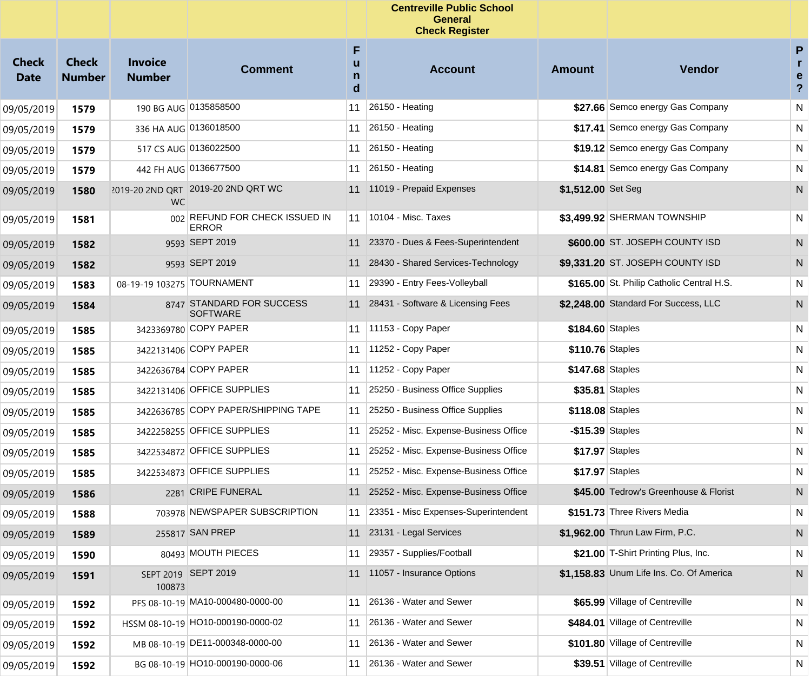|                             |                               |                                 |                                                |                  | <b>Centreville Public School</b><br><b>General</b><br><b>Check Register</b> |                    |                                           |                                          |
|-----------------------------|-------------------------------|---------------------------------|------------------------------------------------|------------------|-----------------------------------------------------------------------------|--------------------|-------------------------------------------|------------------------------------------|
| <b>Check</b><br><b>Date</b> | <b>Check</b><br><b>Number</b> | <b>Invoice</b><br><b>Number</b> | <b>Comment</b>                                 | F<br>u<br>n<br>d | <b>Account</b>                                                              | <b>Amount</b>      | Vendor                                    | P<br>r<br>e<br>$\boldsymbol{\mathsf{?}}$ |
| 09/05/2019                  | 1579                          |                                 | 190 BG AUG 0135858500                          | 11               | 26150 - Heating                                                             |                    | \$27.66 Semco energy Gas Company          | ${\sf N}$                                |
| 09/05/2019                  | 1579                          |                                 | 336 HA AUG 0136018500                          | 11               | 26150 - Heating                                                             |                    | \$17.41 Semco energy Gas Company          | N                                        |
| 09/05/2019                  | 1579                          |                                 | 517 CS AUG 0136022500                          | 11               | 26150 - Heating                                                             |                    | \$19.12 Semco energy Gas Company          | N                                        |
| 09/05/2019                  | 1579                          |                                 | 442 FH AUG 0136677500                          | 11               | 26150 - Heating                                                             |                    | \$14.81 Semco energy Gas Company          | N                                        |
| 09/05/2019                  | 1580                          | <b>WC</b>                       | 2019-20 2ND QRT 2019-20 2ND QRT WC             |                  | 11 11019 - Prepaid Expenses                                                 | \$1,512.00 Set Seg |                                           | N                                        |
| 09/05/2019                  | 1581                          |                                 | 002 REFUND FOR CHECK ISSUED IN<br><b>ERROR</b> | 11               | 10104 - Misc. Taxes                                                         |                    | \$3,499.92 SHERMAN TOWNSHIP               | N                                        |
| 09/05/2019                  | 1582                          |                                 | 9593 SEPT 2019                                 |                  | 11 23370 - Dues & Fees-Superintendent                                       |                    | \$600.00 ST. JOSEPH COUNTY ISD            | N                                        |
| 09/05/2019                  | 1582                          |                                 | 9593 SEPT 2019                                 |                  | 11 28430 - Shared Services-Technology                                       |                    | \$9,331.20 ST. JOSEPH COUNTY ISD          | N                                        |
| 09/05/2019                  | 1583                          | 08-19-19 103275 TOURNAMENT      |                                                | 11               | 29390 - Entry Fees-Volleyball                                               |                    | \$165.00 St. Philip Catholic Central H.S. | N                                        |
| 09/05/2019                  | 1584                          |                                 | 8747 STANDARD FOR SUCCESS<br><b>SOFTWARE</b>   |                  | 11 28431 - Software & Licensing Fees                                        |                    | \$2.248.00 Standard For Success, LLC      | N                                        |
| 09/05/2019                  | 1585                          |                                 | 3423369780 COPY PAPER                          | 11               | $11153 - Copy Paper$                                                        | \$184.60 Staples   |                                           | N                                        |
| 09/05/2019                  | 1585                          |                                 | 3422131406 COPY PAPER                          | 11               | 11252 - Copy Paper                                                          | \$110.76 Staples   |                                           | N                                        |
| 09/05/2019                  | 1585                          |                                 | 3422636784 COPY PAPER                          | 11               | 11252 - Copy Paper                                                          | \$147.68 Staples   |                                           | N                                        |
| 09/05/2019                  | 1585                          |                                 | 3422131406 OFFICE SUPPLIES                     | 11               | 25250 - Business Office Supplies                                            | \$35.81 Staples    |                                           | N                                        |
| 09/05/2019                  | 1585                          |                                 | 3422636785 COPY PAPER/SHIPPING TAPE            | 11               | 25250 - Business Office Supplies                                            | \$118.08 Staples   |                                           | N                                        |
| 09/05/2019                  | 1585                          |                                 | 3422258255 OFFICE SUPPLIES                     | 11               | 25252 - Misc. Expense-Business Office                                       | $-$15.39$ Staples  |                                           | N                                        |
| 09/05/2019                  | 1585                          |                                 | 3422534872 OFFICE SUPPLIES                     | 11               | 25252 - Misc. Expense-Business Office                                       | \$17.97 Staples    |                                           | N                                        |
| 09/05/2019                  | 1585                          |                                 | 3422534873 OFFICE SUPPLIES                     | 11               | 25252 - Misc. Expense-Business Office                                       | \$17.97 Staples    |                                           | N                                        |
| 09/05/2019                  | 1586                          |                                 | 2281 CRIPE FUNERAL                             |                  | 11 25252 - Misc. Expense-Business Office                                    |                    | \$45.00 Tedrow's Greenhouse & Florist     | N                                        |
| 09/05/2019                  | 1588                          |                                 | 703978 NEWSPAPER SUBSCRIPTION                  |                  | 23351 - Misc Expenses-Superintendent                                        |                    | \$151.73 Three Rivers Media               | $\overline{N}$                           |
| 09/05/2019                  | 1589                          |                                 | 255817 SAN PREP                                |                  | 11 23131 - Legal Services                                                   |                    | \$1,962.00 Thrun Law Firm, P.C.           | N                                        |
| 09/05/2019                  | 1590                          |                                 | 80493 MOUTH PIECES                             | 11               | 29357 - Supplies/Football                                                   |                    | \$21.00 T-Shirt Printing Plus, Inc.       | N                                        |
| 09/05/2019                  | 1591                          | 100873                          | SEPT 2019 SEPT 2019                            |                  | 11 11057 - Insurance Options                                                |                    | \$1,158.83 Unum Life Ins. Co. Of America  | N                                        |
| 09/05/2019                  | 1592                          |                                 | PFS 08-10-19 MA10-000480-0000-00               | 11               | 26136 - Water and Sewer                                                     |                    | \$65.99 Village of Centreville            | $\mathsf{N}$                             |
| 09/05/2019                  | 1592                          |                                 | HSSM 08-10-19 HO10-000190-0000-02              | 11               | 26136 - Water and Sewer                                                     |                    | \$484.01 Village of Centreville           | ${\sf N}$                                |
| 09/05/2019                  | 1592                          |                                 | MB 08-10-19 DE11-000348-0000-00                | 11               | 26136 - Water and Sewer                                                     |                    | \$101.80 Village of Centreville           | ${\sf N}$                                |
| 09/05/2019                  | 1592                          |                                 | BG 08-10-19 HO10-000190-0000-06                | 11               | 26136 - Water and Sewer                                                     |                    | \$39.51 Village of Centreville            | N                                        |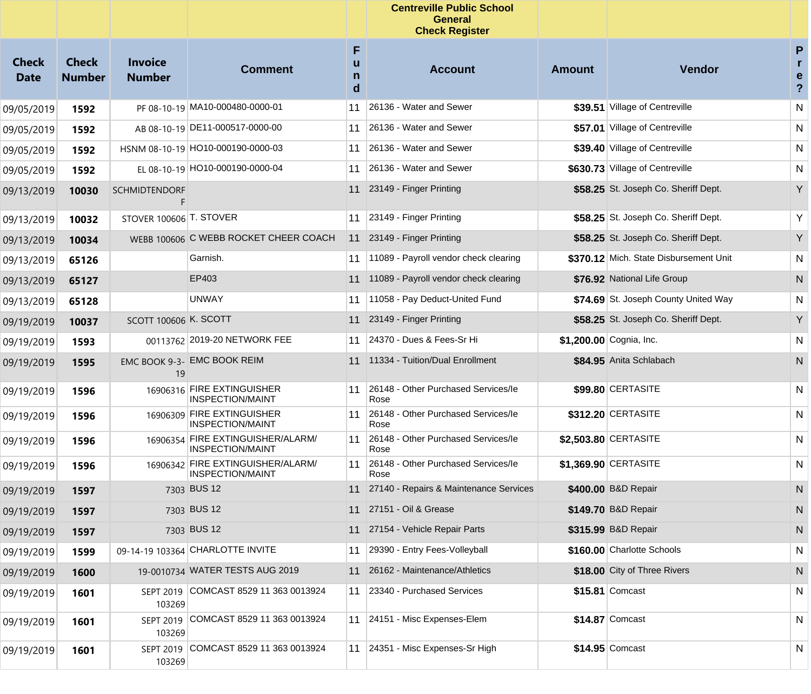|                             |                               |                                 |                                                              |                  | <b>Centreville Public School</b><br>General<br><b>Check Register</b> |               |                                        |                                     |
|-----------------------------|-------------------------------|---------------------------------|--------------------------------------------------------------|------------------|----------------------------------------------------------------------|---------------|----------------------------------------|-------------------------------------|
| <b>Check</b><br><b>Date</b> | <b>Check</b><br><b>Number</b> | <b>Invoice</b><br><b>Number</b> | <b>Comment</b>                                               | F<br>u<br>n<br>d | <b>Account</b>                                                       | <b>Amount</b> | <b>Vendor</b>                          | P<br>r<br>e<br>$\ddot{\phantom{0}}$ |
| 09/05/2019                  | 1592                          |                                 | PF 08-10-19 MA10-000480-0000-01                              | 11               | 26136 - Water and Sewer                                              |               | \$39.51 Village of Centreville         | ${\sf N}$                           |
| 09/05/2019                  | 1592                          |                                 | AB 08-10-19 DE11-000517-0000-00                              | 11               | 26136 - Water and Sewer                                              |               | \$57.01 Village of Centreville         | N                                   |
| 09/05/2019                  | 1592                          |                                 | HSNM 08-10-19 HO10-000190-0000-03                            | 11               | 26136 - Water and Sewer                                              |               | \$39.40 Village of Centreville         | N                                   |
| 09/05/2019                  | 1592                          |                                 | EL 08-10-19 HO10-000190-0000-04                              | 11               | 26136 - Water and Sewer                                              |               | \$630.73 Village of Centreville        | N                                   |
| 09/13/2019                  | 10030                         | <b>SCHMIDTENDORF</b>            |                                                              |                  | 11 23149 - Finger Printing                                           |               | \$58.25 St. Joseph Co. Sheriff Dept.   | Y                                   |
| 09/13/2019                  | 10032                         | STOVER 100606 T. STOVER         |                                                              | 11               | 23149 - Finger Printing                                              |               | \$58.25 St. Joseph Co. Sheriff Dept.   | Υ                                   |
| 09/13/2019                  | 10034                         |                                 | WEBB 100606 C WEBB ROCKET CHEER COACH                        | 11               | 23149 - Finger Printing                                              |               | \$58.25 St. Joseph Co. Sheriff Dept.   | Y                                   |
| 09/13/2019                  | 65126                         |                                 | Garnish.                                                     | 11               | 11089 - Payroll vendor check clearing                                |               | \$370.12 Mich. State Disbursement Unit | N                                   |
| 09/13/2019                  | 65127                         |                                 | EP403                                                        | 11               | 11089 - Payroll vendor check clearing                                |               | \$76.92 National Life Group            | N                                   |
| 09/13/2019                  | 65128                         |                                 | <b>UNWAY</b>                                                 | 11               | 11058 - Pay Deduct-United Fund                                       |               | \$74.69 St. Joseph County United Way   | N                                   |
| 09/19/2019                  | 10037                         | <b>SCOTT 100606 K. SCOTT</b>    |                                                              | 11               | 23149 - Finger Printing                                              |               | \$58.25 St. Joseph Co. Sheriff Dept.   | Y                                   |
| 09/19/2019                  | 1593                          |                                 | 00113762 2019-20 NETWORK FEE                                 | 11               | 24370 - Dues & Fees-Sr Hi                                            |               | \$1,200.00 Cognia, Inc.                | N                                   |
| 09/19/2019                  | 1595                          | 19                              | EMC BOOK 9-3- EMC BOOK REIM                                  |                  | 11 11334 - Tuition/Dual Enrollment                                   |               | \$84.95 Anita Schlabach                | N                                   |
| 09/19/2019                  | 1596                          |                                 | 16906316 FIRE EXTINGUISHER<br><b>INSPECTION/MAINT</b>        | 11               | 26148 - Other Purchased Services/le<br>Rose                          |               | \$99.80 CERTASITE                      | N                                   |
| 09/19/2019                  | 1596                          |                                 | 16906309 FIRE EXTINGUISHER<br><b>INSPECTION/MAINT</b>        | 11               | 26148 - Other Purchased Services/le<br>Rose                          |               | \$312.20 CERTASITE                     | $\mathsf{N}$                        |
| 09/19/2019                  | 1596                          |                                 | 16906354 FIRE EXTINGUISHER/ALARM/<br><b>INSPECTION/MAINT</b> | 11               | 26148 - Other Purchased Services/le<br>Rose                          |               | \$2,503.80 CERTASITE                   | N                                   |
| 09/19/2019                  | 1596                          |                                 | 16906342 FIRE EXTINGUISHER/ALARM/<br><b>INSPECTION/MAINT</b> | 11               | 26148 - Other Purchased Services/le<br>Rose                          |               | \$1,369.90 CERTASITE                   | N                                   |
| 09/19/2019                  | 1597                          |                                 | 7303 BUS 12                                                  | 11               | 27140 - Repairs & Maintenance Services                               |               | \$400.00 B&D Repair                    | N                                   |
| 09/19/2019                  | 1597                          |                                 | 7303 BUS 12                                                  |                  | 11 27151 - Oil & Grease                                              |               | \$149.70 B&D Repair                    | N                                   |
| 09/19/2019                  | 1597                          |                                 | 7303 BUS 12                                                  |                  | 11 27154 - Vehicle Repair Parts                                      |               | \$315.99 B&D Repair                    | $\mathsf{N}$                        |
| 09/19/2019                  | 1599                          |                                 | 09-14-19 103364 CHARLOTTE INVITE                             | 11               | 29390 - Entry Fees-Volleyball                                        |               | \$160.00 Charlotte Schools             | ${\sf N}$                           |
| 09/19/2019                  | 1600                          |                                 | 19-0010734 WATER TESTS AUG 2019                              | 11               | 26162 - Maintenance/Athletics                                        |               | \$18.00 City of Three Rivers           | N                                   |
| 09/19/2019                  | 1601                          | 103269                          | SEPT 2019 COMCAST 8529 11 363 0013924                        | 11               | 23340 - Purchased Services                                           |               | \$15.81 Comcast                        | N                                   |
| 09/19/2019                  | 1601                          | 103269                          | SEPT 2019 COMCAST 8529 11 363 0013924                        |                  | 11 24151 - Misc Expenses-Elem                                        |               | \$14.87 Comcast                        | N                                   |
| 09/19/2019                  | 1601                          | <b>SEPT 2019</b><br>103269      | COMCAST 8529 11 363 0013924                                  |                  | 11 24351 - Misc Expenses-Sr High                                     |               | \$14.95 Comcast                        | N                                   |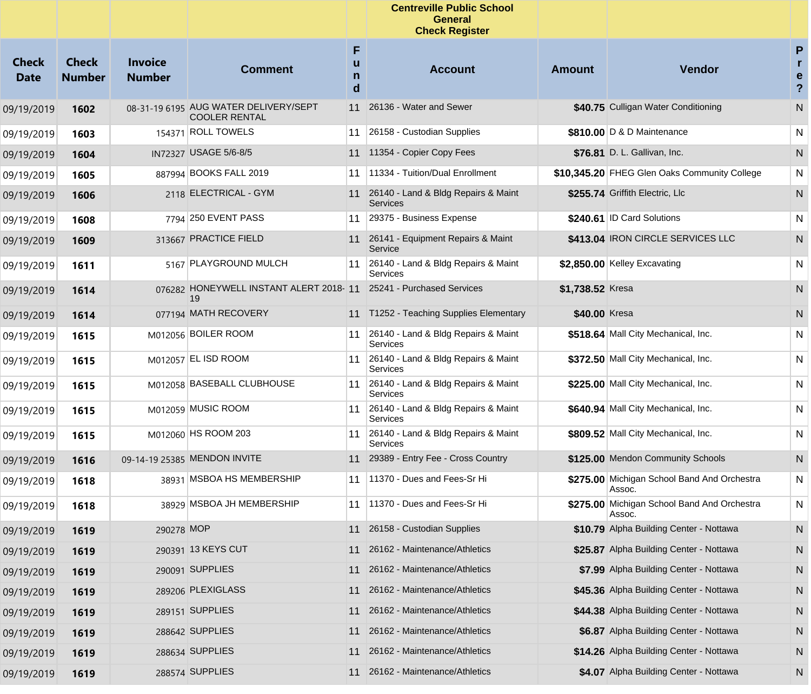|                             |                               |                                 |                                                               |                  | <b>Centreville Public School</b><br><b>General</b><br><b>Check Register</b> |                  |                                                       |                                                   |
|-----------------------------|-------------------------------|---------------------------------|---------------------------------------------------------------|------------------|-----------------------------------------------------------------------------|------------------|-------------------------------------------------------|---------------------------------------------------|
| <b>Check</b><br><b>Date</b> | <b>Check</b><br><b>Number</b> | <b>Invoice</b><br><b>Number</b> | <b>Comment</b>                                                | F<br>u<br>n<br>d | <b>Account</b>                                                              | <b>Amount</b>    | <b>Vendor</b>                                         | P<br>$\mathbf{r}$<br>e<br>$\overline{\mathbf{?}}$ |
| 09/19/2019                  | 1602                          |                                 | 08-31-19 6195 AUG WATER DELIVERY/SEPT<br><b>COOLER RENTAL</b> | 11               | 26136 - Water and Sewer                                                     |                  | \$40.75 Culligan Water Conditioning                   | N                                                 |
| 09/19/2019                  | 1603                          |                                 | 154371 ROLL TOWELS                                            | 11               | 26158 - Custodian Supplies                                                  |                  | \$810.00 D & D Maintenance                            | N                                                 |
| 09/19/2019                  | 1604                          |                                 | IN72327 USAGE 5/6-8/5                                         | 11               | 11354 - Copier Copy Fees                                                    |                  | \$76.81 D. L. Gallivan, Inc.                          | N                                                 |
| 09/19/2019                  | 1605                          |                                 | 887994 BOOKS FALL 2019                                        | 11               | 11334 - Tuition/Dual Enrollment                                             |                  | \$10,345.20 FHEG Glen Oaks Community College          | N                                                 |
| 09/19/2019                  | 1606                          |                                 | 2118 ELECTRICAL - GYM                                         |                  | 11 26140 - Land & Bldg Repairs & Maint<br><b>Services</b>                   |                  | \$255.74 Griffith Electric, Llc                       | N                                                 |
| 09/19/2019                  | 1608                          |                                 | 7794 250 EVENT PASS                                           | 11               | 29375 - Business Expense                                                    |                  | \$240.61 ID Card Solutions                            | N                                                 |
| 09/19/2019                  | 1609                          |                                 | 313667 PRACTICE FIELD                                         | 11               | 26141 - Equipment Repairs & Maint<br>Service                                |                  | \$413.04 IRON CIRCLE SERVICES LLC                     | N                                                 |
| 09/19/2019                  | 1611                          |                                 | 5167 PLAYGROUND MULCH                                         | 11               | 26140 - Land & Bldg Repairs & Maint<br>Services                             |                  | \$2,850.00 Kelley Excavating                          | N                                                 |
| 09/19/2019                  | 1614                          |                                 | 076282 HONEYWELL INSTANT ALERT 2018-11<br>19                  |                  | 25241 - Purchased Services                                                  | \$1,738.52 Kresa |                                                       | N                                                 |
| 09/19/2019                  | 1614                          |                                 | 077194 MATH RECOVERY                                          |                  | 11 T1252 - Teaching Supplies Elementary                                     | \$40.00 Kresa    |                                                       | N                                                 |
| 09/19/2019                  | 1615                          |                                 | M012056 BOILER ROOM                                           | 11               | 26140 - Land & Bldg Repairs & Maint<br>Services                             |                  | \$518.64 Mall City Mechanical, Inc.                   | N                                                 |
| 09/19/2019                  | 1615                          |                                 | M012057 EL ISD ROOM                                           | 11               | 26140 - Land & Bldg Repairs & Maint<br>Services                             |                  | \$372.50 Mall City Mechanical, Inc.                   | N                                                 |
| 09/19/2019                  | 1615                          |                                 | M012058 BASEBALL CLUBHOUSE                                    | 11               | 26140 - Land & Bldg Repairs & Maint<br>Services                             |                  | \$225.00 Mall City Mechanical, Inc.                   | N                                                 |
| 09/19/2019                  | 1615                          |                                 | M012059 MUSIC ROOM                                            | 11               | 26140 - Land & Bldg Repairs & Maint<br>Services                             |                  | \$640.94 Mall City Mechanical, Inc.                   | N                                                 |
| 09/19/2019                  | 1615                          |                                 | M012060 HS ROOM 203                                           | 11               | 26140 - Land & Bldg Repairs & Maint<br>Services                             |                  | \$809.52 Mall City Mechanical, Inc.                   | N                                                 |
| 09/19/2019                  | 1616                          |                                 | 09-14-19 25385 MENDON INVITE                                  | 11               | 29389 - Entry Fee - Cross Country                                           |                  | \$125.00 Mendon Community Schools                     | N                                                 |
| 09/19/2019                  | 1618                          |                                 | 38931 MSBOA HS MEMBERSHIP                                     | 11               | 11370 - Dues and Fees-Sr Hi                                                 |                  | \$275.00 Michigan School Band And Orchestra<br>Assoc. | N                                                 |
| 09/19/2019                  | 1618                          |                                 | 38929 MSBOA JH MEMBERSHIP                                     | 11               | 11370 - Dues and Fees-Sr Hi                                                 |                  | \$275.00 Michigan School Band And Orchestra<br>Assoc. | N                                                 |
| 09/19/2019                  | 1619                          | 290278 MOP                      |                                                               |                  | 11 26158 - Custodian Supplies                                               |                  | \$10.79 Alpha Building Center - Nottawa               | N                                                 |
| 09/19/2019                  | 1619                          |                                 | 290391 13 KEYS CUT                                            | 11               | 26162 - Maintenance/Athletics                                               |                  | \$25.87 Alpha Building Center - Nottawa               | N                                                 |
| 09/19/2019                  | 1619                          |                                 | 290091 SUPPLIES                                               | 11               | 26162 - Maintenance/Athletics                                               |                  | \$7.99 Alpha Building Center - Nottawa                | N                                                 |
| 09/19/2019                  | 1619                          |                                 | 289206 PLEXIGLASS                                             | 11               | 26162 - Maintenance/Athletics                                               |                  | \$45.36 Alpha Building Center - Nottawa               | N                                                 |
| 09/19/2019                  | 1619                          |                                 | 289151 SUPPLIES                                               | 11               | 26162 - Maintenance/Athletics                                               |                  | \$44.38 Alpha Building Center - Nottawa               | N                                                 |
| 09/19/2019                  | 1619                          |                                 | 288642 SUPPLIES                                               | 11               | 26162 - Maintenance/Athletics                                               |                  | \$6.87 Alpha Building Center - Nottawa                | N                                                 |
| 09/19/2019                  | 1619                          |                                 | 288634 SUPPLIES                                               | 11               | 26162 - Maintenance/Athletics                                               |                  | \$14.26 Alpha Building Center - Nottawa               | N                                                 |
| 09/19/2019                  | 1619                          |                                 | 288574 SUPPLIES                                               |                  | 11 26162 - Maintenance/Athletics                                            |                  | \$4.07 Alpha Building Center - Nottawa                | N,                                                |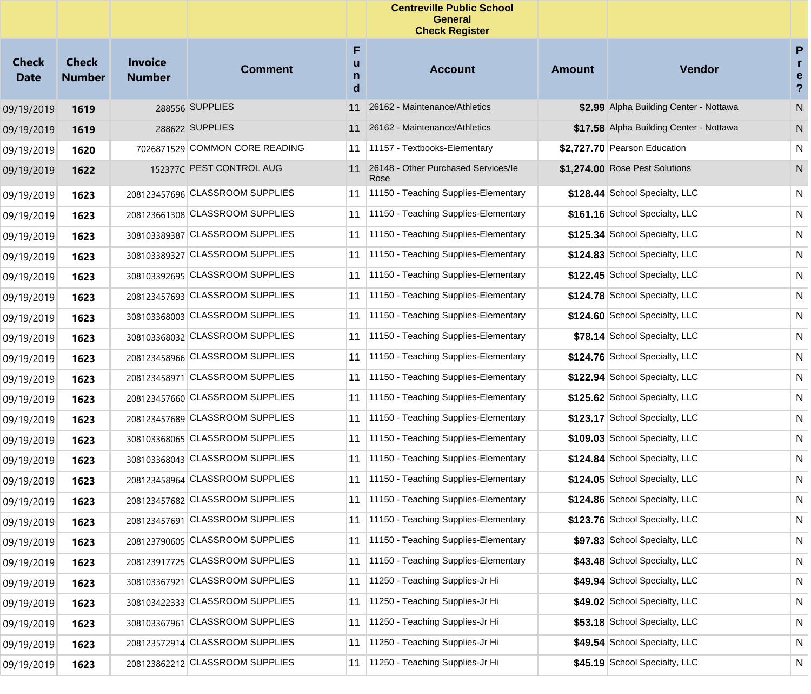|                             |                               |                                 |                                 |                  | <b>Centreville Public School</b><br><b>General</b><br><b>Check Register</b> |               |                                         |                                          |
|-----------------------------|-------------------------------|---------------------------------|---------------------------------|------------------|-----------------------------------------------------------------------------|---------------|-----------------------------------------|------------------------------------------|
| <b>Check</b><br><b>Date</b> | <b>Check</b><br><b>Number</b> | <b>Invoice</b><br><b>Number</b> | <b>Comment</b>                  | F<br>u<br>n<br>d | <b>Account</b>                                                              | <b>Amount</b> | Vendor                                  | P<br>r<br>e<br>$\boldsymbol{\mathsf{?}}$ |
| 09/19/2019                  | 1619                          |                                 | 288556 SUPPLIES                 | 11               | 26162 - Maintenance/Athletics                                               |               | \$2.99 Alpha Building Center - Nottawa  | ${\sf N}$                                |
| 09/19/2019                  | 1619                          |                                 | 288622 SUPPLIES                 | 11               | 26162 - Maintenance/Athletics                                               |               | \$17.58 Alpha Building Center - Nottawa | N                                        |
| 09/19/2019                  | 1620                          |                                 | 7026871529 COMMON CORE READING  | 11               | 11157 - Textbooks-Elementary                                                |               | \$2,727.70 Pearson Education            | N                                        |
| 09/19/2019                  | 1622                          |                                 | 152377C PEST CONTROL AUG        | 11               | 26148 - Other Purchased Services/le<br>Rose                                 |               | \$1,274.00 Rose Pest Solutions          | N                                        |
| 09/19/2019                  | 1623                          |                                 | 208123457696 CLASSROOM SUPPLIES |                  | 11 1150 - Teaching Supplies-Elementary                                      |               | \$128.44 School Specialty, LLC          | N                                        |
| 09/19/2019                  | 1623                          |                                 | 208123661308 CLASSROOM SUPPLIES |                  | 11 1150 - Teaching Supplies-Elementary                                      |               | \$161.16 School Specialty, LLC          | N                                        |
| 09/19/2019                  | 1623                          | 308103389387                    | <b>CLASSROOM SUPPLIES</b>       | 11               | 11150 - Teaching Supplies-Elementary                                        |               | \$125.34 School Specialty, LLC          | N                                        |
| 09/19/2019                  | 1623                          |                                 | 308103389327 CLASSROOM SUPPLIES | 11               | 11150 - Teaching Supplies-Elementary                                        |               | \$124.83 School Specialty, LLC          | N                                        |
| 09/19/2019                  | 1623                          |                                 | 308103392695 CLASSROOM SUPPLIES | 11               | 11150 - Teaching Supplies-Elementary                                        |               | \$122.45 School Specialty, LLC          | N                                        |
| 09/19/2019                  | 1623                          |                                 | 208123457693 CLASSROOM SUPPLIES | 11               | 11150 - Teaching Supplies-Elementary                                        |               | \$124.78 School Specialty, LLC          | N                                        |
| 09/19/2019                  | 1623                          | 308103368003                    | <b>CLASSROOM SUPPLIES</b>       | 11               | 11150 - Teaching Supplies-Elementary                                        |               | \$124.60 School Specialty, LLC          | N                                        |
| 09/19/2019                  | 1623                          |                                 | 308103368032 CLASSROOM SUPPLIES |                  | 11 1150 - Teaching Supplies-Elementary                                      |               | \$78.14 School Specialty, LLC           | N                                        |
| 09/19/2019                  | 1623                          |                                 | 208123458966 CLASSROOM SUPPLIES | 11               | 11150 - Teaching Supplies-Elementary                                        |               | \$124.76 School Specialty, LLC          | N                                        |
| 09/19/2019                  | 1623                          | 208123458971                    | <b>CLASSROOM SUPPLIES</b>       | 11               | 11150 - Teaching Supplies-Elementary                                        |               | \$122.94 School Specialty, LLC          | N                                        |
| 09/19/2019                  | 1623                          | 208123457660                    | <b>CLASSROOM SUPPLIES</b>       | 11               | 11150 - Teaching Supplies-Elementary                                        |               | \$125.62 School Specialty, LLC          | N                                        |
| 09/19/2019                  | 1623                          |                                 | 208123457689 CLASSROOM SUPPLIES | 11               | 11150 - Teaching Supplies-Elementary                                        |               | \$123.17 School Specialty, LLC          | N                                        |
| 09/19/2019                  | 1623                          |                                 | 308103368065 CLASSROOM SUPPLIES | 11               | 11150 - Teaching Supplies-Elementary                                        |               | \$109.03 School Specialty, LLC          | N                                        |
| 09/19/2019                  | 1623                          |                                 | 308103368043 CLASSROOM SUPPLIES | 11               | 11150 - Teaching Supplies-Elementary                                        |               | \$124.84 School Specialty, LLC          | N                                        |
| 09/19/2019                  | 1623                          | 208123458964                    | <b>CLASSROOM SUPPLIES</b>       | 11               | 11150 - Teaching Supplies-Elementary                                        |               | \$124.05 School Specialty, LLC          | N                                        |
| 09/19/2019                  | 1623                          |                                 | 208123457682 CLASSROOM SUPPLIES | 11               | 11150 - Teaching Supplies-Elementary                                        |               | \$124.86 School Specialty, LLC          | N                                        |
| 09/19/2019                  | 1623                          |                                 | 208123457691 CLASSROOM SUPPLIES |                  | 11 1150 - Teaching Supplies-Elementary                                      |               | \$123.76 School Specialty, LLC          | N                                        |
| 09/19/2019                  | 1623                          |                                 | 208123790605 CLASSROOM SUPPLIES |                  | 11 1150 - Teaching Supplies-Elementary                                      |               | \$97.83 School Specialty, LLC           | N                                        |
| 09/19/2019                  | 1623                          |                                 | 208123917725 CLASSROOM SUPPLIES | 11               | 11150 - Teaching Supplies-Elementary                                        |               | \$43.48 School Specialty, LLC           | N                                        |
| 09/19/2019                  | 1623                          | 308103367921                    | <b>CLASSROOM SUPPLIES</b>       | 11               | 11250 - Teaching Supplies-Jr Hi                                             |               | \$49.94 School Specialty, LLC           | N                                        |
| 09/19/2019                  | 1623                          |                                 | 308103422333 CLASSROOM SUPPLIES | 11               | 11250 - Teaching Supplies-Jr Hi                                             |               | \$49.02 School Specialty, LLC           | N                                        |
| 09/19/2019                  | 1623                          | 308103367961                    | <b>CLASSROOM SUPPLIES</b>       | 11               | 11250 - Teaching Supplies-Jr Hi                                             |               | \$53.18 School Specialty, LLC           | N                                        |
| 09/19/2019                  | 1623                          |                                 | 208123572914 CLASSROOM SUPPLIES | 11               | 11250 - Teaching Supplies-Jr Hi                                             |               | \$49.54 School Specialty, LLC           | N                                        |
| 09/19/2019                  | 1623                          |                                 | 208123862212 CLASSROOM SUPPLIES | 11               | 11250 - Teaching Supplies-Jr Hi                                             |               | \$45.19 School Specialty, LLC           | N                                        |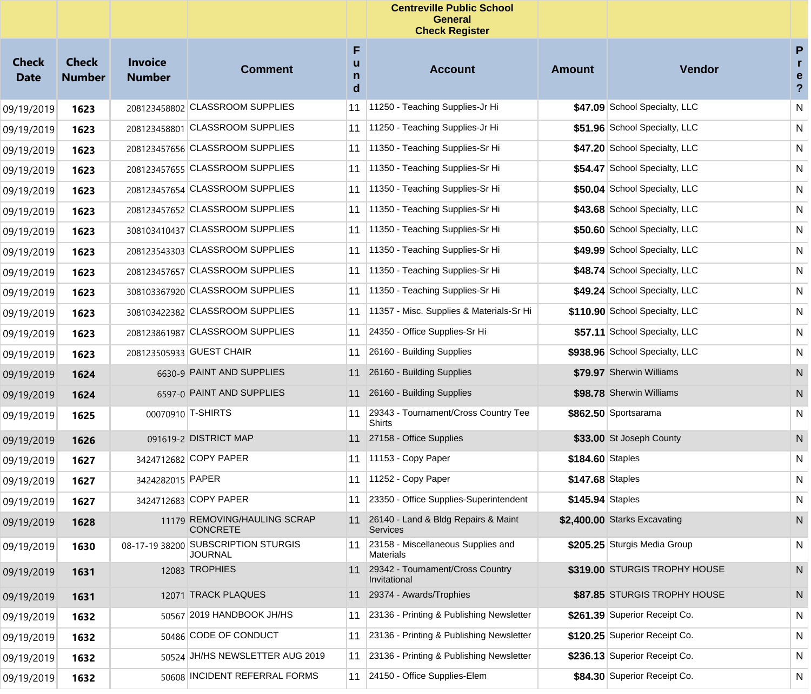|                             |                               |                                 |                                                       |                  | <b>Centreville Public School</b><br><b>General</b><br><b>Check Register</b> |                  |                                |                                                   |
|-----------------------------|-------------------------------|---------------------------------|-------------------------------------------------------|------------------|-----------------------------------------------------------------------------|------------------|--------------------------------|---------------------------------------------------|
| <b>Check</b><br><b>Date</b> | <b>Check</b><br><b>Number</b> | <b>Invoice</b><br><b>Number</b> | <b>Comment</b>                                        | F<br>u<br>n<br>d | <b>Account</b>                                                              | <b>Amount</b>    | Vendor                         | P<br>$\mathbf{r}$<br>e<br>$\overline{\mathbf{?}}$ |
| 09/19/2019                  | 1623                          |                                 | 208123458802 CLASSROOM SUPPLIES                       | 11               | 11250 - Teaching Supplies-Jr Hi                                             |                  | \$47.09 School Specialty, LLC  | N                                                 |
| 09/19/2019                  | 1623                          |                                 | 208123458801 CLASSROOM SUPPLIES                       | 11               | 11250 - Teaching Supplies-Jr Hi                                             |                  | \$51.96 School Specialty, LLC  | N                                                 |
| 09/19/2019                  | 1623                          |                                 | 208123457656 CLASSROOM SUPPLIES                       | 11               | 11350 - Teaching Supplies-Sr Hi                                             |                  | \$47.20 School Specialty, LLC  | N                                                 |
| 09/19/2019                  | 1623                          |                                 | 208123457655 CLASSROOM SUPPLIES                       | 11               | 11350 - Teaching Supplies-Sr Hi                                             |                  | \$54.47 School Specialty, LLC  | N                                                 |
| 09/19/2019                  | 1623                          |                                 | 208123457654 CLASSROOM SUPPLIES                       | 11               | 11350 - Teaching Supplies-Sr Hi                                             |                  | \$50.04 School Specialty, LLC  | N                                                 |
| 09/19/2019                  | 1623                          |                                 | 208123457652 CLASSROOM SUPPLIES                       | 11               | 11350 - Teaching Supplies-Sr Hi                                             |                  | \$43.68 School Specialty, LLC  | N                                                 |
| 09/19/2019                  | 1623                          |                                 | 308103410437 CLASSROOM SUPPLIES                       | 11               | 11350 - Teaching Supplies-Sr Hi                                             |                  | \$50.60 School Specialty, LLC  | N                                                 |
| 09/19/2019                  | 1623                          |                                 | 208123543303 CLASSROOM SUPPLIES                       | 11               | 11350 - Teaching Supplies-Sr Hi                                             |                  | \$49.99 School Specialty, LLC  | N                                                 |
| 09/19/2019                  | 1623                          |                                 | 208123457657 CLASSROOM SUPPLIES                       | 11               | 11350 - Teaching Supplies-Sr Hi                                             |                  | \$48.74 School Specialty, LLC  | N                                                 |
| 09/19/2019                  | 1623                          |                                 | 308103367920 CLASSROOM SUPPLIES                       | 11               | 11350 - Teaching Supplies-Sr Hi                                             |                  | \$49.24 School Specialty, LLC  | N                                                 |
| 09/19/2019                  | 1623                          |                                 | 308103422382 CLASSROOM SUPPLIES                       | 11               | 11357 - Misc. Supplies & Materials-Sr Hi                                    |                  | \$110.90 School Specialty, LLC | N                                                 |
| 09/19/2019                  | 1623                          |                                 | 208123861987 CLASSROOM SUPPLIES                       | 11               | 24350 - Office Supplies-Sr Hi                                               |                  | \$57.11 School Specialty, LLC  | N                                                 |
| 09/19/2019                  | 1623                          |                                 | 208123505933 GUEST CHAIR                              | 11               | 26160 - Building Supplies                                                   |                  | \$938.96 School Specialty, LLC | N                                                 |
| 09/19/2019                  | 1624                          |                                 | 6630-9 PAINT AND SUPPLIES                             | 11               | 26160 - Building Supplies                                                   |                  | \$79.97 Sherwin Williams       | ${\sf N}$                                         |
| 09/19/2019                  | 1624                          |                                 | 6597-0 PAINT AND SUPPLIES                             | 11               | 26160 - Building Supplies                                                   |                  | \$98.78 Sherwin Williams       | N                                                 |
| 09/19/2019                  | 1625                          |                                 | 00070910 T-SHIRTS                                     | 11               | 29343 - Tournament/Cross Country Tee<br>Shirts                              |                  | \$862.50 Sportsarama           | N                                                 |
| 09/19/2019                  | 1626                          |                                 | 091619-2 DISTRICT MAP                                 | 11               | 27158 - Office Supplies                                                     |                  | \$33.00 St Joseph County       | N                                                 |
| 09/19/2019                  | 1627                          |                                 | 3424712682 COPY PAPER                                 | 11               | 11153 - Copy Paper                                                          | \$184.60 Staples |                                | N                                                 |
| 09/19/2019                  | 1627                          | 3424282015 PAPER                |                                                       | 11               | 11252 - Copy Paper                                                          | \$147.68 Staples |                                | N                                                 |
| 09/19/2019                  | 1627                          |                                 | 3424712683 COPY PAPER                                 | 11               | 23350 - Office Supplies-Superintendent                                      | \$145.94 Staples |                                | N                                                 |
| 09/19/2019                  | 1628                          |                                 | 11179 REMOVING/HAULING SCRAP<br><b>CONCRETE</b>       |                  | 11 26140 - Land & Bldg Repairs & Maint<br><b>Services</b>                   |                  | \$2,400.00 Starks Excavating   | N                                                 |
| 09/19/2019                  | 1630                          |                                 | 08-17-19 38200 SUBSCRIPTION STURGIS<br><b>JOURNAL</b> | 11               | 23158 - Miscellaneous Supplies and<br>Materials                             |                  | \$205.25 Sturgis Media Group   | N                                                 |
| 09/19/2019                  | 1631                          |                                 | 12083 TROPHIES                                        |                  | 11 29342 - Tournament/Cross Country<br>Invitational                         |                  | \$319.00 STURGIS TROPHY HOUSE  | N                                                 |
| 09/19/2019                  | 1631                          |                                 | 12071 TRACK PLAQUES                                   | 11               | 29374 - Awards/Trophies                                                     |                  | \$87.85 STURGIS TROPHY HOUSE   | N                                                 |
| 09/19/2019                  | 1632                          |                                 | 50567 2019 HANDBOOK JH/HS                             | 11               | 23136 - Printing & Publishing Newsletter                                    |                  | \$261.39 Superior Receipt Co.  | N                                                 |
| 09/19/2019                  | 1632                          |                                 | 50486 CODE OF CONDUCT                                 | 11               | 23136 - Printing & Publishing Newsletter                                    |                  | \$120.25 Superior Receipt Co.  | N.                                                |
| 09/19/2019                  | 1632                          |                                 | 50524 JH/HS NEWSLETTER AUG 2019                       | 11               | 23136 - Printing & Publishing Newsletter                                    |                  | \$236.13 Superior Receipt Co.  | N.                                                |
| 09/19/2019                  | 1632                          |                                 | 50608 INCIDENT REFERRAL FORMS                         | 11               | 24150 - Office Supplies-Elem                                                |                  | \$84.30 Superior Receipt Co.   | N.                                                |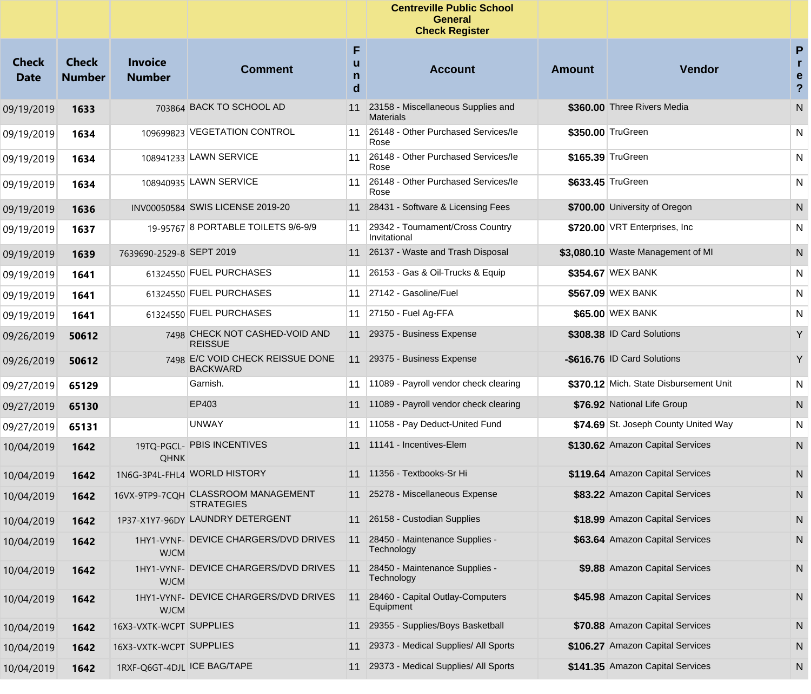|                             |                               |                                 |                                                          |                  | <b>Centreville Public School</b><br><b>General</b><br><b>Check Register</b> |               |                                        |                                           |
|-----------------------------|-------------------------------|---------------------------------|----------------------------------------------------------|------------------|-----------------------------------------------------------------------------|---------------|----------------------------------------|-------------------------------------------|
| <b>Check</b><br><b>Date</b> | <b>Check</b><br><b>Number</b> | <b>Invoice</b><br><b>Number</b> | <b>Comment</b>                                           | F<br>u<br>n<br>d | <b>Account</b>                                                              | <b>Amount</b> | <b>Vendor</b>                          | P<br>r.<br>e<br>$\boldsymbol{\mathsf{?}}$ |
| 09/19/2019                  | 1633                          |                                 | 703864 BACK TO SCHOOL AD                                 | 11               | 23158 - Miscellaneous Supplies and<br><b>Materials</b>                      |               | \$360.00 Three Rivers Media            | N                                         |
| 09/19/2019                  | 1634                          |                                 | 109699823 VEGETATION CONTROL                             | 11               | 26148 - Other Purchased Services/le<br>Rose                                 |               | \$350.00 TruGreen                      | N                                         |
| 09/19/2019                  | 1634                          |                                 | 108941233 LAWN SERVICE                                   | 11               | 26148 - Other Purchased Services/le<br>Rose                                 |               | \$165.39 TruGreen                      | N                                         |
| 09/19/2019                  | 1634                          |                                 | 108940935 LAWN SERVICE                                   | 11               | 26148 - Other Purchased Services/le<br>Rose                                 |               | \$633.45 TruGreen                      | N                                         |
| 09/19/2019                  | 1636                          |                                 | INV00050584 SWIS LICENSE 2019-20                         | 11               | 28431 - Software & Licensing Fees                                           |               | \$700.00 University of Oregon          | N                                         |
| 09/19/2019                  | 1637                          |                                 | 19-95767 8 PORTABLE TOILETS 9/6-9/9                      | 11               | 29342 - Tournament/Cross Country<br>Invitational                            |               | \$720.00 VRT Enterprises, Inc.         | N                                         |
| 09/19/2019                  | 1639                          | 7639690-2529-8 SEPT 2019        |                                                          |                  | 11 26137 - Waste and Trash Disposal                                         |               | \$3,080.10 Waste Management of MI      | ${\sf N}$                                 |
| 09/19/2019                  | 1641                          |                                 | 61324550 FUEL PURCHASES                                  | 11               | 26153 - Gas & Oil-Trucks & Equip                                            |               | \$354.67 WEX BANK                      | N                                         |
| 09/19/2019                  | 1641                          |                                 | 61324550 FUEL PURCHASES                                  | 11               | 27142 - Gasoline/Fuel                                                       |               | \$567.09 WEX BANK                      | N                                         |
| 09/19/2019                  | 1641                          |                                 | 61324550 FUEL PURCHASES                                  | 11               | 27150 - Fuel Ag-FFA                                                         |               | \$65.00 WEX BANK                       | N                                         |
| 09/26/2019                  | 50612                         |                                 | 7498 CHECK NOT CASHED-VOID AND<br><b>REISSUE</b>         | 11               | 29375 - Business Expense                                                    |               | \$308.38 ID Card Solutions             | Y                                         |
| 09/26/2019                  | 50612                         |                                 | 7498 E/C VOID CHECK REISSUE DONE<br><b>BACKWARD</b>      |                  | 11 29375 - Business Expense                                                 |               | -\$616.76 ID Card Solutions            | Y                                         |
| 09/27/2019                  | 65129                         |                                 | Garnish.                                                 | 11               | 11089 - Payroll vendor check clearing                                       |               | \$370.12 Mich. State Disbursement Unit | N                                         |
| 09/27/2019                  | 65130                         |                                 | EP403                                                    | 11               | 11089 - Payroll vendor check clearing                                       |               | \$76.92 National Life Group            | N                                         |
| 09/27/2019                  | 65131                         |                                 | <b>UNWAY</b>                                             | 11               | 11058 - Pay Deduct-United Fund                                              |               | \$74.69 St. Joseph County United Way   | N                                         |
| 10/04/2019                  | 1642                          | <b>QHNK</b>                     | 19TQ-PGCL- PBIS INCENTIVES                               | 11               | 11141 - Incentives-Elem                                                     |               | \$130.62 Amazon Capital Services       | N                                         |
| 10/04/2019                  | 1642                          |                                 | 1N6G-3P4L-FHL4 WORLD HISTORY                             | 11               | 11356 - Textbooks-Sr Hi                                                     |               | \$119.64 Amazon Capital Services       | N                                         |
| 10/04/2019                  | 1642                          |                                 | 16VX-9TP9-7CQH CLASSROOM MANAGEMENT<br><b>STRATEGIES</b> |                  | 11 25278 - Miscellaneous Expense                                            |               | \$83.22 Amazon Capital Services        | N                                         |
| 10/04/2019                  | 1642                          |                                 | 1P37-X1Y7-96DY LAUNDRY DETERGENT                         | 11               | 26158 - Custodian Supplies                                                  |               | \$18.99 Amazon Capital Services        | N                                         |
| 10/04/2019                  | 1642                          | <b>WJCM</b>                     | 1HY1-VYNF- DEVICE CHARGERS/DVD DRIVES                    | 11               | 28450 - Maintenance Supplies -<br>Technology                                |               | \$63.64 Amazon Capital Services        | N                                         |
| 10/04/2019                  | 1642                          | <b>WJCM</b>                     | 1HY1-VYNF- DEVICE CHARGERS/DVD DRIVES                    | 11               | 28450 - Maintenance Supplies -<br>Technology                                |               | \$9.88 Amazon Capital Services         | N                                         |
| 10/04/2019                  | 1642                          | <b>WJCM</b>                     | 1HY1-VYNF- DEVICE CHARGERS/DVD DRIVES                    | 11               | 28460 - Capital Outlay-Computers<br>Equipment                               |               | \$45.98 Amazon Capital Services        | N                                         |
| 10/04/2019                  | 1642                          | 16X3-VXTK-WCPT SUPPLIES         |                                                          | 11               | 29355 - Supplies/Boys Basketball                                            |               | \$70.88 Amazon Capital Services        | N                                         |
| 10/04/2019                  | 1642                          | 16X3-VXTK-WCPT SUPPLIES         |                                                          | 11               | 29373 - Medical Supplies/ All Sports                                        |               | \$106.27 Amazon Capital Services       | N                                         |
| 10/04/2019                  | 1642                          | 1RXF-Q6GT-4DJL ICE BAG/TAPE     |                                                          | 11               | 29373 - Medical Supplies/ All Sports                                        |               | \$141.35 Amazon Capital Services       | N,                                        |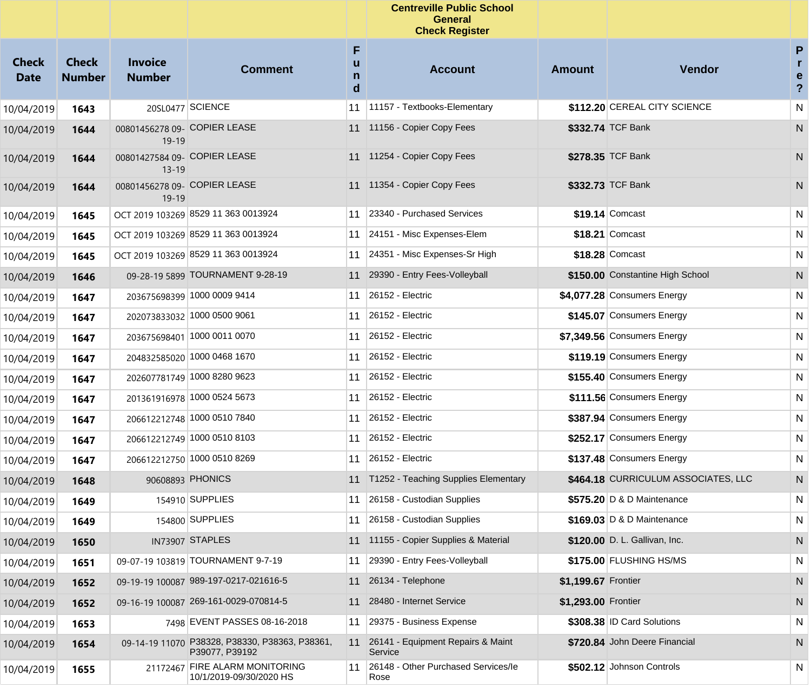|                             |                               |                                           |                                                                  |                  | <b>Centreville Public School</b><br><b>General</b><br><b>Check Register</b> |                     |                                     |                                     |
|-----------------------------|-------------------------------|-------------------------------------------|------------------------------------------------------------------|------------------|-----------------------------------------------------------------------------|---------------------|-------------------------------------|-------------------------------------|
| <b>Check</b><br><b>Date</b> | <b>Check</b><br><b>Number</b> | <b>Invoice</b><br><b>Number</b>           | <b>Comment</b>                                                   | F<br>u<br>n<br>d | <b>Account</b>                                                              | <b>Amount</b>       | <b>Vendor</b>                       | P<br>r<br>e<br>$\ddot{\phantom{0}}$ |
| 10/04/2019                  | 1643                          |                                           | 20SL0477 SCIENCE                                                 | 11               | 11157 - Textbooks-Elementary                                                |                     | \$112.20 CEREAL CITY SCIENCE        | N                                   |
| 10/04/2019                  | 1644                          | 00801456278 09- COPIER LEASE<br>$19-19$   |                                                                  |                  | 11 11156 - Copier Copy Fees                                                 |                     | \$332.74 TCF Bank                   | N                                   |
| 10/04/2019                  | 1644                          | 00801427584 09- COPIER LEASE<br>$13 - 19$ |                                                                  |                  | 11 11254 - Copier Copy Fees                                                 |                     | \$278.35 TCF Bank                   | N                                   |
| 10/04/2019                  | 1644                          | 00801456278 09- COPIER LEASE<br>$19-19$   |                                                                  |                  | 11 11354 - Copier Copy Fees                                                 |                     | \$332.73 TCF Bank                   | N                                   |
| 10/04/2019                  | 1645                          |                                           | OCT 2019 103269 8529 11 363 0013924                              | 11               | 23340 - Purchased Services                                                  |                     | $$19.14$ Comcast                    | N                                   |
| 10/04/2019                  | 1645                          |                                           | OCT 2019 103269 8529 11 363 0013924                              | 11               | 24151 - Misc Expenses-Elem                                                  |                     | \$18.21 Comcast                     | N                                   |
| 10/04/2019                  | 1645                          |                                           | OCT 2019 103269 8529 11 363 0013924                              | 11               | 24351 - Misc Expenses-Sr High                                               |                     | \$18.28 Comcast                     | N                                   |
| 10/04/2019                  | 1646                          |                                           | 09-28-19 5899 TOURNAMENT 9-28-19                                 | 11               | 29390 - Entry Fees-Volleyball                                               |                     | \$150.00 Constantine High School    | N                                   |
| 10/04/2019                  | 1647                          |                                           | 203675698399 1000 0009 9414                                      | 11               | 26152 - Electric                                                            |                     | \$4,077.28 Consumers Energy         | N                                   |
| 10/04/2019                  | 1647                          |                                           | 202073833032 1000 0500 9061                                      | 11               | 26152 - Electric                                                            |                     | \$145.07 Consumers Energy           | N                                   |
| 10/04/2019                  | 1647                          |                                           | 203675698401 1000 0011 0070                                      | 11               | 26152 - Electric                                                            |                     | \$7,349.56 Consumers Energy         | N                                   |
| 10/04/2019                  | 1647                          |                                           | 204832585020 1000 0468 1670                                      | 11               | 26152 - Electric                                                            |                     | \$119.19 Consumers Energy           | N                                   |
| 10/04/2019                  | 1647                          |                                           | 202607781749 1000 8280 9623                                      | 11               | 26152 - Electric                                                            |                     | \$155.40 Consumers Energy           | N                                   |
| 10/04/2019                  | 1647                          |                                           | 201361916978 1000 0524 5673                                      | 11               | 26152 - Electric                                                            |                     | \$111.56 Consumers Energy           | N                                   |
| 10/04/2019                  | 1647                          |                                           | 206612212748 1000 0510 7840                                      | 11               | 26152 - Electric                                                            |                     | \$387.94 Consumers Energy           | N                                   |
| 10/04/2019                  | 1647                          |                                           | 206612212749 1000 0510 8103                                      | 11               | 26152 - Electric                                                            |                     | \$252.17 Consumers Energy           | N                                   |
| 10/04/2019                  | 1647                          |                                           | 206612212750 1000 0510 8269                                      | 11               | 26152 - Electric                                                            |                     | \$137.48 Consumers Energy           | N                                   |
| 10/04/2019                  | 1648                          |                                           | 90608893 PHONICS                                                 | 11               | T1252 - Teaching Supplies Elementary                                        |                     | \$464.18 CURRICULUM ASSOCIATES, LLC | N                                   |
| 10/04/2019                  | 1649                          |                                           | 154910 SUPPLIES                                                  | 11               | 26158 - Custodian Supplies                                                  |                     | \$575.20 D & D Maintenance          | N                                   |
| 10/04/2019                  | 1649                          |                                           | 154800 SUPPLIES                                                  |                  | 11 26158 - Custodian Supplies                                               |                     | \$169.03 D & D Maintenance          | N                                   |
| 10/04/2019                  | 1650                          |                                           | IN73907 STAPLES                                                  |                  | 11 11155 - Copier Supplies & Material                                       |                     | \$120.00 D. L. Gallivan, Inc.       | N                                   |
| 10/04/2019                  | 1651                          |                                           | 09-07-19 103819 TOURNAMENT 9-7-19                                | 11               | 29390 - Entry Fees-Volleyball                                               |                     | \$175.00 FLUSHING HS/MS             | N                                   |
| 10/04/2019                  | 1652                          |                                           | 09-19-19 100087 989-197-0217-021616-5                            | 11               | 26134 - Telephone                                                           | \$1,199.67 Frontier |                                     | N                                   |
| 10/04/2019                  | 1652                          |                                           | 09-16-19 100087 269-161-0029-070814-5                            | 11               | 28480 - Internet Service                                                    | \$1,293.00 Frontier |                                     | N                                   |
| 10/04/2019                  | 1653                          |                                           | 7498 EVENT PASSES 08-16-2018                                     | 11               | 29375 - Business Expense                                                    |                     | \$308.38 ID Card Solutions          | N                                   |
| 10/04/2019                  | 1654                          |                                           | 09-14-19 11070 P38328, P38330, P38363, P38361,<br>P39077, P39192 | 11               | 26141 - Equipment Repairs & Maint<br>Service                                |                     | \$720.84 John Deere Financial       | N                                   |
| 10/04/2019                  | 1655                          |                                           | 21172467 FIRE ALARM MONITORING<br>10/1/2019-09/30/2020 HS        | 11               | 26148 - Other Purchased Services/le<br>Rose                                 |                     | \$502.12 Johnson Controls           | N                                   |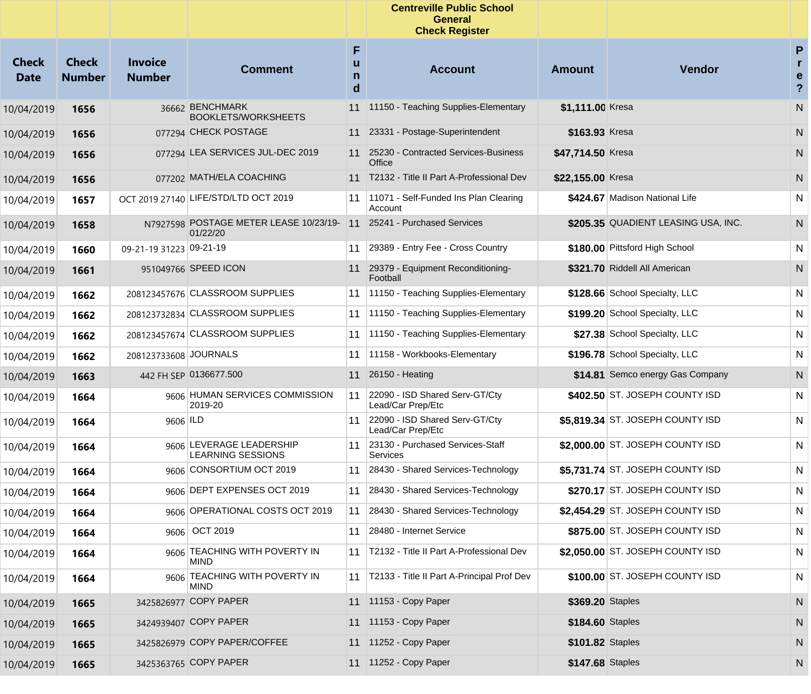|                             |                               |                                 |                                                      |             | <b>Centreville Public School</b><br><b>General</b><br><b>Check Register</b> |                   |                                     |                                        |
|-----------------------------|-------------------------------|---------------------------------|------------------------------------------------------|-------------|-----------------------------------------------------------------------------|-------------------|-------------------------------------|----------------------------------------|
| <b>Check</b><br><b>Date</b> | <b>Check</b><br><b>Number</b> | <b>Invoice</b><br><b>Number</b> | <b>Comment</b>                                       | F<br>n<br>d | <b>Account</b>                                                              | <b>Amount</b>     | Vendor                              | P<br>r<br>e<br>$\overline{\mathbf{?}}$ |
| 10/04/2019                  | 1656                          |                                 | 36662 BENCHMARK<br><b>BOOKLETS/WORKSHEETS</b>        | 11          | 11150 - Teaching Supplies-Elementary                                        | \$1,111.00 Kresa  |                                     | N                                      |
| 10/04/2019                  | 1656                          |                                 | 077294 CHECK POSTAGE                                 |             | 11 23331 - Postage-Superintendent                                           | \$163.93 Kresa    |                                     | N                                      |
| 10/04/2019                  | 1656                          |                                 | 077294 LEA SERVICES JUL-DEC 2019                     |             | 11 25230 - Contracted Services-Business<br>Office                           | \$47.714.50 Kresa |                                     | N                                      |
| 10/04/2019                  | 1656                          |                                 | 077202 MATH/ELA COACHING                             | 11          | T2132 - Title II Part A-Professional Dev                                    | \$22,155.00 Kresa |                                     | N.                                     |
| 10/04/2019                  | 1657                          |                                 | OCT 2019 27140 LIFE/STD/LTD OCT 2019                 | 11          | 11071 - Self-Funded Ins Plan Clearing<br>Account                            |                   | \$424.67 Madison National Life      | N                                      |
| 10/04/2019                  | 1658                          |                                 | N7927598 POSTAGE METER LEASE 10/23/19-11<br>01/22/20 |             | 25241 - Purchased Services                                                  |                   | \$205.35 QUADIENT LEASING USA, INC. | N                                      |
| 10/04/2019                  | 1660                          | 09-21-19 31223 09-21-19         |                                                      | 11          | 29389 - Entry Fee - Cross Country                                           |                   | \$180.00 Pittsford High School      | N                                      |
| 10/04/2019                  | 1661                          |                                 | 951049766 SPEED ICON                                 |             | 11 29379 - Equipment Reconditioning-<br>Football                            |                   | \$321.70 Riddell All American       | N                                      |
| 10/04/2019                  | 1662                          |                                 | 208123457676 CLASSROOM SUPPLIES                      | 11          | 11150 - Teaching Supplies-Elementary                                        |                   | \$128.66 School Specialty, LLC      | N                                      |
| 10/04/2019                  | 1662                          |                                 | 208123732834 CLASSROOM SUPPLIES                      | 11          | 11150 - Teaching Supplies-Elementary                                        |                   | \$199.20 School Specialty, LLC      | N                                      |
| 10/04/2019                  | 1662                          |                                 | 208123457674 CLASSROOM SUPPLIES                      | 11          | 11150 - Teaching Supplies-Elementary                                        |                   | \$27.38 School Specialty, LLC       | N                                      |
| 10/04/2019                  | 1662                          | 208123733608 JOURNALS           |                                                      | 11          | 11158 - Workbooks-Elementary                                                |                   | \$196.78 School Specialty, LLC      | N                                      |
| 10/04/2019                  | 1663                          |                                 | 442 FH SEP 0136677.500                               | 11          | 26150 - Heating                                                             |                   | \$14.81 Semco energy Gas Company    | N                                      |
| 10/04/2019                  | 1664                          |                                 | 9606 HUMAN SERVICES COMMISSION<br>2019-20            | 11          | 22090 - ISD Shared Serv-GT/Cty<br>Lead/Car Prep/Etc                         |                   | \$402.50 ST. JOSEPH COUNTY ISD      | N                                      |
| 10/04/2019                  | 1664                          | 9606 ILD                        |                                                      | 11          | 22090 - ISD Shared Serv-GT/Cty<br>Lead/Car Prep/Etc                         |                   | \$5,819.34 ST. JOSEPH COUNTY ISD    | N                                      |
| 10/04/2019                  | 1664                          |                                 | 9606 LEVERAGE LEADERSHIP<br><b>LEARNING SESSIONS</b> | 11          | 23130 - Purchased Services-Staff<br>Services                                |                   | \$2,000.00 ST. JOSEPH COUNTY ISD    | N                                      |
| 10/04/2019                  | 1664                          |                                 | 9606 CONSORTIUM OCT 2019                             | 11          | 28430 - Shared Services-Technology                                          |                   | \$5,731.74 ST. JOSEPH COUNTY ISD    | N                                      |
| 10/04/2019                  | 1664                          |                                 | 9606 DEPT EXPENSES OCT 2019                          | 11          | 28430 - Shared Services-Technology                                          |                   | \$270.17 ST. JOSEPH COUNTY ISD      | N                                      |
| 10/04/2019                  | 1664                          |                                 | 9606 OPERATIONAL COSTS OCT 2019                      |             | 11 28430 - Shared Services-Technology                                       |                   | \$2,454.29 ST. JOSEPH COUNTY ISD    | $\mathsf{N}$                           |
| 10/04/2019                  | 1664                          |                                 | 9606 OCT 2019                                        |             | 11 28480 - Internet Service                                                 |                   | \$875.00 ST. JOSEPH COUNTY ISD      | N.                                     |
| 10/04/2019                  | 1664                          |                                 | 9606 TEACHING WITH POVERTY IN<br><b>MIND</b>         | 11          | T2132 - Title II Part A-Professional Dev                                    |                   | \$2,050.00 ST. JOSEPH COUNTY ISD    | N                                      |
| 10/04/2019                  | 1664                          |                                 | 9606 TEACHING WITH POVERTY IN<br><b>MIND</b>         |             | 11   T2133 - Title II Part A-Principal Prof Dev                             |                   | \$100.00 ST. JOSEPH COUNTY ISD      | N                                      |
| 10/04/2019                  | 1665                          |                                 | 3425826977 COPY PAPER                                |             | 11 11153 - Copy Paper                                                       | \$369.20 Staples  |                                     | N                                      |
| 10/04/2019                  | 1665                          |                                 | 3424939407 COPY PAPER                                |             | 11 11153 - Copy Paper                                                       | \$184.60 Staples  |                                     | N                                      |
| 10/04/2019                  | 1665                          |                                 | 3425826979 COPY PAPER/COFFEE                         |             | 11 11252 - Copy Paper                                                       | \$101.82 Staples  |                                     | N                                      |
| 10/04/2019                  | 1665                          |                                 | 3425363765 COPY PAPER                                |             | 11 11252 - Copy Paper                                                       | \$147.68 Staples  |                                     | N,                                     |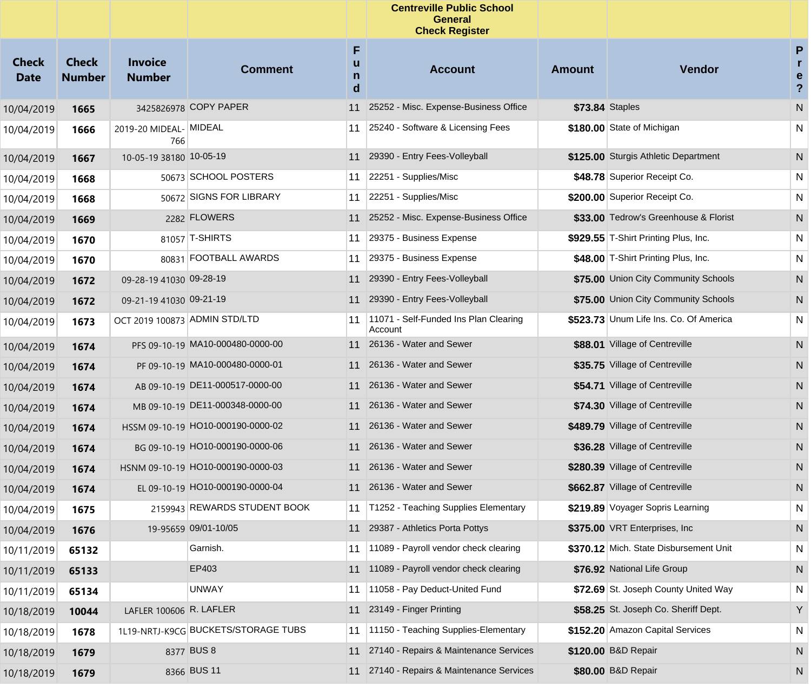|                             |                               |                                 |                                     |                  | <b>Centreville Public School</b><br><b>General</b><br><b>Check Register</b> |               |                                        |                                                   |
|-----------------------------|-------------------------------|---------------------------------|-------------------------------------|------------------|-----------------------------------------------------------------------------|---------------|----------------------------------------|---------------------------------------------------|
| <b>Check</b><br><b>Date</b> | <b>Check</b><br><b>Number</b> | <b>Invoice</b><br><b>Number</b> | <b>Comment</b>                      | F<br>u<br>n<br>d | <b>Account</b>                                                              | <b>Amount</b> | Vendor                                 | P<br>$\mathbf{r}$<br>e<br>$\overline{\mathbf{?}}$ |
| 10/04/2019                  | 1665                          |                                 | 3425826978 COPY PAPER               | 11               | 25252 - Misc. Expense-Business Office                                       |               | <b>\$73.84 Staples</b>                 | N                                                 |
| 10/04/2019                  | 1666                          | 2019-20 MIDEAL- MIDEAL<br>766   |                                     | 11               | 25240 - Software & Licensing Fees                                           |               | \$180.00 State of Michigan             | N                                                 |
| 10/04/2019                  | 1667                          | 10-05-19 38180 10-05-19         |                                     | 11               | 29390 - Entry Fees-Volleyball                                               |               | \$125.00 Sturgis Athletic Department   | N                                                 |
| 10/04/2019                  | 1668                          |                                 | 50673 SCHOOL POSTERS                | 11               | 22251 - Supplies/Misc                                                       |               | \$48.78 Superior Receipt Co.           | N                                                 |
| 10/04/2019                  | 1668                          |                                 | 50672 SIGNS FOR LIBRARY             | 11               | 22251 - Supplies/Misc                                                       |               | \$200.00 Superior Receipt Co.          | N                                                 |
| 10/04/2019                  | 1669                          |                                 | 2282 FLOWERS                        | 11               | 25252 - Misc. Expense-Business Office                                       |               | \$33.00 Tedrow's Greenhouse & Florist  | N                                                 |
| 10/04/2019                  | 1670                          |                                 | 81057 T-SHIRTS                      | 11               | 29375 - Business Expense                                                    |               | \$929.55 T-Shirt Printing Plus, Inc.   | N                                                 |
| 10/04/2019                  | 1670                          |                                 | 80831 FOOTBALL AWARDS               | 11               | 29375 - Business Expense                                                    |               | \$48.00 T-Shirt Printing Plus, Inc.    | N                                                 |
| 10/04/2019                  | 1672                          | 09-28-19 41030 09-28-19         |                                     | 11               | 29390 - Entry Fees-Volleyball                                               |               | \$75.00 Union City Community Schools   | N                                                 |
| 10/04/2019                  | 1672                          | 09-21-19 41030 09-21-19         |                                     | 11               | 29390 - Entry Fees-Volleyball                                               |               | \$75.00 Union City Community Schools   | N                                                 |
| 10/04/2019                  | 1673                          | OCT 2019 100873 ADMIN STD/LTD   |                                     | 11               | 11071 - Self-Funded Ins Plan Clearing<br>Account                            |               | \$523.73 Unum Life Ins. Co. Of America | N                                                 |
| 10/04/2019                  | 1674                          |                                 | PFS 09-10-19 MA10-000480-0000-00    |                  | 11 26136 - Water and Sewer                                                  |               | \$88.01 Village of Centreville         | N                                                 |
| 10/04/2019                  | 1674                          |                                 | PF 09-10-19 MA10-000480-0000-01     |                  | 11 26136 - Water and Sewer                                                  |               | \$35.75 Village of Centreville         | N                                                 |
| 10/04/2019                  | 1674                          |                                 | AB 09-10-19 DE11-000517-0000-00     |                  | 11 26136 - Water and Sewer                                                  |               | \$54.71 Village of Centreville         | N                                                 |
| 10/04/2019                  | 1674                          |                                 | MB 09-10-19 DE11-000348-0000-00     |                  | 11 26136 - Water and Sewer                                                  |               | \$74.30 Village of Centreville         | N                                                 |
| 10/04/2019                  | 1674                          |                                 | HSSM 09-10-19 HO10-000190-0000-02   |                  | 11 26136 - Water and Sewer                                                  |               | \$489.79 Village of Centreville        | N                                                 |
| 10/04/2019                  | 1674                          |                                 | BG 09-10-19 HO10-000190-0000-06     |                  | 11 26136 - Water and Sewer                                                  |               | \$36.28 Village of Centreville         | N                                                 |
| 10/04/2019                  | 1674                          |                                 | HSNM 09-10-19 HO10-000190-0000-03   |                  | 11 26136 - Water and Sewer                                                  |               | \$280.39 Village of Centreville        | N                                                 |
| 10/04/2019                  | 1674                          |                                 | EL 09-10-19 HO10-000190-0000-04     |                  | 11 26136 - Water and Sewer                                                  |               | \$662.87 Village of Centreville        | N                                                 |
| 10/04/2019                  | 1675                          |                                 | 2159943 REWARDS STUDENT BOOK        |                  | 11   T1252 - Teaching Supplies Elementary                                   |               | \$219.89 Voyager Sopris Learning       | N                                                 |
| 10/04/2019                  | 1676                          |                                 | 19-95659 09/01-10/05                |                  | 11 29387 - Athletics Porta Pottys                                           |               | \$375.00 VRT Enterprises, Inc.         | N                                                 |
| 10/11/2019                  | 65132                         |                                 | Garnish.                            |                  | 11 11089 - Payroll vendor check clearing                                    |               | \$370.12 Mich. State Disbursement Unit | N                                                 |
| 10/11/2019                  | 65133                         |                                 | EP403                               |                  | 11 11089 - Payroll vendor check clearing                                    |               | \$76.92 National Life Group            | N                                                 |
| 10/11/2019                  | 65134                         |                                 | <b>UNWAY</b>                        |                  | 11 11058 - Pay Deduct-United Fund                                           |               | \$72.69 St. Joseph County United Way   | N                                                 |
| 10/18/2019                  | 10044                         | LAFLER 100606 R. LAFLER         |                                     |                  | 11 23149 - Finger Printing                                                  |               | \$58.25 St. Joseph Co. Sheriff Dept.   | Y                                                 |
| 10/18/2019                  | 1678                          |                                 | 1L19-NRTJ-K9CG BUCKETS/STORAGE TUBS |                  | 11 1150 - Teaching Supplies-Elementary                                      |               | \$152.20 Amazon Capital Services       | N                                                 |
| 10/18/2019                  | 1679                          |                                 | 8377 BUS 8                          |                  | 11 27140 - Repairs & Maintenance Services                                   |               | \$120.00 B&D Repair                    | N                                                 |
| 10/18/2019                  | 1679                          |                                 | 8366 BUS 11                         |                  | 11 27140 - Repairs & Maintenance Services                                   |               | \$80.00 B&D Repair                     | N.                                                |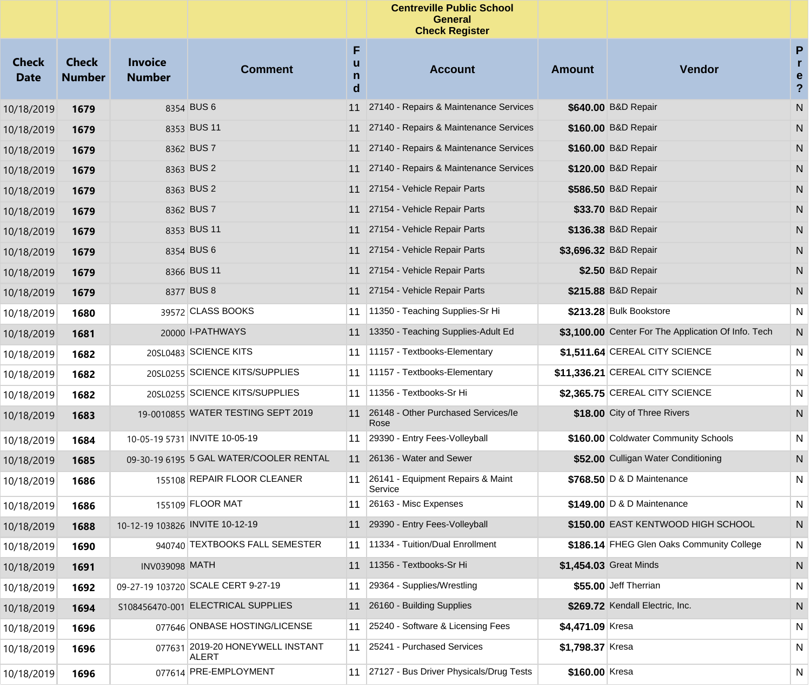|                             |                               |                                 |                                           |                  | <b>Centreville Public School</b><br><b>General</b><br><b>Check Register</b> |                  |                                                     |                                                   |
|-----------------------------|-------------------------------|---------------------------------|-------------------------------------------|------------------|-----------------------------------------------------------------------------|------------------|-----------------------------------------------------|---------------------------------------------------|
| <b>Check</b><br><b>Date</b> | <b>Check</b><br><b>Number</b> | <b>Invoice</b><br><b>Number</b> | <b>Comment</b>                            | F<br>u<br>n<br>d | <b>Account</b>                                                              | <b>Amount</b>    | <b>Vendor</b>                                       | ${\sf P}$<br>r.<br>e<br>$\boldsymbol{\mathsf{?}}$ |
| 10/18/2019                  | 1679                          |                                 | 8354 BUS 6                                | 11               | 27140 - Repairs & Maintenance Services                                      |                  | \$640.00 B&D Repair                                 | N                                                 |
| 10/18/2019                  | 1679                          |                                 | 8353 BUS 11                               | 11               | 27140 - Repairs & Maintenance Services                                      |                  | \$160.00 B&D Repair                                 | N                                                 |
| 10/18/2019                  | 1679                          |                                 | 8362 BUS 7                                | 11               | 27140 - Repairs & Maintenance Services                                      |                  | \$160.00 B&D Repair                                 | N                                                 |
| 10/18/2019                  | 1679                          |                                 | 8363 BUS 2                                | 11               | 27140 - Repairs & Maintenance Services                                      |                  | \$120.00 B&D Repair                                 | N                                                 |
| 10/18/2019                  | 1679                          |                                 | 8363 BUS 2                                | 11               | 27154 - Vehicle Repair Parts                                                |                  | \$586.50 B&D Repair                                 | N                                                 |
| 10/18/2019                  | 1679                          |                                 | 8362 BUS 7                                | 11               | 27154 - Vehicle Repair Parts                                                |                  | \$33.70 B&D Repair                                  | N                                                 |
| 10/18/2019                  | 1679                          |                                 | 8353 BUS 11                               | 11               | 27154 - Vehicle Repair Parts                                                |                  | \$136.38 B&D Repair                                 | N                                                 |
| 10/18/2019                  | 1679                          |                                 | 8354 BUS 6                                |                  | 11 27154 - Vehicle Repair Parts                                             |                  | \$3,696.32 B&D Repair                               | N                                                 |
| 10/18/2019                  | 1679                          |                                 | 8366 BUS 11                               | 11               | 27154 - Vehicle Repair Parts                                                |                  | \$2.50 B&D Repair                                   | N                                                 |
| 10/18/2019                  | 1679                          |                                 | 8377 BUS 8                                |                  | 11 27154 - Vehicle Repair Parts                                             |                  | \$215.88 B&D Repair                                 | N                                                 |
| 10/18/2019                  | 1680                          |                                 | 39572 CLASS BOOKS                         | 11               | 11350 - Teaching Supplies-Sr Hi                                             |                  | \$213.28 Bulk Bookstore                             | N                                                 |
| 10/18/2019                  | 1681                          |                                 | 20000 I-PATHWAYS                          |                  | 11 13350 - Teaching Supplies-Adult Ed                                       |                  | \$3.100.00 Center For The Application Of Info. Tech | N                                                 |
| 10/18/2019                  | 1682                          |                                 | 20SL0483 SCIENCE KITS                     | 11               | 11157 - Textbooks-Elementary                                                |                  | \$1,511.64 CEREAL CITY SCIENCE                      | N                                                 |
| 10/18/2019                  | 1682                          |                                 | 20SL0255 SCIENCE KITS/SUPPLIES            | 11               | 11157 - Textbooks-Elementary                                                |                  | \$11,336.21 CEREAL CITY SCIENCE                     | N                                                 |
| 10/18/2019                  | 1682                          |                                 | 20SL0255 SCIENCE KITS/SUPPLIES            | 11               | 11356 - Textbooks-Sr Hi                                                     |                  | \$2,365.75 CEREAL CITY SCIENCE                      | N                                                 |
| 10/18/2019                  | 1683                          |                                 | 19-0010855 WATER TESTING SEPT 2019        | 11               | 26148 - Other Purchased Services/le<br>Rose                                 |                  | \$18.00 City of Three Rivers                        | N                                                 |
| 10/18/2019                  | 1684                          |                                 | 10-05-19 5731 INVITE 10-05-19             | 11               | 29390 - Entry Fees-Volleyball                                               |                  | \$160.00 Coldwater Community Schools                | N                                                 |
| 10/18/2019                  | 1685                          |                                 | 09-30-19 6195 5 GAL WATER/COOLER RENTAL   | 11               | 26136 - Water and Sewer                                                     |                  | \$52.00 Culligan Water Conditioning                 | N                                                 |
| 10/18/2019                  | 1686                          |                                 | 155108 REPAIR FLOOR CLEANER               | 11               | 26141 - Equipment Repairs & Maint<br>Service                                |                  | $$768.50$ D & D Maintenance                         | N                                                 |
| 10/18/2019                  | 1686                          |                                 | 155109 FLOOR MAT                          | 11               | 26163 - Misc Expenses                                                       |                  | \$149.00 D & D Maintenance                          | N                                                 |
| 10/18/2019                  | 1688                          |                                 | 10-12-19 103826 INVITE 10-12-19           |                  | 11 29390 - Entry Fees-Volleyball                                            |                  | \$150.00 EAST KENTWOOD HIGH SCHOOL                  | ${\sf N}$                                         |
| 10/18/2019                  | 1690                          |                                 | 940740 TEXTBOOKS FALL SEMESTER            | 11               | 11334 - Tuition/Dual Enrollment                                             |                  | \$186.14 FHEG Glen Oaks Community College           | N                                                 |
| 10/18/2019                  | 1691                          | <b>INV039098 MATH</b>           |                                           | 11               | 11356 - Textbooks-Sr Hi                                                     |                  | \$1,454.03 Great Minds                              | N                                                 |
| 10/18/2019                  | 1692                          |                                 | 09-27-19 103720 SCALE CERT 9-27-19        | 11               | 29364 - Supplies/Wrestling                                                  |                  | \$55.00 Jeff Therrian                               | N                                                 |
| 10/18/2019                  | 1694                          |                                 | S108456470-001 ELECTRICAL SUPPLIES        | 11               | 26160 - Building Supplies                                                   |                  | \$269.72 Kendall Electric, Inc.                     | N                                                 |
| 10/18/2019                  | 1696                          |                                 | 077646 ONBASE HOSTING/LICENSE             | 11               | 25240 - Software & Licensing Fees                                           | \$4,471.09 Kresa |                                                     | N                                                 |
| 10/18/2019                  | 1696                          |                                 | 077631 2019-20 HONEYWELL INSTANT<br>ALERT | 11               | 25241 - Purchased Services                                                  | \$1,798.37 Kresa |                                                     | N                                                 |
| 10/18/2019                  | 1696                          |                                 | 077614 PRE-EMPLOYMENT                     |                  | 11 27127 - Bus Driver Physicals/Drug Tests                                  | \$160.00 Kresa   |                                                     | N                                                 |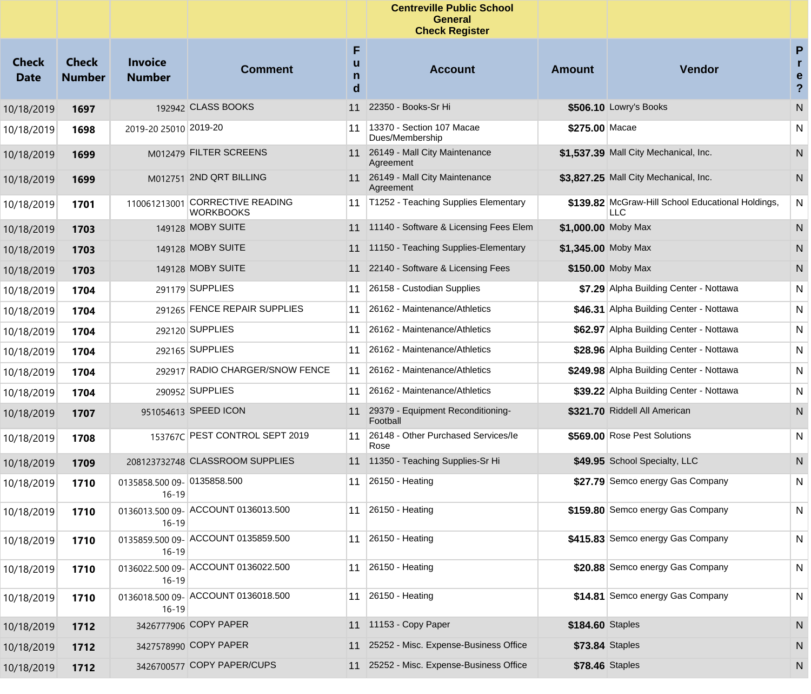|                             |                               |                                          |                                                     |                  | <b>Centreville Public School</b><br>General<br><b>Check Register</b> |                        |                                                          |                                          |
|-----------------------------|-------------------------------|------------------------------------------|-----------------------------------------------------|------------------|----------------------------------------------------------------------|------------------------|----------------------------------------------------------|------------------------------------------|
| <b>Check</b><br><b>Date</b> | <b>Check</b><br><b>Number</b> | <b>Invoice</b><br><b>Number</b>          | <b>Comment</b>                                      | F<br>u<br>n<br>d | <b>Account</b>                                                       | <b>Amount</b>          | <b>Vendor</b>                                            | P<br>r<br>е<br>$\boldsymbol{\mathsf{?}}$ |
| 10/18/2019                  | 1697                          |                                          | 192942 CLASS BOOKS                                  | 11               | 22350 - Books-Sr Hi                                                  |                        | \$506.10 Lowry's Books                                   | N                                        |
| 10/18/2019                  | 1698                          | 2019-20 25010 2019-20                    |                                                     | 11               | 13370 - Section 107 Macae<br>Dues/Membership                         | \$275.00 Macae         |                                                          | N                                        |
| 10/18/2019                  | 1699                          |                                          | M012479 FILTER SCREENS                              |                  | 11 26149 - Mall City Maintenance<br>Agreement                        |                        | \$1,537.39 Mall City Mechanical, Inc.                    | N                                        |
| 10/18/2019                  | 1699                          |                                          | M012751 2ND QRT BILLING                             |                  | 11 26149 - Mall City Maintenance<br>Agreement                        |                        | \$3,827.25 Mall City Mechanical, Inc.                    | N                                        |
| 10/18/2019                  | 1701                          |                                          | 110061213001 CORRECTIVE READING<br><b>WORKBOOKS</b> | 11               | T1252 - Teaching Supplies Elementary                                 |                        | \$139.82 McGraw-Hill School Educational Holdings,<br>LLC | $\mathsf{N}$                             |
| 10/18/2019                  | 1703                          |                                          | 149128 MOBY SUITE                                   |                  | 11 11140 - Software & Licensing Fees Elem                            | \$1,000.00 Moby Max    |                                                          | N                                        |
| 10/18/2019                  | 1703                          |                                          | 149128 MOBY SUITE                                   |                  | 11 11150 - Teaching Supplies-Elementary                              | \$1,345.00 Moby Max    |                                                          | N                                        |
| 10/18/2019                  | 1703                          |                                          | 149128 MOBY SUITE                                   |                  | 11 22140 - Software & Licensing Fees                                 |                        | \$150.00 Moby Max                                        | N                                        |
| 10/18/2019                  | 1704                          |                                          | 291179 SUPPLIES                                     | 11               | 26158 - Custodian Supplies                                           |                        | \$7.29 Alpha Building Center - Nottawa                   | N                                        |
| 10/18/2019                  | 1704                          |                                          | 291265 FENCE REPAIR SUPPLIES                        | 11               | 26162 - Maintenance/Athletics                                        |                        | \$46.31 Alpha Building Center - Nottawa                  | N                                        |
| 10/18/2019                  | 1704                          |                                          | 292120 SUPPLIES                                     | 11               | 26162 - Maintenance/Athletics                                        |                        | \$62.97 Alpha Building Center - Nottawa                  | N                                        |
| 10/18/2019                  | 1704                          |                                          | 292165 SUPPLIES                                     | 11               | 26162 - Maintenance/Athletics                                        |                        | \$28.96 Alpha Building Center - Nottawa                  | N                                        |
| 10/18/2019                  | 1704                          |                                          | 292917 RADIO CHARGER/SNOW FENCE                     | 11               | 26162 - Maintenance/Athletics                                        |                        | \$249.98 Alpha Building Center - Nottawa                 | N                                        |
| 10/18/2019                  | 1704                          |                                          | 290952 SUPPLIES                                     | 11               | 26162 - Maintenance/Athletics                                        |                        | \$39.22 Alpha Building Center - Nottawa                  | N                                        |
| 10/18/2019                  | 1707                          |                                          | 951054613 SPEED ICON                                |                  | 11 29379 - Equipment Reconditioning-<br>Football                     |                        | \$321.70 Riddell All American                            | N                                        |
| 10/18/2019                  | 1708                          |                                          | 153767C PEST CONTROL SEPT 2019                      | 11               | 26148 - Other Purchased Services/le<br>Rose                          |                        | \$569.00 Rose Pest Solutions                             | N                                        |
| 10/18/2019                  | 1709                          |                                          | 208123732748 CLASSROOM SUPPLIES                     |                  | 11 11350 - Teaching Supplies-Sr Hi                                   |                        | \$49.95 School Specialty, LLC                            | N                                        |
| 10/18/2019                  | 1710                          | 0135858.500 09- 0135858.500<br>$16 - 19$ |                                                     | 11               | 26150 - Heating                                                      |                        | \$27.79 Semco energy Gas Company                         | $\mathsf{N}$                             |
| 10/18/2019                  | 1710                          | $16 - 19$                                | 0136013.500 09- ACCOUNT 0136013.500                 |                  | 11 26150 - Heating                                                   |                        | \$159.80 Semco energy Gas Company                        | N                                        |
| 10/18/2019                  | 1710                          | $16 - 19$                                | 0135859.500 09- ACCOUNT 0135859.500                 |                  | 11 26150 - Heating                                                   |                        | \$415.83 Semco energy Gas Company                        | N                                        |
| 10/18/2019                  | 1710                          | $16-19$                                  | 0136022.500 09- ACCOUNT 0136022.500                 |                  | 11 26150 - Heating                                                   |                        | \$20.88 Semco energy Gas Company                         | $\mathsf{N}$                             |
| 10/18/2019                  | 1710                          | $16-19$                                  | 0136018.500 09- ACCOUNT 0136018.500                 |                  | 11 26150 - Heating                                                   |                        | \$14.81 Semco energy Gas Company                         | N                                        |
| 10/18/2019                  | 1712                          |                                          | 3426777906 COPY PAPER                               |                  | 11 11153 - Copy Paper                                                | \$184.60 Staples       |                                                          | N                                        |
| 10/18/2019                  | 1712                          |                                          | 3427578990 COPY PAPER                               |                  | 11 25252 - Misc. Expense-Business Office                             | \$73.84 Staples        |                                                          | N                                        |
| 10/18/2019                  | 1712                          |                                          | 3426700577 COPY PAPER/CUPS                          |                  | 11 25252 - Misc. Expense-Business Office                             | <b>\$78.46 Staples</b> |                                                          | N                                        |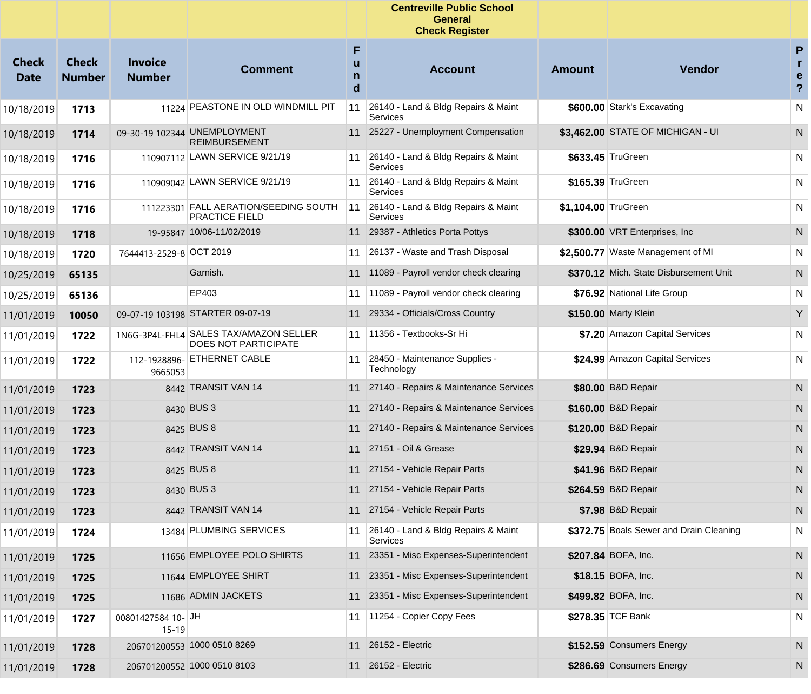|                             |                               |                                 |                                                                       |                  | <b>Centreville Public School</b><br><b>General</b><br><b>Check Register</b> |                     |                                         |                                                   |
|-----------------------------|-------------------------------|---------------------------------|-----------------------------------------------------------------------|------------------|-----------------------------------------------------------------------------|---------------------|-----------------------------------------|---------------------------------------------------|
| <b>Check</b><br><b>Date</b> | <b>Check</b><br><b>Number</b> | <b>Invoice</b><br><b>Number</b> | <b>Comment</b>                                                        | F<br>u<br>n<br>d | <b>Account</b>                                                              | <b>Amount</b>       | Vendor                                  | P<br>$\mathbf{r}$<br>e<br>$\overline{\mathbf{?}}$ |
| 10/18/2019                  | 1713                          |                                 | 11224 PEASTONE IN OLD WINDMILL PIT                                    | 11               | 26140 - Land & Bldg Repairs & Maint<br>Services                             |                     | \$600.00 Stark's Excavating             | N                                                 |
| 10/18/2019                  | 1714                          |                                 | 09-30-19 102344 UNEMPLOYMENT<br><b>REIMBURSEMENT</b>                  |                  | 11 25227 - Unemployment Compensation                                        |                     | \$3,462.00 STATE OF MICHIGAN - UI       | N                                                 |
| 10/18/2019                  | 1716                          |                                 | 110907112 LAWN SERVICE 9/21/19                                        | 11               | 26140 - Land & Bldg Repairs & Maint<br>Services                             |                     | \$633.45 TruGreen                       | N                                                 |
| 10/18/2019                  | 1716                          |                                 | 110909042 LAWN SERVICE 9/21/19                                        | 11               | 26140 - Land & Bldg Repairs & Maint<br>Services                             |                     | \$165.39 TruGreen                       | N                                                 |
| 10/18/2019                  | 1716                          |                                 | 111223301 FALL AERATION/SEEDING SOUTH<br><b>PRACTICE FIELD</b>        | 11               | 26140 - Land & Bldg Repairs & Maint<br>Services                             | \$1,104.00 TruGreen |                                         | N                                                 |
| 10/18/2019                  | 1718                          |                                 | 19-95847 10/06-11/02/2019                                             | 11               | 29387 - Athletics Porta Pottys                                              |                     | \$300.00 VRT Enterprises, Inc.          | N                                                 |
| 10/18/2019                  | 1720                          | 7644413-2529-8 OCT 2019         |                                                                       | 11               | 26137 - Waste and Trash Disposal                                            |                     | \$2,500.77 Waste Management of MI       | N                                                 |
| 10/25/2019                  | 65135                         |                                 | Garnish.                                                              | 11               | 11089 - Payroll vendor check clearing                                       |                     | \$370.12 Mich. State Disbursement Unit  | N                                                 |
| 10/25/2019                  | 65136                         |                                 | EP403                                                                 | 11               | 11089 - Payroll vendor check clearing                                       |                     | \$76.92 National Life Group             | N                                                 |
| 11/01/2019                  | 10050                         |                                 | 09-07-19 103198 STARTER 09-07-19                                      | 11               | 29334 - Officials/Cross Country                                             |                     | \$150.00 Marty Klein                    | Y                                                 |
| 11/01/2019                  | 1722                          |                                 | 1N6G-3P4L-FHL4 SALES TAX/AMAZON SELLER<br><b>DOES NOT PARTICIPATE</b> | 11               | 11356 - Textbooks-Sr Hi                                                     |                     | \$7.20 Amazon Capital Services          | N                                                 |
| 11/01/2019                  | 1722                          | 9665053                         | 112-1928896- ETHERNET CABLE                                           | 11               | 28450 - Maintenance Supplies -<br>Technology                                |                     | \$24.99 Amazon Capital Services         | N                                                 |
| 11/01/2019                  | 1723                          |                                 | 8442 TRANSIT VAN 14                                                   | 11               | 27140 - Repairs & Maintenance Services                                      |                     | \$80.00 B&D Repair                      | N                                                 |
| 11/01/2019                  | 1723                          |                                 | 8430 BUS 3                                                            | 11               | 27140 - Repairs & Maintenance Services                                      |                     | \$160.00 B&D Repair                     | N                                                 |
| 11/01/2019                  | 1723                          |                                 | 8425 BUS 8                                                            | 11               | 27140 - Repairs & Maintenance Services                                      |                     | \$120.00 B&D Repair                     | N                                                 |
| 11/01/2019                  | 1723                          |                                 | 8442 TRANSIT VAN 14                                                   | 11               | 27151 - Oil & Grease                                                        |                     | \$29.94 B&D Repair                      | N                                                 |
| 11/01/2019                  | 1723                          |                                 | 8425 BUS 8                                                            | 11               | 27154 - Vehicle Repair Parts                                                |                     | \$41.96 B&D Repair                      | N                                                 |
| 11/01/2019                  | 1723                          |                                 | 8430 BUS 3                                                            | 11               | 27154 - Vehicle Repair Parts                                                |                     | \$264.59 B&D Repair                     | N                                                 |
| 11/01/2019                  | 1723                          |                                 | 8442 TRANSIT VAN 14                                                   |                  | 11 27154 - Vehicle Repair Parts                                             |                     | \$7.98 B&D Repair                       | N                                                 |
| 11/01/2019                  | 1724                          |                                 | 13484 PLUMBING SERVICES                                               |                  | 11 26140 - Land & Bldg Repairs & Maint<br>Services                          |                     | \$372.75 Boals Sewer and Drain Cleaning | N                                                 |
| 11/01/2019                  | 1725                          |                                 | 11656 EMPLOYEE POLO SHIRTS                                            |                  | 11 23351 - Misc Expenses-Superintendent                                     |                     | \$207.84 BOFA, Inc.                     | N                                                 |
| 11/01/2019                  | 1725                          |                                 | 11644 EMPLOYEE SHIRT                                                  | 11               | 23351 - Misc Expenses-Superintendent                                        |                     | \$18.15 BOFA, Inc.                      | N                                                 |
| 11/01/2019                  | 1725                          |                                 | 11686 ADMIN JACKETS                                                   | 11               | 23351 - Misc Expenses-Superintendent                                        |                     | \$499.82 BOFA, Inc.                     | N                                                 |
| 11/01/2019                  | 1727                          | 00801427584 10-JH<br>$15 - 19$  |                                                                       | 11               | 11254 - Copier Copy Fees                                                    |                     | \$278.35 TCF Bank                       | N                                                 |
| 11/01/2019                  | 1728                          |                                 | 206701200553 1000 0510 8269                                           |                  | 11 26152 - Electric                                                         |                     | \$152.59 Consumers Energy               | N                                                 |
| 11/01/2019                  | 1728                          |                                 | 206701200552 1000 0510 8103                                           |                  | 11 26152 - Electric                                                         |                     | \$286.69 Consumers Energy               | N                                                 |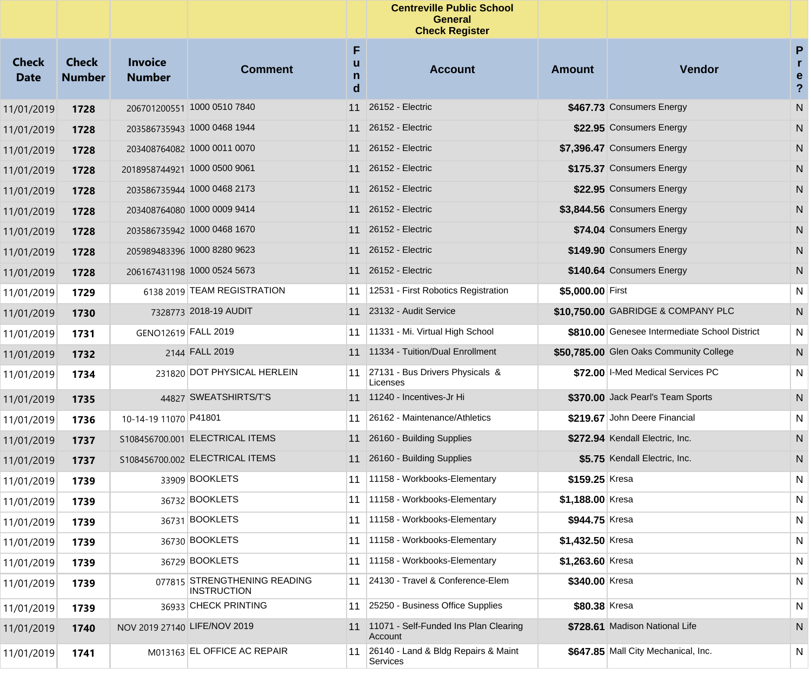|                             |                               |                                 |                                                    |                  | <b>Centreville Public School</b><br><b>General</b><br><b>Check Register</b> |                  |                                               |                                        |
|-----------------------------|-------------------------------|---------------------------------|----------------------------------------------------|------------------|-----------------------------------------------------------------------------|------------------|-----------------------------------------------|----------------------------------------|
| <b>Check</b><br><b>Date</b> | <b>Check</b><br><b>Number</b> | <b>Invoice</b><br><b>Number</b> | <b>Comment</b>                                     | F<br>u<br>n<br>d | <b>Account</b>                                                              | <b>Amount</b>    | Vendor                                        | P<br>r<br>e<br>$\overline{\mathbf{?}}$ |
| 11/01/2019                  | 1728                          |                                 | 206701200551 1000 0510 7840                        | 11               | 26152 - Electric                                                            |                  | \$467.73 Consumers Energy                     | ${\sf N}$                              |
| 11/01/2019                  | 1728                          |                                 | 203586735943 1000 0468 1944                        | 11               | 26152 - Electric                                                            |                  | \$22.95 Consumers Energy                      | N                                      |
| 11/01/2019                  | 1728                          |                                 | 203408764082 1000 0011 0070                        |                  | 11 26152 - Electric                                                         |                  | \$7,396.47 Consumers Energy                   | N                                      |
| 11/01/2019                  | 1728                          |                                 | 2018958744921 1000 0500 9061                       |                  | 11 26152 - Electric                                                         |                  | \$175.37 Consumers Energy                     | N                                      |
| 11/01/2019                  | 1728                          |                                 | 203586735944 1000 0468 2173                        |                  | 11 26152 - Electric                                                         |                  | \$22.95 Consumers Energy                      | N                                      |
| 11/01/2019                  | 1728                          |                                 | 203408764080 1000 0009 9414                        |                  | 11 26152 - Electric                                                         |                  | \$3,844.56 Consumers Energy                   | N                                      |
| 11/01/2019                  | 1728                          |                                 | 203586735942 1000 0468 1670                        |                  | 11 26152 - Electric                                                         |                  | \$74.04 Consumers Energy                      | N                                      |
| 11/01/2019                  | 1728                          |                                 | 205989483396 1000 8280 9623                        |                  | 11 26152 - Electric                                                         |                  | \$149.90 Consumers Energy                     | N                                      |
| 11/01/2019                  | 1728                          |                                 | 206167431198 1000 0524 5673                        |                  | 11 26152 - Electric                                                         |                  | \$140.64 Consumers Energy                     | N                                      |
| 11/01/2019                  | 1729                          |                                 | 6138 2019 TEAM REGISTRATION                        | 11               | 12531 - First Robotics Registration                                         | \$5,000.00 First |                                               | N                                      |
| 11/01/2019                  | 1730                          |                                 | 7328773 2018-19 AUDIT                              | 11               | 23132 - Audit Service                                                       |                  | \$10,750.00 GABRIDGE & COMPANY PLC            | N                                      |
| 11/01/2019                  | 1731                          | GENO12619 FALL 2019             |                                                    | 11               | 11331 - Mi. Virtual High School                                             |                  | \$810.00 Genesee Intermediate School District | N                                      |
| 11/01/2019                  | 1732                          |                                 | 2144 FALL 2019                                     | 11               | 11334 - Tuition/Dual Enrollment                                             |                  | \$50,785.00 Glen Oaks Community College       | N                                      |
| 11/01/2019                  | 1734                          |                                 | 231820 DOT PHYSICAL HERLEIN                        | 11               | 27131 - Bus Drivers Physicals &<br>Licenses                                 |                  | \$72.00   I-Med Medical Services PC           | N                                      |
| 11/01/2019                  | 1735                          |                                 | 44827 SWEATSHIRTS/T'S                              |                  | 11 11240 - Incentives-Jr Hi                                                 |                  | \$370.00 Jack Pearl's Team Sports             | N                                      |
| 11/01/2019                  | 1736                          | 10-14-19 11070 P41801           |                                                    | 11               | 26162 - Maintenance/Athletics                                               |                  | \$219.67 John Deere Financial                 | N                                      |
| 11/01/2019                  | 1737                          |                                 | S108456700.001 ELECTRICAL ITEMS                    |                  | 11 26160 - Building Supplies                                                |                  | \$272.94 Kendall Electric, Inc.               | ${\sf N}$                              |
| 11/01/2019                  | 1737                          |                                 | S108456700.002 ELECTRICAL ITEMS                    |                  | 11 26160 - Building Supplies                                                |                  | \$5.75 Kendall Electric, Inc.                 | N                                      |
| 11/01/2019                  | 1739                          |                                 | 33909 BOOKLETS                                     | 11               | 11158 - Workbooks-Elementary                                                | \$159.25 Kresa   |                                               | N                                      |
| 11/01/2019                  | 1739                          |                                 | 36732 BOOKLETS                                     | 11               | 11158 - Workbooks-Elementary                                                | \$1,188.00 Kresa |                                               | N                                      |
| 11/01/2019                  | 1739                          |                                 | 36731 BOOKLETS                                     | 11               | 11158 - Workbooks-Elementary                                                | \$944.75 Kresa   |                                               | N                                      |
| 11/01/2019                  | 1739                          |                                 | 36730 BOOKLETS                                     | 11               | 11158 - Workbooks-Elementary                                                | \$1,432.50 Kresa |                                               | N                                      |
| 11/01/2019                  | 1739                          |                                 | 36729 BOOKLETS                                     | 11               | 11158 - Workbooks-Elementary                                                | \$1,263.60 Kresa |                                               | N                                      |
| 11/01/2019                  | 1739                          |                                 | 077815 STRENGTHENING READING<br><b>INSTRUCTION</b> | 11               | 24130 - Travel & Conference-Elem                                            | \$340.00 Kresa   |                                               | N                                      |
| 11/01/2019                  | 1739                          |                                 | 36933 CHECK PRINTING                               | 11               | 25250 - Business Office Supplies                                            | \$80.38 Kresa    |                                               | N                                      |
| 11/01/2019                  | 1740                          | NOV 2019 27140 LIFE/NOV 2019    |                                                    |                  | 11 11071 - Self-Funded Ins Plan Clearing<br>Account                         |                  | \$728.61 Madison National Life                | N                                      |
| 11/01/2019                  | 1741                          |                                 | M013163 EL OFFICE AC REPAIR                        | 11               | 26140 - Land & Bldg Repairs & Maint<br>Services                             |                  | \$647.85 Mall City Mechanical, Inc.           | N                                      |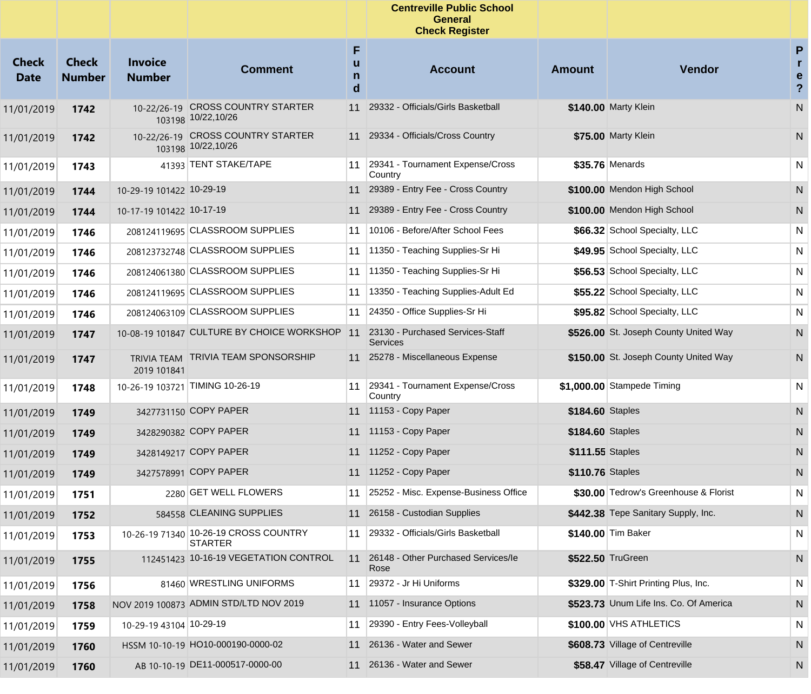|                             |                               |                                 |                                                         |                  | <b>Centreville Public School</b><br><b>General</b><br><b>Check Register</b> |                  |                                        |                                                   |
|-----------------------------|-------------------------------|---------------------------------|---------------------------------------------------------|------------------|-----------------------------------------------------------------------------|------------------|----------------------------------------|---------------------------------------------------|
| <b>Check</b><br><b>Date</b> | <b>Check</b><br><b>Number</b> | <b>Invoice</b><br><b>Number</b> | <b>Comment</b>                                          | F<br>u<br>n<br>d | <b>Account</b>                                                              | <b>Amount</b>    | Vendor                                 | P<br>$\mathbf{r}$<br>e<br>$\overline{\mathbf{?}}$ |
| 11/01/2019                  | 1742                          |                                 | 10-22/26-19 CROSS COUNTRY STARTER<br>103198 10/22,10/26 | 11               | 29332 - Officials/Girls Basketball                                          |                  | \$140.00 Marty Klein                   | N                                                 |
| 11/01/2019                  | 1742                          |                                 | 10-22/26-19 CROSS COUNTRY STARTER<br>103198 10/22,10/26 | 11               | 29334 - Officials/Cross Country                                             |                  | \$75.00 Marty Klein                    | N                                                 |
| 11/01/2019                  | 1743                          |                                 | 41393 TENT STAKE/TAPE                                   | 11               | 29341 - Tournament Expense/Cross<br>Country                                 |                  | \$35.76 Menards                        | N                                                 |
| 11/01/2019                  | 1744                          | 10-29-19 101422 10-29-19        |                                                         | 11               | 29389 - Entry Fee - Cross Country                                           |                  | \$100.00 Mendon High School            | N                                                 |
| 11/01/2019                  | 1744                          | 10-17-19 101422 10-17-19        |                                                         | 11               | 29389 - Entry Fee - Cross Country                                           |                  | \$100.00 Mendon High School            | N                                                 |
| 11/01/2019                  | 1746                          |                                 | 208124119695 CLASSROOM SUPPLIES                         | 11               | 10106 - Before/After School Fees                                            |                  | \$66.32 School Specialty, LLC          | N                                                 |
| 11/01/2019                  | 1746                          |                                 | 208123732748 CLASSROOM SUPPLIES                         | 11               | 11350 - Teaching Supplies-Sr Hi                                             |                  | \$49.95 School Specialty, LLC          | N                                                 |
| 11/01/2019                  | 1746                          |                                 | 208124061380 CLASSROOM SUPPLIES                         | 11               | 11350 - Teaching Supplies-Sr Hi                                             |                  | \$56.53 School Specialty, LLC          | N                                                 |
| 11/01/2019                  | 1746                          |                                 | 208124119695 CLASSROOM SUPPLIES                         | 11               | 13350 - Teaching Supplies-Adult Ed                                          |                  | \$55.22 School Specialty, LLC          | N                                                 |
| 11/01/2019                  | 1746                          |                                 | 208124063109 CLASSROOM SUPPLIES                         | 11               | 24350 - Office Supplies-Sr Hi                                               |                  | \$95.82 School Specialty, LLC          | N                                                 |
| 11/01/2019                  | 1747                          |                                 | 10-08-19 101847 CULTURE BY CHOICE WORKSHOP              | 11               | 23130 - Purchased Services-Staff<br><b>Services</b>                         |                  | \$526.00 St. Joseph County United Way  | N                                                 |
| 11/01/2019                  | 1747                          | 2019 101841                     | TRIVIA TEAM TRIVIA TEAM SPONSORSHIP                     |                  | 11 25278 - Miscellaneous Expense                                            |                  | \$150.00 St. Joseph County United Way  | N                                                 |
| 11/01/2019                  | 1748                          |                                 | 10-26-19 103721 TIMING 10-26-19                         | 11               | 29341 - Tournament Expense/Cross<br>Country                                 |                  | \$1,000.00 Stampede Timing             | N                                                 |
| 11/01/2019                  | 1749                          |                                 | 3427731150 COPY PAPER                                   |                  | 11 11153 - Copy Paper                                                       | \$184.60 Staples |                                        | N                                                 |
| 11/01/2019                  | 1749                          |                                 | 3428290382 COPY PAPER                                   |                  | 11 11153 - Copy Paper                                                       | \$184.60 Staples |                                        | N                                                 |
| 11/01/2019                  | 1749                          |                                 | 3428149217 COPY PAPER                                   |                  | 11 11252 - Copy Paper                                                       | \$111.55 Staples |                                        | N                                                 |
| 11/01/2019                  | 1749                          |                                 | 3427578991 COPY PAPER                                   |                  | 11 11252 - Copy Paper                                                       | \$110.76 Staples |                                        | N                                                 |
| 11/01/2019                  | 1751                          |                                 | 2280 GET WELL FLOWERS                                   |                  | 11 25252 - Misc. Expense-Business Office                                    |                  | \$30.00 Tedrow's Greenhouse & Florist  | N                                                 |
| 11/01/2019                  | 1752                          |                                 | 584558 CLEANING SUPPLIES                                |                  | 11 26158 - Custodian Supplies                                               |                  | \$442.38 Tepe Sanitary Supply, Inc.    | N                                                 |
| 11/01/2019                  | 1753                          |                                 | 10-26-19 71340 10-26-19 CROSS COUNTRY<br><b>STARTER</b> |                  | 11 29332 - Officials/Girls Basketball                                       |                  | \$140.00 Tim Baker                     | N                                                 |
| 11/01/2019                  | 1755                          |                                 | 112451423 10-16-19 VEGETATION CONTROL                   | 11               | 26148 - Other Purchased Services/le<br>Rose                                 |                  | \$522.50 TruGreen                      | N                                                 |
| 11/01/2019                  | 1756                          |                                 | 81460 WRESTLING UNIFORMS                                | 11               | 29372 - Jr Hi Uniforms                                                      |                  | \$329.00 T-Shirt Printing Plus, Inc.   | N                                                 |
| 11/01/2019                  | 1758                          |                                 | NOV 2019 100873 ADMIN STD/LTD NOV 2019                  | 11               | 11057 - Insurance Options                                                   |                  | \$523.73 Unum Life Ins. Co. Of America | N                                                 |
| 11/01/2019                  | 1759                          | 10-29-19 43104 10-29-19         |                                                         | 11               | 29390 - Entry Fees-Volleyball                                               |                  | \$100.00 VHS ATHLETICS                 | N                                                 |
| 11/01/2019                  | 1760                          |                                 | HSSM 10-10-19 HO10-000190-0000-02                       | 11               | 26136 - Water and Sewer                                                     |                  | \$608.73 Village of Centreville        | N                                                 |
| 11/01/2019                  | 1760                          |                                 | AB 10-10-19 DE11-000517-0000-00                         | 11               | 26136 - Water and Sewer                                                     |                  | \$58.47 Village of Centreville         | N                                                 |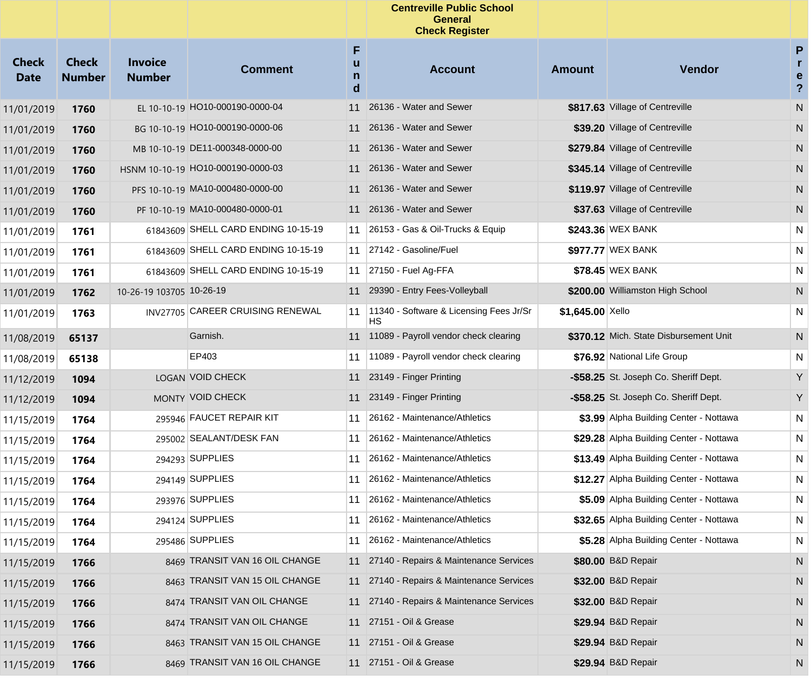|                             |                               |                                 |                                     |                  | <b>Centreville Public School</b><br><b>General</b><br><b>Check Register</b> |                  |                                         |                                                   |
|-----------------------------|-------------------------------|---------------------------------|-------------------------------------|------------------|-----------------------------------------------------------------------------|------------------|-----------------------------------------|---------------------------------------------------|
| <b>Check</b><br><b>Date</b> | <b>Check</b><br><b>Number</b> | <b>Invoice</b><br><b>Number</b> | <b>Comment</b>                      | F<br>u<br>n<br>d | <b>Account</b>                                                              | <b>Amount</b>    | Vendor                                  | P<br>$\mathbf{r}$<br>e<br>$\overline{\mathbf{?}}$ |
| 11/01/2019                  | 1760                          |                                 | EL 10-10-19 HO10-000190-0000-04     | 11               | 26136 - Water and Sewer                                                     |                  | \$817.63 Village of Centreville         | N                                                 |
| 11/01/2019                  | 1760                          |                                 | BG 10-10-19 HO10-000190-0000-06     | 11               | 26136 - Water and Sewer                                                     |                  | \$39.20 Village of Centreville          | N                                                 |
| 11/01/2019                  | 1760                          |                                 | MB 10-10-19 DE11-000348-0000-00     | 11               | 26136 - Water and Sewer                                                     |                  | \$279.84 Village of Centreville         | N                                                 |
| 11/01/2019                  | 1760                          |                                 | HSNM 10-10-19 HO10-000190-0000-03   | 11               | 26136 - Water and Sewer                                                     |                  | \$345.14 Village of Centreville         | N                                                 |
| 11/01/2019                  | 1760                          |                                 | PFS 10-10-19 MA10-000480-0000-00    | 11               | 26136 - Water and Sewer                                                     |                  | \$119.97 Village of Centreville         | N                                                 |
| 11/01/2019                  | 1760                          |                                 | PF 10-10-19 MA10-000480-0000-01     | 11               | 26136 - Water and Sewer                                                     |                  | \$37.63 Village of Centreville          | N                                                 |
| 11/01/2019                  | 1761                          |                                 | 61843609 SHELL CARD ENDING 10-15-19 | 11               | 26153 - Gas & Oil-Trucks & Equip                                            |                  | \$243.36 WEX BANK                       | N                                                 |
| 11/01/2019                  | 1761                          |                                 | 61843609 SHELL CARD ENDING 10-15-19 | 11               | 27142 - Gasoline/Fuel                                                       |                  | \$977.77 WEX BANK                       | N                                                 |
| 11/01/2019                  | 1761                          |                                 | 61843609 SHELL CARD ENDING 10-15-19 | 11               | 27150 - Fuel Ag-FFA                                                         |                  | \$78.45 WEX BANK                        | N                                                 |
| 11/01/2019                  | 1762                          | 10-26-19 103705 10-26-19        |                                     | 11               | 29390 - Entry Fees-Volleyball                                               |                  | \$200.00 Williamston High School        | N                                                 |
| 11/01/2019                  | 1763                          |                                 | INV27705 CAREER CRUISING RENEWAL    | 11               | 11340 - Software & Licensing Fees Jr/Sr<br>НS                               | \$1,645.00 Xello |                                         | N                                                 |
| 11/08/2019                  | 65137                         |                                 | Garnish.                            |                  | 11 11089 - Payroll vendor check clearing                                    |                  | \$370.12 Mich. State Disbursement Unit  | N                                                 |
| 11/08/2019                  | 65138                         |                                 | EP403                               | 11               | 11089 - Payroll vendor check clearing                                       |                  | \$76.92 National Life Group             | N                                                 |
| 11/12/2019                  | 1094                          |                                 | LOGAN VOID CHECK                    | 11               | 23149 - Finger Printing                                                     |                  | -\$58.25 St. Joseph Co. Sheriff Dept.   | Y                                                 |
| 11/12/2019                  | 1094                          |                                 | MONTY VOID CHECK                    | 11               | 23149 - Finger Printing                                                     |                  | -\$58.25 St. Joseph Co. Sheriff Dept.   | Y                                                 |
| 11/15/2019                  | 1764                          |                                 | 295946 FAUCET REPAIR KIT            | 11               | 26162 - Maintenance/Athletics                                               |                  | \$3.99 Alpha Building Center - Nottawa  | N                                                 |
| 11/15/2019                  | 1764                          |                                 | 295002 SEALANT/DESK FAN             | 11               | 26162 - Maintenance/Athletics                                               |                  | \$29.28 Alpha Building Center - Nottawa | N                                                 |
| 11/15/2019                  | 1764                          |                                 | 294293 SUPPLIES                     | 11               | 26162 - Maintenance/Athletics                                               |                  | \$13.49 Alpha Building Center - Nottawa | N                                                 |
| 11/15/2019                  | 1764                          |                                 | 294149 SUPPLIES                     | 11               | 26162 - Maintenance/Athletics                                               |                  | \$12.27 Alpha Building Center - Nottawa | N                                                 |
| 11/15/2019                  | 1764                          |                                 | 293976 SUPPLIES                     | 11               | 26162 - Maintenance/Athletics                                               |                  | \$5.09 Alpha Building Center - Nottawa  | N                                                 |
| 11/15/2019                  | 1764                          |                                 | 294124 SUPPLIES                     | 11               | 26162 - Maintenance/Athletics                                               |                  | \$32.65 Alpha Building Center - Nottawa | N                                                 |
| 11/15/2019                  | 1764                          |                                 | 295486 SUPPLIES                     | 11               | 26162 - Maintenance/Athletics                                               |                  | \$5.28 Alpha Building Center - Nottawa  | N                                                 |
| 11/15/2019                  | 1766                          |                                 | 8469 TRANSIT VAN 16 OIL CHANGE      |                  | 11 27140 - Repairs & Maintenance Services                                   |                  | \$80.00 B&D Repair                      | N                                                 |
| 11/15/2019                  | 1766                          |                                 | 8463 TRANSIT VAN 15 OIL CHANGE      |                  | 11 27140 - Repairs & Maintenance Services                                   |                  | \$32.00 B&D Repair                      | N                                                 |
| 11/15/2019                  | 1766                          |                                 | 8474 TRANSIT VAN OIL CHANGE         |                  | 11 27140 - Repairs & Maintenance Services                                   |                  | \$32.00 B&D Repair                      | N                                                 |
| 11/15/2019                  | 1766                          |                                 | 8474 TRANSIT VAN OIL CHANGE         |                  | 11 27151 - Oil & Grease                                                     |                  | \$29.94 B&D Repair                      | N                                                 |
| 11/15/2019                  | 1766                          |                                 | 8463 TRANSIT VAN 15 OIL CHANGE      |                  | 11 27151 - Oil & Grease                                                     |                  | \$29.94 B&D Repair                      | N                                                 |
| 11/15/2019                  | 1766                          |                                 | 8469 TRANSIT VAN 16 OIL CHANGE      |                  | 11 27151 - Oil & Grease                                                     |                  | \$29.94 B&D Repair                      | N                                                 |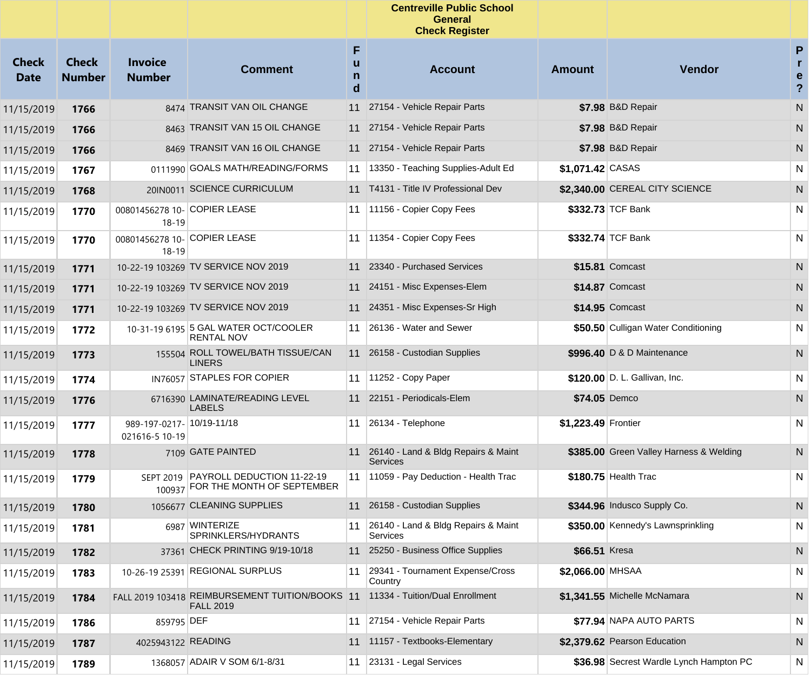|                             |                               |                                             |                                                                           |                  | <b>Centreville Public School</b><br><b>General</b><br><b>Check Register</b> |                     |                                         |                                          |
|-----------------------------|-------------------------------|---------------------------------------------|---------------------------------------------------------------------------|------------------|-----------------------------------------------------------------------------|---------------------|-----------------------------------------|------------------------------------------|
| <b>Check</b><br><b>Date</b> | <b>Check</b><br><b>Number</b> | <b>Invoice</b><br><b>Number</b>             | <b>Comment</b>                                                            | F<br>u<br>n<br>d | <b>Account</b>                                                              | <b>Amount</b>       | Vendor                                  | P<br>$\mathbf{r}$<br>e<br>$\overline{?}$ |
| 11/15/2019                  | 1766                          |                                             | 8474 TRANSIT VAN OIL CHANGE                                               | 11               | 27154 - Vehicle Repair Parts                                                |                     | \$7.98 B&D Repair                       | N                                        |
| 11/15/2019                  | 1766                          |                                             | 8463 TRANSIT VAN 15 OIL CHANGE                                            | 11               | 27154 - Vehicle Repair Parts                                                |                     | \$7.98 B&D Repair                       | N                                        |
| 11/15/2019                  | 1766                          |                                             | 8469 TRANSIT VAN 16 OIL CHANGE                                            |                  | 11 27154 - Vehicle Repair Parts                                             |                     | \$7.98 B&D Repair                       | N                                        |
| 11/15/2019                  | 1767                          |                                             | 0111990 GOALS MATH/READING/FORMS                                          | 11               | 13350 - Teaching Supplies-Adult Ed                                          | \$1,071.42 CASAS    |                                         | N                                        |
| 11/15/2019                  | 1768                          |                                             | 20IN0011 SCIENCE CURRICULUM                                               | 11               | T4131 - Title IV Professional Dev                                           |                     | \$2,340.00 CEREAL CITY SCIENCE          | N                                        |
| 11/15/2019                  | 1770                          | 00801456278 10- COPIER LEASE<br>18-19       |                                                                           | 11               | 11156 - Copier Copy Fees                                                    |                     | \$332.73 TCF Bank                       | N                                        |
| 11/15/2019                  | 1770                          | 00801456278 10- COPIER LEASE<br>18-19       |                                                                           | 11               | 11354 - Copier Copy Fees                                                    |                     | \$332.74 TCF Bank                       | N                                        |
| 11/15/2019                  | 1771                          |                                             | 10-22-19 103269 TV SERVICE NOV 2019                                       |                  | 23340 - Purchased Services                                                  |                     | \$15.81 Comcast                         | N                                        |
| 11/15/2019                  | 1771                          |                                             | 10-22-19 103269 TV SERVICE NOV 2019                                       | 11               | 24151 - Misc Expenses-Elem                                                  |                     | \$14.87 Comcast                         | N                                        |
| 11/15/2019                  | 1771                          |                                             | 10-22-19 103269 TV SERVICE NOV 2019                                       |                  | 11 24351 - Misc Expenses-Sr High                                            |                     | \$14.95 Comcast                         | N                                        |
| 11/15/2019                  | 1772                          |                                             | 10-31-19 6195 5 GAL WATER OCT/COOLER<br><b>RENTAL NOV</b>                 | 11               | 26136 - Water and Sewer                                                     |                     | \$50.50 Culligan Water Conditioning     | N                                        |
| 11/15/2019                  | 1773                          |                                             | 155504 ROLL TOWEL/BATH TISSUE/CAN<br><b>LINERS</b>                        |                  | 11 26158 - Custodian Supplies                                               |                     | \$996.40 D & D Maintenance              | N                                        |
| 11/15/2019                  | 1774                          |                                             | IN76057 STAPLES FOR COPIER                                                |                  | 11 11252 - Copy Paper                                                       |                     | \$120.00 D. L. Gallivan, Inc.           | N                                        |
| 11/15/2019                  | 1776                          |                                             | 6716390 LAMINATE/READING LEVEL<br><b>LABELS</b>                           |                  | 11 22151 - Periodicals-Elem                                                 |                     | \$74.05 Demco                           | N                                        |
| 11/15/2019                  | 1777                          | 989-197-0217- 10/19-11/18<br>021616-5 10-19 |                                                                           | 11               | 26134 - Telephone                                                           | \$1,223.49 Frontier |                                         | N                                        |
| 11/15/2019                  | 1778                          |                                             | 7109 GATE PAINTED                                                         |                  | 11 26140 - Land & Bldg Repairs & Maint<br><b>Services</b>                   |                     | \$385.00 Green Valley Harness & Welding | N                                        |
| 11/15/2019                  | 1779                          |                                             | SEPT 2019 PAYROLL DEDUCTION 11-22-19<br>100937 FOR THE MONTH OF SEPTEMBER |                  | 11   11059 - Pay Deduction - Health Trac                                    |                     | \$180.75 Health Trac                    | N                                        |
| 11/15/2019                  | 1780                          |                                             | 1056677 CLEANING SUPPLIES                                                 |                  | 11 26158 - Custodian Supplies                                               |                     | \$344.96 Indusco Supply Co.             | N                                        |
| 11/15/2019                  | 1781                          |                                             | 6987 WINTERIZE<br>SPRINKLERS/HYDRANTS                                     | 11               | 26140 - Land & Bldg Repairs & Maint<br>Services                             |                     | \$350.00 Kennedy's Lawnsprinkling       | N                                        |
| 11/15/2019                  | 1782                          |                                             | 37361 CHECK PRINTING 9/19-10/18                                           | 11               | 25250 - Business Office Supplies                                            | \$66.51 Kresa       |                                         | N                                        |
| 11/15/2019                  | 1783                          |                                             | 10-26-19 25391 REGIONAL SURPLUS                                           | 11               | 29341 - Tournament Expense/Cross<br>Country                                 | \$2,066.00 MHSAA    |                                         | N                                        |
| 11/15/2019                  | 1784                          |                                             | FALL 2019 103418 REIMBURSEMENT TUITION/BOOKS 11<br><b>FALL 2019</b>       |                  | 11334 - Tuition/Dual Enrollment                                             |                     | \$1,341.55 Michelle McNamara            | N                                        |
| 11/15/2019                  | 1786                          | 859795 DEF                                  |                                                                           | 11               | 27154 - Vehicle Repair Parts                                                |                     | \$77.94 NAPA AUTO PARTS                 | N                                        |
| 11/15/2019                  | 1787                          | 4025943122 READING                          |                                                                           |                  | 11 11157 - Textbooks-Elementary                                             |                     | \$2,379.62 Pearson Education            | N                                        |
| 11/15/2019                  | 1789                          |                                             | 1368057 ADAIR V SOM 6/1-8/31                                              | 11               | 23131 - Legal Services                                                      |                     | \$36.98 Secrest Wardle Lynch Hampton PC | N                                        |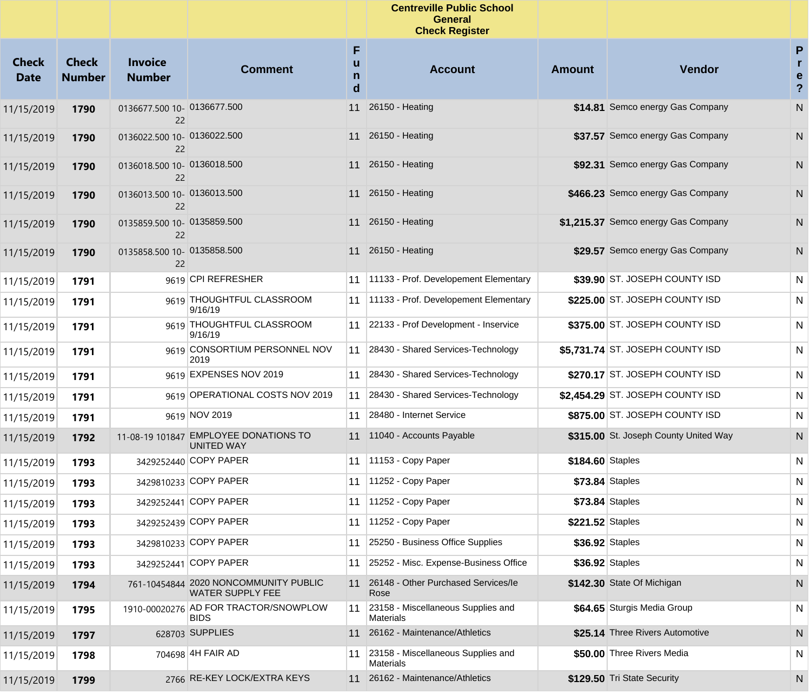|                             |                               |                                   |                                                                  |                  | <b>Centreville Public School</b><br><b>General</b><br><b>Check Register</b> |                  |                                       |                                                   |
|-----------------------------|-------------------------------|-----------------------------------|------------------------------------------------------------------|------------------|-----------------------------------------------------------------------------|------------------|---------------------------------------|---------------------------------------------------|
| <b>Check</b><br><b>Date</b> | <b>Check</b><br><b>Number</b> | <b>Invoice</b><br><b>Number</b>   | <b>Comment</b>                                                   | F<br>u<br>n<br>d | <b>Account</b>                                                              | <b>Amount</b>    | Vendor                                | P<br>$\mathbf{r}$<br>e<br>$\overline{\mathbf{?}}$ |
| 11/15/2019                  | 1790                          | 0136677.500 10- 0136677.500<br>22 |                                                                  | 11               | 26150 - Heating                                                             |                  | \$14.81 Semco energy Gas Company      | ${\sf N}$                                         |
| 11/15/2019                  | 1790                          | 0136022.500 10- 0136022.500<br>22 |                                                                  |                  | 11 26150 - Heating                                                          |                  | \$37.57 Semco energy Gas Company      | N                                                 |
| 11/15/2019                  | 1790                          | 0136018.500 10- 0136018.500<br>22 |                                                                  | 11               | 26150 - Heating                                                             |                  | \$92.31 Semco energy Gas Company      | N                                                 |
| 11/15/2019                  | 1790                          | 0136013.500 10- 0136013.500<br>22 |                                                                  |                  | 11 26150 - Heating                                                          |                  | \$466.23 Semco energy Gas Company     | N                                                 |
| 11/15/2019                  | 1790                          | 0135859.500 10- 0135859.500<br>22 |                                                                  | 11               | 26150 - Heating                                                             |                  | \$1,215.37 Semco energy Gas Company   | N                                                 |
| 11/15/2019                  | 1790                          | 0135858.500 10- 0135858.500<br>22 |                                                                  |                  | 11 26150 - Heating                                                          |                  | \$29.57 Semco energy Gas Company      | N                                                 |
| 11/15/2019                  | 1791                          |                                   | 9619 CPI REFRESHER                                               | 11               | 11133 - Prof. Developement Elementary                                       |                  | \$39.90 ST. JOSEPH COUNTY ISD         | N                                                 |
| 11/15/2019                  | 1791                          |                                   | 9619 THOUGHTFUL CLASSROOM<br>9/16/19                             | 11               | 11133 - Prof. Developement Elementary                                       |                  | \$225.00 ST. JOSEPH COUNTY ISD        | N                                                 |
| 11/15/2019                  | 1791                          |                                   | 9619 THOUGHTFUL CLASSROOM<br>9/16/19                             |                  | 11 22133 - Prof Development - Inservice                                     |                  | \$375.00 ST. JOSEPH COUNTY ISD        | N                                                 |
| 11/15/2019                  | 1791                          |                                   | 9619 CONSORTIUM PERSONNEL NOV<br>2019                            | 11               | 28430 - Shared Services-Technology                                          |                  | \$5,731.74 ST. JOSEPH COUNTY ISD      | N                                                 |
| 11/15/2019                  | 1791                          |                                   | 9619 EXPENSES NOV 2019                                           | 11               | 28430 - Shared Services-Technology                                          |                  | \$270.17 ST. JOSEPH COUNTY ISD        | N                                                 |
| 11/15/2019                  | 1791                          |                                   | 9619 OPERATIONAL COSTS NOV 2019                                  | 11               | 28430 - Shared Services-Technology                                          |                  | \$2,454.29 ST. JOSEPH COUNTY ISD      | N                                                 |
| 11/15/2019                  | 1791                          |                                   | 9619 NOV 2019                                                    | 11               | 28480 - Internet Service                                                    |                  | \$875.00 ST. JOSEPH COUNTY ISD        | N                                                 |
| 11/15/2019                  | 1792                          | 11-08-19 101847                   | <b>EMPLOYEE DONATIONS TO</b><br>UNITED WAY                       | 11               | 11040 - Accounts Payable                                                    |                  | \$315.00 St. Joseph County United Way | N                                                 |
| 11/15/2019                  | 1793                          |                                   | 3429252440 COPY PAPER                                            | 11               | 11153 - Copy Paper                                                          | \$184.60 Staples |                                       | N                                                 |
| 11/15/2019                  | 1793                          |                                   | 3429810233 COPY PAPER                                            | 11               | 11252 - Copy Paper                                                          |                  | \$73.84 Staples                       | N                                                 |
| 11/15/2019                  | 1793                          |                                   | 3429252441 COPY PAPER                                            | 11               | 11252 - Copy Paper                                                          |                  | \$73.84 Staples                       | N                                                 |
| 11/15/2019                  | 1793                          |                                   | 3429252439 COPY PAPER                                            | 11               | 11252 - Copy Paper                                                          | \$221.52 Staples |                                       | N                                                 |
| 11/15/2019                  | 1793                          |                                   | 3429810233 COPY PAPER                                            | 11               | 25250 - Business Office Supplies                                            |                  | \$36.92 Staples                       | N                                                 |
| 11/15/2019                  | 1793                          |                                   | 3429252441 COPY PAPER                                            | 11               | 25252 - Misc. Expense-Business Office                                       |                  | \$36.92 Staples                       | N                                                 |
| 11/15/2019                  | 1794                          |                                   | 761-10454844 2020 NONCOMMUNITY PUBLIC<br><b>WATER SUPPLY FEE</b> | 11               | 26148 - Other Purchased Services/le<br>Rose                                 |                  | \$142.30 State Of Michigan            | N                                                 |
| 11/15/2019                  | 1795                          |                                   | 1910-00020276 AD FOR TRACTOR/SNOWPLOW<br><b>BIDS</b>             | 11               | 23158 - Miscellaneous Supplies and<br>Materials                             |                  | \$64.65 Sturgis Media Group           | N                                                 |
| 11/15/2019                  | 1797                          |                                   | 628703 SUPPLIES                                                  | 11               | 26162 - Maintenance/Athletics                                               |                  | \$25.14 Three Rivers Automotive       | N                                                 |
| 11/15/2019                  | 1798                          |                                   | 704698 4H FAIR AD                                                | 11               | 23158 - Miscellaneous Supplies and<br>Materials                             |                  | \$50.00 Three Rivers Media            | N                                                 |
| 11/15/2019                  | 1799                          |                                   | 2766 RE-KEY LOCK/EXTRA KEYS                                      |                  | 11 26162 - Maintenance/Athletics                                            |                  | \$129.50 Tri State Security           | N                                                 |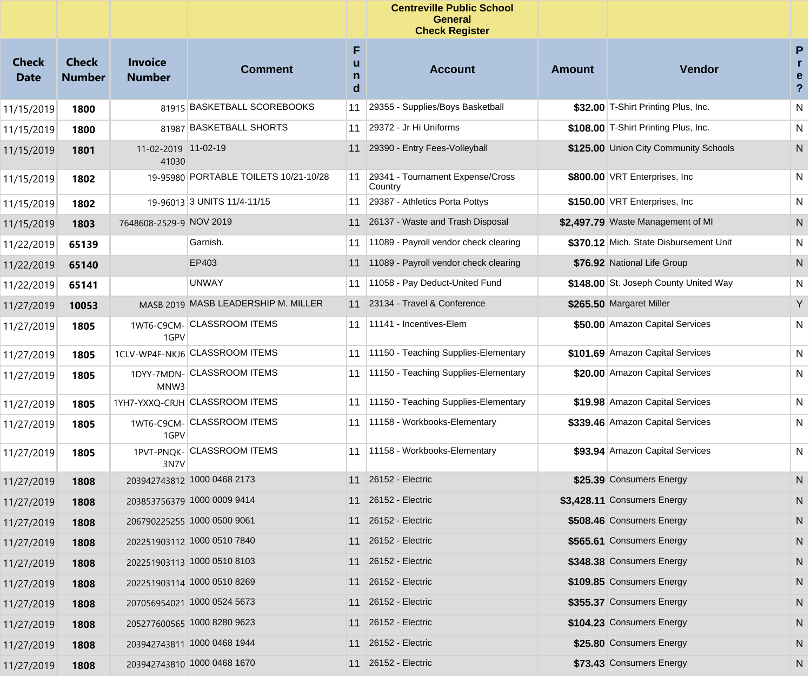|                      |                               |                                 |                                       |                  | <b>Centreville Public School</b><br><b>General</b><br><b>Check Register</b> |               |                                        |                                                   |  |
|----------------------|-------------------------------|---------------------------------|---------------------------------------|------------------|-----------------------------------------------------------------------------|---------------|----------------------------------------|---------------------------------------------------|--|
| Check<br><b>Date</b> | <b>Check</b><br><b>Number</b> | <b>Invoice</b><br><b>Number</b> | <b>Comment</b>                        | F<br>u<br>n<br>d | <b>Account</b>                                                              | <b>Amount</b> | <b>Vendor</b>                          | P<br>$\mathbf{r}$<br>e<br>$\overline{\mathbf{?}}$ |  |
| 11/15/2019           | 1800                          |                                 | 81915 BASKETBALL SCOREBOOKS           | 11               | 29355 - Supplies/Boys Basketball                                            |               | \$32.00 T-Shirt Printing Plus, Inc.    | N                                                 |  |
| 11/15/2019           | 1800                          |                                 | 81987 BASKETBALL SHORTS               | 11               | 29372 - Jr Hi Uniforms                                                      |               | \$108.00 T-Shirt Printing Plus, Inc.   | N                                                 |  |
| 11/15/2019           | 1801                          | 11-02-2019 11-02-19<br>41030    |                                       | 11               | 29390 - Entry Fees-Volleyball                                               |               | \$125.00 Union City Community Schools  | N                                                 |  |
| 11/15/2019           | 1802                          |                                 | 19-95980 PORTABLE TOILETS 10/21-10/28 | 11               | 29341 - Tournament Expense/Cross<br>Country                                 |               | \$800.00 VRT Enterprises, Inc.         | N                                                 |  |
| 11/15/2019           | 1802                          |                                 | 19-96013 3 UNITS 11/4-11/15           | 11               | 29387 - Athletics Porta Pottys                                              |               | \$150.00 VRT Enterprises, Inc.         | N                                                 |  |
| 11/15/2019           | 1803                          | 7648608-2529-9 NOV 2019         |                                       |                  | 11 26137 - Waste and Trash Disposal                                         |               | \$2,497.79 Waste Management of MI      | N                                                 |  |
| 11/22/2019           | 65139                         |                                 | Garnish.                              | 11               | 11089 - Payroll vendor check clearing                                       |               | \$370.12 Mich. State Disbursement Unit | N                                                 |  |
| 11/22/2019           | 65140                         |                                 | EP403                                 | 11               | 11089 - Payroll vendor check clearing                                       |               | \$76.92 National Life Group            | N                                                 |  |
| 11/22/2019           | 65141                         |                                 | <b>UNWAY</b>                          | 11               | 11058 - Pay Deduct-United Fund                                              |               | \$148.00 St. Joseph County United Way  | N                                                 |  |
| 11/27/2019           | 10053                         |                                 | MASB 2019 MASB LEADERSHIP M. MILLER   |                  | 11 23134 - Travel & Conference                                              |               | \$265.50 Margaret Miller               | Y                                                 |  |
| 11/27/2019           | 1805                          | 1GPV                            | 1WT6-C9CM-CLASSROOM ITEMS             | 11               | 11141 - Incentives-Elem                                                     |               | \$50.00 Amazon Capital Services        | N                                                 |  |
| 11/27/2019           | 1805                          |                                 | 1CLV-WP4F-NKJ6 CLASSROOM ITEMS        | 11               | 11150 - Teaching Supplies-Elementary                                        |               | \$101.69 Amazon Capital Services       | N                                                 |  |
| 11/27/2019           | 1805                          | MNW3                            | 1DYY-7MDN- CLASSROOM ITEMS            | 11               | 11150 - Teaching Supplies-Elementary                                        |               | \$20.00 Amazon Capital Services        | N                                                 |  |
| 11/27/2019           | 1805                          |                                 | 1YH7-YXXQ-CRJH CLASSROOM ITEMS        | 11               | 11150 - Teaching Supplies-Elementary                                        |               | \$19.98 Amazon Capital Services        | N                                                 |  |
| 11/27/2019           | 1805                          | 1GPV                            | 1WT6-C9CM- CLASSROOM ITEMS            | 11               | 11158 - Workbooks-Elementary                                                |               | \$339.46 Amazon Capital Services       | N                                                 |  |
| 11/27/2019           | 1805                          | 3N7V                            | 1PVT-PNQK- CLASSROOM ITEMS            | 11               | 11158 - Workbooks-Elementary                                                |               | \$93.94 Amazon Capital Services        | N                                                 |  |
| 11/27/2019           | 1808                          |                                 | 203942743812 1000 0468 2173           |                  | 11 26152 - Electric                                                         |               | \$25.39 Consumers Energy               | N                                                 |  |
| 11/27/2019           | 1808                          |                                 | 203853756379 1000 0009 9414           |                  | 11 26152 - Electric                                                         |               | \$3,428.11 Consumers Energy            | N                                                 |  |
| 11/27/2019           | 1808                          |                                 | 206790225255 1000 0500 9061           |                  | 11 26152 - Electric                                                         |               | \$508.46 Consumers Energy              | N                                                 |  |
| 11/27/2019           | 1808                          |                                 | 202251903112 1000 0510 7840           |                  | 11 26152 - Electric                                                         |               | \$565.61 Consumers Energy              | N                                                 |  |
| 11/27/2019           | 1808                          |                                 | 202251903113 1000 0510 8103           |                  | 11 26152 - Electric                                                         |               | \$348.38 Consumers Energy              | N                                                 |  |
| 11/27/2019           | 1808                          |                                 | 202251903114 1000 0510 8269           |                  | 11 26152 - Electric                                                         |               | \$109.85 Consumers Energy              | N                                                 |  |
| 11/27/2019           | 1808                          |                                 | 207056954021 1000 0524 5673           |                  | 11 26152 - Electric                                                         |               | \$355.37 Consumers Energy              | N                                                 |  |
| 11/27/2019           | 1808                          |                                 | 205277600565 1000 8280 9623           |                  | 11 26152 - Electric                                                         |               | \$104.23 Consumers Energy              | N                                                 |  |
| 11/27/2019           | 1808                          |                                 | 203942743811 1000 0468 1944           |                  | 11 26152 - Electric                                                         |               | \$25.80 Consumers Energy               | N                                                 |  |
| 11/27/2019           | 1808                          |                                 | 203942743810 1000 0468 1670           |                  | 11 26152 - Electric                                                         |               | \$73.43 Consumers Energy               | N                                                 |  |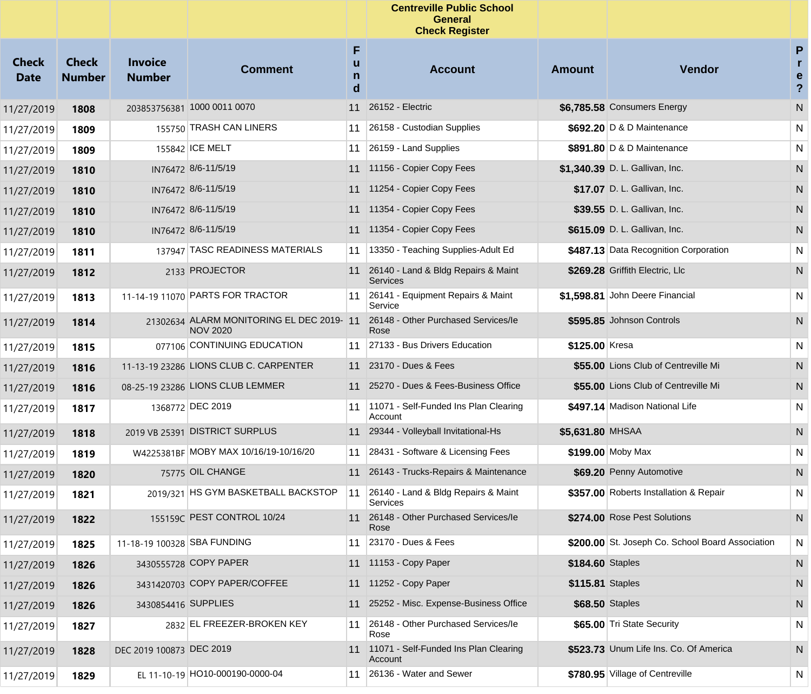|                             |                               |                                 |                                                             |                  | <b>Centreville Public School</b><br><b>General</b><br><b>Check Register</b> |                  |                                                  |                                     |
|-----------------------------|-------------------------------|---------------------------------|-------------------------------------------------------------|------------------|-----------------------------------------------------------------------------|------------------|--------------------------------------------------|-------------------------------------|
| <b>Check</b><br><b>Date</b> | <b>Check</b><br><b>Number</b> | <b>Invoice</b><br><b>Number</b> | <b>Comment</b>                                              | F<br>u<br>n<br>d | <b>Account</b>                                                              | <b>Amount</b>    | <b>Vendor</b>                                    | P<br>r<br>e<br>$\ddot{\phantom{0}}$ |
| 11/27/2019                  | 1808                          |                                 | 203853756381 1000 0011 0070                                 |                  | 11 26152 - Electric                                                         |                  | \$6,785.58 Consumers Energy                      | N                                   |
| 11/27/2019                  | 1809                          |                                 | 155750 TRASH CAN LINERS                                     | 11               | 26158 - Custodian Supplies                                                  |                  | \$692.20 D & D Maintenance                       | N                                   |
| 11/27/2019                  | 1809                          |                                 | 155842 ICE MELT                                             |                  | 11 $\left  \frac{26159}{26100} \right $ Land Supplies                       |                  | \$891.80 D & D Maintenance                       | N                                   |
| 11/27/2019                  | 1810                          |                                 | IN76472 8/6-11/5/19                                         |                  | 11 11156 - Copier Copy Fees                                                 |                  | \$1,340.39 D. L. Gallivan, Inc.                  | N                                   |
| 11/27/2019                  | 1810                          |                                 | IN76472 8/6-11/5/19                                         |                  | 11 11254 - Copier Copy Fees                                                 |                  | \$17.07 D. L. Gallivan, Inc.                     | N                                   |
| 11/27/2019                  | 1810                          |                                 | IN76472 8/6-11/5/19                                         |                  | 11 11354 - Copier Copy Fees                                                 |                  | \$39.55 D. L. Gallivan, Inc.                     | N                                   |
| 11/27/2019                  | 1810                          |                                 | IN76472 8/6-11/5/19                                         |                  | 11 11354 - Copier Copy Fees                                                 |                  | \$615.09 D. L. Gallivan, Inc.                    | N                                   |
| 11/27/2019                  | 1811                          |                                 | 137947 TASC READINESS MATERIALS                             | 11               | 13350 - Teaching Supplies-Adult Ed                                          |                  | \$487.13 Data Recognition Corporation            | N                                   |
| 11/27/2019                  | 1812                          |                                 | 2133 PROJECTOR                                              |                  | 11 26140 - Land & Bldg Repairs & Maint<br><b>Services</b>                   |                  | \$269.28 Griffith Electric, Llc                  | N                                   |
| 11/27/2019                  | 1813                          |                                 | 11-14-19 11070 PARTS FOR TRACTOR                            | 11               | 26141 - Equipment Repairs & Maint<br>Service                                |                  | \$1,598.81 John Deere Financial                  | $\mathsf{N}$                        |
| 11/27/2019                  | 1814                          |                                 | 21302634 ALARM MONITORING EL DEC 2019-11<br><b>NOV 2020</b> |                  | 26148 - Other Purchased Services/le<br>Rose                                 |                  | \$595.85 Johnson Controls                        | ${\sf N}$                           |
| 11/27/2019                  | 1815                          |                                 | 077106 CONTINUING EDUCATION                                 |                  | 11 27133 - Bus Drivers Education                                            | \$125.00 Kresa   |                                                  | N                                   |
| 11/27/2019                  | 1816                          |                                 | 11-13-19 23286 LIONS CLUB C. CARPENTER                      |                  | 11 23170 - Dues & Fees                                                      |                  | \$55.00 Lions Club of Centreville Mi             | ${\sf N}$                           |
| 11/27/2019                  | 1816                          |                                 | 08-25-19 23286 LIONS CLUB LEMMER                            |                  | 11 25270 - Dues & Fees-Business Office                                      |                  | \$55.00 Lions Club of Centreville Mi             | N                                   |
| 11/27/2019                  | 1817                          |                                 | 1368772 DEC 2019                                            | 11               | 11071 - Self-Funded Ins Plan Clearing<br>Account                            |                  | \$497.14 Madison National Life                   | N                                   |
| 11/27/2019                  | 1818                          |                                 | 2019 VB 25391 DISTRICT SURPLUS                              | 11               | 29344 - Volleyball Invitational-Hs                                          | \$5,631.80 MHSAA |                                                  | N                                   |
| 11/27/2019                  | 1819                          |                                 | W4225381BF MOBY MAX 10/16/19-10/16/20                       | 11               | 28431 - Software & Licensing Fees                                           |                  | \$199.00 Moby Max                                | N                                   |
| 11/27/2019                  | 1820                          |                                 | 75775 OIL CHANGE                                            | 11               | 26143 - Trucks-Repairs & Maintenance                                        |                  | \$69.20 Penny Automotive                         | N                                   |
| 11/27/2019                  | 1821                          |                                 | 2019/321 HS GYM BASKETBALL BACKSTOP                         | 11               | 26140 - Land & Bldg Repairs & Maint<br><b>Services</b>                      |                  | \$357.00 Roberts Installation & Repair           | N                                   |
| 11/27/2019                  | 1822                          |                                 | 155159C PEST CONTROL 10/24                                  |                  | 11 26148 - Other Purchased Services/le<br>Rose                              |                  | \$274.00 Rose Pest Solutions                     | N                                   |
| 11/27/2019                  | 1825                          | 11-18-19 100328 SBA FUNDING     |                                                             |                  | 11 23170 - Dues & Fees                                                      |                  | \$200.00 St. Joseph Co. School Board Association | N                                   |
| 11/27/2019                  | 1826                          |                                 | 3430555728 COPY PAPER                                       |                  | 11 11153 - Copy Paper                                                       | \$184.60 Staples |                                                  | N                                   |
| 11/27/2019                  | 1826                          |                                 | 3431420703 COPY PAPER/COFFEE                                |                  | 11 11252 - Copy Paper                                                       | \$115.81 Staples |                                                  | N                                   |
| 11/27/2019                  | 1826                          | 3430854416 SUPPLIES             |                                                             |                  | 11 25252 - Misc. Expense-Business Office                                    | \$68.50 Staples  |                                                  | N                                   |
| 11/27/2019                  | 1827                          |                                 | 2832 EL FREEZER-BROKEN KEY                                  | 11               | 26148 - Other Purchased Services/le<br>Rose                                 |                  | \$65.00 Tri State Security                       | N                                   |
| 11/27/2019                  | 1828                          | DEC 2019 100873 DEC 2019        |                                                             |                  | 11 11071 - Self-Funded Ins Plan Clearing<br>Account                         |                  | \$523.73 Unum Life Ins. Co. Of America           | N.                                  |
| 11/27/2019                  | 1829                          |                                 | EL 11-10-19 HO10-000190-0000-04                             | 11               | 26136 - Water and Sewer                                                     |                  | \$780.95 Village of Centreville                  | N                                   |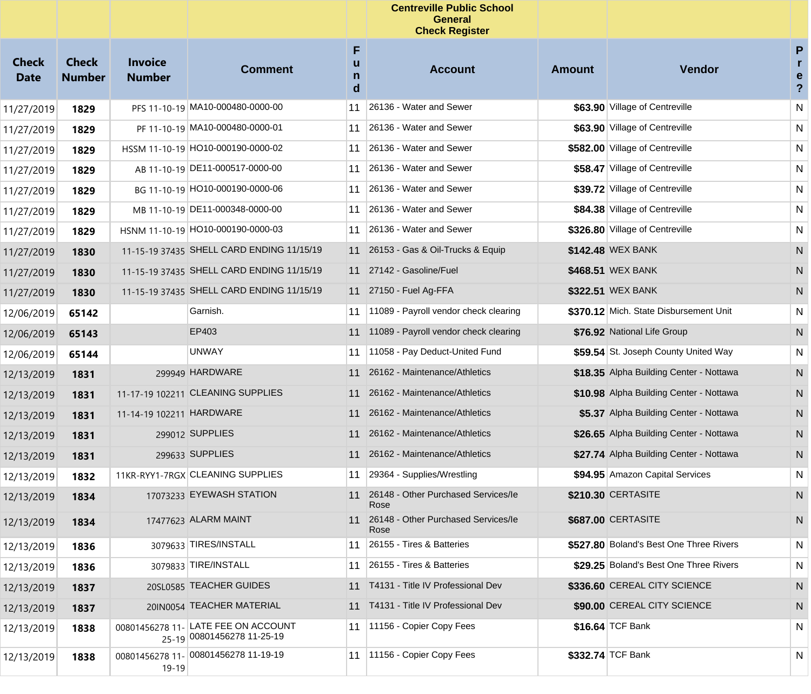|                             |                               |                                 |                                                                   |                  | <b>Centreville Public School</b><br><b>General</b><br><b>Check Register</b> |               |                                         |                                        |
|-----------------------------|-------------------------------|---------------------------------|-------------------------------------------------------------------|------------------|-----------------------------------------------------------------------------|---------------|-----------------------------------------|----------------------------------------|
| <b>Check</b><br><b>Date</b> | <b>Check</b><br><b>Number</b> | <b>Invoice</b><br><b>Number</b> | <b>Comment</b>                                                    | F<br>u<br>n<br>d | <b>Account</b>                                                              | <b>Amount</b> | Vendor                                  | P<br>r<br>e<br>$\overline{\mathbf{?}}$ |
| 11/27/2019                  | 1829                          |                                 | PFS 11-10-19 MA10-000480-0000-00                                  | 11               | 26136 - Water and Sewer                                                     |               | \$63.90 Village of Centreville          | ${\sf N}$                              |
| 11/27/2019                  | 1829                          |                                 | PF 11-10-19 MA10-000480-0000-01                                   | 11               | 26136 - Water and Sewer                                                     |               | \$63.90 Village of Centreville          | $\mathsf{N}$                           |
| 11/27/2019                  | 1829                          |                                 | HSSM 11-10-19 HO10-000190-0000-02                                 | 11               | 26136 - Water and Sewer                                                     |               | \$582.00 Village of Centreville         | $\mathsf{N}$                           |
| 11/27/2019                  | 1829                          |                                 | AB 11-10-19 DE11-000517-0000-00                                   | 11               | 26136 - Water and Sewer                                                     |               | \$58.47 Village of Centreville          | ${\sf N}$                              |
| 11/27/2019                  | 1829                          |                                 | BG 11-10-19 HO10-000190-0000-06                                   | 11               | 26136 - Water and Sewer                                                     |               | \$39.72 Village of Centreville          | ${\sf N}$                              |
| 11/27/2019                  | 1829                          |                                 | MB 11-10-19 DE11-000348-0000-00                                   | 11               | 26136 - Water and Sewer                                                     |               | \$84.38 Village of Centreville          | $\mathsf{N}$                           |
| 11/27/2019                  | 1829                          |                                 | HSNM 11-10-19 HO10-000190-0000-03                                 | 11               | 26136 - Water and Sewer                                                     |               | \$326.80 Village of Centreville         | $\mathsf{N}$                           |
| 11/27/2019                  | 1830                          |                                 | 11-15-19 37435 SHELL CARD ENDING 11/15/19                         |                  | 11 26153 - Gas & Oil-Trucks & Equip                                         |               | \$142.48 WEX BANK                       | ${\sf N}$                              |
| 11/27/2019                  | 1830                          |                                 | 11-15-19 37435 SHELL CARD ENDING 11/15/19                         |                  | 11 27142 - Gasoline/Fuel                                                    |               | \$468.51 WEX BANK                       | N                                      |
| 11/27/2019                  | 1830                          |                                 | 11-15-19 37435 SHELL CARD ENDING 11/15/19                         |                  | 11 27150 - Fuel Ag-FFA                                                      |               | \$322.51 WEX BANK                       | N                                      |
| 12/06/2019                  | 65142                         |                                 | Garnish.                                                          | 11               | 11089 - Payroll vendor check clearing                                       |               | \$370.12 Mich. State Disbursement Unit  | ${\sf N}$                              |
| 12/06/2019                  | 65143                         |                                 | EP403                                                             | 11               | 11089 - Payroll vendor check clearing                                       |               | \$76.92 National Life Group             | N                                      |
| 12/06/2019                  | 65144                         |                                 | <b>UNWAY</b>                                                      | 11               | 11058 - Pay Deduct-United Fund                                              |               | \$59.54 St. Joseph County United Way    | ${\sf N}$                              |
| 12/13/2019                  | 1831                          |                                 | 299949 HARDWARE                                                   | 11               | 26162 - Maintenance/Athletics                                               |               | \$18.35 Alpha Building Center - Nottawa | ${\sf N}$                              |
| 12/13/2019                  | 1831                          |                                 | 11-17-19 102211 CLEANING SUPPLIES                                 | 11               | 26162 - Maintenance/Athletics                                               |               | \$10.98 Alpha Building Center - Nottawa | N                                      |
| 12/13/2019                  | 1831                          | 11-14-19 102211 HARDWARE        |                                                                   | 11               | 26162 - Maintenance/Athletics                                               |               | \$5.37 Alpha Building Center - Nottawa  | N                                      |
| 12/13/2019                  | 1831                          |                                 | 299012 SUPPLIES                                                   | 11               | 26162 - Maintenance/Athletics                                               |               | \$26.65 Alpha Building Center - Nottawa | N                                      |
| 12/13/2019                  | 1831                          |                                 | 299633 SUPPLIES                                                   | 11               | 26162 - Maintenance/Athletics                                               |               | \$27.74 Alpha Building Center - Nottawa | N                                      |
| 12/13/2019                  | 1832                          |                                 | 11KR-RYY1-7RGX CLEANING SUPPLIES                                  | 11               | 29364 - Supplies/Wrestling                                                  |               | \$94.95 Amazon Capital Services         | N                                      |
| 12/13/2019                  | 1834                          |                                 | 17073233 EYEWASH STATION                                          | 11               | 26148 - Other Purchased Services/le<br>Rose                                 |               | \$210.30 CERTASITE                      | N                                      |
| 12/13/2019                  | 1834                          |                                 | 17477623 ALARM MAINT                                              |                  | 11 26148 - Other Purchased Services/le<br>Rose                              |               | \$687.00 CERTASITE                      | N                                      |
| 12/13/2019                  | 1836                          |                                 | 3079633 TIRES/INSTALL                                             | 11               | 26155 - Tires & Batteries                                                   |               | \$527.80 Boland's Best One Three Rivers | N                                      |
| 12/13/2019                  | 1836                          |                                 | 3079833 TIRE/INSTALL                                              | 11               | 26155 - Tires & Batteries                                                   |               | \$29.25 Boland's Best One Three Rivers  | N                                      |
| 12/13/2019                  | 1837                          |                                 | 20SL0585 TEACHER GUIDES                                           | 11               | T4131 - Title IV Professional Dev                                           |               | \$336.60 CEREAL CITY SCIENCE            | N                                      |
| 12/13/2019                  | 1837                          |                                 | 20IN0054 TEACHER MATERIAL                                         |                  | 11 T4131 - Title IV Professional Dev                                        |               | \$90.00 CEREAL CITY SCIENCE             | N                                      |
| 12/13/2019                  | 1838                          |                                 | 00801456278 11- LATE FEE ON ACCOUNT<br>25-19 00801456278 11-25-19 | 11               | 11156 - Copier Copy Fees                                                    |               | \$16.64 TCF Bank                        | N                                      |
| 12/13/2019                  | 1838                          | 00801456278 11-<br>$19 - 19$    | 00801456278 11-19-19                                              | 11               | 11156 - Copier Copy Fees                                                    |               | \$332.74 TCF Bank                       | N.                                     |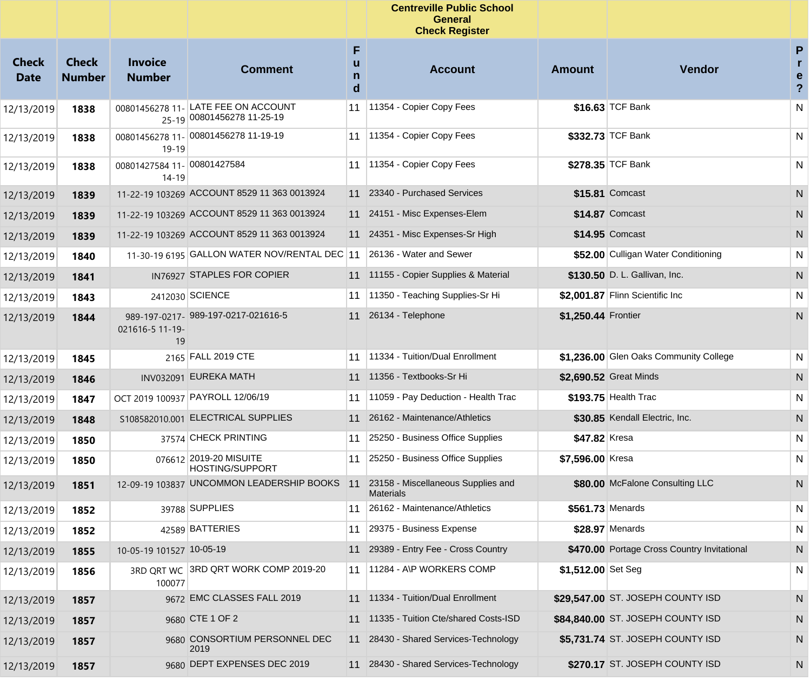|                             |                               |                                      |                                                   |                  | <b>Centreville Public School</b><br><b>General</b><br><b>Check Register</b> |                     |                                             |                                     |
|-----------------------------|-------------------------------|--------------------------------------|---------------------------------------------------|------------------|-----------------------------------------------------------------------------|---------------------|---------------------------------------------|-------------------------------------|
| <b>Check</b><br><b>Date</b> | <b>Check</b><br><b>Number</b> | <b>Invoice</b><br><b>Number</b>      | <b>Comment</b>                                    | F<br>u<br>n<br>d | <b>Account</b>                                                              | <b>Amount</b>       | Vendor                                      | P<br>r<br>e<br>$\ddot{\phantom{0}}$ |
| 12/13/2019                  | 1838                          | 00801456278 11-                      | LATE FEE ON ACCOUNT<br>25-19 00801456278 11-25-19 | 11               | 11354 - Copier Copy Fees                                                    |                     | \$16.63 TCF Bank                            | N                                   |
| 12/13/2019                  | 1838                          | 00801456278 11-<br>19-19             | 00801456278 11-19-19                              | 11               | 11354 - Copier Copy Fees                                                    |                     | \$332.73 TCF Bank                           | N                                   |
| 12/13/2019                  | 1838                          | 00801427584 11- 00801427584<br>14-19 |                                                   | 11               | 11354 - Copier Copy Fees                                                    |                     | \$278.35 TCF Bank                           | N                                   |
| 12/13/2019                  | 1839                          |                                      | 11-22-19 103269 ACCOUNT 8529 11 363 0013924       |                  | 11 23340 - Purchased Services                                               |                     | \$15.81 Comcast                             | N                                   |
| 12/13/2019                  | 1839                          |                                      | 11-22-19 103269 ACCOUNT 8529 11 363 0013924       |                  | 11 24151 - Misc Expenses-Elem                                               |                     | \$14.87 Comcast                             | N                                   |
| 12/13/2019                  | 1839                          |                                      | 11-22-19 103269 ACCOUNT 8529 11 363 0013924       |                  | 11 24351 - Misc Expenses-Sr High                                            |                     | \$14.95 Comcast                             | N                                   |
| 12/13/2019                  | 1840                          |                                      | 11-30-19 6195 GALLON WATER NOV/RENTAL DEC 11      |                  | 26136 - Water and Sewer                                                     |                     | \$52.00 Culligan Water Conditioning         | N                                   |
| 12/13/2019                  | 1841                          |                                      | IN76927 STAPLES FOR COPIER                        |                  | 11 11155 - Copier Supplies & Material                                       |                     | \$130.50 D. L. Gallivan, Inc.               | N                                   |
| 12/13/2019                  | 1843                          |                                      | 2412030 SCIENCE                                   | 11               | 11350 - Teaching Supplies-Sr Hi                                             |                     | \$2.001.87 Flinn Scientific Inc             | N                                   |
| 12/13/2019                  | 1844                          | 021616-5 11-19-<br>19                | 989-197-0217- 989-197-0217-021616-5               |                  | 11 26134 - Telephone                                                        | \$1,250.44 Frontier |                                             | N                                   |
| 12/13/2019                  | 1845                          |                                      | 2165 FALL 2019 CTE                                | 11               | 11334 - Tuition/Dual Enrollment                                             |                     | \$1,236.00 Glen Oaks Community College      | N                                   |
| 12/13/2019                  | 1846                          |                                      | INV032091 EUREKA MATH                             |                  | 11 11356 - Textbooks-Sr Hi                                                  |                     | \$2,690.52 Great Minds                      | N                                   |
| 12/13/2019                  | 1847                          |                                      | OCT 2019 100937 PAYROLL 12/06/19                  | 11               | 11059 - Pay Deduction - Health Trac                                         |                     | \$193.75 Health Trac                        | N                                   |
| 12/13/2019                  | 1848                          |                                      | S108582010.001 ELECTRICAL SUPPLIES                |                  | 11 26162 - Maintenance/Athletics                                            |                     | \$30.85 Kendall Electric, Inc.              | N                                   |
| 12/13/2019                  | 1850                          |                                      | 37574 CHECK PRINTING                              | 11               | 25250 - Business Office Supplies                                            | \$47.82 Kresa       |                                             | N                                   |
| 12/13/2019                  | 1850                          |                                      | 076612 2019-20 MISUITE<br><b>HOSTING/SUPPORT</b>  | 11               | 25250 - Business Office Supplies                                            | \$7,596.00 Kresa    |                                             | N                                   |
| 12/13/2019                  | 1851                          |                                      | 12-09-19 103837 UNCOMMON LEADERSHIP BOOKS         | 11               | 23158 - Miscellaneous Supplies and<br><b>Materials</b>                      |                     | \$80.00 McFalone Consulting LLC             | N                                   |
| 12/13/2019                  | 1852                          |                                      | 39788 SUPPLIES                                    |                  | 11 26162 - Maintenance/Athletics                                            | \$561.73 Menards    |                                             | N                                   |
| 12/13/2019                  | 1852                          |                                      | 42589 BATTERIES                                   |                  | 11 29375 - Business Expense                                                 |                     | \$28.97 Menards                             | N                                   |
| 12/13/2019                  | 1855                          | 10-05-19 101527 10-05-19             |                                                   | 11               | 29389 - Entry Fee - Cross Country                                           |                     | \$470.00 Portage Cross Country Invitational | ${\sf N}$                           |
| 12/13/2019                  | 1856                          | 100077                               | 3RD QRT WC 3RD QRT WORK COMP 2019-20              | 11               | 11284 - A\P WORKERS COMP                                                    | \$1,512.00 Set Seg  |                                             | $\mathsf{N}$                        |
| 12/13/2019                  | 1857                          |                                      | 9672 EMC CLASSES FALL 2019                        |                  | 11 11334 - Tuition/Dual Enrollment                                          |                     | \$29,547.00 ST. JOSEPH COUNTY ISD           | N                                   |
| 12/13/2019                  | 1857                          |                                      | 9680 CTE 1 OF 2                                   |                  | 11 11335 - Tuition Cte/shared Costs-ISD                                     |                     | \$84,840.00 ST. JOSEPH COUNTY ISD           | N                                   |
| 12/13/2019                  | 1857                          |                                      | 9680 CONSORTIUM PERSONNEL DEC<br>2019             |                  | 11 28430 - Shared Services-Technology                                       |                     | \$5,731.74 ST. JOSEPH COUNTY ISD            | N                                   |
| 12/13/2019                  | 1857                          |                                      | 9680 DEPT EXPENSES DEC 2019                       |                  | 11 28430 - Shared Services-Technology                                       |                     | \$270.17 ST. JOSEPH COUNTY ISD              | N                                   |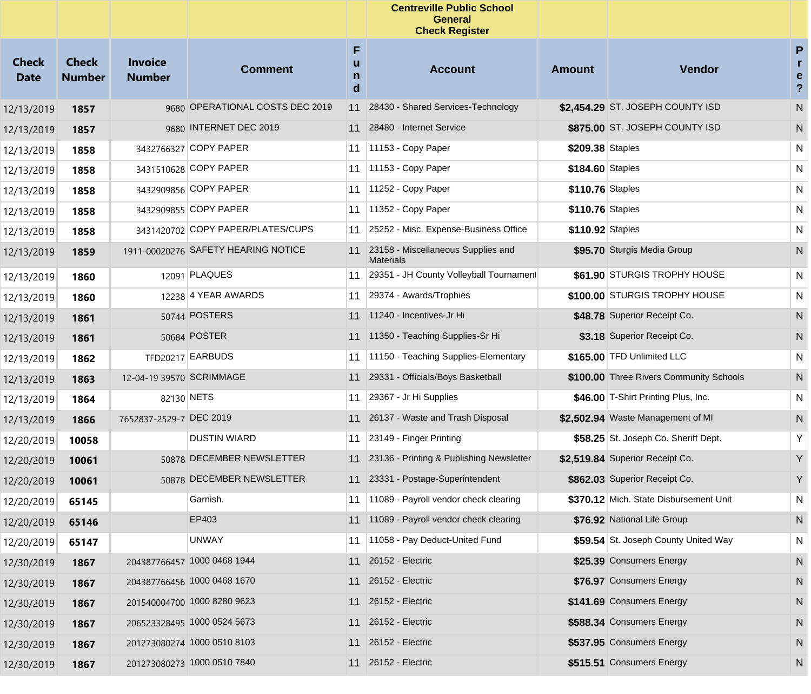|                             |                               |                                 |                                     |                  | <b>Centreville Public School</b><br><b>General</b><br><b>Check Register</b> |                  |                                         |                                                                                       |
|-----------------------------|-------------------------------|---------------------------------|-------------------------------------|------------------|-----------------------------------------------------------------------------|------------------|-----------------------------------------|---------------------------------------------------------------------------------------|
| <b>Check</b><br><b>Date</b> | <b>Check</b><br><b>Number</b> | <b>Invoice</b><br><b>Number</b> | <b>Comment</b>                      | F<br>u<br>n<br>d | <b>Account</b>                                                              | Amount           | <b>Vendor</b>                           | $\boldsymbol{\mathsf{P}}$<br>$\mathbf{r}$<br>$\mathbf e$<br>$\boldsymbol{\mathsf{?}}$ |
| 12/13/2019                  | 1857                          |                                 | 9680 OPERATIONAL COSTS DEC 2019     | 11               | 28430 - Shared Services-Technology                                          |                  | \$2.454.29 ST. JOSEPH COUNTY ISD        | ${\sf N}$                                                                             |
| 12/13/2019                  | 1857                          |                                 | 9680 INTERNET DEC 2019              | 11               | 28480 - Internet Service                                                    |                  | \$875.00 ST. JOSEPH COUNTY ISD          | N                                                                                     |
| 12/13/2019                  | 1858                          |                                 | 3432766327 COPY PAPER               | 11               | 11153 - Copy Paper                                                          | \$209.38 Staples |                                         | N                                                                                     |
| 12/13/2019                  | 1858                          |                                 | 3431510628 COPY PAPER               | 11               | 11153 - Copy Paper                                                          | \$184.60 Staples |                                         | N                                                                                     |
| 12/13/2019                  | 1858                          |                                 | 3432909856 COPY PAPER               | 11               | 11252 - Copy Paper                                                          | \$110.76 Staples |                                         | N                                                                                     |
| 12/13/2019                  | 1858                          |                                 | 3432909855 COPY PAPER               | 11               | 11352 - Copy Paper                                                          | \$110.76 Staples |                                         | N                                                                                     |
| 12/13/2019                  | 1858                          |                                 | 3431420702 COPY PAPER/PLATES/CUPS   | 11               | 25252 - Misc. Expense-Business Office                                       | \$110.92 Staples |                                         | N                                                                                     |
| 12/13/2019                  | 1859                          |                                 | 1911-00020276 SAFETY HEARING NOTICE | 11               | 23158 - Miscellaneous Supplies and<br><b>Materials</b>                      |                  | \$95.70 Sturgis Media Group             | N                                                                                     |
| 12/13/2019                  | 1860                          |                                 | 12091 PLAQUES                       | 11               | 29351 - JH County Volleyball Tournament                                     |                  | \$61.90 STURGIS TROPHY HOUSE            | N                                                                                     |
| 12/13/2019                  | 1860                          |                                 | 12238 4 YEAR AWARDS                 | 11               | 29374 - Awards/Trophies                                                     |                  | \$100.00 STURGIS TROPHY HOUSE           | N                                                                                     |
| 12/13/2019                  | 1861                          |                                 | 50744 POSTERS                       |                  | 11 11240 - Incentives-Jr Hi                                                 |                  | \$48.78 Superior Receipt Co.            | N                                                                                     |
| 12/13/2019                  | 1861                          |                                 | 50684 POSTER                        |                  | 11 11350 - Teaching Supplies-Sr Hi                                          |                  | \$3.18 Superior Receipt Co.             | N                                                                                     |
| 12/13/2019                  | 1862                          |                                 | TFD20217 EARBUDS                    | 11               | 11150 - Teaching Supplies-Elementary                                        |                  | \$165.00 TFD Unlimited LLC              | ${\sf N}$                                                                             |
| 12/13/2019                  | 1863                          | 12-04-19 39570 SCRIMMAGE        |                                     | 11               | 29331 - Officials/Boys Basketball                                           |                  | \$100.00 Three Rivers Community Schools | N                                                                                     |
| 12/13/2019                  | 1864                          |                                 | 82130 NETS                          | 11               | 29367 - Jr Hi Supplies                                                      |                  | \$46.00 T-Shirt Printing Plus, Inc.     | ${\sf N}$                                                                             |
| 12/13/2019                  | 1866                          | 7652837-2529-7 DEC 2019         |                                     |                  | 11 26137 - Waste and Trash Disposal                                         |                  | \$2,502.94 Waste Management of MI       | N                                                                                     |
| 12/20/2019                  | 10058                         |                                 | <b>DUSTIN WIARD</b>                 | 11               | 23149 - Finger Printing                                                     |                  | \$58.25 St. Joseph Co. Sheriff Dept.    | Y                                                                                     |
| 12/20/2019                  | 10061                         |                                 | 50878 DECEMBER NEWSLETTER           |                  | 11 23136 - Printing & Publishing Newsletter                                 |                  | \$2,519.84 Superior Receipt Co.         | Y                                                                                     |
| 12/20/2019                  | 10061                         |                                 | 50878 DECEMBER NEWSLETTER           |                  | 11 23331 - Postage-Superintendent                                           |                  | \$862.03 Superior Receipt Co.           | Y                                                                                     |
| 12/20/2019                  | 65145                         |                                 | Garnish.                            | 11               | 11089 - Payroll vendor check clearing                                       |                  | \$370.12 Mich. State Disbursement Unit  | N                                                                                     |
| 12/20/2019                  | 65146                         |                                 | EP403                               |                  | 11 11089 - Payroll vendor check clearing                                    |                  | \$76.92 National Life Group             | N                                                                                     |
| 12/20/2019                  | 65147                         |                                 | <b>UNWAY</b>                        |                  | 11 11058 - Pay Deduct-United Fund                                           |                  | \$59.54 St. Joseph County United Way    | ${\sf N}$                                                                             |
| 12/30/2019                  | 1867                          |                                 | 204387766457 1000 0468 1944         |                  | 11 26152 - Electric                                                         |                  | \$25.39 Consumers Energy                | N                                                                                     |
| 12/30/2019                  | 1867                          |                                 | 204387766456 1000 0468 1670         |                  | 11 26152 - Electric                                                         |                  | \$76.97 Consumers Energy                | N                                                                                     |
| 12/30/2019                  | 1867                          |                                 | 201540004700 1000 8280 9623         |                  | 11 26152 - Electric                                                         |                  | \$141.69 Consumers Energy               | N                                                                                     |
| 12/30/2019                  | 1867                          |                                 | 206523328495 1000 0524 5673         |                  | 11 26152 - Electric                                                         |                  | \$588.34 Consumers Energy               | N                                                                                     |
| 12/30/2019                  | 1867                          |                                 | 201273080274 1000 0510 8103         |                  | 11 26152 - Electric                                                         |                  | \$537.95 Consumers Energy               | N                                                                                     |
| 12/30/2019                  | 1867                          |                                 | 201273080273 1000 0510 7840         |                  | 11 26152 - Electric                                                         |                  | \$515.51 Consumers Energy               | N                                                                                     |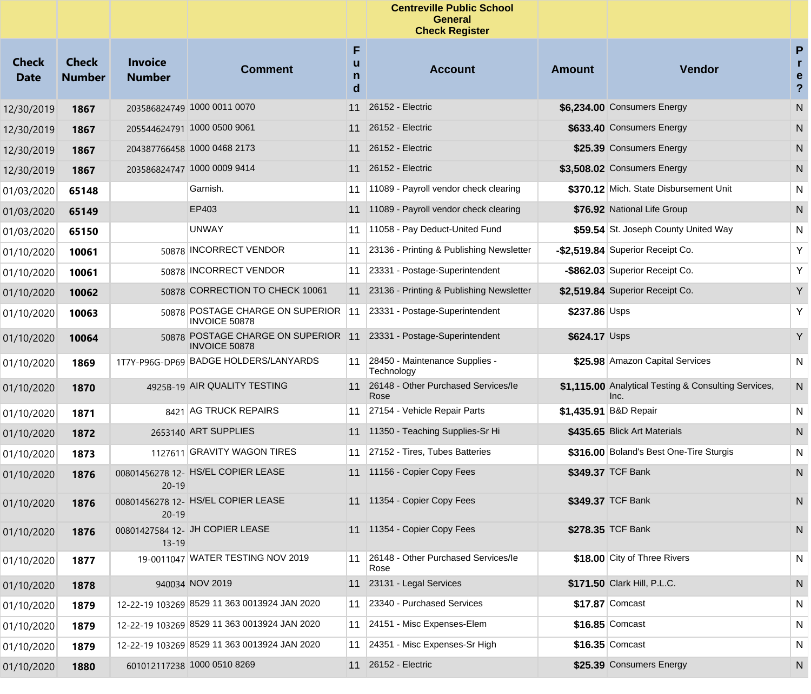|                             |                               |                                 |                                                                                            |                  | <b>Centreville Public School</b><br>General<br><b>Check Register</b> |               |                                                              |                                 |
|-----------------------------|-------------------------------|---------------------------------|--------------------------------------------------------------------------------------------|------------------|----------------------------------------------------------------------|---------------|--------------------------------------------------------------|---------------------------------|
| <b>Check</b><br><b>Date</b> | <b>Check</b><br><b>Number</b> | <b>Invoice</b><br><b>Number</b> | <b>Comment</b>                                                                             | F<br>u<br>n<br>d | <b>Account</b>                                                       | <b>Amount</b> | <b>Vendor</b>                                                | P<br>r<br>e<br>$\boldsymbol{?}$ |
| 12/30/2019                  | 1867                          |                                 | 203586824749 1000 0011 0070                                                                | 11               | 26152 - Electric                                                     |               | \$6,234.00 Consumers Energy                                  | ${\sf N}$                       |
| 12/30/2019                  | 1867                          |                                 | 205544624791 1000 0500 9061                                                                | 11               | 26152 - Electric                                                     |               | \$633.40 Consumers Energy                                    | N                               |
| 12/30/2019                  | 1867                          |                                 | 204387766458 1000 0468 2173                                                                | 11               | 26152 - Electric                                                     |               | \$25.39 Consumers Energy                                     | N                               |
| 12/30/2019                  | 1867                          |                                 | 203586824747 1000 0009 9414                                                                | 11               | 26152 - Electric                                                     |               | \$3,508.02 Consumers Energy                                  | N                               |
| 01/03/2020                  | 65148                         |                                 | Garnish.                                                                                   | 11               | 11089 - Payroll vendor check clearing                                |               | \$370.12 Mich. State Disbursement Unit                       | N                               |
| 01/03/2020                  | 65149                         |                                 | EP403                                                                                      | 11               | 11089 - Payroll vendor check clearing                                |               | \$76.92 National Life Group                                  | N                               |
| 01/03/2020                  | 65150                         |                                 | <b>UNWAY</b>                                                                               | 11               | 11058 - Pay Deduct-United Fund                                       |               | \$59.54 St. Joseph County United Way                         | N                               |
| 01/10/2020                  | 10061                         |                                 | 50878 INCORRECT VENDOR                                                                     | 11               | 23136 - Printing & Publishing Newsletter                             |               | -\$2,519.84 Superior Receipt Co.                             | Υ                               |
| 01/10/2020                  | 10061                         |                                 | 50878 INCORRECT VENDOR                                                                     | 11               | 23331 - Postage-Superintendent                                       |               | -\$862.03 Superior Receipt Co.                               | Υ                               |
| 01/10/2020                  | 10062                         |                                 | 50878 CORRECTION TO CHECK 10061                                                            | 11               | 23136 - Printing & Publishing Newsletter                             |               | \$2,519.84 Superior Receipt Co.                              | Y                               |
| 01/10/2020                  | 10063                         |                                 | 50878 POSTAGE CHARGE ON SUPERIOR<br><b>INVOICE 50878</b>                                   | 11               | 23331 - Postage-Superintendent                                       | \$237.86 Usps |                                                              | Υ                               |
| 01/10/2020                  | 10064                         |                                 | 50878 POSTAGE CHARGE ON SUPERIOR 11 23331 - Postage-Superintendent<br><b>INVOICE 50878</b> |                  |                                                                      | \$624.17 Usps |                                                              | Y                               |
| 01/10/2020                  | 1869                          |                                 | 1T7Y-P96G-DP69 BADGE HOLDERS/LANYARDS                                                      | 11               | 28450 - Maintenance Supplies -<br>Technology                         |               | \$25.98 Amazon Capital Services                              | ${\sf N}$                       |
| 01/10/2020                  | 1870                          |                                 | 4925B-19 AIR QUALITY TESTING                                                               | 11               | 26148 - Other Purchased Services/le<br>Rose                          |               | \$1,115.00 Analytical Testing & Consulting Services,<br>Inc. | N                               |
| 01/10/2020                  | 1871                          |                                 | 8421 AG TRUCK REPAIRS                                                                      | 11               | 27154 - Vehicle Repair Parts                                         |               | \$1,435.91 B&D Repair                                        | N                               |
| 01/10/2020                  | 1872                          |                                 | 2653140 ART SUPPLIES                                                                       |                  | 11 11350 - Teaching Supplies-Sr Hi                                   |               | \$435.65 Blick Art Materials                                 | N                               |
| 01/10/2020                  | 1873                          |                                 | 1127611 GRAVITY WAGON TIRES                                                                | 11               | 27152 - Tires, Tubes Batteries                                       |               | \$316.00 Boland's Best One-Tire Sturgis                      | N                               |
| 01/10/2020                  | 1876                          | $20 - 19$                       | 00801456278 12- HS/EL COPIER LEASE                                                         |                  | 11 11156 - Copier Copy Fees                                          |               | \$349.37 TCF Bank                                            | N                               |
| 01/10/2020                  | 1876                          | $20 - 19$                       | 00801456278 12- HS/EL COPIER LEASE                                                         |                  | 11 11354 - Copier Copy Fees                                          |               | \$349.37 TCF Bank                                            | N                               |
| 01/10/2020                  | 1876                          | $13 - 19$                       | 00801427584 12- JH COPIER LEASE                                                            |                  | 11 11354 - Copier Copy Fees                                          |               | \$278.35 TCF Bank                                            | $\mathsf{N}$                    |
| 01/10/2020                  | 1877                          |                                 | 19-0011047 WATER TESTING NOV 2019                                                          | 11               | 26148 - Other Purchased Services/le<br>Rose                          |               | \$18.00 City of Three Rivers                                 | $\mathsf{N}$                    |
| 01/10/2020                  | 1878                          |                                 | 940034 NOV 2019                                                                            | 11               | 23131 - Legal Services                                               |               | \$171.50 Clark Hill, P.L.C.                                  | N                               |
| 01/10/2020                  | 1879                          |                                 | 12-22-19 103269 8529 11 363 0013924 JAN 2020                                               | 11               | 23340 - Purchased Services                                           |               | \$17.87 Comcast                                              | N                               |
| 01/10/2020                  | 1879                          |                                 | 12-22-19 103269 8529 11 363 0013924 JAN 2020                                               | 11               | 24151 - Misc Expenses-Elem                                           |               | \$16.85 Comcast                                              | N                               |
| 01/10/2020                  | 1879                          |                                 | 12-22-19 103269 8529 11 363 0013924 JAN 2020                                               | 11               | 24351 - Misc Expenses-Sr High                                        |               | \$16.35 Comcast                                              | N                               |
| 01/10/2020                  | 1880                          |                                 | 601012117238 1000 0510 8269                                                                | 11               | 26152 - Electric                                                     |               | \$25.39 Consumers Energy                                     | N                               |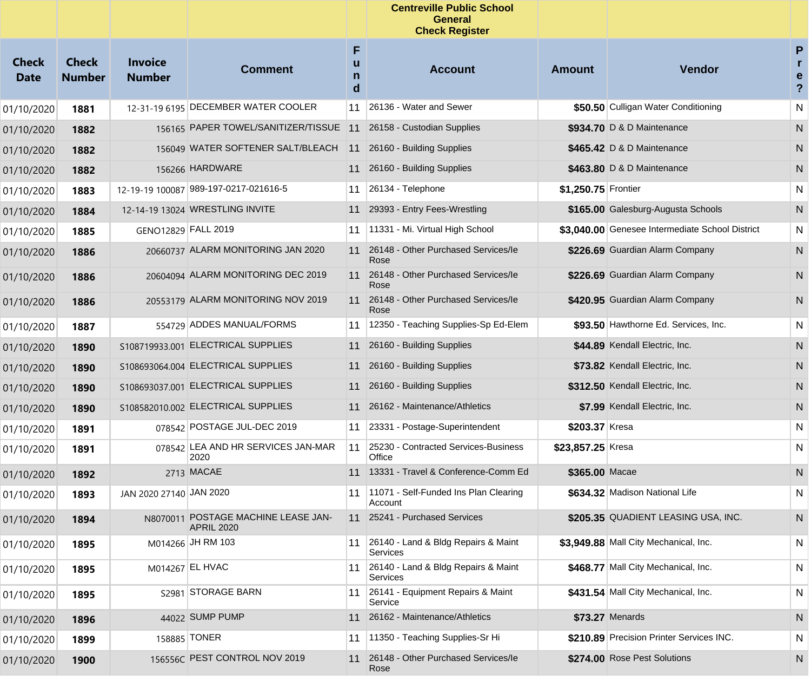|                             |                               |                                 |                                                          |                  | <b>Centreville Public School</b><br><b>General</b><br><b>Check Register</b> |                     |                                                 |                                                            |
|-----------------------------|-------------------------------|---------------------------------|----------------------------------------------------------|------------------|-----------------------------------------------------------------------------|---------------------|-------------------------------------------------|------------------------------------------------------------|
| <b>Check</b><br><b>Date</b> | <b>Check</b><br><b>Number</b> | <b>Invoice</b><br><b>Number</b> | <b>Comment</b>                                           | F<br>u<br>n<br>d | <b>Account</b>                                                              | <b>Amount</b>       | <b>Vendor</b>                                   | ${\sf P}$<br>r<br>$\mathbf e$<br>$\boldsymbol{\mathsf{?}}$ |
| 01/10/2020                  | 1881                          |                                 | 12-31-19 6195 DECEMBER WATER COOLER                      | 11               | 26136 - Water and Sewer                                                     |                     | \$50.50 Culligan Water Conditioning             | ${\sf N}$                                                  |
| 01/10/2020                  | 1882                          |                                 | 156165 PAPER TOWEL/SANITIZER/TISSUE                      | 11               | 26158 - Custodian Supplies                                                  |                     | \$934.70 D & D Maintenance                      | ${\sf N}$                                                  |
| 01/10/2020                  | 1882                          |                                 | 156049 WATER SOFTENER SALT/BLEACH                        | 11               | 26160 - Building Supplies                                                   |                     | \$465.42 D & D Maintenance                      | N                                                          |
| 01/10/2020                  | 1882                          |                                 | 156266 HARDWARE                                          |                  | 11 26160 - Building Supplies                                                |                     | \$463.80 D & D Maintenance                      | N                                                          |
| 01/10/2020                  | 1883                          |                                 | 12-19-19 100087 989-197-0217-021616-5                    | 11               | 26134 - Telephone                                                           | \$1,250.75 Frontier |                                                 | N                                                          |
| 01/10/2020                  | 1884                          |                                 | 12-14-19 13024 WRESTLING INVITE                          |                  | 11 29393 - Entry Fees-Wrestling                                             |                     | \$165.00 Galesburg-Augusta Schools              | N                                                          |
| 01/10/2020                  | 1885                          | GENO12829 FALL 2019             |                                                          | 11               | 11331 - Mi. Virtual High School                                             |                     | \$3,040.00 Genesee Intermediate School District | N                                                          |
| 01/10/2020                  | 1886                          |                                 | 20660737 ALARM MONITORING JAN 2020                       | 11               | 26148 - Other Purchased Services/le<br>Rose                                 |                     | \$226.69 Guardian Alarm Company                 | N                                                          |
| 01/10/2020                  | 1886                          |                                 | 20604094 ALARM MONITORING DEC 2019                       |                  | 11 26148 - Other Purchased Services/le<br>Rose                              |                     | \$226.69 Guardian Alarm Company                 | N                                                          |
| 01/10/2020                  | 1886                          |                                 | 20553179 ALARM MONITORING NOV 2019                       | 11               | 26148 - Other Purchased Services/le<br>Rose                                 |                     | \$420.95 Guardian Alarm Company                 | N                                                          |
| 01/10/2020                  | 1887                          |                                 | 554729 ADDES MANUAL/FORMS                                | 11               | 12350 - Teaching Supplies-Sp Ed-Elem                                        |                     | \$93.50 Hawthorne Ed. Services, Inc.            | ${\sf N}$                                                  |
| 01/10/2020                  | 1890                          |                                 | S108719933.001 ELECTRICAL SUPPLIES                       | 11               | 26160 - Building Supplies                                                   |                     | \$44.89 Kendall Electric, Inc.                  | N                                                          |
| 01/10/2020                  | 1890                          |                                 | S108693064.004 ELECTRICAL SUPPLIES                       | 11               | 26160 - Building Supplies                                                   |                     | \$73.82 Kendall Electric, Inc.                  | N                                                          |
| 01/10/2020                  | 1890                          |                                 | S108693037.001 ELECTRICAL SUPPLIES                       | 11               | 26160 - Building Supplies                                                   |                     | \$312.50 Kendall Electric, Inc.                 | N                                                          |
| 01/10/2020                  | 1890                          |                                 | S108582010.002 ELECTRICAL SUPPLIES                       | 11               | 26162 - Maintenance/Athletics                                               |                     | \$7.99 Kendall Electric, Inc.                   | N                                                          |
| 01/10/2020                  | 1891                          |                                 | 078542 POSTAGE JUL-DEC 2019                              | 11               | 23331 - Postage-Superintendent                                              | \$203.37 Kresa      |                                                 | N                                                          |
| 01/10/2020                  | 1891                          |                                 | 078542 LEA AND HR SERVICES JAN-MAR<br>2020               | 11               | 25230 - Contracted Services-Business<br>Office                              | \$23,857.25 Kresa   |                                                 | N                                                          |
| 01/10/2020                  | 1892                          |                                 | 2713 MACAE                                               | 11               | 13331 - Travel & Conference-Comm Ed                                         | \$365.00 Macae      |                                                 | N                                                          |
| 01/10/2020                  | 1893                          | JAN 2020 27140 JAN 2020         |                                                          | 11               | 11071 - Self-Funded Ins Plan Clearing<br>Account                            |                     | \$634.32 Madison National Life                  | N                                                          |
| 01/10/2020                  | 1894                          |                                 | N8070011 POSTAGE MACHINE LEASE JAN-<br><b>APRIL 2020</b> |                  | 11 25241 - Purchased Services                                               |                     | \$205.35 QUADIENT LEASING USA, INC.             | N                                                          |
| 01/10/2020                  | 1895                          |                                 | M014266 JH RM 103                                        | 11               | 26140 - Land & Bldg Repairs & Maint<br>Services                             |                     | \$3,949.88 Mall City Mechanical, Inc.           | N                                                          |
| 01/10/2020                  | 1895                          |                                 | M014267 EL HVAC                                          |                  | 11 26140 - Land & Bldg Repairs & Maint<br>Services                          |                     | \$468.77 Mall City Mechanical, Inc.             | N                                                          |
| 01/10/2020                  | 1895                          |                                 | S2981 STORAGE BARN                                       | 11               | 26141 - Equipment Repairs & Maint<br>Service                                |                     | \$431.54 Mall City Mechanical, Inc.             | N                                                          |
| 01/10/2020                  | 1896                          |                                 | 44022 SUMP PUMP                                          | 11               | 26162 - Maintenance/Athletics                                               |                     | \$73.27 Menards                                 | N                                                          |
| 01/10/2020                  | 1899                          |                                 | 158885 TONER                                             | 11               | 11350 - Teaching Supplies-Sr Hi                                             |                     | \$210.89 Precision Printer Services INC.        | N                                                          |
| 01/10/2020                  | 1900                          |                                 | 156556C PEST CONTROL NOV 2019                            | 11               | 26148 - Other Purchased Services/le<br>Rose                                 |                     | \$274.00 Rose Pest Solutions                    | N                                                          |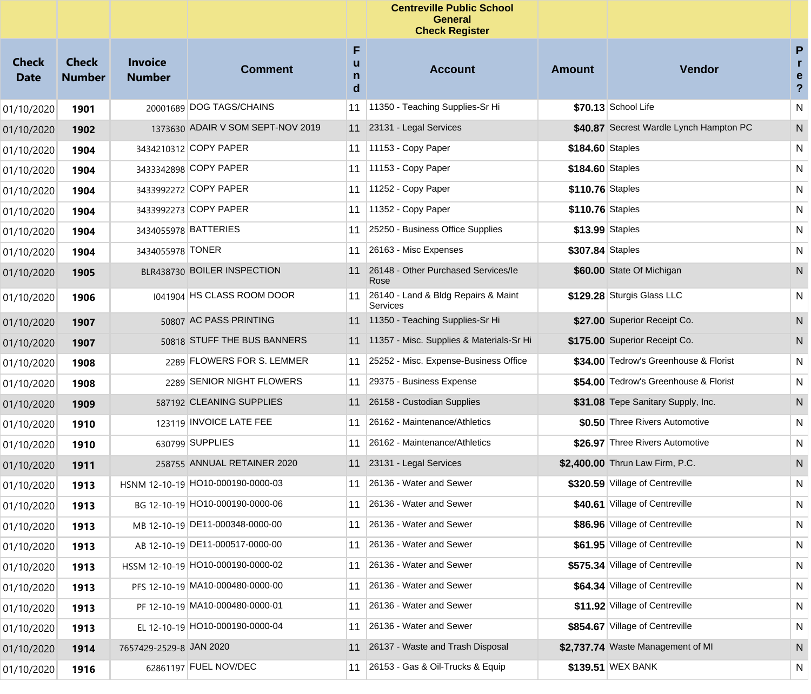|                             |                               |                                 |                                   |                  | <b>Centreville Public School</b><br><b>General</b><br><b>Check Register</b> |                  |                                         |                                                   |
|-----------------------------|-------------------------------|---------------------------------|-----------------------------------|------------------|-----------------------------------------------------------------------------|------------------|-----------------------------------------|---------------------------------------------------|
| <b>Check</b><br><b>Date</b> | <b>Check</b><br><b>Number</b> | <b>Invoice</b><br><b>Number</b> | <b>Comment</b>                    | F<br>u<br>n<br>d | <b>Account</b>                                                              | <b>Amount</b>    | <b>Vendor</b>                           | P<br>$\mathbf{r}$<br>e<br>$\overline{\mathbf{?}}$ |
| 01/10/2020                  | 1901                          |                                 | 20001689 DOG TAGS/CHAINS          | 11               | 11350 - Teaching Supplies-Sr Hi                                             |                  | \$70.13 School Life                     | N                                                 |
| 01/10/2020                  | 1902                          |                                 | 1373630 ADAIR V SOM SEPT-NOV 2019 | 11               | 23131 - Legal Services                                                      |                  | \$40.87 Secrest Wardle Lynch Hampton PC | N                                                 |
| 01/10/2020                  | 1904                          |                                 | 3434210312 COPY PAPER             | 11               | 11153 - Copy Paper                                                          | \$184.60 Staples |                                         | N                                                 |
| 01/10/2020                  | 1904                          |                                 | 3433342898 COPY PAPER             | 11               | 11153 - Copy Paper                                                          | \$184.60 Staples |                                         | N                                                 |
| 01/10/2020                  | 1904                          |                                 | 3433992272 COPY PAPER             | 11               | 11252 - Copy Paper                                                          | \$110.76 Staples |                                         | N                                                 |
| 01/10/2020                  | 1904                          |                                 | 3433992273 COPY PAPER             | 11               | 11352 - Copy Paper                                                          | \$110.76 Staples |                                         | N                                                 |
| 01/10/2020                  | 1904                          |                                 | 3434055978 BATTERIES              | 11               | 25250 - Business Office Supplies                                            |                  | \$13.99 Staples                         | N                                                 |
| 01/10/2020                  | 1904                          | 3434055978 TONER                |                                   | 11               | 26163 - Misc Expenses                                                       | \$307.84 Staples |                                         | N                                                 |
| 01/10/2020                  | 1905                          |                                 | BLR438730 BOILER INSPECTION       | 11               | 26148 - Other Purchased Services/le<br>Rose                                 |                  | \$60.00 State Of Michigan               | N                                                 |
| 01/10/2020                  | 1906                          |                                 | 1041904 HS CLASS ROOM DOOR        | 11               | 26140 - Land & Bldg Repairs & Maint<br>Services                             |                  | \$129.28 Sturgis Glass LLC              | N                                                 |
| 01/10/2020                  | 1907                          |                                 | 50807 AC PASS PRINTING            | 11               | 11350 - Teaching Supplies-Sr Hi                                             |                  | \$27.00 Superior Receipt Co.            | N                                                 |
| 01/10/2020                  | 1907                          |                                 | 50818 STUFF THE BUS BANNERS       | 11               | 11357 - Misc. Supplies & Materials-Sr Hi                                    |                  | \$175.00 Superior Receipt Co.           | N                                                 |
| 01/10/2020                  | 1908                          |                                 | 2289 FLOWERS FOR S. LEMMER        | 11               | 25252 - Misc. Expense-Business Office                                       |                  | \$34.00 Tedrow's Greenhouse & Florist   | N                                                 |
| 01/10/2020                  | 1908                          |                                 | 2289 SENIOR NIGHT FLOWERS         | 11               | 29375 - Business Expense                                                    |                  | \$54.00 Tedrow's Greenhouse & Florist   | N                                                 |
| 01/10/2020                  | 1909                          |                                 | 587192 CLEANING SUPPLIES          | 11               | 26158 - Custodian Supplies                                                  |                  | \$31.08 Tepe Sanitary Supply, Inc.      | N                                                 |
| 01/10/2020                  | 1910                          |                                 | 123119 INVOICE LATE FEE           | 11               | 26162 - Maintenance/Athletics                                               |                  | \$0.50 Three Rivers Automotive          | N                                                 |
| 01/10/2020                  | 1910                          |                                 | 630799 SUPPLIES                   | 11               | 26162 - Maintenance/Athletics                                               |                  | \$26.97 Three Rivers Automotive         | N                                                 |
| 01/10/2020                  | 1911                          |                                 | 258755 ANNUAL RETAINER 2020       | 11               | 23131 - Legal Services                                                      |                  | \$2,400.00 Thrun Law Firm, P.C.         | N                                                 |
| 01/10/2020                  | 1913                          |                                 | HSNM 12-10-19 HO10-000190-0000-03 | 11               | 26136 - Water and Sewer                                                     |                  | \$320.59 Village of Centreville         | N                                                 |
| 01/10/2020                  | 1913                          |                                 | BG 12-10-19 HO10-000190-0000-06   | 11               | 26136 - Water and Sewer                                                     |                  | \$40.61 Village of Centreville          | N                                                 |
| 01/10/2020                  | 1913                          |                                 | MB 12-10-19 DE11-000348-0000-00   | 11               | 26136 - Water and Sewer                                                     |                  | \$86.96 Village of Centreville          | N                                                 |
| 01/10/2020                  | 1913                          |                                 | AB 12-10-19 DE11-000517-0000-00   | 11               | 26136 - Water and Sewer                                                     |                  | \$61.95 Village of Centreville          | N                                                 |
| 01/10/2020                  | 1913                          |                                 | HSSM 12-10-19 HO10-000190-0000-02 | 11               | 26136 - Water and Sewer                                                     |                  | \$575.34 Village of Centreville         | N                                                 |
| 01/10/2020                  | 1913                          |                                 | PFS 12-10-19 MA10-000480-0000-00  | 11               | 26136 - Water and Sewer                                                     |                  | \$64.34 Village of Centreville          | N                                                 |
| 01/10/2020                  | 1913                          |                                 | PF 12-10-19 MA10-000480-0000-01   | 11               | 26136 - Water and Sewer                                                     |                  | \$11.92 Village of Centreville          | N                                                 |
| 01/10/2020                  | 1913                          |                                 | EL 12-10-19 HO10-000190-0000-04   | 11               | 26136 - Water and Sewer                                                     |                  | \$854.67 Village of Centreville         | N                                                 |
| 01/10/2020                  | 1914                          | 7657429-2529-8 JAN 2020         |                                   | 11               | 26137 - Waste and Trash Disposal                                            |                  | \$2,737.74 Waste Management of MI       | N                                                 |
| 01/10/2020                  | 1916                          |                                 | 62861197 FUEL NOV/DEC             | 11               | 26153 - Gas & Oil-Trucks & Equip                                            |                  | \$139.51 WEX BANK                       | N                                                 |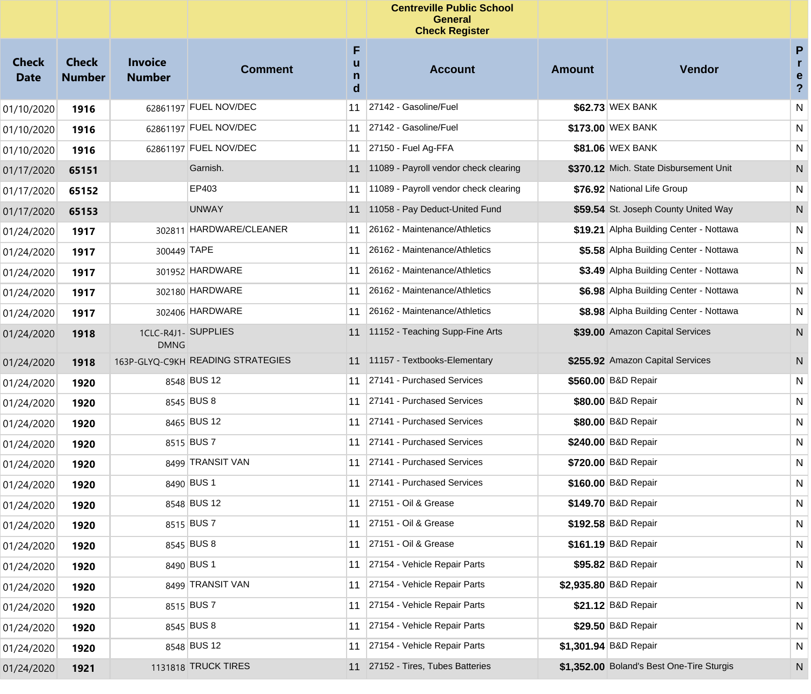|                             |                               |                                 |                                   |                  | <b>Centreville Public School</b><br><b>General</b><br><b>Check Register</b> |        |                                           |                                                   |
|-----------------------------|-------------------------------|---------------------------------|-----------------------------------|------------------|-----------------------------------------------------------------------------|--------|-------------------------------------------|---------------------------------------------------|
| <b>Check</b><br><b>Date</b> | <b>Check</b><br><b>Number</b> | <b>Invoice</b><br><b>Number</b> | <b>Comment</b>                    | F<br>u<br>n<br>d | <b>Account</b>                                                              | Amount | <b>Vendor</b>                             | P<br>$\mathbf{r}$<br>e<br>$\overline{\mathbf{?}}$ |
| 01/10/2020                  | 1916                          |                                 | 62861197 FUEL NOV/DEC             | 11               | 27142 - Gasoline/Fuel                                                       |        | \$62.73 WEX BANK                          | N                                                 |
| 01/10/2020                  | 1916                          |                                 | 62861197 FUEL NOV/DEC             | 11               | 27142 - Gasoline/Fuel                                                       |        | \$173.00 WEX BANK                         | N                                                 |
| 01/10/2020                  | 1916                          |                                 | 62861197 FUEL NOV/DEC             | 11               | 27150 - Fuel Ag-FFA                                                         |        | \$81.06 WEX BANK                          | N                                                 |
| 01/17/2020                  | 65151                         |                                 | Garnish.                          | 11               | 11089 - Payroll vendor check clearing                                       |        | \$370.12 Mich. State Disbursement Unit    | N                                                 |
| 01/17/2020                  | 65152                         |                                 | EP403                             | 11               | 11089 - Payroll vendor check clearing                                       |        | \$76.92 National Life Group               | N                                                 |
| 01/17/2020                  | 65153                         |                                 | <b>UNWAY</b>                      | 11               | 11058 - Pay Deduct-United Fund                                              |        | \$59.54 St. Joseph County United Way      | N                                                 |
| 01/24/2020                  | 1917                          |                                 | 302811 HARDWARE/CLEANER           | 11               | 26162 - Maintenance/Athletics                                               |        | \$19.21 Alpha Building Center - Nottawa   | N                                                 |
| 01/24/2020                  | 1917                          | 300449 TAPE                     |                                   | 11               | 26162 - Maintenance/Athletics                                               |        | \$5.58 Alpha Building Center - Nottawa    | N                                                 |
| 01/24/2020                  | 1917                          |                                 | 301952 HARDWARE                   | 11               | 26162 - Maintenance/Athletics                                               |        | \$3.49 Alpha Building Center - Nottawa    | N                                                 |
| 01/24/2020                  | 1917                          |                                 | 302180 HARDWARE                   | 11               | 26162 - Maintenance/Athletics                                               |        | \$6.98 Alpha Building Center - Nottawa    | N                                                 |
| 01/24/2020                  | 1917                          |                                 | 302406 HARDWARE                   | 11               | 26162 - Maintenance/Athletics                                               |        | \$8.98 Alpha Building Center - Nottawa    | N                                                 |
| 01/24/2020                  | 1918                          | <b>DMNG</b>                     | 1CLC-R4J1- SUPPLIES               | 11               | 11152 - Teaching Supp-Fine Arts                                             |        | \$39.00 Amazon Capital Services           | N                                                 |
| 01/24/2020                  | 1918                          |                                 | 163P-GLYQ-C9KH READING STRATEGIES | 11               | 11157 - Textbooks-Elementary                                                |        | \$255.92 Amazon Capital Services          | N                                                 |
| 01/24/2020                  | 1920                          |                                 | 8548 BUS 12                       | 11               | 27141 - Purchased Services                                                  |        | \$560.00 B&D Repair                       | N                                                 |
| 01/24/2020                  | 1920                          |                                 | 8545 BUS 8                        | 11               | 27141 - Purchased Services                                                  |        | \$80.00 B&D Repair                        | N.                                                |
| 01/24/2020                  | 1920                          |                                 | 8465 BUS 12                       | 11               | 27141 - Purchased Services                                                  |        | \$80.00 B&D Repair                        | N.                                                |
| 01/24/2020                  | 1920                          |                                 | 8515 BUS 7                        | 11               | 27141 - Purchased Services                                                  |        | \$240.00 B&D Repair                       | N.                                                |
| 01/24/2020                  | 1920                          |                                 | 8499 TRANSIT VAN                  | 11               | 27141 - Purchased Services                                                  |        | \$720.00 B&D Repair                       | N.                                                |
| 01/24/2020                  | 1920                          |                                 | 8490 BUS 1                        | 11               | 27141 - Purchased Services                                                  |        | \$160.00 B&D Repair                       | N                                                 |
| 01/24/2020                  | 1920                          |                                 | 8548 BUS 12                       | 11               | 27151 - Oil & Grease                                                        |        | \$149.70 B&D Repair                       | N                                                 |
| 01/24/2020                  | 1920                          |                                 | 8515 BUS 7                        | 11               | 27151 - Oil & Grease                                                        |        | \$192.58 B&D Repair                       | N                                                 |
| 01/24/2020                  | 1920                          |                                 | 8545 BUS 8                        | 11               | 27151 - Oil & Grease                                                        |        | \$161.19 B&D Repair                       | N                                                 |
| 01/24/2020                  | 1920                          |                                 | 8490 BUS 1                        | 11               | 27154 - Vehicle Repair Parts                                                |        | \$95.82 B&D Repair                        | N                                                 |
| 01/24/2020                  | 1920                          |                                 | 8499 TRANSIT VAN                  | 11               | 27154 - Vehicle Repair Parts                                                |        | \$2,935.80 B&D Repair                     | N                                                 |
| 01/24/2020                  | 1920                          |                                 | 8515 BUS 7                        | 11               | 27154 - Vehicle Repair Parts                                                |        | \$21.12 B&D Repair                        | N                                                 |
| 01/24/2020                  | 1920                          |                                 | 8545 BUS 8                        | 11               | 27154 - Vehicle Repair Parts                                                |        | \$29.50 B&D Repair                        | N.                                                |
| 01/24/2020                  | 1920                          |                                 | 8548 BUS 12                       | 11               | 27154 - Vehicle Repair Parts                                                |        | \$1,301.94 B&D Repair                     | N                                                 |
| 01/24/2020                  | 1921                          |                                 | 1131818 TRUCK TIRES               | 11               | 27152 - Tires, Tubes Batteries                                              |        | \$1,352.00 Boland's Best One-Tire Sturgis | N                                                 |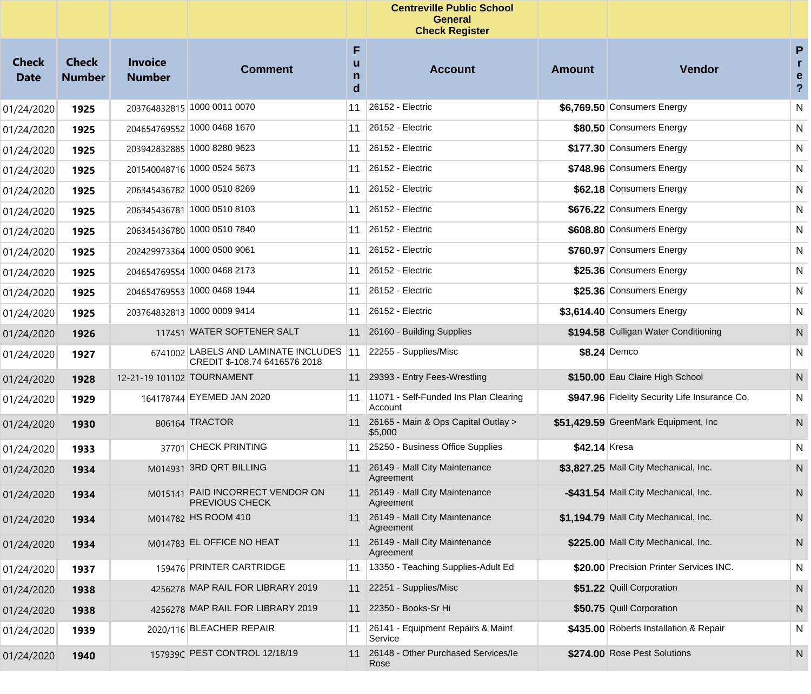|                             |                               |                                 |                                                                      |                  | <b>Centreville Public School</b><br><b>General</b><br><b>Check Register</b> |               |                                               |                                          |
|-----------------------------|-------------------------------|---------------------------------|----------------------------------------------------------------------|------------------|-----------------------------------------------------------------------------|---------------|-----------------------------------------------|------------------------------------------|
| <b>Check</b><br><b>Date</b> | <b>Check</b><br><b>Number</b> | <b>Invoice</b><br><b>Number</b> | <b>Comment</b>                                                       | F<br>u<br>n<br>d | <b>Account</b>                                                              | <b>Amount</b> | Vendor                                        | P<br>$\mathbf{r}$<br>e<br>$\overline{?}$ |
| 01/24/2020                  | 1925                          |                                 | 203764832815 1000 0011 0070                                          | 11               | 26152 - Electric                                                            |               | \$6,769.50 Consumers Energy                   | N                                        |
| 01/24/2020                  | 1925                          |                                 | 204654769552 1000 0468 1670                                          | 11               | 26152 - Electric                                                            |               | \$80.50 Consumers Energy                      | N                                        |
| 01/24/2020                  | 1925                          |                                 | 203942832885 1000 8280 9623                                          | 11               | 26152 - Electric                                                            |               | \$177.30 Consumers Energy                     | N                                        |
| 01/24/2020                  | 1925                          |                                 | 201540048716 1000 0524 5673                                          | 11               | 26152 - Electric                                                            |               | \$748.96 Consumers Energy                     | N                                        |
| 01/24/2020                  | 1925                          |                                 | 206345436782 1000 0510 8269                                          | 11               | 26152 - Electric                                                            |               | \$62.18 Consumers Energy                      | N                                        |
| 01/24/2020                  | 1925                          |                                 | 206345436781 1000 0510 8103                                          | 11               | 26152 - Electric                                                            |               | \$676.22 Consumers Energy                     | N                                        |
| 01/24/2020                  | 1925                          |                                 | 206345436780 1000 0510 7840                                          | 11               | 26152 - Electric                                                            |               | \$608.80 Consumers Energy                     | N                                        |
| 01/24/2020                  | 1925                          |                                 | 202429973364 1000 0500 9061                                          | 11               | 26152 - Electric                                                            |               | \$760.97 Consumers Energy                     | N                                        |
| 01/24/2020                  | 1925                          |                                 | 204654769554 1000 0468 2173                                          | 11               | 26152 - Electric                                                            |               | \$25.36 Consumers Energy                      | N                                        |
| 01/24/2020                  | 1925                          |                                 | 204654769553 1000 0468 1944                                          | 11               | 26152 - Electric                                                            |               | \$25.36 Consumers Energy                      | N                                        |
| 01/24/2020                  | 1925                          |                                 | 203764832813 1000 0009 9414                                          | 11               | 26152 - Electric                                                            |               | \$3,614.40 Consumers Energy                   | N                                        |
| 01/24/2020                  | 1926                          |                                 | 117451 WATER SOFTENER SALT                                           | 11               | 26160 - Building Supplies                                                   |               | \$194.58 Culligan Water Conditioning          | N                                        |
| 01/24/2020                  | 1927                          | 6741002                         | <b>LABELS AND LAMINATE INCLUDES</b><br>CREDIT \$-108.74 6416576 2018 | 11               | 22255 - Supplies/Misc                                                       |               | \$8.24 Demco                                  | N                                        |
| 01/24/2020                  | 1928                          | 12-21-19 101102 TOURNAMENT      |                                                                      |                  | 11 29393 - Entry Fees-Wrestling                                             |               | \$150.00 Eau Claire High School               | N                                        |
| 01/24/2020                  | 1929                          |                                 | 164178744 EYEMED JAN 2020                                            | 11               | 11071 - Self-Funded Ins Plan Clearing<br>Account                            |               | \$947.96 Fidelity Security Life Insurance Co. | N                                        |
| 01/24/2020                  | 1930                          |                                 | B06164 TRACTOR                                                       |                  | 11 26165 - Main & Ops Capital Outlay ><br>\$5,000                           |               | \$51,429.59 GreenMark Equipment, Inc.         | N                                        |
| 01/24/2020                  | 1933                          |                                 | 37701 CHECK PRINTING                                                 | 11               | 25250 - Business Office Supplies                                            | \$42.14 Kresa |                                               | N                                        |
| 01/24/2020                  | 1934                          |                                 | M014931 3RD QRT BILLING                                              | 11               | 26149 - Mall City Maintenance<br>Agreement                                  |               | \$3,827.25 Mall City Mechanical, Inc.         | N                                        |
| 01/24/2020                  | 1934                          | M015141                         | PAID INCORRECT VENDOR ON<br><b>PREVIOUS CHECK</b>                    |                  | 11 26149 - Mall City Maintenance<br>Agreement                               |               | -\$431.54 Mall City Mechanical, Inc.          | N                                        |
| 01/24/2020                  | 1934                          |                                 | M014782 HS ROOM 410                                                  |                  | 11 26149 - Mall City Maintenance<br>Agreement                               |               | \$1,194.79 Mall City Mechanical, Inc.         | N.                                       |
| 01/24/2020                  | 1934                          |                                 | M014783 EL OFFICE NO HEAT                                            |                  | 11 26149 - Mall City Maintenance<br>Agreement                               |               | \$225.00 Mall City Mechanical, Inc.           | N                                        |
| 01/24/2020                  | 1937                          |                                 | 159476 PRINTER CARTRIDGE                                             |                  | 11   13350 - Teaching Supplies-Adult Ed                                     |               | \$20.00 Precision Printer Services INC.       | N                                        |
| 01/24/2020                  | 1938                          |                                 | 4256278 MAP RAIL FOR LIBRARY 2019                                    |                  | 11 22251 - Supplies/Misc                                                    |               | \$51.22 Quill Corporation                     | N                                        |
| 01/24/2020                  | 1938                          |                                 | 4256278 MAP RAIL FOR LIBRARY 2019                                    |                  | 11 22350 - Books-Sr Hi                                                      |               | \$50.75 Quill Corporation                     | N                                        |
| 01/24/2020                  | 1939                          |                                 | 2020/116 BLEACHER REPAIR                                             |                  | 11 26141 - Equipment Repairs & Maint<br>Service                             |               | \$435.00 Roberts Installation & Repair        | N                                        |
| 01/24/2020                  | 1940                          |                                 | 157939C PEST CONTROL 12/18/19                                        | 11               | 26148 - Other Purchased Services/le<br>Rose                                 |               | \$274.00 Rose Pest Solutions                  | N                                        |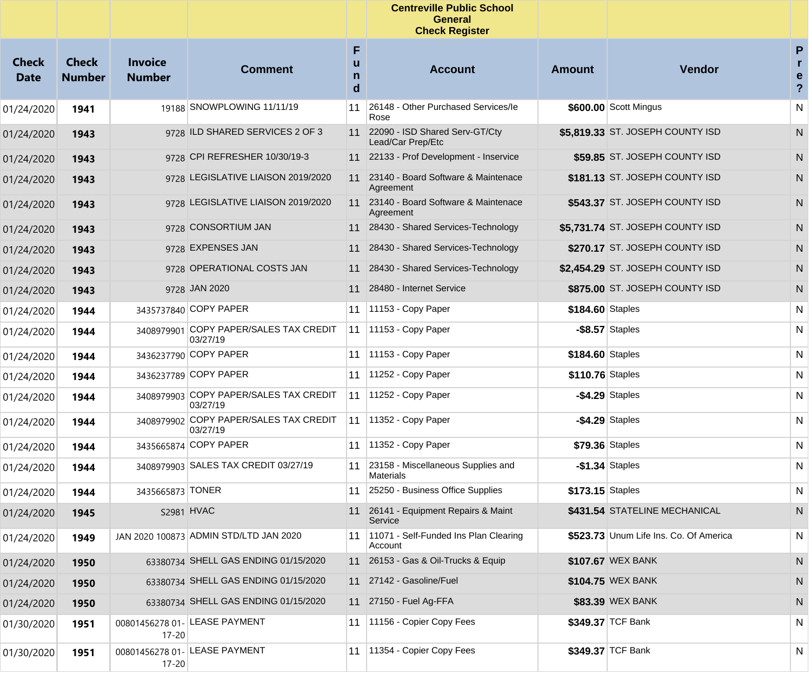|                             |                               |                                 |                                                    |                  | <b>Centreville Public School</b><br><b>General</b><br><b>Check Register</b> |                  |                                        |                                              |
|-----------------------------|-------------------------------|---------------------------------|----------------------------------------------------|------------------|-----------------------------------------------------------------------------|------------------|----------------------------------------|----------------------------------------------|
| <b>Check</b><br><b>Date</b> | <b>Check</b><br><b>Number</b> | <b>Invoice</b><br><b>Number</b> | <b>Comment</b>                                     | F<br>u<br>n<br>d | <b>Account</b>                                                              | <b>Amount</b>    | <b>Vendor</b>                          | $\mathsf{P}$<br>e<br>$\overline{\mathbf{?}}$ |
| 01/24/2020                  | 1941                          |                                 | 19188 SNOWPLOWING 11/11/19                         | 11               | 26148 - Other Purchased Services/le<br>Rose                                 |                  | \$600.00 Scott Mingus                  | ${\sf N}$                                    |
| 01/24/2020                  | 1943                          |                                 | 9728 ILD SHARED SERVICES 2 OF 3                    |                  | 11 22090 - ISD Shared Serv-GT/Cty<br>Lead/Car Prep/Etc                      |                  | \$5,819.33 ST. JOSEPH COUNTY ISD       | N                                            |
| 01/24/2020                  | 1943                          |                                 | 9728 CPI REFRESHER 10/30/19-3                      |                  | 11 22133 - Prof Development - Inservice                                     |                  | \$59.85 ST. JOSEPH COUNTY ISD          | N                                            |
| 01/24/2020                  | 1943                          |                                 | 9728 LEGISLATIVE LIAISON 2019/2020                 | 11               | 23140 - Board Software & Maintenace<br>Agreement                            |                  | \$181.13 ST. JOSEPH COUNTY ISD         | N                                            |
| 01/24/2020                  | 1943                          |                                 | 9728 LEGISLATIVE LIAISON 2019/2020                 |                  | 11 23140 - Board Software & Maintenace<br>Agreement                         |                  | \$543.37 ST. JOSEPH COUNTY ISD         | N                                            |
| 01/24/2020                  | 1943                          |                                 | 9728 CONSORTIUM JAN                                |                  | 11 28430 - Shared Services-Technology                                       |                  | \$5,731.74 ST. JOSEPH COUNTY ISD       | N                                            |
| 01/24/2020                  | 1943                          |                                 | 9728 EXPENSES JAN                                  |                  | 11 28430 - Shared Services-Technology                                       |                  | \$270.17 ST. JOSEPH COUNTY ISD         | N                                            |
| 01/24/2020                  | 1943                          |                                 | 9728 OPERATIONAL COSTS JAN                         |                  | 11 28430 - Shared Services-Technology                                       |                  | \$2,454.29 ST. JOSEPH COUNTY ISD       | N                                            |
| 01/24/2020                  | 1943                          |                                 | 9728 JAN 2020                                      |                  | 11 28480 - Internet Service                                                 |                  | \$875.00 ST. JOSEPH COUNTY ISD         | N                                            |
| 01/24/2020                  | 1944                          |                                 | 3435737840 COPY PAPER                              |                  | 11   11153 - Copy Paper                                                     | \$184.60 Staples |                                        | N                                            |
| 01/24/2020                  | 1944                          | 3408979901                      | COPY PAPER/SALES TAX CREDIT<br>03/27/19            |                  | 11 11153 - Copy Paper                                                       |                  | $-$ \$8.57 Staples                     | N                                            |
| 01/24/2020                  | 1944                          |                                 | 3436237790 COPY PAPER                              | 11               | $11153 - Copy Paper$                                                        | \$184.60 Staples |                                        | N                                            |
| 01/24/2020                  | 1944                          |                                 | 3436237789 COPY PAPER                              | 11               | 11252 - Copy Paper                                                          | \$110.76 Staples |                                        | N                                            |
| 01/24/2020                  | 1944                          |                                 | 3408979903 COPY PAPER/SALES TAX CREDIT<br>03/27/19 | 11               | 11252 - Copy Paper                                                          |                  | $-$ \$4.29 Staples                     | N                                            |
| 01/24/2020                  | 1944                          |                                 | 3408979902 COPY PAPER/SALES TAX CREDIT<br>03/27/19 | 11               | $11352 - Copy Paper$                                                        |                  | $-$ \$4.29 Staples                     | N                                            |
| 01/24/2020                  | 1944                          |                                 | 3435665874 COPY PAPER                              |                  | 11   11352 - Copy Paper                                                     |                  | \$79.36 Staples                        | N                                            |
| 01/24/2020                  | 1944                          |                                 | 3408979903 SALES TAX CREDIT 03/27/19               | 11               | 23158 - Miscellaneous Supplies and<br><b>Materials</b>                      |                  | $-$1.34$ Staples                       | N                                            |
| 01/24/2020                  | 1944                          | 3435665873 TONER                |                                                    |                  | 11 25250 - Business Office Supplies                                         | \$173.15 Staples |                                        | N                                            |
| 01/24/2020                  | 1945                          |                                 | S2981 HVAC                                         |                  | 11 26141 - Equipment Repairs & Maint<br>Service                             |                  | \$431.54 STATELINE MECHANICAL          | ${\sf N}$                                    |
| 01/24/2020                  | 1949                          |                                 | JAN 2020 100873 ADMIN STD/LTD JAN 2020             | 11               | 11071 - Self-Funded Ins Plan Clearing<br>Account                            |                  | \$523.73 Unum Life Ins. Co. Of America | N                                            |
| 01/24/2020                  | 1950                          |                                 | 63380734 SHELL GAS ENDING 01/15/2020               |                  | 11 26153 - Gas & Oil-Trucks & Equip                                         |                  | \$107.67 WEX BANK                      | N                                            |
| 01/24/2020                  | 1950                          |                                 | 63380734 SHELL GAS ENDING 01/15/2020               |                  | 11 27142 - Gasoline/Fuel                                                    |                  | \$104.75 WEX BANK                      | N                                            |
| 01/24/2020                  | 1950                          |                                 | 63380734 SHELL GAS ENDING 01/15/2020               |                  | 11 27150 - Fuel Ag-FFA                                                      |                  | \$83.39 WEX BANK                       | N                                            |
| 01/30/2020                  | 1951                          | 17-20                           | 00801456278 01- LEASE PAYMENT                      |                  | 11 11156 - Copier Copy Fees                                                 |                  | \$349.37 TCF Bank                      | N                                            |
| 01/30/2020                  | 1951                          | 17-20                           | 00801456278 01- LEASE PAYMENT                      | 11               | 11354 - Copier Copy Fees                                                    |                  | \$349.37 TCF Bank                      | N                                            |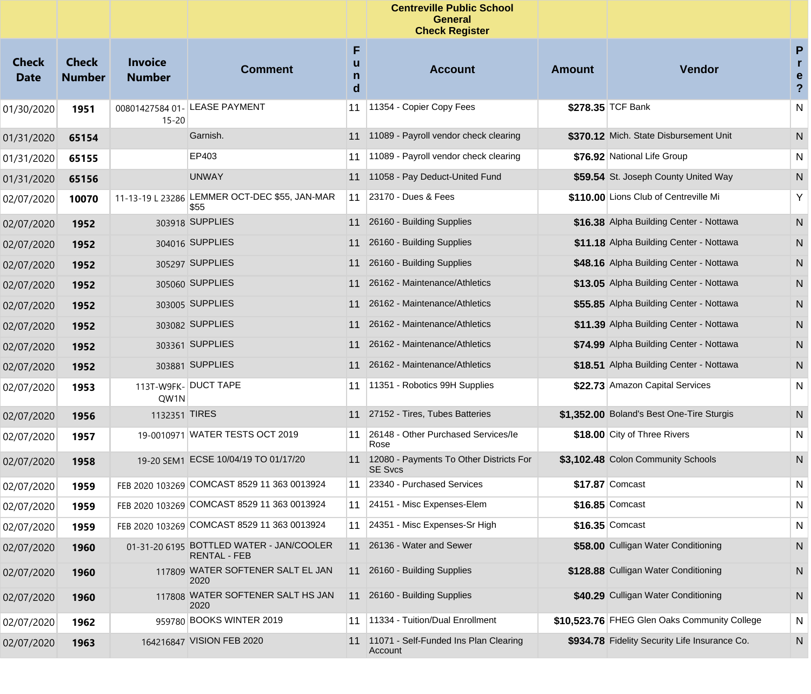|                      |                               |                                 |                                                                 |                  | <b>Centreville Public School</b><br><b>General</b><br><b>Check Register</b> |               |                                               |                               |
|----------------------|-------------------------------|---------------------------------|-----------------------------------------------------------------|------------------|-----------------------------------------------------------------------------|---------------|-----------------------------------------------|-------------------------------|
| Check<br><b>Date</b> | <b>Check</b><br><b>Number</b> | <b>Invoice</b><br><b>Number</b> | <b>Comment</b>                                                  | F<br>u<br>n<br>d | <b>Account</b>                                                              | <b>Amount</b> | <b>Vendor</b>                                 | P<br>r<br>е<br>$\overline{?}$ |
| 01/30/2020           | 1951                          | 00801427584 01-<br>$15 - 20$    | LEASE PAYMENT                                                   | 11               | 11354 - Copier Copy Fees                                                    |               | \$278.35 TCF Bank                             | N                             |
| 01/31/2020           | 65154                         |                                 | Garnish.                                                        | 11               | 11089 - Payroll vendor check clearing                                       |               | \$370.12 Mich. State Disbursement Unit        | N                             |
| 01/31/2020           | 65155                         |                                 | EP403                                                           | 11               | 11089 - Payroll vendor check clearing                                       |               | \$76.92 National Life Group                   | N                             |
| 01/31/2020           | 65156                         |                                 | <b>UNWAY</b>                                                    | 11               | 11058 - Pay Deduct-United Fund                                              |               | \$59.54 St. Joseph County United Way          | N                             |
| 02/07/2020           | 10070                         |                                 | 11-13-19 L 23286 LEMMER OCT-DEC \$55, JAN-MAR<br>\$55           | 11               | 23170 - Dues & Fees                                                         |               | \$110.00 Lions Club of Centreville Mi         | Υ                             |
| 02/07/2020           | 1952                          |                                 | 303918 SUPPLIES                                                 | 11               | 26160 - Building Supplies                                                   |               | \$16.38 Alpha Building Center - Nottawa       | N                             |
| 02/07/2020           | 1952                          |                                 | 304016 SUPPLIES                                                 | 11               | 26160 - Building Supplies                                                   |               | \$11.18 Alpha Building Center - Nottawa       | N                             |
| 02/07/2020           | 1952                          |                                 | 305297 SUPPLIES                                                 | 11               | 26160 - Building Supplies                                                   |               | \$48.16 Alpha Building Center - Nottawa       | N                             |
| 02/07/2020           | 1952                          |                                 | 305060 SUPPLIES                                                 | 11               | 26162 - Maintenance/Athletics                                               |               | \$13.05 Alpha Building Center - Nottawa       | N                             |
| 02/07/2020           | 1952                          |                                 | 303005 SUPPLIES                                                 | 11               | 26162 - Maintenance/Athletics                                               |               | \$55.85 Alpha Building Center - Nottawa       | N                             |
| 02/07/2020           | 1952                          |                                 | 303082 SUPPLIES                                                 | 11               | 26162 - Maintenance/Athletics                                               |               | \$11.39 Alpha Building Center - Nottawa       | N                             |
| 02/07/2020           | 1952                          |                                 | 303361 SUPPLIES                                                 | 11               | 26162 - Maintenance/Athletics                                               |               | \$74.99 Alpha Building Center - Nottawa       | N.                            |
| 02/07/2020           | 1952                          |                                 | 303881 SUPPLIES                                                 | 11               | 26162 - Maintenance/Athletics                                               |               | \$18.51 Alpha Building Center - Nottawa       | N                             |
| 02/07/2020           | 1953                          | QW1N                            | 113T-W9FK- DUCT TAPE                                            | 11               | 11351 - Robotics 99H Supplies                                               |               | \$22.73 Amazon Capital Services               | N                             |
| 02/07/2020           | 1956                          | 1132351 TIRES                   |                                                                 | 11               | 27152 - Tires, Tubes Batteries                                              |               | \$1,352.00 Boland's Best One-Tire Sturgis     | N                             |
| 02/07/2020           | 1957                          |                                 | 19-0010971 WATER TESTS OCT 2019                                 | 11               | 26148 - Other Purchased Services/le<br>Rose                                 |               | \$18.00 City of Three Rivers                  | N                             |
| 02/07/2020           | 1958                          |                                 | 19-20 SEM1 ECSE 10/04/19 TO 01/17/20                            | 11               | 12080 - Payments To Other Districts For<br><b>SE Svcs</b>                   |               | \$3,102.48 Colon Community Schools            | N                             |
| 02/07/2020           | 1959                          |                                 | FEB 2020 103269 COMCAST 8529 11 363 0013924                     | 11               | 23340 - Purchased Services                                                  |               | \$17.87 Comcast                               | N.                            |
| 02/07/2020           | 1959                          |                                 | FEB 2020 103269 COMCAST 8529 11 363 0013924                     |                  | 11 24151 - Misc Expenses-Elem                                               |               | \$16.85 Comcast                               | N                             |
| 02/07/2020           | 1959                          |                                 | FEB 2020 103269 COMCAST 8529 11 363 0013924                     |                  | 11 24351 - Misc Expenses-Sr High                                            |               | $$16.35$ Comcast                              | N                             |
| 02/07/2020           | 1960                          |                                 | 01-31-20 6195 BOTTLED WATER - JAN/COOLER<br><b>RENTAL - FEB</b> |                  | 11 26136 - Water and Sewer                                                  |               | \$58.00 Culligan Water Conditioning           | N                             |
| 02/07/2020           | 1960                          |                                 | 117809 WATER SOFTENER SALT EL JAN<br>2020                       |                  | 11 26160 - Building Supplies                                                |               | \$128.88 Culligan Water Conditioning          | N                             |
| 02/07/2020           | 1960                          |                                 | 117808 WATER SOFTENER SALT HS JAN<br>2020                       |                  | 11 26160 - Building Supplies                                                |               | \$40.29 Culligan Water Conditioning           | N.                            |
| 02/07/2020           | 1962                          |                                 | 959780 BOOKS WINTER 2019                                        |                  | 11   11334 - Tuition/Dual Enrollment                                        |               | \$10,523.76 FHEG Glen Oaks Community College  | N                             |
| 02/07/2020           | 1963                          |                                 | 164216847 VISION FEB 2020                                       |                  | 11 11071 - Self-Funded Ins Plan Clearing<br>Account                         |               | \$934.78 Fidelity Security Life Insurance Co. | N                             |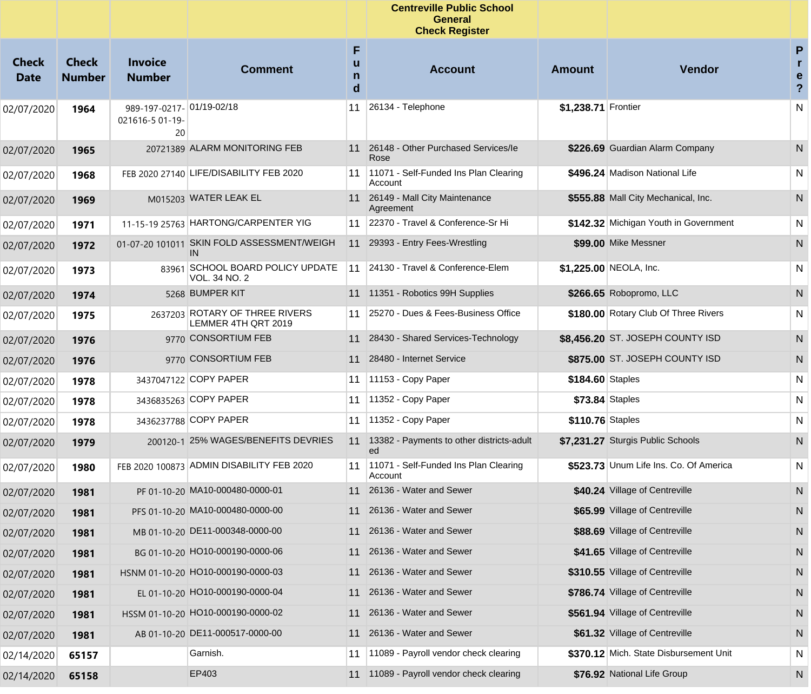|                      |                               |                                                    |                                                       |                  | <b>Centreville Public School</b><br><b>General</b><br><b>Check Register</b> |                     |                                        |                                     |
|----------------------|-------------------------------|----------------------------------------------------|-------------------------------------------------------|------------------|-----------------------------------------------------------------------------|---------------------|----------------------------------------|-------------------------------------|
| Check<br><b>Date</b> | <b>Check</b><br><b>Number</b> | <b>Invoice</b><br><b>Number</b>                    | <b>Comment</b>                                        | F<br>u<br>n<br>d | <b>Account</b>                                                              | <b>Amount</b>       | <b>Vendor</b>                          | P<br>e<br>$\boldsymbol{\mathsf{?}}$ |
| 02/07/2020           | 1964                          | 989-197-0217- 01/19-02/18<br>021616-5 01-19-<br>20 |                                                       | 11               | 26134 - Telephone                                                           | \$1,238.71 Frontier |                                        | N                                   |
| 02/07/2020           | 1965                          |                                                    | 20721389 ALARM MONITORING FEB                         |                  | 11 26148 - Other Purchased Services/le<br>Rose                              |                     | \$226.69 Guardian Alarm Company        | N                                   |
| 02/07/2020           | 1968                          |                                                    | FEB 2020 27140 LIFE/DISABILITY FEB 2020               | 11               | 11071 - Self-Funded Ins Plan Clearing<br>Account                            |                     | \$496.24 Madison National Life         | N                                   |
| 02/07/2020           | 1969                          |                                                    | M015203 WATER LEAK EL                                 |                  | 11 26149 - Mall City Maintenance<br>Agreement                               |                     | \$555.88 Mall City Mechanical, Inc.    | N                                   |
| 02/07/2020           | 1971                          |                                                    | 11-15-19 25763 HARTONG/CARPENTER YIG                  | 11               | 22370 - Travel & Conference-Sr Hi                                           |                     | \$142.32 Michigan Youth in Government  | N                                   |
| 02/07/2020           | 1972                          | 01-07-20 101011                                    | SKIN FOLD ASSESSMENT/WEIGH<br>IN                      |                  | 11 29393 - Entry Fees-Wrestling                                             |                     | \$99.00 Mike Messner                   | N                                   |
| 02/07/2020           | 1973                          |                                                    | 83961 SCHOOL BOARD POLICY UPDATE<br>VOL. 34 NO. 2     | 11               | 24130 - Travel & Conference-Elem                                            |                     | \$1,225.00 NEOLA, Inc.                 | N                                   |
| 02/07/2020           | 1974                          |                                                    | 5268 BUMPER KIT                                       |                  | 11 11351 - Robotics 99H Supplies                                            |                     | \$266.65 Robopromo, LLC                | N                                   |
| 02/07/2020           | 1975                          |                                                    | 2637203 ROTARY OF THREE RIVERS<br>LEMMER 4TH QRT 2019 | 11               | 25270 - Dues & Fees-Business Office                                         |                     | \$180.00 Rotary Club Of Three Rivers   | N                                   |
| 02/07/2020           | 1976                          |                                                    | 9770 CONSORTIUM FEB                                   |                  | 11 28430 - Shared Services-Technology                                       |                     | \$8,456.20 ST. JOSEPH COUNTY ISD       | N                                   |
| 02/07/2020           | 1976                          |                                                    | 9770 CONSORTIUM FEB                                   |                  | 11 28480 - Internet Service                                                 |                     | \$875.00 ST. JOSEPH COUNTY ISD         | N                                   |
| 02/07/2020           | 1978                          |                                                    | 3437047122 COPY PAPER                                 | 11               | 11153 - Copy Paper                                                          | \$184.60 Staples    |                                        | N                                   |
| 02/07/2020           | 1978                          |                                                    | 3436835263 COPY PAPER                                 | 11               | 11352 - Copy Paper                                                          |                     | \$73.84 Staples                        | N                                   |
| 02/07/2020           | 1978                          |                                                    | 3436237788 COPY PAPER                                 | 11               | 11352 - Copy Paper                                                          | \$110.76 Staples    |                                        | N                                   |
| 02/07/2020           | 1979                          |                                                    | 200120-1 25% WAGES/BENEFITS DEVRIES                   |                  | 11 13382 - Payments to other districts-adult<br>ed                          |                     | \$7,231.27 Sturgis Public Schools      | N                                   |
| 02/07/2020           | 1980                          |                                                    | FEB 2020 100873 ADMIN DISABILITY FEB 2020             | 11               | 11071 - Self-Funded Ins Plan Clearing<br>Account                            |                     | \$523.73 Unum Life Ins. Co. Of America | N                                   |
| 02/07/2020           | 1981                          |                                                    | PF 01-10-20 MA10-000480-0000-01                       |                  | 11 26136 - Water and Sewer                                                  |                     | \$40.24 Village of Centreville         | N                                   |
| 02/07/2020           | 1981                          |                                                    | PFS 01-10-20 MA10-000480-0000-00                      |                  | 11 26136 - Water and Sewer                                                  |                     | \$65.99 Village of Centreville         | N                                   |
| 02/07/2020           | 1981                          |                                                    | MB 01-10-20 DE11-000348-0000-00                       |                  | 11 26136 - Water and Sewer                                                  |                     | \$88.69 Village of Centreville         | N                                   |
| 02/07/2020           | 1981                          |                                                    | BG 01-10-20 HO10-000190-0000-06                       | 11               | 26136 - Water and Sewer                                                     |                     | \$41.65 Village of Centreville         | N                                   |
| 02/07/2020           | 1981                          |                                                    | HSNM 01-10-20 HO10-000190-0000-03                     | 11               | 26136 - Water and Sewer                                                     |                     | \$310.55 Village of Centreville        | N                                   |
| 02/07/2020           | 1981                          |                                                    | EL 01-10-20 HO10-000190-0000-04                       | 11               | 26136 - Water and Sewer                                                     |                     | \$786.74 Village of Centreville        | N                                   |
| 02/07/2020           | 1981                          |                                                    | HSSM 01-10-20 HO10-000190-0000-02                     | 11               | 26136 - Water and Sewer                                                     |                     | \$561.94 Village of Centreville        | N                                   |
| 02/07/2020           | 1981                          |                                                    | AB 01-10-20 DE11-000517-0000-00                       | 11               | 26136 - Water and Sewer                                                     |                     | \$61.32 Village of Centreville         | N                                   |
| 02/14/2020           | 65157                         |                                                    | Garnish.                                              | 11               | 11089 - Payroll vendor check clearing                                       |                     | \$370.12 Mich. State Disbursement Unit | N                                   |
| 02/14/2020           | 65158                         |                                                    | EP403                                                 | 11               | 11089 - Payroll vendor check clearing                                       |                     | \$76.92 National Life Group            | N                                   |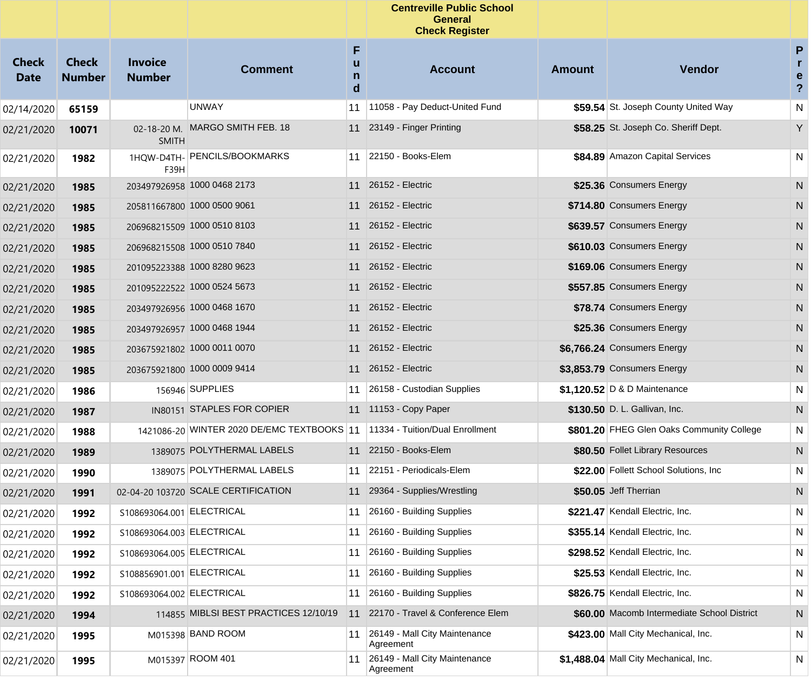|                             |                               |                                 |                                            |                  | <b>Centreville Public School</b><br><b>General</b><br><b>Check Register</b> |        |                                             |                                                    |
|-----------------------------|-------------------------------|---------------------------------|--------------------------------------------|------------------|-----------------------------------------------------------------------------|--------|---------------------------------------------|----------------------------------------------------|
| <b>Check</b><br><b>Date</b> | <b>Check</b><br><b>Number</b> | <b>Invoice</b><br><b>Number</b> | <b>Comment</b>                             | F<br>u<br>n<br>d | <b>Account</b>                                                              | Amount | <b>Vendor</b>                               | $\mathsf{P}$<br>r.<br>e<br>$\overline{\mathbf{?}}$ |
| 02/14/2020                  | 65159                         |                                 | <b>UNWAY</b>                               | 11               | 11058 - Pay Deduct-United Fund                                              |        | \$59.54 St. Joseph County United Way        | N                                                  |
| 02/21/2020                  | 10071                         | 02-18-20 M.<br><b>SMITH</b>     | MARGO SMITH FEB. 18                        |                  | 11 23149 - Finger Printing                                                  |        | \$58.25 St. Joseph Co. Sheriff Dept.        | Y                                                  |
| 02/21/2020                  | 1982                          | 1HOW-D4TH-<br>F39H              | <b>PENCILS/BOOKMARKS</b>                   |                  | 11 22150 - Books-Elem                                                       |        | \$84.89 Amazon Capital Services             | N                                                  |
| 02/21/2020                  | 1985                          |                                 | 203497926958 1000 0468 2173                | 11               | 26152 - Electric                                                            |        | \$25.36 Consumers Energy                    | N                                                  |
| 02/21/2020                  | 1985                          |                                 | 205811667800 1000 0500 9061                | 11               | 26152 - Electric                                                            |        | \$714.80 Consumers Energy                   | N                                                  |
| 02/21/2020                  | 1985                          |                                 | 206968215509 1000 0510 8103                | 11               | 26152 - Electric                                                            |        | \$639.57 Consumers Energy                   | N                                                  |
| 02/21/2020                  | 1985                          |                                 | 206968215508 1000 0510 7840                | 11               | 26152 - Electric                                                            |        | \$610.03 Consumers Energy                   | N                                                  |
| 02/21/2020                  | 1985                          |                                 | 201095223388 1000 8280 9623                | 11               | 26152 - Electric                                                            |        | \$169.06 Consumers Energy                   | N                                                  |
| 02/21/2020                  | 1985                          |                                 | 201095222522 1000 0524 5673                | 11               | 26152 - Electric                                                            |        | \$557.85 Consumers Energy                   | N                                                  |
| 02/21/2020                  | 1985                          |                                 | 203497926956 1000 0468 1670                | 11               | 26152 - Electric                                                            |        | \$78.74 Consumers Energy                    | N                                                  |
| 02/21/2020                  | 1985                          |                                 | 203497926957 1000 0468 1944                | 11               | 26152 - Electric                                                            |        | \$25.36 Consumers Energy                    | N                                                  |
| 02/21/2020                  | 1985                          |                                 | 203675921802 1000 0011 0070                | 11               | 26152 - Electric                                                            |        | \$6,766.24 Consumers Energy                 | N                                                  |
| 02/21/2020                  | 1985                          |                                 | 203675921800 1000 0009 9414                | 11               | 26152 - Electric                                                            |        | \$3,853.79 Consumers Energy                 | N                                                  |
| 02/21/2020                  | 1986                          |                                 | 156946 SUPPLIES                            | 11               | 26158 - Custodian Supplies                                                  |        | \$1,120.52 D & D Maintenance                | N                                                  |
| 02/21/2020                  | 1987                          |                                 | IN80151 STAPLES FOR COPIER                 |                  | 11 11153 - Copy Paper                                                       |        | \$130.50 D. L. Gallivan, Inc.               | N                                                  |
| 02/21/2020                  | 1988                          |                                 | 1421086-20 WINTER 2020 DE/EMC TEXTBOOKS 11 |                  | 11334 - Tuition/Dual Enrollment                                             |        | \$801.20 FHEG Glen Oaks Community College   | N                                                  |
| 02/21/2020                  | 1989                          |                                 | 1389075 POLYTHERMAL LABELS                 |                  | 11 22150 - Books-Elem                                                       |        | \$80.50 Follet Library Resources            | ${\sf N}$                                          |
| 02/21/2020                  | 1990                          |                                 | 1389075 POLYTHERMAL LABELS                 | 11               | 22151 - Periodicals-Elem                                                    |        | \$22.00 Follett School Solutions, Inc.      | N                                                  |
| 02/21/2020                  | 1991                          |                                 | 02-04-20 103720 SCALE CERTIFICATION        |                  | 11 29364 - Supplies/Wrestling                                               |        | \$50.05 Jeff Therrian                       | N                                                  |
| 02/21/2020                  | 1992                          | S108693064.001 ELECTRICAL       |                                            |                  | 11 26160 - Building Supplies                                                |        | \$221.47 Kendall Electric, Inc.             | ${\sf N}$                                          |
| 02/21/2020                  | 1992                          | S108693064.003 ELECTRICAL       |                                            | 11               | 26160 - Building Supplies                                                   |        | \$355.14 Kendall Electric, Inc.             | N                                                  |
| 02/21/2020                  | 1992                          | S108693064.005 ELECTRICAL       |                                            | 11               | 26160 - Building Supplies                                                   |        | \$298.52 Kendall Electric, Inc.             | N                                                  |
| 02/21/2020                  | 1992                          | S108856901.001 ELECTRICAL       |                                            | 11               | 26160 - Building Supplies                                                   |        | \$25.53 Kendall Electric, Inc.              | N                                                  |
| 02/21/2020                  | 1992                          | S108693064.002 ELECTRICAL       |                                            | 11               | 26160 - Building Supplies                                                   |        | \$826.75 Kendall Electric, Inc.             | N                                                  |
| 02/21/2020                  | 1994                          |                                 | 114855 MIBLSI BEST PRACTICES 12/10/19      | 11               | 22170 - Travel & Conference Elem                                            |        | \$60.00 Macomb Intermediate School District | N                                                  |
| 02/21/2020                  | 1995                          |                                 | M015398 BAND ROOM                          | 11               | 26149 - Mall City Maintenance<br>Agreement                                  |        | \$423.00 Mall City Mechanical, Inc.         | N                                                  |
| 02/21/2020                  | 1995                          |                                 | M015397 ROOM 401                           | 11               | 26149 - Mall City Maintenance<br>Agreement                                  |        | \$1,488.04 Mall City Mechanical, Inc.       | N                                                  |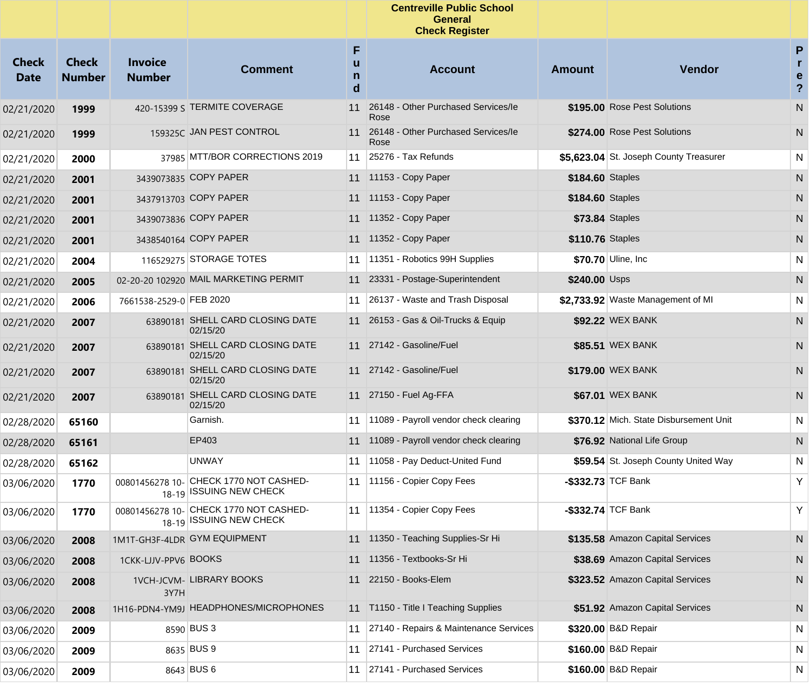|                             |                               |                                 |                                                                   |                  | <b>Centreville Public School</b><br><b>General</b><br><b>Check Register</b> |                  |                                        |                                                   |
|-----------------------------|-------------------------------|---------------------------------|-------------------------------------------------------------------|------------------|-----------------------------------------------------------------------------|------------------|----------------------------------------|---------------------------------------------------|
| <b>Check</b><br><b>Date</b> | <b>Check</b><br><b>Number</b> | <b>Invoice</b><br><b>Number</b> | <b>Comment</b>                                                    | F<br>u<br>n<br>d | <b>Account</b>                                                              | <b>Amount</b>    | Vendor                                 | P<br>$\mathbf{r}$<br>e<br>$\overline{\mathbf{?}}$ |
| 02/21/2020                  | 1999                          |                                 | 420-15399 S TERMITE COVERAGE                                      | 11               | 26148 - Other Purchased Services/le<br>Rose                                 |                  | \$195.00 Rose Pest Solutions           | N                                                 |
| 02/21/2020                  | 1999                          |                                 | 159325C JAN PEST CONTROL                                          |                  | 11 26148 - Other Purchased Services/le<br>Rose                              |                  | \$274.00 Rose Pest Solutions           | N                                                 |
| 02/21/2020                  | 2000                          |                                 | 37985 MTT/BOR CORRECTIONS 2019                                    |                  | 11 25276 - Tax Refunds                                                      |                  | \$5,623.04 St. Joseph County Treasurer | N                                                 |
| 02/21/2020                  | 2001                          |                                 | 3439073835 COPY PAPER                                             |                  | 11 11153 - Copy Paper                                                       | \$184.60 Staples |                                        | $\mathsf{N}$                                      |
| 02/21/2020                  | 2001                          |                                 | 3437913703 COPY PAPER                                             |                  | 11 11153 - Copy Paper                                                       | \$184.60 Staples |                                        | N                                                 |
| 02/21/2020                  | 2001                          |                                 | 3439073836 COPY PAPER                                             |                  | 11 11352 - Copy Paper                                                       |                  | <b>\$73.84 Staples</b>                 | N                                                 |
| 02/21/2020                  | 2001                          |                                 | 3438540164 COPY PAPER                                             |                  | 11 11352 - Copy Paper                                                       | \$110.76 Staples |                                        | N                                                 |
| 02/21/2020                  | 2004                          |                                 | 116529275 STORAGE TOTES                                           | 11               | 11351 - Robotics 99H Supplies                                               |                  | \$70.70 Uline, Inc.                    | N                                                 |
| 02/21/2020                  | 2005                          |                                 | 02-20-20 102920 MAIL MARKETING PERMIT                             |                  | 11 23331 - Postage-Superintendent                                           | \$240.00 Usps    |                                        | N                                                 |
| 02/21/2020                  | 2006                          | 7661538-2529-0 FEB 2020         |                                                                   |                  | 11 26137 - Waste and Trash Disposal                                         |                  | \$2,733.92 Waste Management of MI      | N                                                 |
| 02/21/2020                  | 2007                          |                                 | 63890181 SHELL CARD CLOSING DATE<br>02/15/20                      |                  | 11 26153 - Gas & Oil-Trucks & Equip                                         |                  | \$92.22 WEX BANK                       | N                                                 |
| 02/21/2020                  | 2007                          | 63890181                        | SHELL CARD CLOSING DATE<br>02/15/20                               |                  | 11 27142 - Gasoline/Fuel                                                    |                  | \$85.51 WEX BANK                       | N                                                 |
| 02/21/2020                  | 2007                          |                                 | 63890181 SHELL CARD CLOSING DATE<br>02/15/20                      |                  | 11 27142 - Gasoline/Fuel                                                    |                  | \$179.00 WEX BANK                      | N                                                 |
| 02/21/2020                  | 2007                          |                                 | 63890181 SHELL CARD CLOSING DATE<br>02/15/20                      |                  | 11 27150 - Fuel Ag-FFA                                                      |                  | \$67.01 WEX BANK                       | N                                                 |
| 02/28/2020                  | 65160                         |                                 | Garnish.                                                          |                  | 11 11089 - Payroll vendor check clearing                                    |                  | \$370.12 Mich. State Disbursement Unit | N                                                 |
| 02/28/2020                  | 65161                         |                                 | EP403                                                             |                  | 11 11089 - Payroll vendor check clearing                                    |                  | \$76.92 National Life Group            | N                                                 |
| 02/28/2020                  | 65162                         |                                 | <b>UNWAY</b>                                                      |                  | 11 11058 - Pay Deduct-United Fund                                           |                  | \$59.54 St. Joseph County United Way   | N                                                 |
| 03/06/2020                  | 1770                          | 00801456278 10-                 | CHECK 1770 NOT CASHED-<br>18-19 ISSUING NEW CHECK                 |                  | 11   11156 - Copier Copy Fees                                               |                  | $-$ \$332.73 TCF Bank                  | Y                                                 |
| 03/06/2020                  | 1770                          |                                 | 00801456278 10- CHECK 1770 NOT CASHED-<br>18-19 ISSUING NEW CHECK |                  | 11 1354 - Copier Copy Fees                                                  |                  | \$332.74 TCF Bank                      | Y                                                 |
| 03/06/2020                  | 2008                          |                                 | 1M1T-GH3F-4LDR GYM EQUIPMENT                                      |                  | 11 11350 - Teaching Supplies-Sr Hi                                          |                  | \$135.58 Amazon Capital Services       | N                                                 |
| 03/06/2020                  | 2008                          | 1CKK-LJJV-PPV6 BOOKS            |                                                                   |                  | 11 11356 - Textbooks-Sr Hi                                                  |                  | \$38.69 Amazon Capital Services        | N                                                 |
| 03/06/2020                  | 2008                          | 3Y7H                            | <b>1VCH-JCVM- LIBRARY BOOKS</b>                                   | 11               | 22150 - Books-Elem                                                          |                  | \$323.52 Amazon Capital Services       | N                                                 |
| 03/06/2020                  | 2008                          |                                 | 1H16-PDN4-YM9J HEADPHONES/MICROPHONES                             |                  | 11 T1150 - Title I Teaching Supplies                                        |                  | \$51.92 Amazon Capital Services        | N.                                                |
| 03/06/2020                  | 2009                          |                                 | 8590 BUS 3                                                        |                  | 11 27140 - Repairs & Maintenance Services                                   |                  | \$320.00 B&D Repair                    | N                                                 |
| 03/06/2020                  | 2009                          |                                 | 8635 BUS 9                                                        |                  | 11 27141 - Purchased Services                                               |                  | \$160.00 B&D Repair                    | N                                                 |
| 03/06/2020                  | 2009                          |                                 | 8643 BUS 6                                                        |                  | 11 27141 - Purchased Services                                               |                  | \$160.00 B&D Repair                    | N                                                 |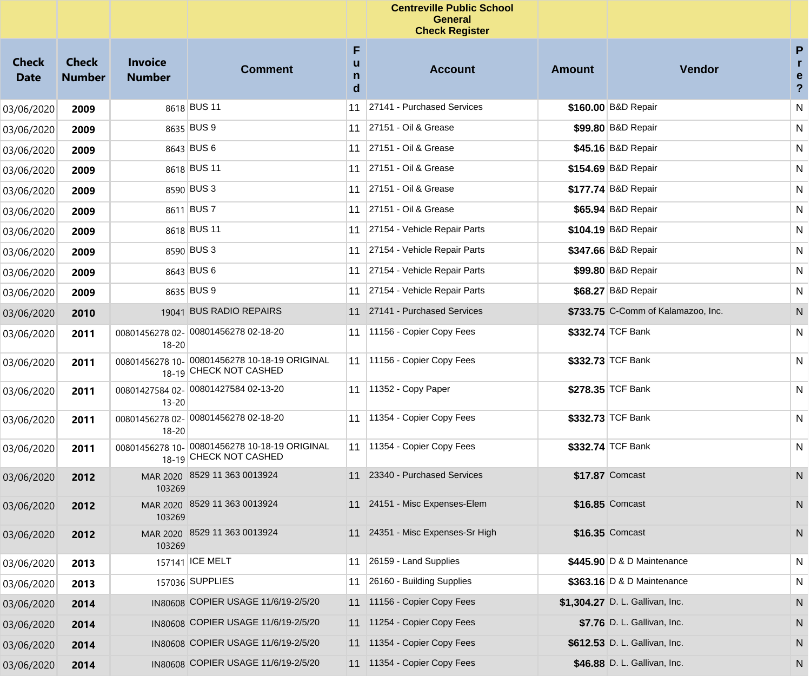|                             |                               |                                 |                                                                         |                  | <b>Centreville Public School</b><br><b>General</b><br><b>Check Register</b> |               |                                    |                                          |
|-----------------------------|-------------------------------|---------------------------------|-------------------------------------------------------------------------|------------------|-----------------------------------------------------------------------------|---------------|------------------------------------|------------------------------------------|
| <b>Check</b><br><b>Date</b> | <b>Check</b><br><b>Number</b> | <b>Invoice</b><br><b>Number</b> | <b>Comment</b>                                                          | F<br>u<br>n<br>d | <b>Account</b>                                                              | <b>Amount</b> | Vendor                             | P<br>$\mathbf{r}$<br>e<br>$\overline{?}$ |
| 03/06/2020                  | 2009                          |                                 | 8618 BUS 11                                                             | 11               | 27141 - Purchased Services                                                  |               | \$160.00 B&D Repair                | N                                        |
| 03/06/2020                  | 2009                          |                                 | 8635 BUS 9                                                              | 11               | 27151 - Oil & Grease                                                        |               | \$99.80 B&D Repair                 | N                                        |
| 03/06/2020                  | 2009                          |                                 | 8643 BUS 6                                                              | 11               | 27151 - Oil & Grease                                                        |               | \$45.16 B&D Repair                 | N                                        |
| 03/06/2020                  | 2009                          |                                 | 8618 BUS 11                                                             | 11               | 27151 - Oil & Grease                                                        |               | \$154.69 B&D Repair                | N                                        |
| 03/06/2020                  | 2009                          |                                 | 8590 BUS 3                                                              | 11               | 27151 - Oil & Grease                                                        |               | \$177.74 B&D Repair                | N                                        |
| 03/06/2020                  | 2009                          |                                 | 8611 BUS 7                                                              | 11               | 27151 - Oil & Grease                                                        |               | \$65.94 B&D Repair                 | N                                        |
| 03/06/2020                  | 2009                          |                                 | 8618 BUS 11                                                             | 11               | 27154 - Vehicle Repair Parts                                                |               | \$104.19 B&D Repair                | N                                        |
| 03/06/2020                  | 2009                          |                                 | 8590 BUS 3                                                              | 11               | 27154 - Vehicle Repair Parts                                                |               | \$347.66 B&D Repair                | N                                        |
| 03/06/2020                  | 2009                          |                                 | 8643 BUS 6                                                              | 11               | 27154 - Vehicle Repair Parts                                                |               | \$99.80 B&D Repair                 | N                                        |
| 03/06/2020                  | 2009                          |                                 | 8635 BUS 9                                                              | 11               | 27154 - Vehicle Repair Parts                                                |               | \$68.27 B&D Repair                 | N                                        |
| 03/06/2020                  | 2010                          |                                 | 19041 BUS RADIO REPAIRS                                                 | 11               | 27141 - Purchased Services                                                  |               | \$733.75 C-Comm of Kalamazoo, Inc. | N                                        |
| 03/06/2020                  | 2011                          | $18 - 20$                       | 00801456278 02- 00801456278 02-18-20                                    | 11               | 11156 - Copier Copy Fees                                                    |               | \$332.74 TCF Bank                  | N                                        |
| 03/06/2020                  | 2011                          |                                 | 00801456278 10- 00801456278 10-18-19 ORIGINAL<br>18-19 CHECK NOT CASHED |                  | 11 11156 - Copier Copy Fees                                                 |               | \$332.73 TCF Bank                  | N                                        |
| 03/06/2020                  | 2011                          | $13 - 20$                       | 00801427584 02- 00801427584 02-13-20                                    | 11               | 11352 - Copy Paper                                                          |               | \$278.35 TCF Bank                  | N                                        |
| 03/06/2020                  | 2011                          | $18 - 20$                       | 00801456278 02- 00801456278 02-18-20                                    |                  | 11 11354 - Copier Copy Fees                                                 |               | \$332.73 TCF Bank                  | N                                        |
| 03/06/2020                  | 2011                          | 00801456278 10-                 | 00801456278 10-18-19 ORIGINAL<br>18-19 CHECK NOT CASHED                 |                  | 11   11354 - Copier Copy Fees                                               |               | \$332.74 TCF Bank                  | N                                        |
| 03/06/2020                  | 2012                          | 103269                          | MAR 2020 8529 11 363 0013924                                            | 11               | 23340 - Purchased Services                                                  |               | \$17.87 Comcast                    | N                                        |
| 03/06/2020                  | 2012                          | 103269                          | MAR 2020 8529 11 363 0013924                                            |                  | 11 24151 - Misc Expenses-Elem                                               |               | \$16.85 Comcast                    | N                                        |
| 03/06/2020                  | 2012                          | 103269                          | MAR 2020 8529 11 363 0013924                                            |                  | 11 24351 - Misc Expenses-Sr High                                            |               | \$16.35 Comcast                    | N                                        |
| 03/06/2020                  | 2013                          |                                 | 157141 ICE MELT                                                         |                  | $11$ 26159 - Land Supplies                                                  |               | \$445.90 D & D Maintenance         | N                                        |
| 03/06/2020                  | 2013                          |                                 | 157036 SUPPLIES                                                         | 11               | 26160 - Building Supplies                                                   |               | \$363.16 D & D Maintenance         | N                                        |
| 03/06/2020                  | 2014                          |                                 | IN80608 COPIER USAGE 11/6/19-2/5/20                                     |                  | 11 11156 - Copier Copy Fees                                                 |               | \$1,304.27 D. L. Gallivan, Inc.    | N                                        |
| 03/06/2020                  | 2014                          |                                 | IN80608 COPIER USAGE 11/6/19-2/5/20                                     |                  | 11 11254 - Copier Copy Fees                                                 |               | \$7.76 D. L. Gallivan, Inc.        | N                                        |
| 03/06/2020                  | 2014                          |                                 | IN80608 COPIER USAGE 11/6/19-2/5/20                                     |                  | 11 11354 - Copier Copy Fees                                                 |               | \$612.53 D. L. Gallivan, Inc.      | N                                        |
| 03/06/2020                  | 2014                          |                                 | IN80608 COPIER USAGE 11/6/19-2/5/20                                     |                  | 11 11354 - Copier Copy Fees                                                 |               | \$46.88 D. L. Gallivan, Inc.       | N                                        |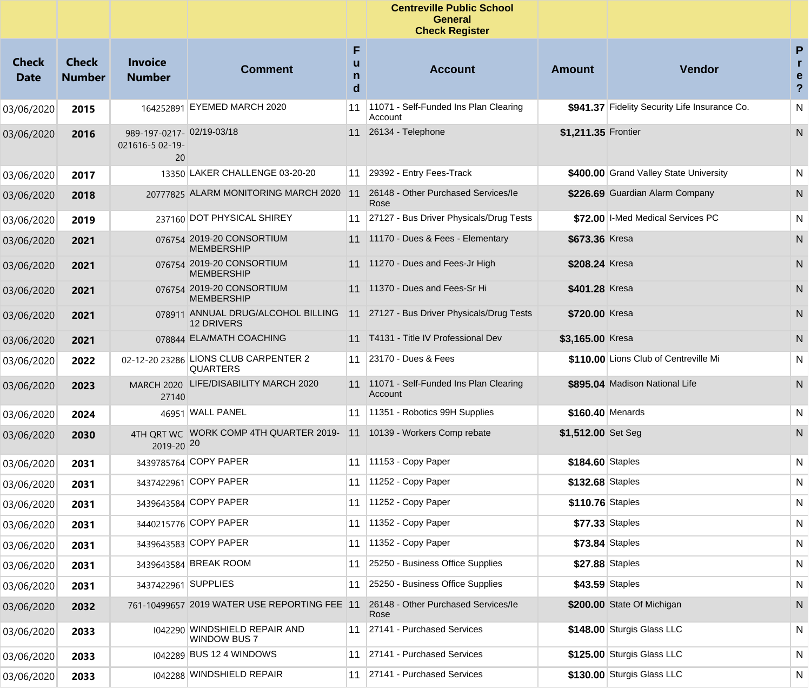|                             |                               |                                                   |                                                          |             | <b>Centreville Public School</b><br><b>General</b><br><b>Check Register</b> |                     |                                               |                                      |
|-----------------------------|-------------------------------|---------------------------------------------------|----------------------------------------------------------|-------------|-----------------------------------------------------------------------------|---------------------|-----------------------------------------------|--------------------------------------|
| <b>Check</b><br><b>Date</b> | <b>Check</b><br><b>Number</b> | <b>Invoice</b><br><b>Number</b>                   | <b>Comment</b>                                           | F<br>n<br>d | <b>Account</b>                                                              | <b>Amount</b>       | Vendor                                        | P<br>r.<br>e<br>$\ddot{\phantom{0}}$ |
| 03/06/2020                  | 2015                          |                                                   | 164252891 EYEMED MARCH 2020                              | 11          | 11071 - Self-Funded Ins Plan Clearing<br>Account                            |                     | \$941.37 Fidelity Security Life Insurance Co. | N                                    |
| 03/06/2020                  | 2016                          | 989-197-0217-02/19-03/18<br>021616-5 02-19-<br>20 |                                                          |             | 11 26134 - Telephone                                                        | \$1,211.35 Frontier |                                               | N                                    |
| 03/06/2020                  | 2017                          |                                                   | 13350 LAKER CHALLENGE 03-20-20                           | 11          | 29392 - Entry Fees-Track                                                    |                     | \$400.00 Grand Valley State University        | N                                    |
| 03/06/2020                  | 2018                          |                                                   | 20777825 ALARM MONITORING MARCH 2020                     | 11          | 26148 - Other Purchased Services/le<br>Rose                                 |                     | \$226.69 Guardian Alarm Company               | N                                    |
| 03/06/2020                  | 2019                          |                                                   | 237160 DOT PHYSICAL SHIREY                               | 11          | 27127 - Bus Driver Physicals/Drug Tests                                     |                     | \$72.00 I-Med Medical Services PC             | N                                    |
| 03/06/2020                  | 2021                          |                                                   | 076754 2019-20 CONSORTIUM<br><b>MEMBERSHIP</b>           |             | 11 11170 - Dues & Fees - Elementary                                         | \$673.36 Kresa      |                                               | N                                    |
| 03/06/2020                  | 2021                          |                                                   | 076754 2019-20 CONSORTIUM<br><b>MEMBERSHIP</b>           | 11          | 11270 - Dues and Fees-Jr High                                               | \$208.24 Kresa      |                                               | N                                    |
| 03/06/2020                  | 2021                          |                                                   | 076754 2019-20 CONSORTIUM<br><b>MEMBERSHIP</b>           | 11          | 11370 - Dues and Fees-Sr Hi                                                 | \$401.28 Kresa      |                                               | N                                    |
| 03/06/2020                  | 2021                          |                                                   | 078911 ANNUAL DRUG/ALCOHOL BILLING<br><b>12 DRIVERS</b>  |             | 11 27127 - Bus Driver Physicals/Drug Tests                                  | \$720.00 Kresa      |                                               | N                                    |
| 03/06/2020                  | 2021                          |                                                   | 078844 ELA/MATH COACHING                                 |             | 11 T4131 - Title IV Professional Dev                                        | \$3,165.00 Kresa    |                                               | N                                    |
| 03/06/2020                  | 2022                          |                                                   | 02-12-20 23286 LIONS CLUB CARPENTER 2<br><b>QUARTERS</b> | 11          | 23170 - Dues & Fees                                                         |                     | \$110.00 Lions Club of Centreville Mi         | N                                    |
| 03/06/2020                  | 2023                          | 27140                                             | MARCH 2020 LIFE/DISABILITY MARCH 2020                    |             | 11 11071 - Self-Funded Ins Plan Clearing<br>Account                         |                     | \$895.04 Madison National Life                | N                                    |
| 03/06/2020                  | 2024                          |                                                   | 46951 WALL PANEL                                         | 11          | 11351 - Robotics 99H Supplies                                               | \$160.40 Menards    |                                               | N                                    |
| 03/06/2020                  | 2030                          | 2019-20 20                                        | 4TH QRT WC WORK COMP 4TH QUARTER 2019-                   | 11          | 10139 - Workers Comp rebate                                                 | \$1,512.00 Set Seg  |                                               | N.                                   |
| 03/06/2020                  | 2031                          |                                                   | 3439785764 COPY PAPER                                    |             | 11 11153 - Copy Paper                                                       | \$184.60 Staples    |                                               | N                                    |
| 03/06/2020                  | 2031                          |                                                   | 3437422961 COPY PAPER                                    | 11          | $ 11252 - Copy Paper$                                                       | \$132.68 Staples    |                                               | N                                    |
| 03/06/2020                  | 2031                          |                                                   | 3439643584 COPY PAPER                                    | 11          | $11252 - Copy Paper$                                                        | \$110.76 Staples    |                                               | N                                    |
| 03/06/2020                  | 2031                          |                                                   | 3440215776 COPY PAPER                                    |             | 11 11352 - Copy Paper                                                       |                     | \$77.33 Staples                               | N                                    |
| 03/06/2020                  | 2031                          |                                                   | 3439643583 COPY PAPER                                    | 11          | 11352 - Copy Paper                                                          |                     | \$73.84 Staples                               | N                                    |
| 03/06/2020                  | 2031                          |                                                   | 3439643584 BREAK ROOM                                    | 11          | 25250 - Business Office Supplies                                            |                     | \$27.88 Staples                               | N                                    |
| 03/06/2020                  | 2031                          | 3437422961 SUPPLIES                               |                                                          | 11          | 25250 - Business Office Supplies                                            |                     | \$43.59 Staples                               | N                                    |
| 03/06/2020                  | 2032                          |                                                   | 761-10499657 2019 WATER USE REPORTING FEE 11             |             | 26148 - Other Purchased Services/le<br>Rose                                 |                     | \$200.00 State Of Michigan                    | ${\sf N}$                            |
| 03/06/2020                  | 2033                          |                                                   | 1042290 WINDSHIELD REPAIR AND<br><b>WINDOW BUS 7</b>     | 11          | 27141 - Purchased Services                                                  |                     | \$148.00 Sturgis Glass LLC                    | N                                    |
| 03/06/2020                  | 2033                          |                                                   | 1042289 BUS 12 4 WINDOWS                                 | 11          | 27141 - Purchased Services                                                  |                     | \$125.00 Sturgis Glass LLC                    | N                                    |
| 03/06/2020                  | 2033                          |                                                   | 1042288 WINDSHIELD REPAIR                                | 11          | 27141 - Purchased Services                                                  |                     | \$130.00 Sturgis Glass LLC                    | N                                    |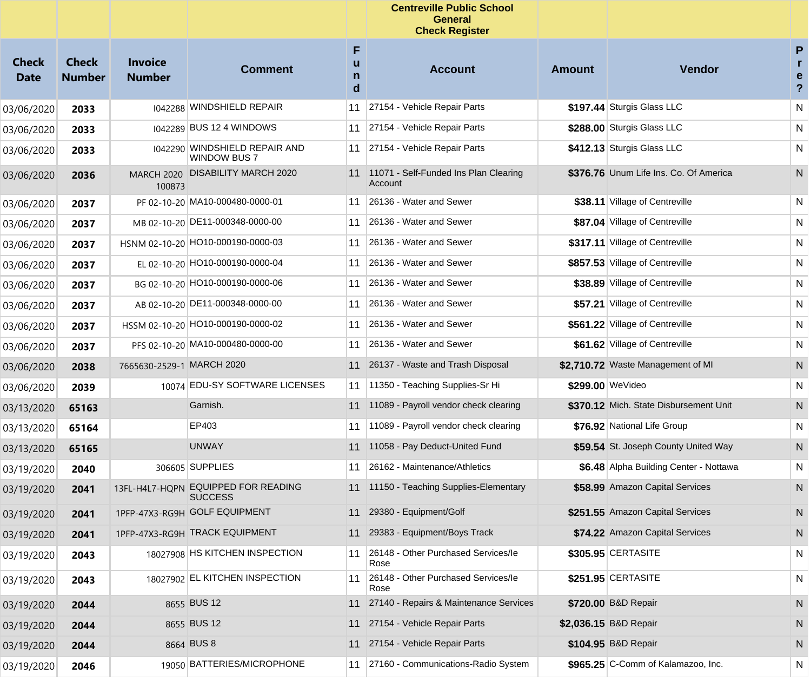|                             |                               |                                 |                                                      |                  | <b>Centreville Public School</b><br><b>General</b><br><b>Check Register</b> |               |                                        |                                                   |
|-----------------------------|-------------------------------|---------------------------------|------------------------------------------------------|------------------|-----------------------------------------------------------------------------|---------------|----------------------------------------|---------------------------------------------------|
| <b>Check</b><br><b>Date</b> | <b>Check</b><br><b>Number</b> | <b>Invoice</b><br><b>Number</b> | <b>Comment</b>                                       | F<br>u<br>n<br>d | <b>Account</b>                                                              | <b>Amount</b> | Vendor                                 | P<br>$\mathbf{r}$<br>e<br>$\overline{\mathbf{?}}$ |
| 03/06/2020                  | 2033                          |                                 | 1042288 WINDSHIELD REPAIR                            | 11               | 27154 - Vehicle Repair Parts                                                |               | \$197.44 Sturgis Glass LLC             | N                                                 |
| 03/06/2020                  | 2033                          |                                 | 1042289 BUS 12 4 WINDOWS                             | 11               | 27154 - Vehicle Repair Parts                                                |               | \$288.00 Sturgis Glass LLC             | N                                                 |
| 03/06/2020                  | 2033                          |                                 | 1042290 WINDSHIELD REPAIR AND<br><b>WINDOW BUS 7</b> | 11               | 27154 - Vehicle Repair Parts                                                |               | \$412.13 Sturgis Glass LLC             | N                                                 |
| 03/06/2020                  | 2036                          | <b>MARCH 2020</b><br>100873     | <b>DISABILITY MARCH 2020</b>                         |                  | 11 11071 - Self-Funded Ins Plan Clearing<br>Account                         |               | \$376.76 Unum Life Ins. Co. Of America | N                                                 |
| 03/06/2020                  | 2037                          |                                 | PF 02-10-20 MA10-000480-0000-01                      | 11               | 26136 - Water and Sewer                                                     |               | \$38.11 Village of Centreville         | N                                                 |
| 03/06/2020                  | 2037                          |                                 | MB 02-10-20 DE11-000348-0000-00                      | 11               | 26136 - Water and Sewer                                                     |               | \$87.04 Village of Centreville         | N                                                 |
| 03/06/2020                  | 2037                          |                                 | HSNM 02-10-20 HO10-000190-0000-03                    | 11               | 26136 - Water and Sewer                                                     |               | \$317.11 Village of Centreville        | N                                                 |
| 03/06/2020                  | 2037                          |                                 | EL 02-10-20 HO10-000190-0000-04                      | 11               | 26136 - Water and Sewer                                                     |               | \$857.53 Village of Centreville        | N                                                 |
| 03/06/2020                  | 2037                          |                                 | BG 02-10-20 HO10-000190-0000-06                      | 11               | 26136 - Water and Sewer                                                     |               | \$38.89 Village of Centreville         | N                                                 |
| 03/06/2020                  | 2037                          |                                 | AB 02-10-20 DE11-000348-0000-00                      | 11               | 26136 - Water and Sewer                                                     |               | \$57.21 Village of Centreville         | N                                                 |
| 03/06/2020                  | 2037                          |                                 | HSSM 02-10-20 HO10-000190-0000-02                    | 11               | 26136 - Water and Sewer                                                     |               | \$561.22 Village of Centreville        | N                                                 |
| 03/06/2020                  | 2037                          |                                 | PFS 02-10-20 MA10-000480-0000-00                     | 11               | 26136 - Water and Sewer                                                     |               | \$61.62 Village of Centreville         | N                                                 |
| 03/06/2020                  | 2038                          | 7665630-2529-1 MARCH 2020       |                                                      | 11               | 26137 - Waste and Trash Disposal                                            |               | \$2,710.72 Waste Management of MI      | N                                                 |
| 03/06/2020                  | 2039                          |                                 | 10074 EDU-SY SOFTWARE LICENSES                       | 11               | 11350 - Teaching Supplies-Sr Hi                                             |               | \$299.00 WeVideo                       | N                                                 |
| 03/13/2020                  | 65163                         |                                 | Garnish.                                             | 11               | 11089 - Payroll vendor check clearing                                       |               | \$370.12 Mich. State Disbursement Unit | N                                                 |
| 03/13/2020                  | 65164                         |                                 | EP403                                                | 11               | 11089 - Payroll vendor check clearing                                       |               | \$76.92 National Life Group            | N                                                 |
| 03/13/2020                  | 65165                         |                                 | <b>UNWAY</b>                                         | 11               | 11058 - Pay Deduct-United Fund                                              |               | \$59.54 St. Joseph County United Way   | N                                                 |
| 03/19/2020                  | 2040                          |                                 | 306605 SUPPLIES                                      | 11               | 26162 - Maintenance/Athletics                                               |               | \$6.48 Alpha Building Center - Nottawa | N                                                 |
| 03/19/2020                  | 2041                          | 13FL-H4L7-HOPN                  | <b>EQUIPPED FOR READING</b><br><b>SUCCESS</b>        | 11               | 11150 - Teaching Supplies-Elementary                                        |               | \$58.99 Amazon Capital Services        | N                                                 |
| 03/19/2020                  | 2041                          |                                 | 1PFP-47X3-RG9H GOLF EQUIPMENT                        |                  | 29380 - Equipment/Golf                                                      |               | \$251.55 Amazon Capital Services       | N                                                 |
| 03/19/2020                  | 2041                          |                                 | 1PFP-47X3-RG9H TRACK EQUIPMENT                       |                  | 11 29383 - Equipment/Boys Track                                             |               | \$74.22 Amazon Capital Services        | N                                                 |
| 03/19/2020                  | 2043                          |                                 | 18027908 HS KITCHEN INSPECTION                       | 11               | 26148 - Other Purchased Services/le<br>Rose                                 |               | \$305.95 CERTASITE                     | N                                                 |
| 03/19/2020                  | 2043                          |                                 | 18027902 EL KITCHEN INSPECTION                       | 11               | 26148 - Other Purchased Services/le<br>Rose                                 |               | \$251.95 CERTASITE                     | N                                                 |
| 03/19/2020                  | 2044                          |                                 | 8655 BUS 12                                          | 11               | 27140 - Repairs & Maintenance Services                                      |               | \$720.00 B&D Repair                    | N                                                 |
| 03/19/2020                  | 2044                          |                                 | 8655 BUS 12                                          | 11               | 27154 - Vehicle Repair Parts                                                |               | \$2,036.15 B&D Repair                  | N                                                 |
| 03/19/2020                  | 2044                          |                                 | 8664 BUS 8                                           |                  | 11 27154 - Vehicle Repair Parts                                             |               | \$104.95 B&D Repair                    | N,                                                |
| 03/19/2020                  | 2046                          |                                 | 19050 BATTERIES/MICROPHONE                           | 11               | 27160 - Communications-Radio System                                         |               | \$965.25 C-Comm of Kalamazoo, Inc.     | N                                                 |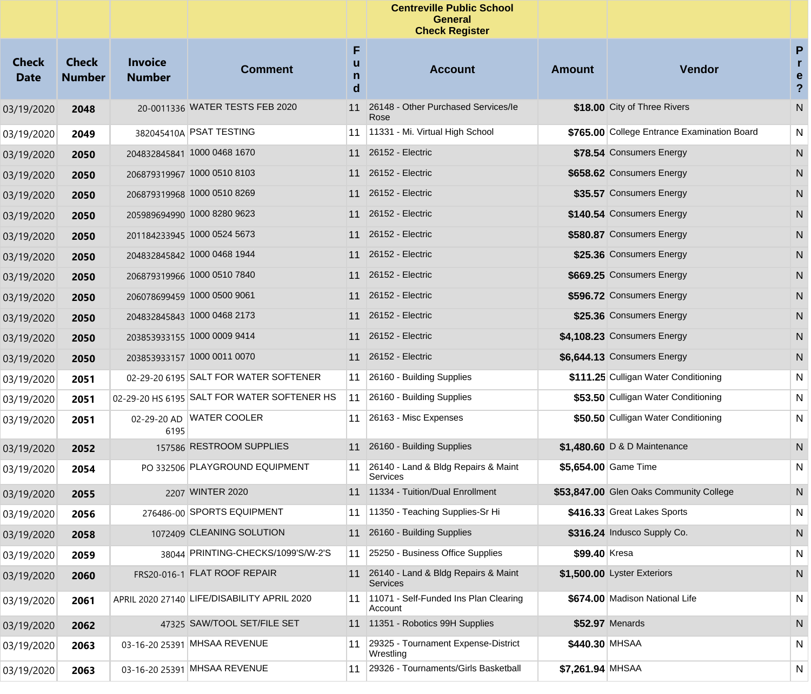|                             |                               |                                 |                                             |             | <b>Centreville Public School</b><br><b>General</b><br><b>Check Register</b> |                  |                                             |                                         |
|-----------------------------|-------------------------------|---------------------------------|---------------------------------------------|-------------|-----------------------------------------------------------------------------|------------------|---------------------------------------------|-----------------------------------------|
| <b>Check</b><br><b>Date</b> | <b>Check</b><br><b>Number</b> | <b>Invoice</b><br><b>Number</b> | <b>Comment</b>                              | F<br>n<br>d | <b>Account</b>                                                              | <b>Amount</b>    | Vendor                                      | P<br>r.<br>e<br>$\overline{\mathbf{?}}$ |
| 03/19/2020                  | 2048                          |                                 | 20-0011336 WATER TESTS FEB 2020             | 11          | 26148 - Other Purchased Services/le<br>Rose                                 |                  | \$18.00 City of Three Rivers                | N                                       |
| 03/19/2020                  | 2049                          |                                 | 382045410A PSAT TESTING                     | 11          | 11331 - Mi. Virtual High School                                             |                  | \$765.00 College Entrance Examination Board | N                                       |
| 03/19/2020                  | 2050                          |                                 | 204832845841 1000 0468 1670                 | 11          | 26152 - Electric                                                            |                  | \$78.54 Consumers Energy                    | ${\sf N}$                               |
| 03/19/2020                  | 2050                          |                                 | 206879319967 1000 0510 8103                 | 11          | 26152 - Electric                                                            |                  | \$658.62 Consumers Energy                   | N                                       |
| 03/19/2020                  | 2050                          |                                 | 206879319968 1000 0510 8269                 | 11          | 26152 - Electric                                                            |                  | \$35.57 Consumers Energy                    | N                                       |
| 03/19/2020                  | 2050                          |                                 | 205989694990 1000 8280 9623                 | 11          | 26152 - Electric                                                            |                  | \$140.54 Consumers Energy                   | N                                       |
| 03/19/2020                  | 2050                          |                                 | 201184233945 1000 0524 5673                 | 11          | 26152 - Electric                                                            |                  | \$580.87 Consumers Energy                   | N                                       |
| 03/19/2020                  | 2050                          |                                 | 204832845842 1000 0468 1944                 | 11          | 26152 - Electric                                                            |                  | \$25.36 Consumers Energy                    | N                                       |
| 03/19/2020                  | 2050                          |                                 | 206879319966 1000 0510 7840                 | 11          | 26152 - Electric                                                            |                  | \$669.25 Consumers Energy                   | N                                       |
| 03/19/2020                  | 2050                          |                                 | 206078699459 1000 0500 9061                 | 11          | 26152 - Electric                                                            |                  | \$596.72 Consumers Energy                   | N                                       |
| 03/19/2020                  | 2050                          |                                 | 204832845843 1000 0468 2173                 | 11          | 26152 - Electric                                                            |                  | \$25.36 Consumers Energy                    | N                                       |
| 03/19/2020                  | 2050                          |                                 | 203853933155 1000 0009 9414                 | 11          | 26152 - Electric                                                            |                  | \$4,108.23 Consumers Energy                 | N                                       |
| 03/19/2020                  | 2050                          |                                 | 203853933157 1000 0011 0070                 | 11          | 26152 - Electric                                                            |                  | \$6,644.13 Consumers Energy                 | N.                                      |
| 03/19/2020                  | 2051                          |                                 | 02-29-20 6195 SALT FOR WATER SOFTENER       | 11          | 26160 - Building Supplies                                                   |                  | \$111.25 Culligan Water Conditioning        | N                                       |
| 03/19/2020                  | 2051                          |                                 | 02-29-20 HS 6195 SALT FOR WATER SOFTENER HS | 11          | 26160 - Building Supplies                                                   |                  | \$53.50 Culligan Water Conditioning         | N                                       |
| 03/19/2020                  | 2051                          | 6195                            | 02-29-20 AD WATER COOLER                    | 11          | 26163 - Misc Expenses                                                       |                  | \$50.50 Culligan Water Conditioning         | N                                       |
| 03/19/2020                  | 2052                          |                                 | 157586 RESTROOM SUPPLIES                    |             | 11 26160 - Building Supplies                                                |                  | \$1,480.60 D & D Maintenance                | N                                       |
| 03/19/2020                  | 2054                          |                                 | PO 332506 PLAYGROUND EQUIPMENT              |             | 11 26140 - Land & Bldg Repairs & Maint<br>Services                          |                  | \$5,654.00 Game Time                        | N                                       |
| 03/19/2020                  | 2055                          |                                 | 2207 WINTER 2020                            |             | 11 11334 - Tuition/Dual Enrollment                                          |                  | \$53,847.00 Glen Oaks Community College     | N                                       |
| 03/19/2020                  | 2056                          |                                 | 276486-00 SPORTS EQUIPMENT                  |             | 11 11350 - Teaching Supplies-Sr Hi                                          |                  | \$416.33 Great Lakes Sports                 | $\mathsf{N}$                            |
| 03/19/2020                  | 2058                          |                                 | 1072409 CLEANING SOLUTION                   |             | 11 26160 - Building Supplies                                                |                  | \$316.24 Indusco Supply Co.                 | N                                       |
| 03/19/2020                  | 2059                          |                                 | 38044 PRINTING-CHECKS/1099'S/W-2'S          | 11          | 25250 - Business Office Supplies                                            | \$99.40 Kresa    |                                             | N                                       |
| 03/19/2020                  | 2060                          |                                 | FRS20-016-1 FLAT ROOF REPAIR                |             | 11 26140 - Land & Bldg Repairs & Maint<br><b>Services</b>                   |                  | \$1,500.00 Lyster Exteriors                 | N                                       |
| 03/19/2020                  | 2061                          |                                 | APRIL 2020 27140 LIFE/DISABILITY APRIL 2020 | 11          | 11071 - Self-Funded Ins Plan Clearing<br>Account                            |                  | \$674.00 Madison National Life              | N                                       |
| 03/19/2020                  | 2062                          |                                 | 47325 SAW/TOOL SET/FILE SET                 |             | 11 11351 - Robotics 99H Supplies                                            |                  | \$52.97 Menards                             | N                                       |
| 03/19/2020                  | 2063                          |                                 | 03-16-20 25391 MHSAA REVENUE                | 11          | 29325 - Tournament Expense-District<br>Wrestling                            | \$440.30 MHSAA   |                                             | N                                       |
| 03/19/2020                  | 2063                          |                                 | 03-16-20 25391 MHSAA REVENUE                | 11          | 29326 - Tournaments/Girls Basketball                                        | \$7,261.94 MHSAA |                                             | N                                       |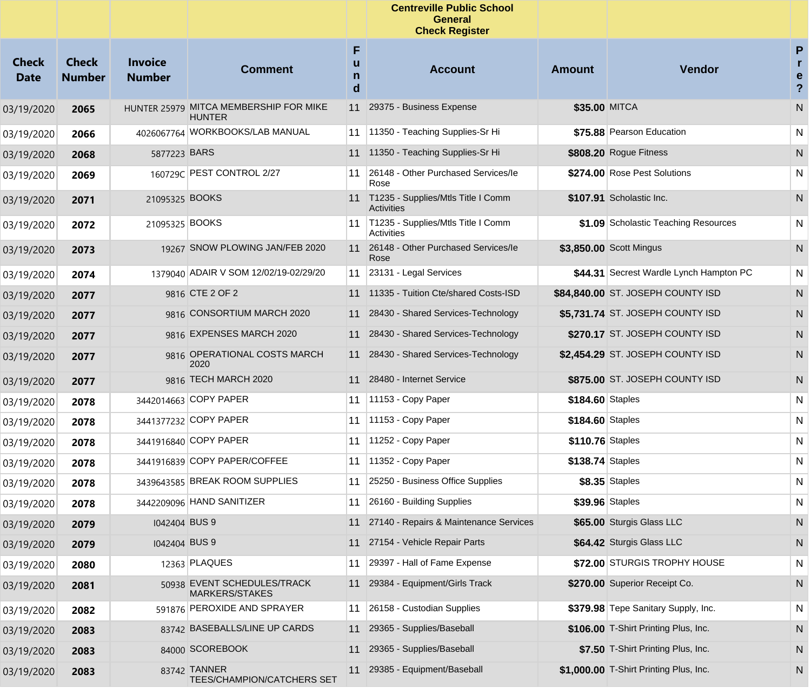|                             |                               |                                 |                                                         |                  | <b>Centreville Public School</b><br><b>General</b><br><b>Check Register</b> |                  |                                         |                                                     |
|-----------------------------|-------------------------------|---------------------------------|---------------------------------------------------------|------------------|-----------------------------------------------------------------------------|------------------|-----------------------------------------|-----------------------------------------------------|
| <b>Check</b><br><b>Date</b> | <b>Check</b><br><b>Number</b> | <b>Invoice</b><br><b>Number</b> | <b>Comment</b>                                          | F<br>u<br>n<br>d | <b>Account</b>                                                              | <b>Amount</b>    | <b>Vendor</b>                           | P<br>r.<br>$\mathbf e$<br>$\boldsymbol{\mathsf{?}}$ |
| 03/19/2020                  | 2065                          |                                 | HUNTER 25979 MITCA MEMBERSHIP FOR MIKE<br><b>HUNTER</b> |                  | 11 29375 - Business Expense                                                 | \$35.00 MITCA    |                                         | ${\sf N}$                                           |
| 03/19/2020                  | 2066                          |                                 | 4026067764 WORKBOOKS/LAB MANUAL                         | 11               | 11350 - Teaching Supplies-Sr Hi                                             |                  | \$75.88 Pearson Education               | N                                                   |
| 03/19/2020                  | 2068                          | 5877223 BARS                    |                                                         | 11               | 11350 - Teaching Supplies-Sr Hi                                             |                  | \$808.20 Rogue Fitness                  | N                                                   |
| 03/19/2020                  | 2069                          |                                 | 160729C PEST CONTROL 2/27                               | 11               | 26148 - Other Purchased Services/le<br>Rose                                 |                  | \$274.00 Rose Pest Solutions            | N                                                   |
| 03/19/2020                  | 2071                          | 21095325 BOOKS                  |                                                         | 11               | T1235 - Supplies/Mtls Title I Comm<br><b>Activities</b>                     |                  | \$107.91 Scholastic Inc.                | N                                                   |
| 03/19/2020                  | 2072                          | 21095325 BOOKS                  |                                                         | 11               | T1235 - Supplies/Mtls Title I Comm<br><b>Activities</b>                     |                  | \$1.09 Scholastic Teaching Resources    | N                                                   |
| 03/19/2020                  | 2073                          |                                 | 19267 SNOW PLOWING JAN/FEB 2020                         | 11               | 26148 - Other Purchased Services/le<br>Rose                                 |                  | \$3,850.00 Scott Mingus                 | ${\sf N}$                                           |
| 03/19/2020                  | 2074                          |                                 | 1379040 ADAIR V SOM 12/02/19-02/29/20                   | 11               | 23131 - Legal Services                                                      |                  | \$44.31 Secrest Wardle Lynch Hampton PC | N                                                   |
| 03/19/2020                  | 2077                          |                                 | 9816 CTE 2 OF 2                                         |                  | 11 11335 - Tuition Cte/shared Costs-ISD                                     |                  | \$84,840.00 ST. JOSEPH COUNTY ISD       | N                                                   |
| 03/19/2020                  | 2077                          |                                 | 9816 CONSORTIUM MARCH 2020                              | 11               | 28430 - Shared Services-Technology                                          |                  | \$5,731.74 ST. JOSEPH COUNTY ISD        | N                                                   |
| 03/19/2020                  | 2077                          |                                 | 9816 EXPENSES MARCH 2020                                |                  | 11 28430 - Shared Services-Technology                                       |                  | \$270.17 ST. JOSEPH COUNTY ISD          | N                                                   |
| 03/19/2020                  | 2077                          |                                 | 9816 OPERATIONAL COSTS MARCH<br>2020                    | 11               | 28430 - Shared Services-Technology                                          |                  | \$2,454.29 ST. JOSEPH COUNTY ISD        | N                                                   |
| 03/19/2020                  | 2077                          |                                 | 9816 TECH MARCH 2020                                    |                  | 11 28480 - Internet Service                                                 |                  | \$875.00 ST. JOSEPH COUNTY ISD          | N                                                   |
| 03/19/2020                  | 2078                          |                                 | 3442014663 COPY PAPER                                   |                  | 11   11153 - Copy Paper                                                     | \$184.60 Staples |                                         | N                                                   |
| 03/19/2020                  | 2078                          |                                 | 3441377232 COPY PAPER                                   | 11               | $ 11153 - Copy Paper$                                                       | \$184.60 Staples |                                         | N                                                   |
| 03/19/2020                  | 2078                          |                                 | 3441916840 COPY PAPER                                   | 11               | 11252 - Copy Paper                                                          | \$110.76 Staples |                                         | N                                                   |
| 03/19/2020                  | 2078                          |                                 | 3441916839 COPY PAPER/COFFEE                            | 11               | 11352 - Copy Paper                                                          | \$138.74 Staples |                                         | N                                                   |
| 03/19/2020                  | 2078                          |                                 | 3439643585 BREAK ROOM SUPPLIES                          | 11               | 25250 - Business Office Supplies                                            |                  | \$8.35 Staples                          | N                                                   |
| 03/19/2020                  | 2078                          |                                 | 3442209096 HAND SANITIZER                               | 11               | 26160 - Building Supplies                                                   |                  | \$39.96 Staples                         | N                                                   |
| 03/19/2020                  | 2079                          | 1042404 BUS 9                   |                                                         |                  | 11 27140 - Repairs & Maintenance Services                                   |                  | \$65.00 Sturgis Glass LLC               | N                                                   |
| 03/19/2020                  | 2079                          | 1042404 BUS 9                   |                                                         | 11               | 27154 - Vehicle Repair Parts                                                |                  | \$64.42 Sturgis Glass LLC               | N                                                   |
| 03/19/2020                  | 2080                          |                                 | 12363 PLAQUES                                           | 11               | 29397 - Hall of Fame Expense                                                |                  | \$72.00 STURGIS TROPHY HOUSE            | N                                                   |
| 03/19/2020                  | 2081                          |                                 | 50938 EVENT SCHEDULES/TRACK<br>MARKERS/STAKES           |                  | 11 29384 - Equipment/Girls Track                                            |                  | \$270.00 Superior Receipt Co.           | N                                                   |
| 03/19/2020                  | 2082                          |                                 | 591876 PEROXIDE AND SPRAYER                             | 11               | 26158 - Custodian Supplies                                                  |                  | \$379.98 Tepe Sanitary Supply, Inc.     | N                                                   |
| 03/19/2020                  | 2083                          |                                 | 83742 BASEBALLS/LINE UP CARDS                           | 11               | 29365 - Supplies/Baseball                                                   |                  | \$106.00 T-Shirt Printing Plus, Inc.    | N                                                   |
| 03/19/2020                  | 2083                          |                                 | 84000 SCOREBOOK                                         | 11               | 29365 - Supplies/Baseball                                                   |                  | \$7.50 T-Shirt Printing Plus, Inc.      | N                                                   |
| 03/19/2020                  | 2083                          |                                 | 83742 TANNER<br>TEES/CHAMPION/CATCHERS SET              | 11               | 29385 - Equipment/Baseball                                                  |                  | \$1,000.00 T-Shirt Printing Plus, Inc.  | N                                                   |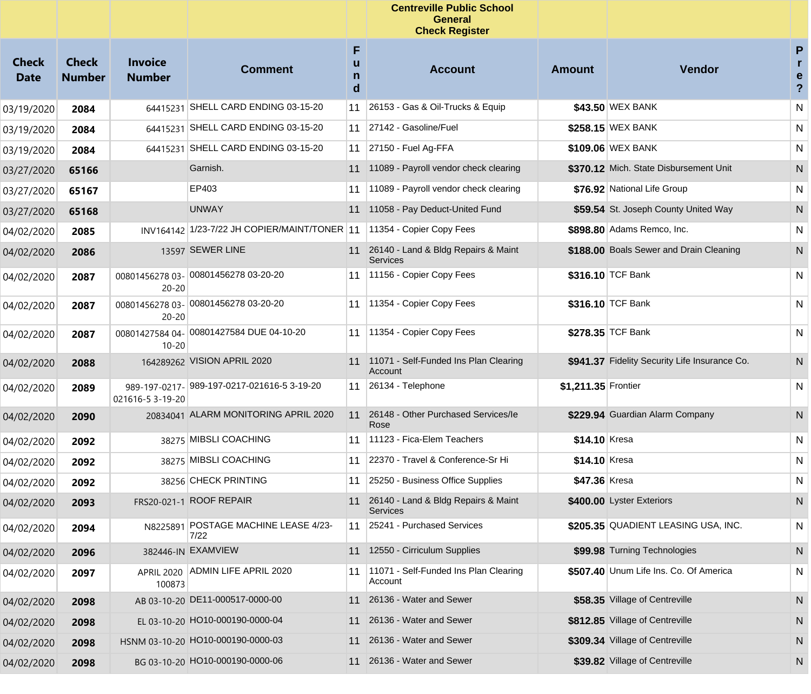|                             |                               |                                 |                                              |                  | <b>Centreville Public School</b><br><b>General</b><br><b>Check Register</b> |                     |                                               |                                          |
|-----------------------------|-------------------------------|---------------------------------|----------------------------------------------|------------------|-----------------------------------------------------------------------------|---------------------|-----------------------------------------------|------------------------------------------|
| <b>Check</b><br><b>Date</b> | <b>Check</b><br><b>Number</b> | <b>Invoice</b><br><b>Number</b> | <b>Comment</b>                               | F<br>u<br>n<br>d | <b>Account</b>                                                              | <b>Amount</b>       | Vendor                                        | P<br>$\mathbf{r}$<br>e<br>$\overline{?}$ |
| 03/19/2020                  | 2084                          |                                 | 64415231 SHELL CARD ENDING 03-15-20          | 11               | 26153 - Gas & Oil-Trucks & Equip                                            |                     | \$43.50 WEX BANK                              | N                                        |
| 03/19/2020                  | 2084                          |                                 | 64415231 SHELL CARD ENDING 03-15-20          | 11               | 27142 - Gasoline/Fuel                                                       |                     | \$258.15 WEX BANK                             | N                                        |
| 03/19/2020                  | 2084                          |                                 | 64415231 SHELL CARD ENDING 03-15-20          | 11               | 27150 - Fuel Ag-FFA                                                         |                     | \$109.06 WEX BANK                             | N                                        |
| 03/27/2020                  | 65166                         |                                 | Garnish.                                     | 11               | 11089 - Payroll vendor check clearing                                       |                     | \$370.12 Mich. State Disbursement Unit        | N                                        |
| 03/27/2020                  | 65167                         |                                 | EP403                                        | 11               | 11089 - Payroll vendor check clearing                                       |                     | \$76.92 National Life Group                   | N                                        |
| 03/27/2020                  | 65168                         |                                 | <b>UNWAY</b>                                 | 11               | 11058 - Pay Deduct-United Fund                                              |                     | \$59.54 St. Joseph County United Way          | N                                        |
| 04/02/2020                  | 2085                          |                                 | INV164142 1/23-7/22 JH COPIER/MAINT/TONER 11 |                  | 11354 - Copier Copy Fees                                                    |                     | \$898.80 Adams Remco, Inc.                    | N                                        |
| 04/02/2020                  | 2086                          |                                 | 13597 SEWER LINE                             |                  | 11 26140 - Land & Bldg Repairs & Maint<br><b>Services</b>                   |                     | \$188.00 Boals Sewer and Drain Cleaning       | N                                        |
| 04/02/2020                  | 2087                          | $20 - 20$                       | 00801456278 03- 00801456278 03-20-20         |                  | 11   11156 - Copier Copy Fees                                               |                     | \$316.10 TCF Bank                             | N                                        |
| 04/02/2020                  | 2087                          | $20 - 20$                       | 00801456278 03- 00801456278 03-20-20         | 11               | 11354 - Copier Copy Fees                                                    |                     | \$316.10 TCF Bank                             | N                                        |
| 04/02/2020                  | 2087                          | $10 - 20$                       | 00801427584 04- 00801427584 DUE 04-10-20     | 11               | 11354 - Copier Copy Fees                                                    |                     | \$278.35 TCF Bank                             | N                                        |
| 04/02/2020                  | 2088                          |                                 | 164289262 VISION APRIL 2020                  |                  | 11 11071 - Self-Funded Ins Plan Clearing<br>Account                         |                     | \$941.37 Fidelity Security Life Insurance Co. | N                                        |
| 04/02/2020                  | 2089                          | 021616-5 3-19-20                | 989-197-0217- 989-197-0217-021616-5 3-19-20  | 11               | 26134 - Telephone                                                           | \$1,211.35 Frontier |                                               | N                                        |
| 04/02/2020                  | 2090                          |                                 | 20834041 ALARM MONITORING APRIL 2020         | 11               | 26148 - Other Purchased Services/le<br>Rose                                 |                     | \$229.94 Guardian Alarm Company               | N                                        |
| 04/02/2020                  | 2092                          |                                 | 38275 MIBSLI COACHING                        | 11               | 11123 - Fica-Elem Teachers                                                  | \$14.10 Kresa       |                                               | N                                        |
| 04/02/2020                  | 2092                          |                                 | 38275 MIBSLI COACHING                        | 11               | 22370 - Travel & Conference-Sr Hi                                           | \$14.10 Kresa       |                                               | N                                        |
| 04/02/2020                  | 2092                          |                                 | 38256 CHECK PRINTING                         | 11               | 25250 - Business Office Supplies                                            | \$47.36 Kresa       |                                               | N                                        |
| 04/02/2020                  | 2093                          | FRS20-021-1                     | <b>ROOF REPAIR</b>                           | 11               | 26140 - Land & Bldg Repairs & Maint<br><b>Services</b>                      |                     | \$400.00 Lyster Exteriors                     | N                                        |
| 04/02/2020                  | 2094                          |                                 | N8225891 POSTAGE MACHINE LEASE 4/23-<br>7/22 | 11               | 25241 - Purchased Services                                                  |                     | \$205.35 QUADIENT LEASING USA, INC.           | N                                        |
| 04/02/2020                  | 2096                          |                                 | 382446-IN EXAMVIEW                           |                  | 11 12550 - Cirriculum Supplies                                              |                     | \$99.98 Turning Technologies                  | N                                        |
| 04/02/2020                  | 2097                          | 100873                          | APRIL 2020 ADMIN LIFE APRIL 2020             | 11               | 11071 - Self-Funded Ins Plan Clearing<br>Account                            |                     | \$507.40 Unum Life Ins. Co. Of America        | N                                        |
| 04/02/2020                  | 2098                          |                                 | AB 03-10-20 DE11-000517-0000-00              | 11               | 26136 - Water and Sewer                                                     |                     | \$58.35 Village of Centreville                | N                                        |
| 04/02/2020                  | 2098                          |                                 | EL 03-10-20 HO10-000190-0000-04              | 11               | 26136 - Water and Sewer                                                     |                     | \$812.85 Village of Centreville               | N                                        |
| 04/02/2020                  | 2098                          |                                 | HSNM 03-10-20 HO10-000190-0000-03            | 11               | 26136 - Water and Sewer                                                     |                     | \$309.34 Village of Centreville               | N                                        |
| 04/02/2020                  | 2098                          |                                 | BG 03-10-20 HO10-000190-0000-06              | 11               | 26136 - Water and Sewer                                                     |                     | \$39.82 Village of Centreville                | N                                        |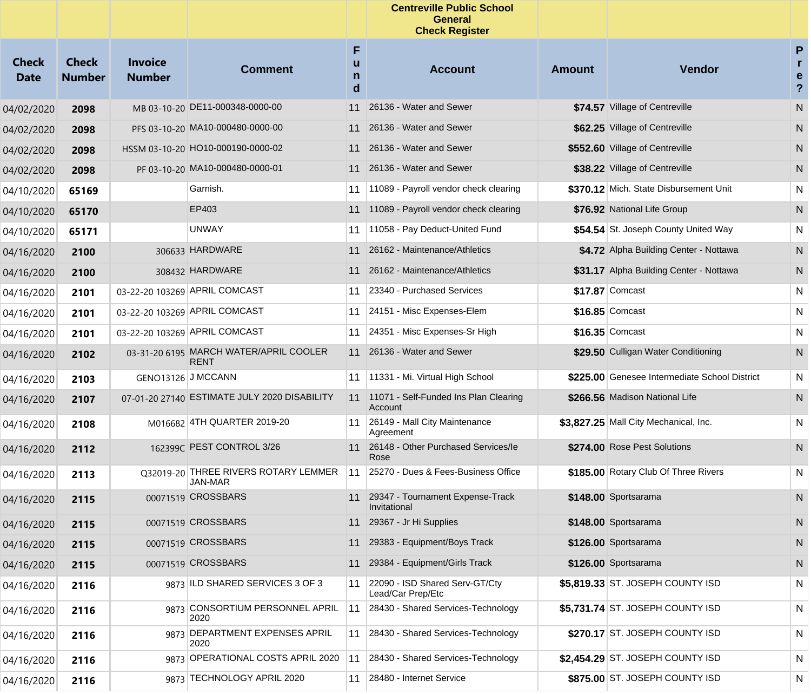|                             |                               |                                 |                                                        |                  | <b>Centreville Public School</b><br>General<br><b>Check Register</b> |               |                                               |                                         |
|-----------------------------|-------------------------------|---------------------------------|--------------------------------------------------------|------------------|----------------------------------------------------------------------|---------------|-----------------------------------------------|-----------------------------------------|
| <b>Check</b><br><b>Date</b> | <b>Check</b><br><b>Number</b> | <b>Invoice</b><br><b>Number</b> | <b>Comment</b>                                         | F<br>u<br>n<br>d | <b>Account</b>                                                       | <b>Amount</b> | Vendor                                        | P<br>r.<br>e<br>$\overline{\mathbf{?}}$ |
| 04/02/2020                  | 2098                          |                                 | MB 03-10-20 DE11-000348-0000-00                        | 11               | 26136 - Water and Sewer                                              |               | \$74.57 Village of Centreville                | ${\sf N}$                               |
| 04/02/2020                  | 2098                          |                                 | PFS 03-10-20 MA10-000480-0000-00                       |                  | 11 26136 - Water and Sewer                                           |               | \$62.25 Village of Centreville                | N                                       |
| 04/02/2020                  | 2098                          |                                 | HSSM 03-10-20 HO10-000190-0000-02                      |                  | 11 26136 - Water and Sewer                                           |               | \$552.60 Village of Centreville               | N                                       |
| 04/02/2020                  | 2098                          |                                 | PF 03-10-20 MA10-000480-0000-01                        |                  | 11 26136 - Water and Sewer                                           |               | \$38.22 Village of Centreville                | N                                       |
| 04/10/2020                  | 65169                         |                                 | Garnish.                                               | 11               | 11089 - Payroll vendor check clearing                                |               | \$370.12 Mich. State Disbursement Unit        | N                                       |
| 04/10/2020                  | 65170                         |                                 | EP403                                                  |                  | 11 11089 - Payroll vendor check clearing                             |               | \$76.92 National Life Group                   | N                                       |
| 04/10/2020                  | 65171                         |                                 | <b>UNWAY</b>                                           | 11               | 11058 - Pay Deduct-United Fund                                       |               | \$54.54 St. Joseph County United Way          | N                                       |
| 04/16/2020                  | 2100                          |                                 | 306633 HARDWARE                                        | 11               | 26162 - Maintenance/Athletics                                        |               | \$4.72 Alpha Building Center - Nottawa        | N                                       |
| 04/16/2020                  | 2100                          |                                 | 308432 HARDWARE                                        |                  | 11 26162 - Maintenance/Athletics                                     |               | \$31.17 Alpha Building Center - Nottawa       | N                                       |
| 04/16/2020                  | 2101                          |                                 | 03-22-20 103269 APRIL COMCAST                          | 11               | 23340 - Purchased Services                                           |               | \$17.87 Comcast                               | N                                       |
| 04/16/2020                  | 2101                          |                                 | 03-22-20 103269 APRIL COMCAST                          |                  | 11 24151 - Misc Expenses-Elem                                        |               | \$16.85 Comcast                               | N                                       |
| 04/16/2020                  | 2101                          |                                 | 03-22-20 103269 APRIL COMCAST                          |                  | 11 24351 - Misc Expenses-Sr High                                     |               | \$16.35 Comcast                               | N                                       |
| 04/16/2020                  | 2102                          |                                 | 03-31-20 6195 MARCH WATER/APRIL COOLER<br><b>RENT</b>  |                  | 11 26136 - Water and Sewer                                           |               | \$29.50 Culligan Water Conditioning           | ${\sf N}$                               |
| 04/16/2020                  | 2103                          |                                 | GENO13126 J MCCANN                                     |                  | 11   11331 - Mi. Virtual High School                                 |               | \$225.00 Genesee Intermediate School District | N                                       |
| 04/16/2020                  | 2107                          |                                 | 07-01-20 27140 ESTIMATE JULY 2020 DISABILITY           |                  | 11 11071 - Self-Funded Ins Plan Clearing<br>Account                  |               | \$266.56 Madison National Life                | N                                       |
| 04/16/2020                  | 2108                          |                                 | M016682 4TH QUARTER 2019-20                            | 11               | 26149 - Mall City Maintenance<br>Agreement                           |               | \$3,827.25 Mall City Mechanical, Inc.         | N                                       |
| 04/16/2020                  | 2112                          |                                 | 162399C PEST CONTROL 3/26                              |                  | 11 26148 - Other Purchased Services/le<br>Rose                       |               | \$274.00 Rose Pest Solutions                  | N                                       |
| 04/16/2020                  | 2113                          |                                 | Q32019-20 THREE RIVERS ROTARY LEMMER<br><b>JAN-MAR</b> | 11               | 25270 - Dues & Fees-Business Office                                  |               | \$185.00 Rotary Club Of Three Rivers          | N                                       |
| 04/16/2020                  | 2115                          |                                 | 00071519 CROSSBARS                                     |                  | 11 29347 - Tournament Expense-Track<br>Invitational                  |               | \$148.00 Sportsarama                          | N                                       |
| 04/16/2020                  | 2115                          |                                 | 00071519 CROSSBARS                                     |                  | 11 29367 - Jr Hi Supplies                                            |               | \$148.00 Sportsarama                          | N                                       |
| 04/16/2020                  | 2115                          |                                 | 00071519 CROSSBARS                                     |                  | 11 29383 - Equipment/Boys Track                                      |               | \$126.00 Sportsarama                          | N                                       |
| 04/16/2020                  | 2115                          |                                 | 00071519 CROSSBARS                                     |                  | 11 29384 - Equipment/Girls Track                                     |               | \$126.00 Sportsarama                          | N.                                      |
| 04/16/2020                  | 2116                          |                                 | 9873 ILD SHARED SERVICES 3 OF 3                        | 11               | 22090 - ISD Shared Serv-GT/Cty<br>Lead/Car Prep/Etc                  |               | \$5,819.33 ST. JOSEPH COUNTY ISD              | N                                       |
| 04/16/2020                  | 2116                          |                                 | 9873 CONSORTIUM PERSONNEL APRIL<br>2020                | 11               | 28430 - Shared Services-Technology                                   |               | \$5,731.74 ST. JOSEPH COUNTY ISD              | N                                       |
| 04/16/2020                  | 2116                          |                                 | 9873 DEPARTMENT EXPENSES APRIL<br>2020                 |                  | 11 28430 - Shared Services-Technology                                |               | \$270.17 ST. JOSEPH COUNTY ISD                | N                                       |
| 04/16/2020                  | 2116                          |                                 | 9873 OPERATIONAL COSTS APRIL 2020                      | 11               | 28430 - Shared Services-Technology                                   |               | \$2,454.29 ST. JOSEPH COUNTY ISD              | N                                       |
| 04/16/2020                  | 2116                          |                                 | 9873 TECHNOLOGY APRIL 2020                             | 11               | 28480 - Internet Service                                             |               | \$875.00 ST. JOSEPH COUNTY ISD                | N                                       |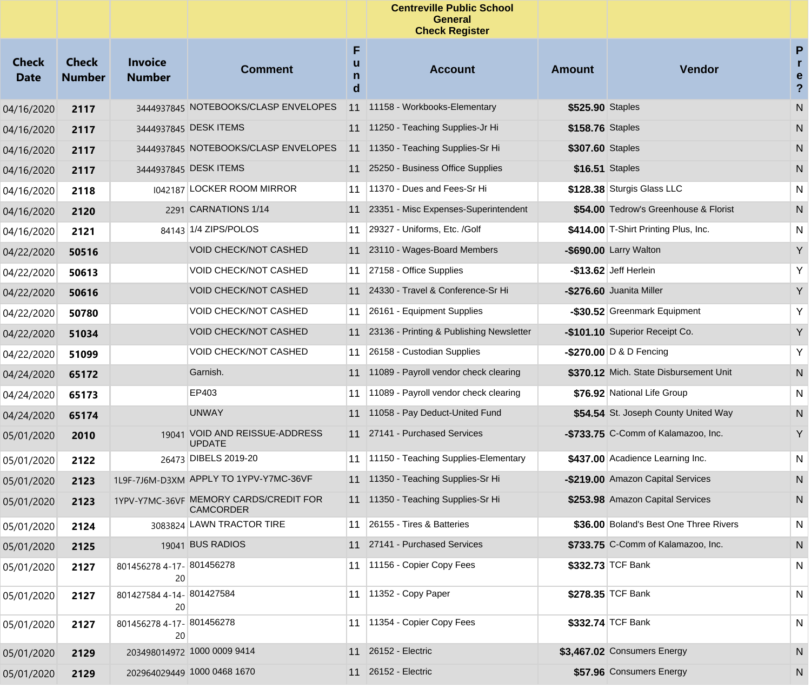|                             |                               |                                 |                                                     |             | <b>Centreville Public School</b><br><b>General</b><br><b>Check Register</b> |                  |                                        |                                            |
|-----------------------------|-------------------------------|---------------------------------|-----------------------------------------------------|-------------|-----------------------------------------------------------------------------|------------------|----------------------------------------|--------------------------------------------|
| <b>Check</b><br><b>Date</b> | <b>Check</b><br><b>Number</b> | <b>Invoice</b><br><b>Number</b> | <b>Comment</b>                                      | F<br>n<br>d | <b>Account</b>                                                              | <b>Amount</b>    | <b>Vendor</b>                          | P<br>$\mathbf{r}$<br>e<br>$\boldsymbol{?}$ |
| 04/16/2020                  | 2117                          |                                 | 3444937845 NOTEBOOKS/CLASP ENVELOPES                |             | 11 11158 - Workbooks-Elementary                                             | \$525.90 Staples |                                        | N                                          |
| 04/16/2020                  | 2117                          |                                 | 3444937845 DESK ITEMS                               |             | 11 11250 - Teaching Supplies-Jr Hi                                          | \$158.76 Staples |                                        | N                                          |
| 04/16/2020                  | 2117                          |                                 | 3444937845 NOTEBOOKS/CLASP ENVELOPES                |             | 11 11350 - Teaching Supplies-Sr Hi                                          | \$307.60 Staples |                                        | N                                          |
| 04/16/2020                  | 2117                          |                                 | 3444937845 DESK ITEMS                               |             | 11 25250 - Business Office Supplies                                         |                  | \$16.51 Staples                        | N                                          |
| 04/16/2020                  | 2118                          |                                 | 1042187 LOCKER ROOM MIRROR                          | 11          | 11370 - Dues and Fees-Sr Hi                                                 |                  | \$128.38 Sturgis Glass LLC             | N                                          |
| 04/16/2020                  | 2120                          |                                 | 2291 CARNATIONS 1/14                                |             | 11 23351 - Misc Expenses-Superintendent                                     |                  | \$54.00 Tedrow's Greenhouse & Florist  | N                                          |
| 04/16/2020                  | 2121                          |                                 | 84143 1/4 ZIPS/POLOS                                | 11          | 29327 - Uniforms, Etc. /Golf                                                |                  | \$414.00 T-Shirt Printing Plus, Inc.   | N                                          |
| 04/22/2020                  | 50516                         |                                 | VOID CHECK/NOT CASHED                               |             | 11 23110 - Wages-Board Members                                              |                  | <b>-\$690.00</b> Larry Walton          | Y                                          |
| 04/22/2020                  | 50613                         |                                 | <b>VOID CHECK/NOT CASHED</b>                        |             | 11 27158 - Office Supplies                                                  |                  | -\$13.62 Jeff Herlein                  | Υ                                          |
| 04/22/2020                  | 50616                         |                                 | VOID CHECK/NOT CASHED                               |             | 11 24330 - Travel & Conference-Sr Hi                                        |                  | -\$276.60 Juanita Miller               | Y                                          |
| 04/22/2020                  | 50780                         |                                 | VOID CHECK/NOT CASHED                               |             | 11 26161 - Equipment Supplies                                               |                  | -\$30.52 Greenmark Equipment           | Υ                                          |
| 04/22/2020                  | 51034                         |                                 | VOID CHECK/NOT CASHED                               |             | 11 23136 - Printing & Publishing Newsletter                                 |                  | -\$101.10 Superior Receipt Co.         | Y                                          |
| 04/22/2020                  | 51099                         |                                 | VOID CHECK/NOT CASHED                               | 11          | 26158 - Custodian Supplies                                                  |                  | <b>-\$270.00</b> $D$ & D Fencing       | Υ                                          |
| 04/24/2020                  | 65172                         |                                 | Garnish.                                            |             | 11 11089 - Payroll vendor check clearing                                    |                  | \$370.12 Mich. State Disbursement Unit | N                                          |
| 04/24/2020                  | 65173                         |                                 | EP403                                               | 11          | 11089 - Payroll vendor check clearing                                       |                  | \$76.92 National Life Group            | N                                          |
| 04/24/2020                  | 65174                         |                                 | <b>UNWAY</b>                                        |             | 11 11058 - Pay Deduct-United Fund                                           |                  | \$54.54 St. Joseph County United Way   | N                                          |
| 05/01/2020                  | 2010                          |                                 | 19041 VOID AND REISSUE-ADDRESS<br><b>UPDATE</b>     |             | 11 27141 - Purchased Services                                               |                  | -\$733.75 C-Comm of Kalamazoo, Inc.    | Y                                          |
| 05/01/2020                  | 2122                          |                                 | 26473 DIBELS 2019-20                                | 11          | 11150 - Teaching Supplies-Elementary                                        |                  | \$437.00 Acadience Learning Inc.       | N                                          |
| 05/01/2020                  | 2123                          |                                 | 1L9F-7J6M-D3XM APPLY TO 1YPV-Y7MC-36VF              |             | 11 11350 - Teaching Supplies-Sr Hi                                          |                  | -\$219.00 Amazon Capital Services      | N                                          |
| 05/01/2020                  | 2123                          |                                 | 1YPV-Y7MC-36VF MEMORY CARDS/CREDIT FOR<br>CAMCORDER |             | 11 11350 - Teaching Supplies-Sr Hi                                          |                  | \$253.98 Amazon Capital Services       | N                                          |
| 05/01/2020                  | 2124                          |                                 | 3083824 LAWN TRACTOR TIRE                           |             | 11 26155 - Tires & Batteries                                                |                  | \$36.00 Boland's Best One Three Rivers | N                                          |
| 05/01/2020                  | 2125                          |                                 | 19041 BUS RADIOS                                    |             | 11 27141 - Purchased Services                                               |                  | \$733.75 C-Comm of Kalamazoo, Inc.     | $\mathsf{N}$                               |
| 05/01/2020                  | 2127                          | 801456278 4-17- 801456278<br>20 |                                                     |             | 11   11156 - Copier Copy Fees                                               |                  | \$332.73 TCF Bank                      | N                                          |
| 05/01/2020                  | 2127                          | 801427584 4-14- 801427584<br>20 |                                                     |             | 11   11352 - Copy Paper                                                     |                  | \$278.35 TCF Bank                      | N                                          |
| 05/01/2020                  | 2127                          | 801456278 4-17- 801456278<br>20 |                                                     |             | 11   11354 - Copier Copy Fees                                               |                  | \$332.74 TCF Bank                      | N                                          |
| 05/01/2020                  | 2129                          |                                 | 203498014972 1000 0009 9414                         |             | 11 26152 - Electric                                                         |                  | \$3,467.02 Consumers Energy            | N                                          |
| 05/01/2020                  | 2129                          |                                 | 202964029449 1000 0468 1670                         |             | 11 26152 - Electric                                                         |                  | \$57.96 Consumers Energy               | N                                          |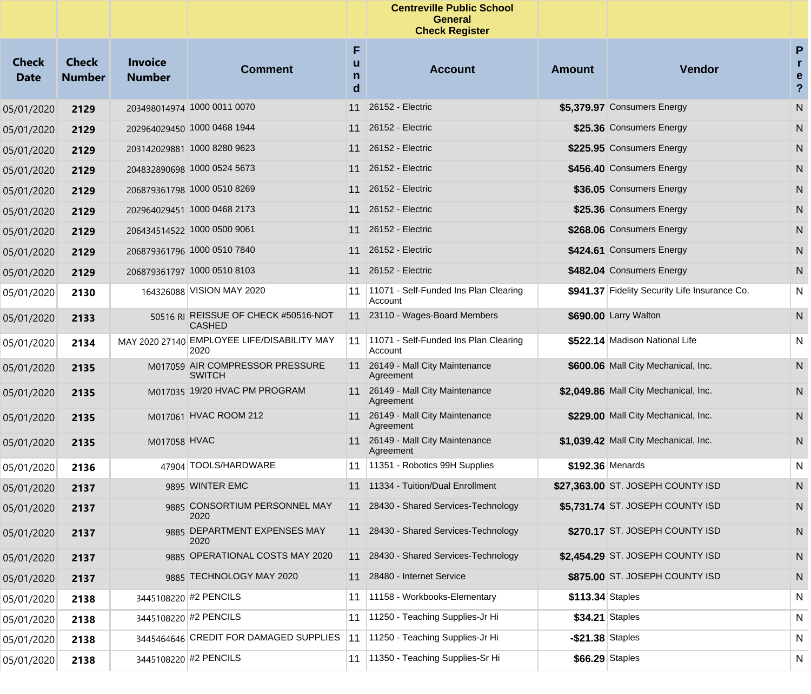|                             |                               |                                 |                                                       |                  | <b>Centreville Public School</b><br><b>General</b><br><b>Check Register</b> |                     |                                               |                                     |
|-----------------------------|-------------------------------|---------------------------------|-------------------------------------------------------|------------------|-----------------------------------------------------------------------------|---------------------|-----------------------------------------------|-------------------------------------|
| <b>Check</b><br><b>Date</b> | <b>Check</b><br><b>Number</b> | <b>Invoice</b><br><b>Number</b> | <b>Comment</b>                                        | F<br>u<br>n<br>d | <b>Account</b>                                                              | <b>Amount</b>       | Vendor                                        | P<br>r<br>e<br>$\ddot{\phantom{0}}$ |
| 05/01/2020                  | 2129                          |                                 | 203498014974 1000 0011 0070                           | 11               | 26152 - Electric                                                            |                     | \$5,379.97 Consumers Energy                   | N                                   |
| 05/01/2020                  | 2129                          |                                 | 202964029450 1000 0468 1944                           | 11               | 26152 - Electric                                                            |                     | \$25.36 Consumers Energy                      | N                                   |
| 05/01/2020                  | 2129                          |                                 | 203142029881 1000 8280 9623                           | 11               | 26152 - Electric                                                            |                     | \$225.95 Consumers Energy                     | N                                   |
| 05/01/2020                  | 2129                          |                                 | 204832890698 1000 0524 5673                           | 11               | 26152 - Electric                                                            |                     | \$456.40 Consumers Energy                     | N                                   |
| 05/01/2020                  | 2129                          |                                 | 206879361798 1000 0510 8269                           | 11               | 26152 - Electric                                                            |                     | \$36.05 Consumers Energy                      | N                                   |
| 05/01/2020                  | 2129                          |                                 | 202964029451 1000 0468 2173                           |                  | 11 26152 - Electric                                                         |                     | \$25.36 Consumers Energy                      | N                                   |
| 05/01/2020                  | 2129                          |                                 | 206434514522 1000 0500 9061                           | 11               | 26152 - Electric                                                            |                     | \$268.06 Consumers Energy                     | N                                   |
| 05/01/2020                  | 2129                          |                                 | 206879361796 1000 0510 7840                           |                  | 11 26152 - Electric                                                         |                     | \$424.61 Consumers Energy                     | N                                   |
| 05/01/2020                  | 2129                          |                                 | 206879361797 1000 0510 8103                           |                  | 11 26152 - Electric                                                         |                     | \$482.04 Consumers Energy                     | N                                   |
| 05/01/2020                  | 2130                          |                                 | 164326088 VISION MAY 2020                             | 11               | 11071 - Self-Funded Ins Plan Clearing<br>Account                            |                     | \$941.37 Fidelity Security Life Insurance Co. | $\mathsf{N}$                        |
| 05/01/2020                  | 2133                          |                                 | 50516 RI REISSUE OF CHECK #50516-NOT<br><b>CASHED</b> |                  | 11 23110 - Wages-Board Members                                              |                     | \$690.00 Larry Walton                         | N                                   |
| 05/01/2020                  | 2134                          |                                 | MAY 2020 27140 EMPLOYEE LIFE/DISABILITY MAY<br>2020   | 11               | 11071 - Self-Funded Ins Plan Clearing<br>Account                            |                     | \$522.14 Madison National Life                | N                                   |
| 05/01/2020                  | 2135                          |                                 | M017059 AIR COMPRESSOR PRESSURE<br><b>SWITCH</b>      |                  | 11 26149 - Mall City Maintenance<br>Agreement                               |                     | \$600.06 Mall City Mechanical, Inc.           | N                                   |
| 05/01/2020                  | 2135                          |                                 | M017035 19/20 HVAC PM PROGRAM                         |                  | 11 26149 - Mall City Maintenance<br>Agreement                               |                     | \$2,049.86 Mall City Mechanical, Inc.         | N                                   |
| 05/01/2020                  | 2135                          |                                 | M017061 HVAC ROOM 212                                 |                  | 11 26149 - Mall City Maintenance<br>Agreement                               |                     | \$229.00 Mall City Mechanical, Inc.           | N.                                  |
| 05/01/2020                  | 2135                          | M017058 HVAC                    |                                                       |                  | 11 26149 - Mall City Maintenance<br>Agreement                               |                     | \$1,039.42 Mall City Mechanical, Inc.         | N                                   |
| 05/01/2020                  | 2136                          |                                 | 47904 TOOLS/HARDWARE                                  |                  | 11 11351 - Robotics 99H Supplies                                            | \$192.36 Menards    |                                               | N                                   |
| 05/01/2020                  | 2137                          |                                 | 9895 WINTER EMC                                       |                  | 11 11334 - Tuition/Dual Enrollment                                          |                     | \$27,363.00 ST. JOSEPH COUNTY ISD             | N                                   |
| 05/01/2020                  | 2137                          |                                 | 9885 CONSORTIUM PERSONNEL MAY<br>2020                 |                  | 11 28430 - Shared Services-Technology                                       |                     | \$5,731.74 ST. JOSEPH COUNTY ISD              | N.                                  |
| 05/01/2020                  | 2137                          |                                 | 9885 DEPARTMENT EXPENSES MAY<br>2020                  |                  | 11 28430 - Shared Services-Technology                                       |                     | \$270.17 ST. JOSEPH COUNTY ISD                | N                                   |
| 05/01/2020                  | 2137                          |                                 | 9885 OPERATIONAL COSTS MAY 2020                       |                  | 11 28430 - Shared Services-Technology                                       |                     | \$2,454.29 ST. JOSEPH COUNTY ISD              | N                                   |
| 05/01/2020                  | 2137                          |                                 | 9885 TECHNOLOGY MAY 2020                              | 11               | 28480 - Internet Service                                                    |                     | \$875.00 ST. JOSEPH COUNTY ISD                | N                                   |
| 05/01/2020                  | 2138                          |                                 | 3445108220 #2 PENCILS                                 | 11               | 11158 - Workbooks-Elementary                                                | \$113.34 Staples    |                                               | N                                   |
| 05/01/2020                  | 2138                          |                                 | 3445108220 #2 PENCILS                                 | 11               | 11250 - Teaching Supplies-Jr Hi                                             | \$34.21 Staples     |                                               | N                                   |
| 05/01/2020                  | 2138                          |                                 | 3445464646 CREDIT FOR DAMAGED SUPPLIES                | 11               | 11250 - Teaching Supplies-Jr Hi                                             | $-$ \$21.38 Staples |                                               | N                                   |
| 05/01/2020                  | 2138                          |                                 | 3445108220 #2 PENCILS                                 | 11               | 11350 - Teaching Supplies-Sr Hi                                             | \$66.29 Staples     |                                               | N                                   |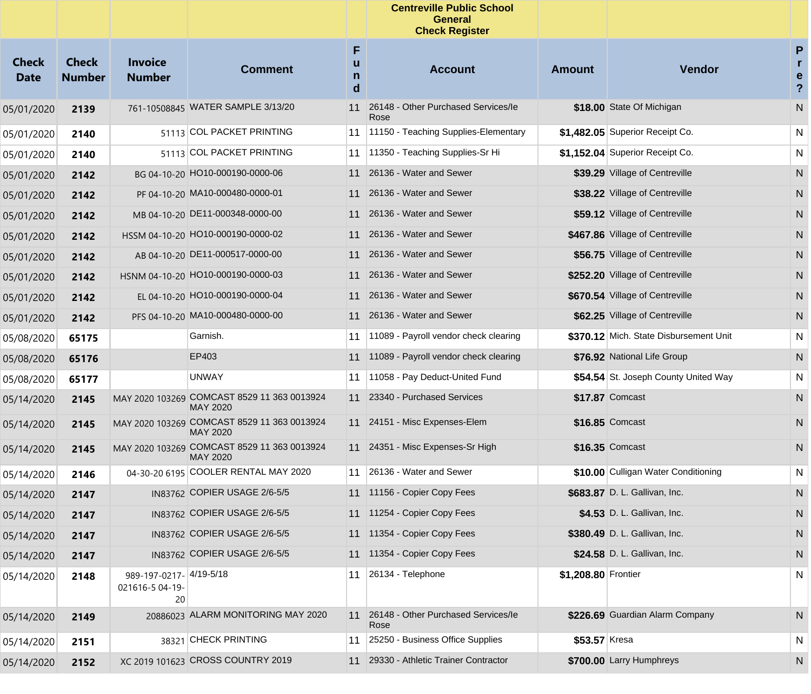|                             |                               |                                                  |                                                                |                  | <b>Centreville Public School</b><br>General<br><b>Check Register</b> |                     |                                        |                                                                          |
|-----------------------------|-------------------------------|--------------------------------------------------|----------------------------------------------------------------|------------------|----------------------------------------------------------------------|---------------------|----------------------------------------|--------------------------------------------------------------------------|
| <b>Check</b><br><b>Date</b> | <b>Check</b><br><b>Number</b> | <b>Invoice</b><br><b>Number</b>                  | <b>Comment</b>                                                 | F<br>u<br>n<br>d | <b>Account</b>                                                       | <b>Amount</b>       | Vendor                                 | $\mathsf{P}$<br>$\mathbf{r}$<br>$\mathbf e$<br>$\boldsymbol{\mathsf{?}}$ |
| 05/01/2020                  | 2139                          |                                                  | 761-10508845 WATER SAMPLE 3/13/20                              | 11               | 26148 - Other Purchased Services/le<br>Rose                          |                     | \$18.00 State Of Michigan              | ${\sf N}$                                                                |
| 05/01/2020                  | 2140                          |                                                  | 51113 COL PACKET PRINTING                                      |                  | 11 11150 - Teaching Supplies-Elementary                              |                     | \$1,482.05 Superior Receipt Co.        | N                                                                        |
| 05/01/2020                  | 2140                          |                                                  | 51113 COL PACKET PRINTING                                      |                  | 11 11350 - Teaching Supplies-Sr Hi                                   |                     | \$1,152.04 Superior Receipt Co.        | N                                                                        |
| 05/01/2020                  | 2142                          |                                                  | BG 04-10-20 HO10-000190-0000-06                                |                  | 11 26136 - Water and Sewer                                           |                     | \$39.29 Village of Centreville         | ${\sf N}$                                                                |
| 05/01/2020                  | 2142                          |                                                  | PF 04-10-20 MA10-000480-0000-01                                |                  | 11 26136 - Water and Sewer                                           |                     | \$38.22 Village of Centreville         | N                                                                        |
| 05/01/2020                  | 2142                          |                                                  | MB 04-10-20 DE11-000348-0000-00                                |                  | 11 26136 - Water and Sewer                                           |                     | \$59.12 Village of Centreville         | N                                                                        |
| 05/01/2020                  | 2142                          |                                                  | HSSM 04-10-20 HO10-000190-0000-02                              |                  | 11 26136 - Water and Sewer                                           |                     | \$467.86 Village of Centreville        | N                                                                        |
| 05/01/2020                  | 2142                          |                                                  | AB 04-10-20 DE11-000517-0000-00                                |                  | 11 26136 - Water and Sewer                                           |                     | \$56.75 Village of Centreville         | N                                                                        |
| 05/01/2020                  | 2142                          |                                                  | HSNM 04-10-20 HO10-000190-0000-03                              |                  | 11 26136 - Water and Sewer                                           |                     | \$252.20 Village of Centreville        | N                                                                        |
| 05/01/2020                  | 2142                          |                                                  | EL 04-10-20 HO10-000190-0000-04                                |                  | 11 26136 - Water and Sewer                                           |                     | \$670.54 Village of Centreville        | N                                                                        |
| 05/01/2020                  | 2142                          |                                                  | PFS 04-10-20 MA10-000480-0000-00                               |                  | 11 26136 - Water and Sewer                                           |                     | \$62.25 Village of Centreville         | N                                                                        |
| 05/08/2020                  | 65175                         |                                                  | Garnish.                                                       |                  | 11   11089 - Payroll vendor check clearing                           |                     | \$370.12 Mich. State Disbursement Unit | N                                                                        |
| 05/08/2020                  | 65176                         |                                                  | EP403                                                          |                  | 11 11089 - Payroll vendor check clearing                             |                     | \$76.92 National Life Group            | N                                                                        |
| 05/08/2020                  | 65177                         |                                                  | UNWAY                                                          |                  | 11 11058 - Pay Deduct-United Fund                                    |                     | \$54.54 St. Joseph County United Way   | N                                                                        |
| 05/14/2020                  | 2145                          |                                                  | MAY 2020 103269 COMCAST 8529 11 363 0013924<br>MAY 2020        |                  | 11 23340 - Purchased Services                                        |                     | \$17.87 Comcast                        | ${\sf N}$                                                                |
| 05/14/2020                  | 2145                          |                                                  | MAY 2020 103269 COMCAST 8529 11 363 0013924<br><b>MAY 2020</b> |                  | 11 24151 - Misc Expenses-Elem                                        |                     | \$16.85 Comcast                        | N                                                                        |
| 05/14/2020                  | 2145                          |                                                  | MAY 2020 103269 COMCAST 8529 11 363 0013924<br>MAY 2020        |                  | 11 24351 - Misc Expenses-Sr High                                     |                     | \$16.35 Comcast                        | N                                                                        |
| 05/14/2020                  | 2146                          |                                                  | 04-30-20 6195 COOLER RENTAL MAY 2020                           |                  | 11 26136 - Water and Sewer                                           |                     | \$10.00 Culligan Water Conditioning    | N                                                                        |
| 05/14/2020                  | 2147                          |                                                  | IN83762 COPIER USAGE 2/6-5/5                                   |                  | 11 11156 - Copier Copy Fees                                          |                     | \$683.87 D. L. Gallivan, Inc.          | N                                                                        |
| 05/14/2020                  | 2147                          |                                                  | IN83762 COPIER USAGE 2/6-5/5                                   |                  | 11 11254 - Copier Copy Fees                                          |                     | \$4.53 D. L. Gallivan, Inc.            | N.                                                                       |
| 05/14/2020                  | 2147                          |                                                  | IN83762 COPIER USAGE 2/6-5/5                                   |                  | 11 11354 - Copier Copy Fees                                          |                     | \$380.49 D. L. Gallivan, Inc.          | N                                                                        |
| 05/14/2020                  | 2147                          |                                                  | IN83762 COPIER USAGE 2/6-5/5                                   |                  | 11 11354 - Copier Copy Fees                                          |                     | \$24.58 D. L. Gallivan, Inc.           | N                                                                        |
| 05/14/2020                  | 2148                          | 989-197-0217- 4/19-5/18<br>021616-5 04-19-<br>20 |                                                                |                  | 11 26134 - Telephone                                                 | \$1,208.80 Frontier |                                        | N                                                                        |
| 05/14/2020                  | 2149                          |                                                  | 20886023 ALARM MONITORING MAY 2020                             |                  | 11 26148 - Other Purchased Services/le<br>Rose                       |                     | \$226.69 Guardian Alarm Company        | N.                                                                       |
| 05/14/2020                  | 2151                          |                                                  | 38321 CHECK PRINTING                                           | 11               | 25250 - Business Office Supplies                                     | \$53.57 Kresa       |                                        | N                                                                        |
| 05/14/2020                  | 2152                          |                                                  | XC 2019 101623 CROSS COUNTRY 2019                              | 11               | 29330 - Athletic Trainer Contractor                                  |                     | \$700.00 Larry Humphreys               | N                                                                        |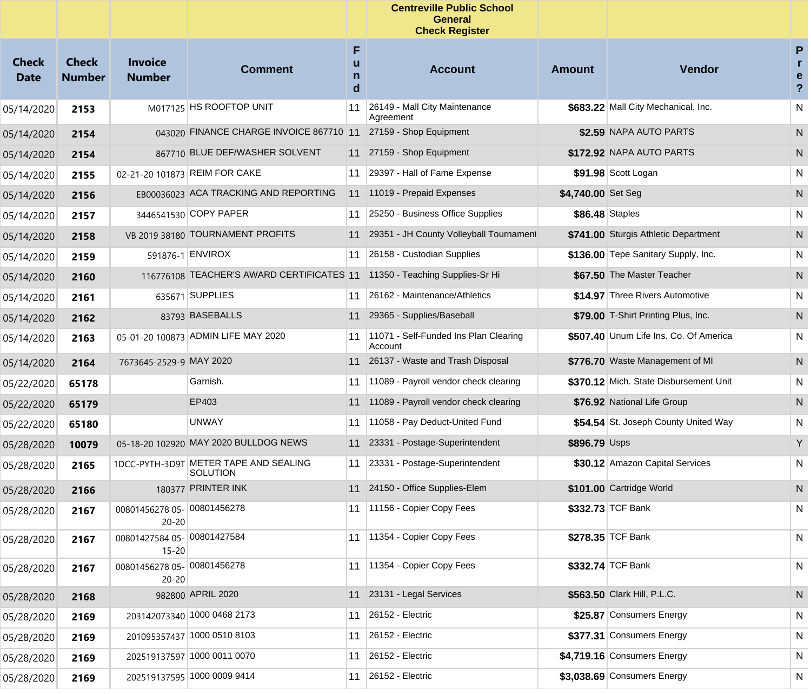|                             |                               |                                          |                                                          |                  | <b>Centreville Public School</b><br><b>General</b><br><b>Check Register</b> |                    |                                        |                                |
|-----------------------------|-------------------------------|------------------------------------------|----------------------------------------------------------|------------------|-----------------------------------------------------------------------------|--------------------|----------------------------------------|--------------------------------|
| <b>Check</b><br><b>Date</b> | <b>Check</b><br><b>Number</b> | <b>Invoice</b><br><b>Number</b>          | <b>Comment</b>                                           | F<br>u<br>n<br>d | <b>Account</b>                                                              | <b>Amount</b>      | <b>Vendor</b>                          | P<br>e<br>$\ddot{\phantom{0}}$ |
| 05/14/2020                  | 2153                          |                                          | M017125 HS ROOFTOP UNIT                                  | 11               | 26149 - Mall City Maintenance<br>Agreement                                  |                    | \$683.22 Mall City Mechanical, Inc.    | N                              |
| 05/14/2020                  | 2154                          |                                          | 043020 FINANCE CHARGE INVOICE 867710 11                  |                  | 27159 - Shop Equipment                                                      |                    | \$2.59 NAPA AUTO PARTS                 | N                              |
| 05/14/2020                  | 2154                          |                                          | 867710 BLUE DEF/WASHER SOLVENT                           |                  | 11 27159 - Shop Equipment                                                   |                    | \$172.92 NAPA AUTO PARTS               | N                              |
| 05/14/2020                  | 2155                          |                                          | 02-21-20 101873 REIM FOR CAKE                            | 11               | 29397 - Hall of Fame Expense                                                |                    | \$91.98 Scott Logan                    | N                              |
| 05/14/2020                  | 2156                          |                                          | EB00036023 ACA TRACKING AND REPORTING                    | 11               | 11019 - Prepaid Expenses                                                    | \$4,740.00 Set Seg |                                        | N                              |
| 05/14/2020                  | 2157                          |                                          | 3446541530 COPY PAPER                                    | 11               | 25250 - Business Office Supplies                                            |                    | \$86.48 Staples                        | N                              |
| 05/14/2020                  | 2158                          |                                          | VB 2019 38180 TOURNAMENT PROFITS                         | 11               | 29351 - JH County Volleyball Tournament                                     |                    | \$741.00 Sturgis Athletic Department   | N                              |
| 05/14/2020                  | 2159                          |                                          | 591876-1 ENVIROX                                         | 11               | 26158 - Custodian Supplies                                                  |                    | \$136.00 Tepe Sanitary Supply, Inc.    | N                              |
| 05/14/2020                  | 2160                          |                                          | 116776108 TEACHER'S AWARD CERTIFICATES 11                |                  | 11350 - Teaching Supplies-Sr Hi                                             |                    | \$67.50 The Master Teacher             | N                              |
| 05/14/2020                  | 2161                          |                                          | 635671 SUPPLIES                                          | 11               | 26162 - Maintenance/Athletics                                               |                    | \$14.97 Three Rivers Automotive        | N                              |
| 05/14/2020                  | 2162                          |                                          | 83793 BASEBALLS                                          | 11               | 29365 - Supplies/Baseball                                                   |                    | \$79.00 T-Shirt Printing Plus, Inc.    | N                              |
| 05/14/2020                  | 2163                          |                                          | 05-01-20 100873 ADMIN LIFE MAY 2020                      | 11               | 11071 - Self-Funded Ins Plan Clearing<br>Account                            |                    | \$507.40 Unum Life Ins. Co. Of America | N                              |
| 05/14/2020                  | 2164                          | 7673645-2529-9 MAY 2020                  |                                                          |                  | 11 26137 - Waste and Trash Disposal                                         |                    | \$776.70 Waste Management of MI        | N                              |
| 05/22/2020                  | 65178                         |                                          | Garnish.                                                 | 11               | 11089 - Payroll vendor check clearing                                       |                    | \$370.12 Mich. State Disbursement Unit | N                              |
| 05/22/2020                  | 65179                         |                                          | EP403                                                    | 11               | 11089 - Payroll vendor check clearing                                       |                    | \$76.92 National Life Group            | N                              |
| 05/22/2020                  | 65180                         |                                          | UNWAY                                                    | 11               | 11058 - Pay Deduct-United Fund                                              |                    | \$54.54 St. Joseph County United Way   | N                              |
| 05/28/2020                  | 10079                         |                                          | 05-18-20 102920 MAY 2020 BULLDOG NEWS                    | 11               | 23331 - Postage-Superintendent                                              | \$896.79 Usps      |                                        | Y                              |
| 05/28/2020                  | 2165                          |                                          | 1DCC-PYTH-3D9T METER TAPE AND SEALING<br><b>SOLUTION</b> | 11               | 23331 - Postage-Superintendent                                              |                    | \$30.12 Amazon Capital Services        | N                              |
| 05/28/2020                  | 2166                          |                                          | 180377 PRINTER INK                                       | 11               | 24150 - Office Supplies-Elem                                                |                    | \$101.00 Cartridge World               | N                              |
| 05/28/2020                  | 2167                          | 00801456278 05- 00801456278<br>$20 - 20$ |                                                          | 11               | 11156 - Copier Copy Fees                                                    |                    | \$332.73 TCF Bank                      | N                              |
| 05/28/2020                  | 2167                          | 00801427584 05- 00801427584<br>$15 - 20$ |                                                          |                  | 11 1354 - Copier Copy Fees                                                  |                    | \$278.35 TCF Bank                      | N                              |
| 05/28/2020                  | 2167                          | 00801456278 05- 00801456278<br>$20 - 20$ |                                                          | 11               | 11354 - Copier Copy Fees                                                    |                    | \$332.74 TCF Bank                      | N                              |
| 05/28/2020                  | 2168                          |                                          | 982800 APRIL 2020                                        |                  | 11 23131 - Legal Services                                                   |                    | \$563.50 Clark Hill, P.L.C.            | N                              |
| 05/28/2020                  | 2169                          |                                          | 203142073340 1000 0468 2173                              | 11               | 26152 - Electric                                                            |                    | \$25.87 Consumers Energy               | N                              |
| 05/28/2020                  | 2169                          |                                          | 201095357437 1000 0510 8103                              | 11               | 26152 - Electric                                                            |                    | \$377.31 Consumers Energy              | N                              |
| 05/28/2020                  | 2169                          |                                          | 202519137597 1000 0011 0070                              | 11               | 26152 - Electric                                                            |                    | \$4,719.16 Consumers Energy            | N                              |
| 05/28/2020                  | 2169                          |                                          | 202519137595 1000 0009 9414                              | 11               | 26152 - Electric                                                            |                    | \$3,038.69 Consumers Energy            | N                              |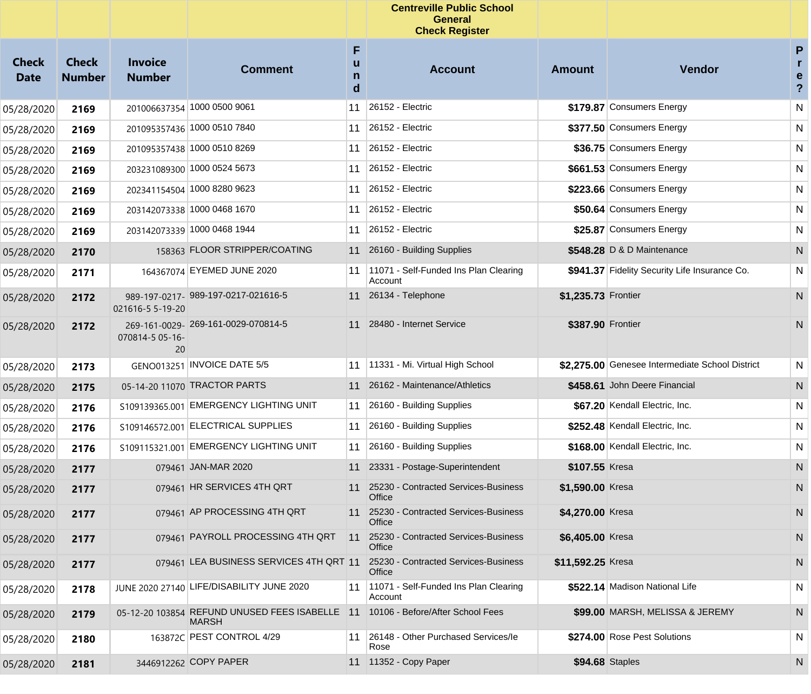|                             |                               |                                 |                                                                                                 |                  | <b>Centreville Public School</b><br><b>General</b><br><b>Check Register</b> |                        |                                                 |                                     |
|-----------------------------|-------------------------------|---------------------------------|-------------------------------------------------------------------------------------------------|------------------|-----------------------------------------------------------------------------|------------------------|-------------------------------------------------|-------------------------------------|
| <b>Check</b><br><b>Date</b> | <b>Check</b><br><b>Number</b> | <b>Invoice</b><br><b>Number</b> | <b>Comment</b>                                                                                  | F<br>u<br>n<br>d | <b>Account</b>                                                              | <b>Amount</b>          | Vendor                                          | P<br>r<br>e<br>$\ddot{\phantom{0}}$ |
| 05/28/2020                  | 2169                          |                                 | 201006637354 1000 0500 9061                                                                     | 11               | 26152 - Electric                                                            |                        | \$179.87 Consumers Energy                       | ${\sf N}$                           |
| 05/28/2020                  | 2169                          |                                 | 201095357436 1000 0510 7840                                                                     | 11               | 26152 - Electric                                                            |                        | \$377.50 Consumers Energy                       | N                                   |
| 05/28/2020                  | 2169                          |                                 | 201095357438 1000 0510 8269                                                                     | 11               | 26152 - Electric                                                            |                        | \$36.75 Consumers Energy                        | N                                   |
| 05/28/2020                  | 2169                          |                                 | 203231089300 1000 0524 5673                                                                     | 11               | 26152 - Electric                                                            |                        | \$661.53 Consumers Energy                       | N                                   |
| 05/28/2020                  | 2169                          |                                 | 202341154504 1000 8280 9623                                                                     | 11               | 26152 - Electric                                                            |                        | \$223.66 Consumers Energy                       | N                                   |
| 05/28/2020                  | 2169                          |                                 | 203142073338 1000 0468 1670                                                                     | 11               | 26152 - Electric                                                            |                        | \$50.64 Consumers Energy                        | N                                   |
| 05/28/2020                  | 2169                          |                                 | 203142073339 1000 0468 1944                                                                     | 11               | 26152 - Electric                                                            |                        | \$25.87 Consumers Energy                        | N                                   |
| 05/28/2020                  | 2170                          |                                 | 158363 FLOOR STRIPPER/COATING                                                                   | 11               | 26160 - Building Supplies                                                   |                        | \$548.28 D & D Maintenance                      | N                                   |
| 05/28/2020                  | 2171                          |                                 | 164367074 EYEMED JUNE 2020                                                                      | 11               | 11071 - Self-Funded Ins Plan Clearing<br>Account                            |                        | \$941.37 Fidelity Security Life Insurance Co.   | ${\sf N}$                           |
| 05/28/2020                  | 2172                          | 021616-5 5-19-20                | 989-197-0217- 989-197-0217-021616-5                                                             |                  | 11 26134 - Telephone                                                        | \$1,235.73 Frontier    |                                                 | N                                   |
| 05/28/2020                  | 2172                          | 070814-5 05-16-<br>20           | 269-161-0029-269-161-0029-070814-5                                                              | 11               | 28480 - Internet Service                                                    | \$387.90 Frontier      |                                                 | N                                   |
| 05/28/2020                  | 2173                          |                                 | GENO013251 INVOICE DATE 5/5                                                                     | 11               | 11331 - Mi. Virtual High School                                             |                        | \$2,275.00 Genesee Intermediate School District | ${\sf N}$                           |
| 05/28/2020                  | 2175                          |                                 | 05-14-20 11070 TRACTOR PARTS                                                                    |                  | 11 26162 - Maintenance/Athletics                                            |                        | \$458.61 John Deere Financial                   | N                                   |
| 05/28/2020                  | 2176                          |                                 | S109139365.001 EMERGENCY LIGHTING UNIT                                                          | 11               | 26160 - Building Supplies                                                   |                        | \$67.20 Kendall Electric, Inc.                  | N                                   |
| 05/28/2020                  | 2176                          |                                 | S109146572.001 ELECTRICAL SUPPLIES                                                              | 11               | 26160 - Building Supplies                                                   |                        | \$252.48 Kendall Electric, Inc.                 | $\mathsf{N}$                        |
| 05/28/2020                  | 2176                          |                                 | S109115321.001 EMERGENCY LIGHTING UNIT                                                          | 11               | 26160 - Building Supplies                                                   |                        | \$168.00 Kendall Electric, Inc.                 | N                                   |
| 05/28/2020                  | 2177                          |                                 | 079461 JAN-MAR 2020                                                                             | 11               | 23331 - Postage-Superintendent                                              | \$107.55 Kresa         |                                                 | N                                   |
| 05/28/2020                  | 2177                          |                                 | 079461 HR SERVICES 4TH QRT                                                                      | 11               | 25230 - Contracted Services-Business<br>Office                              | \$1,590.00 Kresa       |                                                 | N                                   |
| 05/28/2020                  | 2177                          |                                 | 079461 AP PROCESSING 4TH QRT                                                                    |                  | 11 25230 - Contracted Services-Business<br>Office                           | \$4,270.00 Kresa       |                                                 | N                                   |
| 05/28/2020                  | 2177                          |                                 | 079461 PAYROLL PROCESSING 4TH QRT                                                               | 11               | 25230 - Contracted Services-Business<br>Office                              | \$6,405.00 Kresa       |                                                 | N                                   |
| 05/28/2020                  | 2177                          |                                 | 079461 LEA BUSINESS SERVICES 4TH QRT 11                                                         |                  | 25230 - Contracted Services-Business<br>Office                              | \$11,592.25 Kresa      |                                                 | N                                   |
| 05/28/2020                  | 2178                          |                                 | JUNE 2020 27140 LIFE/DISABILITY JUNE 2020                                                       | 11               | 11071 - Self-Funded Ins Plan Clearing<br>Account                            |                        | \$522.14 Madison National Life                  | N                                   |
| 05/28/2020                  | 2179                          |                                 | 05-12-20 103854 REFUND UNUSED FEES ISABELLE 11 10106 - Before/After School Fees<br><b>MARSH</b> |                  |                                                                             |                        | \$99.00 MARSH, MELISSA & JEREMY                 | N                                   |
| 05/28/2020                  | 2180                          |                                 | 163872C PEST CONTROL 4/29                                                                       | 11               | 26148 - Other Purchased Services/le<br>Rose                                 |                        | \$274.00 Rose Pest Solutions                    | $\mathsf{N}$                        |
| 05/28/2020                  | 2181                          |                                 | 3446912262 COPY PAPER                                                                           |                  | 11 11352 - Copy Paper                                                       | <b>\$94.68 Staples</b> |                                                 | N                                   |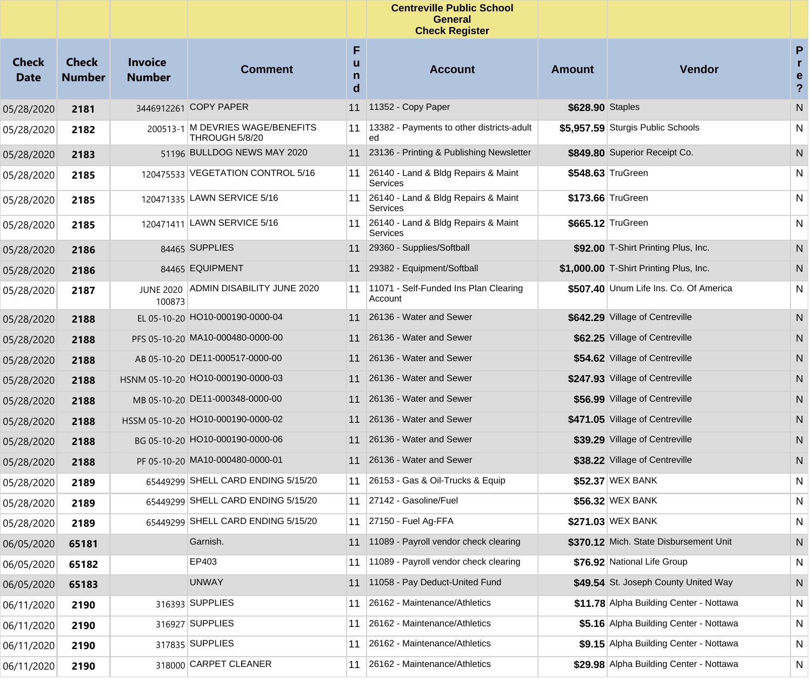|                             |                               |                                 |                                                    |                  | <b>Centreville Public School</b><br><b>General</b><br><b>Check Register</b> |                  |                                         |                                                   |
|-----------------------------|-------------------------------|---------------------------------|----------------------------------------------------|------------------|-----------------------------------------------------------------------------|------------------|-----------------------------------------|---------------------------------------------------|
| <b>Check</b><br><b>Date</b> | <b>Check</b><br><b>Number</b> | <b>Invoice</b><br><b>Number</b> | <b>Comment</b>                                     | F<br>u<br>n<br>d | <b>Account</b>                                                              | Amount           | <b>Vendor</b>                           | P<br>r.<br>$\mathbf e$<br>$\overline{\mathbf{?}}$ |
| 05/28/2020                  | 2181                          |                                 | 3446912261 COPY PAPER                              | 11               | 11352 - Copy Paper                                                          | \$628.90 Staples |                                         | ${\sf N}$                                         |
| 05/28/2020                  | 2182                          |                                 | 200513-1 M DEVRIES WAGE/BENEFITS<br>THROUGH 5/8/20 | 11               | 13382 - Payments to other districts-adult<br>ed                             |                  | \$5,957.59 Sturgis Public Schools       | N                                                 |
| 05/28/2020                  | 2183                          |                                 | 51196 BULLDOG NEWS MAY 2020                        |                  | 11 23136 - Printing & Publishing Newsletter                                 |                  | \$849.80 Superior Receipt Co.           | N                                                 |
| 05/28/2020                  | 2185                          |                                 | 120475533 VEGETATION CONTROL 5/16                  | 11               | 26140 - Land & Bldg Repairs & Maint<br>Services                             |                  | \$548.63 TruGreen                       | N                                                 |
| 05/28/2020                  | 2185                          |                                 | 120471335 LAWN SERVICE 5/16                        | 11               | 26140 - Land & Bldg Repairs & Maint<br>Services                             |                  | \$173.66 TruGreen                       | N                                                 |
| 05/28/2020                  | 2185                          |                                 | 120471411 LAWN SERVICE 5/16                        | 11               | 26140 - Land & Bldg Repairs & Maint<br>Services                             |                  | \$665.12 TruGreen                       | N                                                 |
| 05/28/2020                  | 2186                          |                                 | 84465 SUPPLIES                                     | 11               | 29360 - Supplies/Softball                                                   |                  | \$92.00 T-Shirt Printing Plus, Inc.     | N                                                 |
| 05/28/2020                  | 2186                          |                                 | 84465 EQUIPMENT                                    | 11               | 29382 - Equipment/Softball                                                  |                  | \$1,000.00 T-Shirt Printing Plus, Inc.  | N                                                 |
| 05/28/2020                  | 2187                          | <b>JUNE 2020</b><br>100873      | ADMIN DISABILITY JUNE 2020                         | 11               | 11071 - Self-Funded Ins Plan Clearing<br>Account                            |                  | \$507.40 Unum Life Ins. Co. Of America  | N                                                 |
| 05/28/2020                  | 2188                          |                                 | EL 05-10-20 HO10-000190-0000-04                    |                  | 11 26136 - Water and Sewer                                                  |                  | \$642.29 Village of Centreville         | N                                                 |
| 05/28/2020                  | 2188                          |                                 | PFS 05-10-20 MA10-000480-0000-00                   |                  | 11 26136 - Water and Sewer                                                  |                  | \$62.25 Village of Centreville          | N                                                 |
| 05/28/2020                  | 2188                          |                                 | AB 05-10-20 DE11-000517-0000-00                    |                  | 11 26136 - Water and Sewer                                                  |                  | \$54.62 Village of Centreville          | N                                                 |
| 05/28/2020                  | 2188                          |                                 | HSNM 05-10-20 HO10-000190-0000-03                  |                  | 11 26136 - Water and Sewer                                                  |                  | \$247.93 Village of Centreville         | N                                                 |
| 05/28/2020                  | 2188                          |                                 | MB 05-10-20 DE11-000348-0000-00                    |                  | 11 26136 - Water and Sewer                                                  |                  | \$56.99 Village of Centreville          | N                                                 |
| 05/28/2020                  | 2188                          |                                 | HSSM 05-10-20 HO10-000190-0000-02                  |                  | 11 26136 - Water and Sewer                                                  |                  | \$471.05 Village of Centreville         | N                                                 |
| 05/28/2020                  | 2188                          |                                 | BG 05-10-20 HO10-000190-0000-06                    |                  | 11 26136 - Water and Sewer                                                  |                  | \$39.29 Village of Centreville          | N                                                 |
| 05/28/2020                  | 2188                          |                                 | PF 05-10-20 MA10-000480-0000-01                    |                  | 11 26136 - Water and Sewer                                                  |                  | \$38.22 Village of Centreville          | N                                                 |
| 05/28/2020                  | 2189                          |                                 | 65449299 SHELL CARD ENDING 5/15/20                 |                  | 11 26153 - Gas & Oil-Trucks & Equip                                         |                  | \$52.37 WEX BANK                        | N                                                 |
| 05/28/2020                  | 2189                          |                                 | 65449299 SHELL CARD ENDING 5/15/20                 | 11               | 27142 - Gasoline/Fuel                                                       |                  | \$56.32 WEX BANK                        | N                                                 |
| 05/28/2020                  | 2189                          |                                 | 65449299 SHELL CARD ENDING 5/15/20                 | 11               | 27150 - Fuel Ag-FFA                                                         |                  | \$271.03 WEX BANK                       | N                                                 |
| 06/05/2020                  | 65181                         |                                 | Garnish.                                           | 11               | 11089 - Payroll vendor check clearing                                       |                  | \$370.12 Mich. State Disbursement Unit  | N                                                 |
| 06/05/2020                  | 65182                         |                                 | EP403                                              | 11               | 11089 - Payroll vendor check clearing                                       |                  | \$76.92 National Life Group             | N                                                 |
| 06/05/2020                  | 65183                         |                                 | <b>UNWAY</b>                                       | 11               | 11058 - Pay Deduct-United Fund                                              |                  | \$49.54 St. Joseph County United Way    | N                                                 |
| 06/11/2020                  | 2190                          |                                 | 316393 SUPPLIES                                    | 11               | 26162 - Maintenance/Athletics                                               |                  | \$11.78 Alpha Building Center - Nottawa | N                                                 |
| 06/11/2020                  | 2190                          |                                 | 316927 SUPPLIES                                    | 11               | 26162 - Maintenance/Athletics                                               |                  | \$5.16 Alpha Building Center - Nottawa  | N                                                 |
| 06/11/2020                  | 2190                          |                                 | 317835 SUPPLIES                                    | 11               | 26162 - Maintenance/Athletics                                               |                  | \$9.15 Alpha Building Center - Nottawa  | N                                                 |
| 06/11/2020                  | 2190                          |                                 | 318000 CARPET CLEANER                              | 11               | 26162 - Maintenance/Athletics                                               |                  | \$29.98 Alpha Building Center - Nottawa | N                                                 |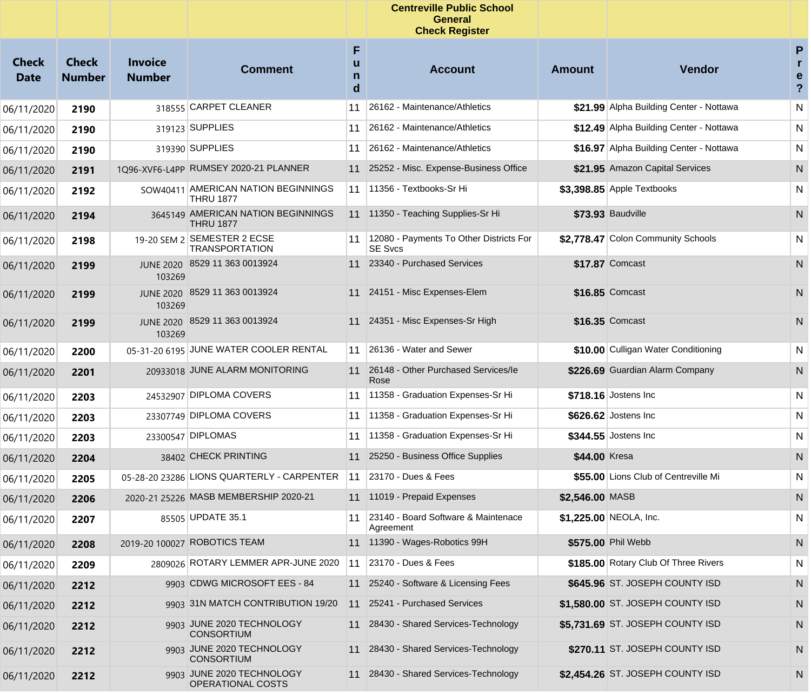|                             |                               |                                 |                                                         |             | <b>Centreville Public School</b><br><b>General</b><br><b>Check Register</b> |                 |                                         |                                      |
|-----------------------------|-------------------------------|---------------------------------|---------------------------------------------------------|-------------|-----------------------------------------------------------------------------|-----------------|-----------------------------------------|--------------------------------------|
| <b>Check</b><br><b>Date</b> | <b>Check</b><br><b>Number</b> | <b>Invoice</b><br><b>Number</b> | <b>Comment</b>                                          | F<br>n<br>d | <b>Account</b>                                                              | <b>Amount</b>   | Vendor                                  | P<br>r.<br>e<br>$\ddot{\phantom{0}}$ |
| 06/11/2020                  | 2190                          |                                 | 318555 CARPET CLEANER                                   | 11          | 26162 - Maintenance/Athletics                                               |                 | \$21.99 Alpha Building Center - Nottawa | ${\sf N}$                            |
| 06/11/2020                  | 2190                          |                                 | 319123 SUPPLIES                                         | 11          | 26162 - Maintenance/Athletics                                               |                 | \$12.49 Alpha Building Center - Nottawa | ${\sf N}$                            |
| 06/11/2020                  | 2190                          |                                 | 319390 SUPPLIES                                         | 11          | 26162 - Maintenance/Athletics                                               |                 | \$16.97 Alpha Building Center - Nottawa | ${\sf N}$                            |
| 06/11/2020                  | 2191                          |                                 | 1Q96-XVF6-L4PP RUMSEY 2020-21 PLANNER                   | 11          | 25252 - Misc. Expense-Business Office                                       |                 | \$21.95 Amazon Capital Services         | ${\sf N}$                            |
| 06/11/2020                  | 2192                          |                                 | SOW40411 AMERICAN NATION BEGINNINGS<br><b>THRU 1877</b> | 11          | 11356 - Textbooks-Sr Hi                                                     |                 | $$3,398.85$ Apple Textbooks             | N                                    |
| 06/11/2020                  | 2194                          |                                 | 3645149 AMERICAN NATION BEGINNINGS<br><b>THRU 1877</b>  |             | 11 11350 - Teaching Supplies-Sr Hi                                          |                 | \$73.93 Baudville                       | N                                    |
| 06/11/2020                  | 2198                          |                                 | 19-20 SEM 2 SEMESTER 2 ECSE<br><b>TRANSPORTATION</b>    | 11          | 12080 - Payments To Other Districts For<br><b>SE Svcs</b>                   |                 | \$2,778.47 Colon Community Schools      | N                                    |
| 06/11/2020                  | 2199                          | 103269                          | JUNE 2020 8529 11 363 0013924                           | 11          | 23340 - Purchased Services                                                  |                 | \$17.87 Comcast                         | N                                    |
| 06/11/2020                  | 2199                          | <b>JUNE 2020</b><br>103269      | 8529 11 363 0013924                                     |             | 11 24151 - Misc Expenses-Elem                                               |                 | \$16.85 Comcast                         | N                                    |
| 06/11/2020                  | 2199                          | <b>JUNE 2020</b><br>103269      | 8529 11 363 0013924                                     | 11          | 24351 - Misc Expenses-Sr High                                               |                 | \$16.35 Comcast                         | N                                    |
| 06/11/2020                  | 2200                          |                                 | 05-31-20 6195 JUNE WATER COOLER RENTAL                  | 11          | 26136 - Water and Sewer                                                     |                 | \$10.00 Culligan Water Conditioning     | N                                    |
| 06/11/2020                  | 2201                          |                                 | 20933018 JUNE ALARM MONITORING                          | 11          | 26148 - Other Purchased Services/le<br>Rose                                 |                 | \$226.69 Guardian Alarm Company         | N                                    |
| 06/11/2020                  | 2203                          |                                 | 24532907 DIPLOMA COVERS                                 | 11          | 11358 - Graduation Expenses-Sr Hi                                           |                 | \$718.16 Jostens Inc                    | N                                    |
| 06/11/2020                  | 2203                          |                                 | 23307749 DIPLOMA COVERS                                 | 11          | 11358 - Graduation Expenses-Sr Hi                                           |                 | \$626.62 Jostens Inc                    | N                                    |
| 06/11/2020                  | 2203                          |                                 | 23300547 DIPLOMAS                                       | 11          | 11358 - Graduation Expenses-Sr Hi                                           |                 | \$344.55 Jostens Inc                    | N                                    |
| 06/11/2020                  | 2204                          |                                 | 38402 CHECK PRINTING                                    | 11          | 25250 - Business Office Supplies                                            | \$44.00 Kresa   |                                         | N                                    |
| 06/11/2020                  | 2205                          |                                 | 05-28-20 23286 LIONS QUARTERLY - CARPENTER              | 11          | 23170 - Dues & Fees                                                         |                 | \$55.00 Lions Club of Centreville Mi    | N                                    |
| 06/11/2020                  | 2206                          |                                 | 2020-21 25226 MASB MEMBERSHIP 2020-21                   |             | 11 11019 - Prepaid Expenses                                                 | \$2,546.00 MASB |                                         | N                                    |
| 06/11/2020                  | 2207                          |                                 | 85505 UPDATE 35.1                                       | 11          | 23140 - Board Software & Maintenace<br>Agreement                            |                 | \$1,225.00 NEOLA, Inc.                  | N.                                   |
| 06/11/2020                  | 2208                          |                                 | 2019-20 100027 ROBOTICS TEAM                            |             | 11 11390 - Wages-Robotics 99H                                               |                 | \$575.00 Phil Webb                      | N                                    |
| 06/11/2020                  | 2209                          |                                 | 2809026 ROTARY LEMMER APR-JUNE 2020                     | 11          | 23170 - Dues & Fees                                                         |                 | \$185.00 Rotary Club Of Three Rivers    | N                                    |
| 06/11/2020                  | 2212                          |                                 | 9903 CDWG MICROSOFT EES - 84                            |             | 11 25240 - Software & Licensing Fees                                        |                 | \$645.96 ST. JOSEPH COUNTY ISD          | N                                    |
| 06/11/2020                  | 2212                          |                                 | 9903 31N MATCH CONTRIBUTION 19/20                       | 11          | 25241 - Purchased Services                                                  |                 | \$1,580.00 ST. JOSEPH COUNTY ISD        | N                                    |
| 06/11/2020                  | 2212                          |                                 | 9903 JUNE 2020 TECHNOLOGY<br><b>CONSORTIUM</b>          | 11          | 28430 - Shared Services-Technology                                          |                 | \$5,731.69 ST. JOSEPH COUNTY ISD        | N                                    |
| 06/11/2020                  | 2212                          |                                 | 9903 JUNE 2020 TECHNOLOGY<br><b>CONSORTIUM</b>          | 11          | 28430 - Shared Services-Technology                                          |                 | \$270.11 ST. JOSEPH COUNTY ISD          | N                                    |
| 06/11/2020                  | 2212                          |                                 | 9903 JUNE 2020 TECHNOLOGY<br>OPERATIONAL COSTS          |             | 11 28430 - Shared Services-Technology                                       |                 | \$2,454.26 ST. JOSEPH COUNTY ISD        | N                                    |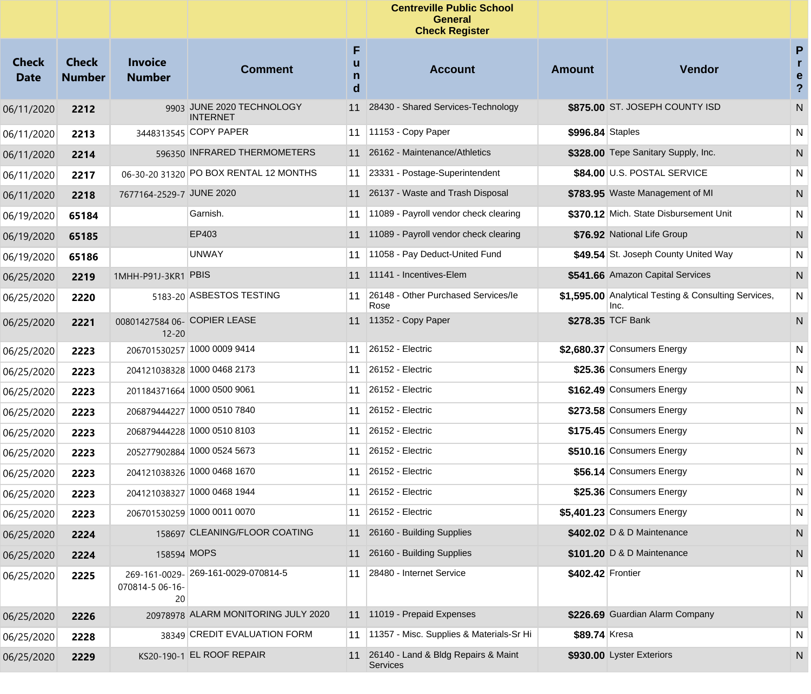|                             |                               |                                           |                                              |                  | <b>Centreville Public School</b><br><b>General</b><br><b>Check Register</b> |                   |                                                              |                                                   |
|-----------------------------|-------------------------------|-------------------------------------------|----------------------------------------------|------------------|-----------------------------------------------------------------------------|-------------------|--------------------------------------------------------------|---------------------------------------------------|
| <b>Check</b><br><b>Date</b> | <b>Check</b><br><b>Number</b> | <b>Invoice</b><br><b>Number</b>           | <b>Comment</b>                               | F<br>u<br>n<br>d | <b>Account</b>                                                              | <b>Amount</b>     | Vendor                                                       | P<br>$\mathbf{r}$<br>e<br>$\overline{\mathbf{?}}$ |
| 06/11/2020                  | 2212                          |                                           | 9903 JUNE 2020 TECHNOLOGY<br><b>INTERNET</b> | 11               | 28430 - Shared Services-Technology                                          |                   | \$875.00 ST. JOSEPH COUNTY ISD                               | N                                                 |
| 06/11/2020                  | 2213                          |                                           | 3448313545 COPY PAPER                        |                  | 11   11153 - Copy Paper                                                     | \$996.84 Staples  |                                                              | N                                                 |
| 06/11/2020                  | 2214                          |                                           | 596350 INFRARED THERMOMETERS                 |                  | 11 26162 - Maintenance/Athletics                                            |                   | \$328.00 Tepe Sanitary Supply, Inc.                          | ${\sf N}$                                         |
| 06/11/2020                  | 2217                          |                                           | 06-30-20 31320 PO BOX RENTAL 12 MONTHS       |                  | 11 23331 - Postage-Superintendent                                           |                   | \$84.00 U.S. POSTAL SERVICE                                  | N                                                 |
| 06/11/2020                  | 2218                          | 7677164-2529-7 JUNE 2020                  |                                              |                  | 11 26137 - Waste and Trash Disposal                                         |                   | \$783.95 Waste Management of MI                              | ${\sf N}$                                         |
| 06/19/2020                  | 65184                         |                                           | Garnish.                                     |                  | 11 11089 - Payroll vendor check clearing                                    |                   | \$370.12 Mich. State Disbursement Unit                       | ${\sf N}$                                         |
| 06/19/2020                  | 65185                         |                                           | EP403                                        |                  | 11 11089 - Payroll vendor check clearing                                    |                   | \$76.92 National Life Group                                  | ${\sf N}$                                         |
| 06/19/2020                  | 65186                         |                                           | <b>UNWAY</b>                                 |                  | 11 11058 - Pay Deduct-United Fund                                           |                   | \$49.54 St. Joseph County United Way                         | N                                                 |
| 06/25/2020                  | 2219                          | 1MHH-P91J-3KR1 PBIS                       |                                              |                  | 11 11141 - Incentives-Elem                                                  |                   | \$541.66 Amazon Capital Services                             | ${\sf N}$                                         |
| 06/25/2020                  | 2220                          |                                           | 5183-20 ASBESTOS TESTING                     | 11               | 26148 - Other Purchased Services/le<br>Rose                                 |                   | \$1,595.00 Analytical Testing & Consulting Services,<br>Inc. | N                                                 |
| 06/25/2020                  | 2221                          | 00801427584 06- COPIER LEASE<br>$12 - 20$ |                                              |                  | 11 11352 - Copy Paper                                                       |                   | \$278.35 TCF Bank                                            | N                                                 |
| 06/25/2020                  | 2223                          |                                           | 206701530257 1000 0009 9414                  | 11               | 26152 - Electric                                                            |                   | \$2,680.37 Consumers Energy                                  | N                                                 |
| 06/25/2020                  | 2223                          |                                           | 204121038328 1000 0468 2173                  | 11               | 26152 - Electric                                                            |                   | \$25.36 Consumers Energy                                     | N                                                 |
| 06/25/2020                  | 2223                          |                                           | 201184371664 1000 0500 9061                  |                  | 11 26152 - Electric                                                         |                   | \$162.49 Consumers Energy                                    | N                                                 |
| 06/25/2020                  | 2223                          |                                           | 206879444227 1000 0510 7840                  | 11               | 26152 - Electric                                                            |                   | \$273.58 Consumers Energy                                    | N                                                 |
| 06/25/2020                  | 2223                          |                                           | 206879444228 1000 0510 8103                  |                  | 11 26152 - Electric                                                         |                   | \$175.45 Consumers Energy                                    | N                                                 |
| 06/25/2020                  | 2223                          |                                           | 205277902884 1000 0524 5673                  | 11               | 26152 - Electric                                                            |                   | \$510.16 Consumers Energy                                    | N                                                 |
| 06/25/2020                  | 2223                          |                                           | 204121038326 1000 0468 1670                  |                  | 11 26152 - Electric                                                         |                   | \$56.14 Consumers Energy                                     | N                                                 |
| 06/25/2020                  | 2223                          |                                           | 204121038327 1000 0468 1944                  |                  | 11 26152 - Electric                                                         |                   | \$25.36 Consumers Energy                                     | N                                                 |
| 06/25/2020                  | 2223                          |                                           | 206701530259 1000 0011 0070                  |                  | 11 26152 - Electric                                                         |                   | $$5,401.23$ Consumers Energy                                 | ${\sf N}$                                         |
| 06/25/2020                  | 2224                          |                                           | 158697 CLEANING/FLOOR COATING                |                  | 11 26160 - Building Supplies                                                |                   | \$402.02 D & D Maintenance                                   | N                                                 |
| 06/25/2020                  | 2224                          | 158594 MOPS                               |                                              | 11               | 26160 - Building Supplies                                                   |                   | \$101.20 D & D Maintenance                                   | N                                                 |
| 06/25/2020                  | 2225                          | 070814-5 06-16-<br>20                     | 269-161-0029-269-161-0029-070814-5           |                  | 11 28480 - Internet Service                                                 | \$402.42 Frontier |                                                              | N                                                 |
| 06/25/2020                  | 2226                          |                                           | 20978978 ALARM MONITORING JULY 2020          |                  | 11 11019 - Prepaid Expenses                                                 |                   | \$226.69 Guardian Alarm Company                              | N.                                                |
| 06/25/2020                  | 2228                          |                                           | 38349 CREDIT EVALUATION FORM                 |                  | 11 11357 - Misc. Supplies & Materials-Sr Hi                                 | \$89.74 Kresa     |                                                              | N                                                 |
| 06/25/2020                  | 2229                          |                                           | KS20-190-1 EL ROOF REPAIR                    |                  | 11 26140 - Land & Bldg Repairs & Maint<br><b>Services</b>                   |                   | \$930.00 Lyster Exteriors                                    | N                                                 |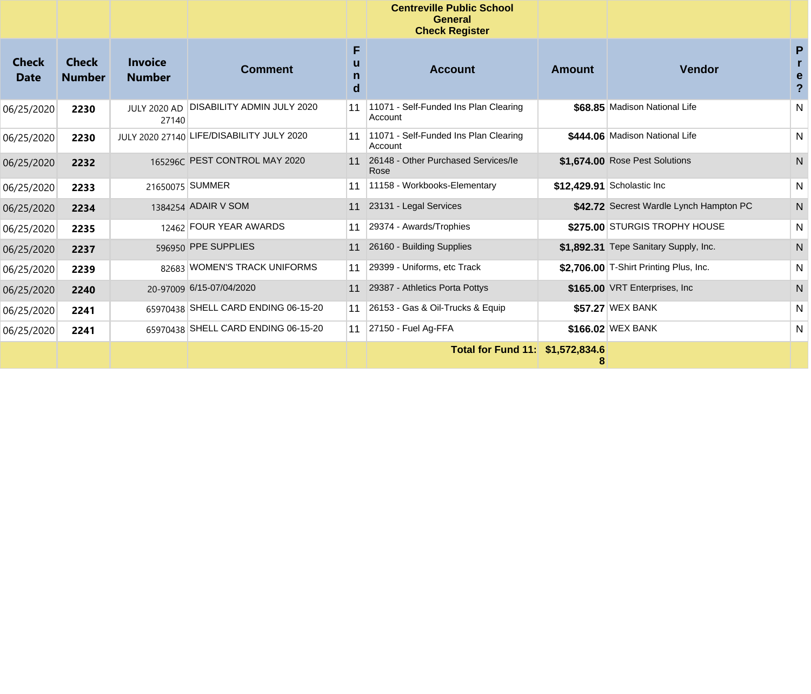|                             |                               |                                 |                                           |             | <b>Centreville Public School</b><br><b>General</b><br><b>Check Register</b> |               |                                         |              |
|-----------------------------|-------------------------------|---------------------------------|-------------------------------------------|-------------|-----------------------------------------------------------------------------|---------------|-----------------------------------------|--------------|
| <b>Check</b><br><b>Date</b> | <b>Check</b><br><b>Number</b> | <b>Invoice</b><br><b>Number</b> | <b>Comment</b>                            | F<br>n<br>d | <b>Account</b>                                                              | <b>Amount</b> | <b>Vendor</b>                           | P<br>e       |
| 06/25/2020                  | 2230                          | <b>JULY 2020 AD</b><br>27140    | <b>DISABILITY ADMIN JULY 2020</b>         | 11          | 11071 - Self-Funded Ins Plan Clearing<br>Account                            |               | \$68.85 Madison National Life           | $\mathsf{N}$ |
| 06/25/2020                  | 2230                          |                                 | JULY 2020 27140 LIFE/DISABILITY JULY 2020 | 11          | 11071 - Self-Funded Ins Plan Clearing<br>Account                            |               | \$444.06 Madison National Life          | N            |
| 06/25/2020                  | 2232                          |                                 | 165296C PEST CONTROL MAY 2020             | 11          | 26148 - Other Purchased Services/le<br>Rose                                 |               | \$1.674.00 Rose Pest Solutions          | $\mathsf{N}$ |
| 06/25/2020                  | 2233                          |                                 | 21650075 SUMMER                           | 11          | 11158 - Workbooks-Elementary                                                |               | \$12,429.91 Scholastic Inc              | N            |
| 06/25/2020                  | 2234                          |                                 | 1384254 ADAIR V SOM                       | 11          | 23131 - Legal Services                                                      |               | \$42.72 Secrest Wardle Lynch Hampton PC | $\mathsf{N}$ |
| 06/25/2020                  | 2235                          |                                 | 12462 FOUR YEAR AWARDS                    | 11          | 29374 - Awards/Trophies                                                     |               | \$275.00 STURGIS TROPHY HOUSE           | N            |
| 06/25/2020                  | 2237                          |                                 | 596950 PPE SUPPLIES                       | 11          | 26160 - Building Supplies                                                   |               | \$1,892.31 Tepe Sanitary Supply, Inc.   | $\mathsf{N}$ |
| 06/25/2020                  | 2239                          |                                 | 82683 WOMEN'S TRACK UNIFORMS              | 11          | 29399 - Uniforms, etc Track                                                 |               | \$2,706.00 T-Shirt Printing Plus, Inc.  | N            |
| 06/25/2020                  | 2240                          |                                 | 20-97009 6/15-07/04/2020                  | 11          | 29387 - Athletics Porta Pottys                                              |               | \$165.00 VRT Enterprises, Inc.          | N            |
| 06/25/2020                  | 2241                          |                                 | 65970438 SHELL CARD ENDING 06-15-20       | 11          | 26153 - Gas & Oil-Trucks & Equip                                            |               | \$57.27 WEX BANK                        | N            |
| 06/25/2020                  | 2241                          |                                 | 65970438 SHELL CARD ENDING 06-15-20       | 11          | 27150 - Fuel Ag-FFA                                                         |               | \$166.02 WEX BANK                       | N            |
|                             |                               |                                 |                                           |             | Total for Fund 11: \$1,572,834.6                                            | 8             |                                         |              |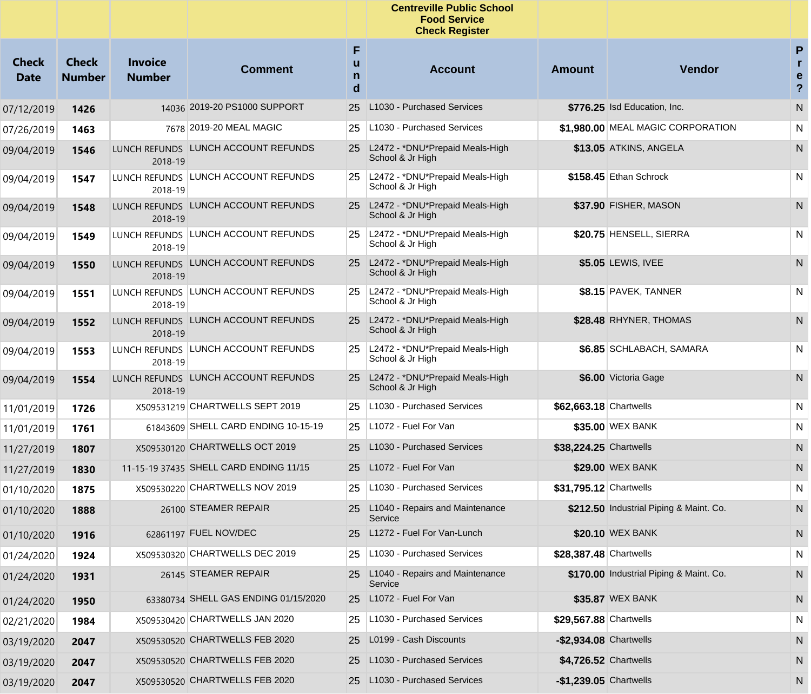|                             |                               |                                 |                                        |             | <b>Centreville Public School</b><br><b>Food Service</b><br><b>Check Register</b> |                         |                                         |                                         |
|-----------------------------|-------------------------------|---------------------------------|----------------------------------------|-------------|----------------------------------------------------------------------------------|-------------------------|-----------------------------------------|-----------------------------------------|
| <b>Check</b><br><b>Date</b> | <b>Check</b><br><b>Number</b> | <b>Invoice</b><br><b>Number</b> | <b>Comment</b>                         | F<br>n<br>d | <b>Account</b>                                                                   | <b>Amount</b>           | <b>Vendor</b>                           | P<br>r.<br>e<br>$\overline{\mathbf{?}}$ |
| 07/12/2019                  | 1426                          |                                 | 14036 2019-20 PS1000 SUPPORT           | 25          | L1030 - Purchased Services                                                       |                         | \$776.25 Isd Education, Inc.            | N                                       |
| 07/26/2019                  | 1463                          |                                 | 7678 2019-20 MEAL MAGIC                | 25          | L1030 - Purchased Services                                                       |                         | \$1,980.00 MEAL MAGIC CORPORATION       | N                                       |
| 09/04/2019                  | 1546                          | 2018-19                         | LUNCH REFUNDS LUNCH ACCOUNT REFUNDS    |             | 25 L2472 - *DNU*Prepaid Meals-High<br>School & Jr High                           |                         | \$13.05 ATKINS, ANGELA                  | N                                       |
| 09/04/2019                  | 1547                          | 2018-19                         | LUNCH REFUNDS LUNCH ACCOUNT REFUNDS    |             | 25   L2472 - *DNU*Prepaid Meals-High<br>School & Jr High                         |                         | \$158.45 Ethan Schrock                  | N                                       |
| 09/04/2019                  | 1548                          | 2018-19                         | LUNCH REFUNDS LUNCH ACCOUNT REFUNDS    | 25          | L2472 - *DNU*Prepaid Meals-High<br>School & Jr High                              |                         | \$37.90 FISHER, MASON                   | N                                       |
| 09/04/2019                  | 1549                          | 2018-19                         | LUNCH REFUNDS LUNCH ACCOUNT REFUNDS    | 25          | L2472 - *DNU*Prepaid Meals-High<br>School & Jr High                              |                         | \$20.75 HENSELL, SIERRA                 | N                                       |
| 09/04/2019                  | 1550                          | 2018-19                         | LUNCH REFUNDS LUNCH ACCOUNT REFUNDS    |             | 25 L2472 - *DNU*Prepaid Meals-High<br>School & Jr High                           |                         | \$5.05 LEWIS, IVEE                      | N                                       |
| 09/04/2019                  | 1551                          | 2018-19                         | LUNCH REFUNDS LUNCH ACCOUNT REFUNDS    | 25          | L2472 - *DNU*Prepaid Meals-High<br>School & Jr High                              |                         | \$8.15 PAVEK, TANNER                    | N                                       |
| 09/04/2019                  | 1552                          | 2018-19                         | LUNCH REFUNDS LUNCH ACCOUNT REFUNDS    | 25          | L2472 - *DNU*Prepaid Meals-High<br>School & Jr High                              |                         | \$28.48 RHYNER, THOMAS                  | N                                       |
| 09/04/2019                  | 1553                          | 2018-19                         | LUNCH REFUNDS LUNCH ACCOUNT REFUNDS    | 25.         | L2472 - *DNU*Prepaid Meals-High<br>School & Jr High                              |                         | \$6.85 SCHLABACH, SAMARA                | N                                       |
| 09/04/2019                  | 1554                          | 2018-19                         | LUNCH REFUNDS LUNCH ACCOUNT REFUNDS    |             | 25 L2472 - *DNU*Prepaid Meals-High<br>School & Jr High                           |                         | \$6.00 Victoria Gage                    | N                                       |
| 11/01/2019                  | 1726                          |                                 | X509531219 CHARTWELLS SEPT 2019        | 25          | L1030 - Purchased Services                                                       | \$62,663.18 Chartwells  |                                         | N                                       |
| 11/01/2019                  | 1761                          |                                 | 61843609 SHELL CARD ENDING 10-15-19    | 25          | L1072 - Fuel For Van                                                             |                         | \$35.00 WEX BANK                        | N                                       |
| 11/27/2019                  | 1807                          |                                 | X509530120 CHARTWELLS OCT 2019         | 25          | L1030 - Purchased Services                                                       | \$38,224.25 Chartwells  |                                         | N                                       |
| 11/27/2019                  | 1830                          |                                 | 11-15-19 37435 SHELL CARD ENDING 11/15 |             | 25 L1072 - Fuel For Van                                                          |                         | \$29.00 WEX BANK                        | N                                       |
| 01/10/2020                  | 1875                          |                                 | X509530220 CHARTWELLS NOV 2019         | 25          | L1030 - Purchased Services                                                       | \$31,795.12 Chartwells  |                                         | N                                       |
| 01/10/2020                  | 1888                          |                                 | 26100 STEAMER REPAIR                   |             | 25 L1040 - Repairs and Maintenance<br>Service                                    |                         | \$212.50 Industrial Piping & Maint. Co. | N                                       |
| 01/10/2020                  | 1916                          |                                 | 62861197 FUEL NOV/DEC                  | 25          | L1272 - Fuel For Van-Lunch                                                       |                         | \$20.10 WEX BANK                        | N                                       |
| 01/24/2020                  | 1924                          |                                 | X509530320 CHARTWELLS DEC 2019         | 25          | L1030 - Purchased Services                                                       | \$28,387.48 Chartwells  |                                         | N                                       |
| 01/24/2020                  | 1931                          |                                 | 26145 STEAMER REPAIR                   | 25          | L1040 - Repairs and Maintenance<br>Service                                       |                         | \$170.00 Industrial Piping & Maint. Co. | N                                       |
| 01/24/2020                  | 1950                          |                                 | 63380734 SHELL GAS ENDING 01/15/2020   |             | 25 L1072 - Fuel For Van                                                          |                         | \$35.87 WEX BANK                        | N                                       |
| 02/21/2020                  | 1984                          |                                 | X509530420 CHARTWELLS JAN 2020         |             | 25   L1030 - Purchased Services                                                  | \$29,567.88 Chartwells  |                                         | N                                       |
| 03/19/2020                  | 2047                          |                                 | X509530520 CHARTWELLS FEB 2020         |             | 25 L0199 - Cash Discounts                                                        | $-$2,934.08$ Chartwells |                                         | N                                       |
| 03/19/2020                  | 2047                          |                                 | X509530520 CHARTWELLS FEB 2020         |             | 25 L1030 - Purchased Services                                                    | \$4,726.52 Chartwells   |                                         | N                                       |
| 03/19/2020                  | 2047                          |                                 | X509530520 CHARTWELLS FEB 2020         |             | 25 L1030 - Purchased Services                                                    | -\$1,239.05 Chartwells  |                                         | N,                                      |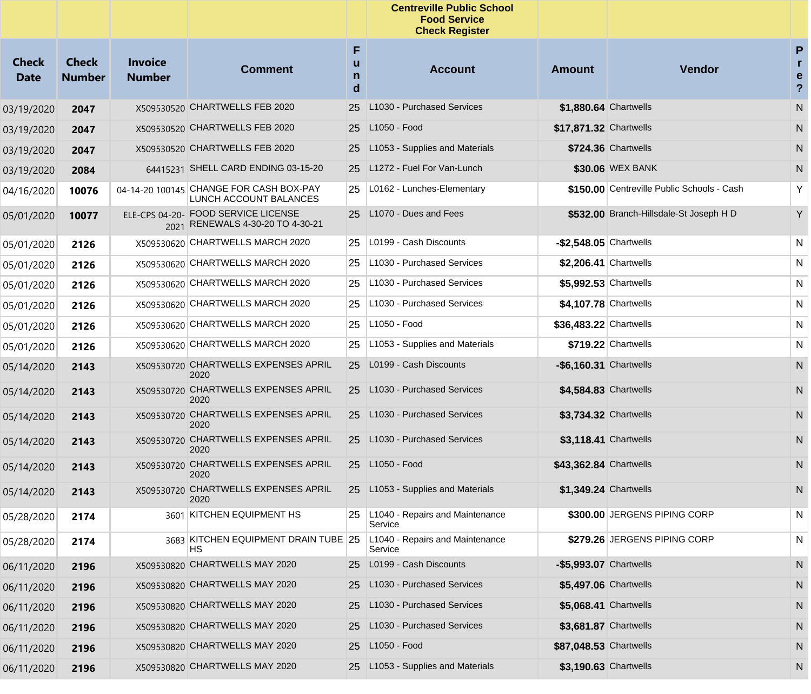|                             |                               |                                 |                                                                         |                  | <b>Centreville Public School</b><br><b>Food Service</b><br><b>Check Register</b> |                         |                                            |                                          |
|-----------------------------|-------------------------------|---------------------------------|-------------------------------------------------------------------------|------------------|----------------------------------------------------------------------------------|-------------------------|--------------------------------------------|------------------------------------------|
| <b>Check</b><br><b>Date</b> | <b>Check</b><br><b>Number</b> | <b>Invoice</b><br><b>Number</b> | <b>Comment</b>                                                          | F<br>u<br>n<br>d | <b>Account</b>                                                                   | <b>Amount</b>           | Vendor                                     | P<br>r<br>e<br>$\boldsymbol{\mathsf{?}}$ |
| 03/19/2020                  | 2047                          |                                 | X509530520 CHARTWELLS FEB 2020                                          | 25               | L1030 - Purchased Services                                                       | \$1,880.64 Chartwells   |                                            | ${\sf N}$                                |
| 03/19/2020                  | 2047                          |                                 | X509530520 CHARTWELLS FEB 2020                                          |                  | 25 L1050 - Food                                                                  | \$17,871.32 Chartwells  |                                            | N                                        |
| 03/19/2020                  | 2047                          |                                 | X509530520 CHARTWELLS FEB 2020                                          | 25 <sub>1</sub>  | L1053 - Supplies and Materials                                                   |                         | \$724.36 Chartwells                        | N                                        |
| 03/19/2020                  | 2084                          |                                 | 64415231 SHELL CARD ENDING 03-15-20                                     |                  | 25 L1272 - Fuel For Van-Lunch                                                    |                         | \$30.06 WEX BANK                           | N                                        |
| 04/16/2020                  | 10076                         |                                 | 04-14-20 100145 CHANGE FOR CASH BOX-PAY<br>LUNCH ACCOUNT BALANCES       | 25               | L0162 - Lunches-Elementary                                                       |                         | \$150.00 Centreville Public Schools - Cash | Υ                                        |
| 05/01/2020                  | 10077                         |                                 | ELE-CPS 04-20- FOOD SERVICE LICENSE<br>2021 RENEWALS 4-30-20 TO 4-30-21 |                  | 25 L1070 - Dues and Fees                                                         |                         | \$532.00 Branch-Hillsdale-St Joseph H D    | Y                                        |
| 05/01/2020                  | 2126                          |                                 | X509530620 CHARTWELLS MARCH 2020                                        | 25               | L0199 - Cash Discounts                                                           | $-$2,548.05$ Chartwells |                                            | $\mathsf{N}$                             |
| 05/01/2020                  | 2126                          |                                 | X509530620 CHARTWELLS MARCH 2020                                        | 25               | L1030 - Purchased Services                                                       | \$2,206.41 Chartwells   |                                            | $\mathsf{N}$                             |
| 05/01/2020                  | 2126                          |                                 | X509530620 CHARTWELLS MARCH 2020                                        | 25               | L1030 - Purchased Services                                                       | \$5,992.53 Chartwells   |                                            | N                                        |
| 05/01/2020                  | 2126                          |                                 | X509530620 CHARTWELLS MARCH 2020                                        | 25               | L1030 - Purchased Services                                                       | \$4,107.78 Chartwells   |                                            | N                                        |
| 05/01/2020                  | 2126                          |                                 | X509530620 CHARTWELLS MARCH 2020                                        | 25               | L1050 - Food                                                                     | \$36,483.22 Chartwells  |                                            | N                                        |
| 05/01/2020                  | 2126                          |                                 | X509530620 CHARTWELLS MARCH 2020                                        | 25               | L1053 - Supplies and Materials                                                   |                         | $$719.22$ Chartwells                       | $\mathsf{N}$                             |
| 05/14/2020                  | 2143                          |                                 | X509530720 CHARTWELLS EXPENSES APRIL<br>2020                            |                  | 25 L0199 - Cash Discounts                                                        | -\$6,160.31 Chartwells  |                                            | ${\sf N}$                                |
| 05/14/2020                  | 2143                          |                                 | X509530720 CHARTWELLS EXPENSES APRIL<br>2020                            |                  | 25 L1030 - Purchased Services                                                    | \$4,584.83 Chartwells   |                                            | ${\sf N}$                                |
| 05/14/2020                  | 2143                          |                                 | X509530720 CHARTWELLS EXPENSES APRIL<br>2020                            |                  | 25 L1030 - Purchased Services                                                    | \$3,734.32 Chartwells   |                                            | ${\sf N}$                                |
| 05/14/2020                  | 2143                          |                                 | X509530720 CHARTWELLS EXPENSES APRIL<br>2020                            |                  | 25 L1030 - Purchased Services                                                    | \$3,118.41 Chartwells   |                                            | N                                        |
| 05/14/2020                  | 2143                          |                                 | X509530720 CHARTWELLS EXPENSES APRIL<br>2020                            |                  | 25 L1050 - Food                                                                  | \$43,362.84 Chartwells  |                                            | N                                        |
| 05/14/2020                  | 2143                          |                                 | X509530720 CHARTWELLS EXPENSES APRIL<br>2020                            | 25               | L1053 - Supplies and Materials                                                   | \$1,349.24 Chartwells   |                                            | N                                        |
| 05/28/2020                  | 2174                          |                                 | 3601 KITCHEN EQUIPMENT HS                                               | 25               | L1040 - Repairs and Maintenance<br>Service                                       |                         | \$300.00 JERGENS PIPING CORP               | N                                        |
| 05/28/2020                  | 2174                          |                                 | 3683 KITCHEN EQUIPMENT DRAIN TUBE 25<br>НS                              |                  | L1040 - Repairs and Maintenance<br>Service                                       |                         | \$279.26 JERGENS PIPING CORP               | N                                        |
| 06/11/2020                  | 2196                          |                                 | X509530820 CHARTWELLS MAY 2020                                          | 25               | L0199 - Cash Discounts                                                           | -\$5,993.07 Chartwells  |                                            | N                                        |
| 06/11/2020                  | 2196                          |                                 | X509530820 CHARTWELLS MAY 2020                                          | 25               | L1030 - Purchased Services                                                       | \$5,497.06 Chartwells   |                                            | N                                        |
| 06/11/2020                  | 2196                          |                                 | X509530820 CHARTWELLS MAY 2020                                          | 25               | L1030 - Purchased Services                                                       | \$5.068.41 Chartwells   |                                            | N                                        |
| 06/11/2020                  | 2196                          |                                 | X509530820 CHARTWELLS MAY 2020                                          | 25               | L1030 - Purchased Services                                                       | \$3,681.87 Chartwells   |                                            | N                                        |
| 06/11/2020                  | 2196                          |                                 | X509530820 CHARTWELLS MAY 2020                                          | 25               | L1050 - Food                                                                     | \$87,048.53 Chartwells  |                                            | N                                        |
| 06/11/2020                  | 2196                          |                                 | X509530820 CHARTWELLS MAY 2020                                          |                  | 25 L1053 - Supplies and Materials                                                | \$3,190.63 Chartwells   |                                            | N                                        |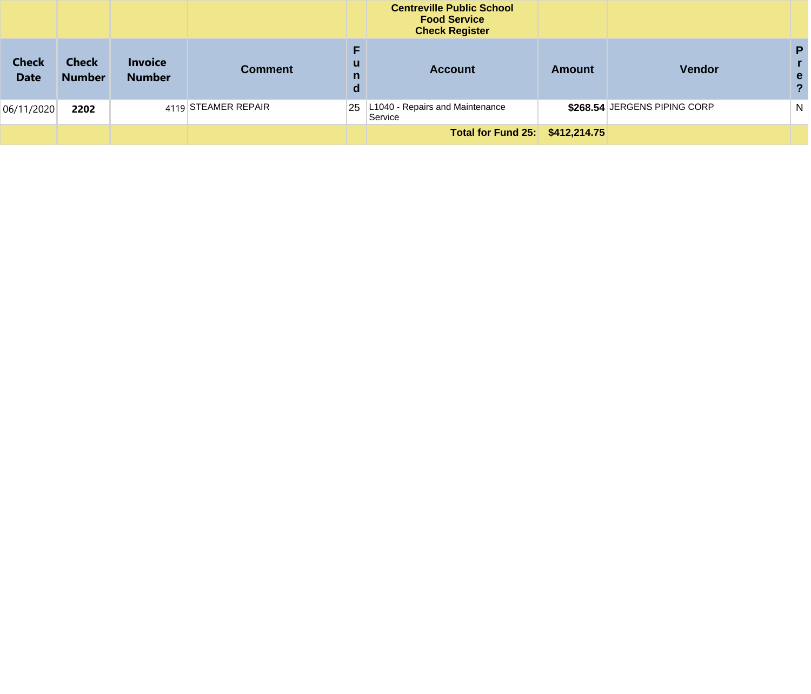|                             |                               |                                 |                     |             | <b>Centreville Public School</b><br><b>Food Service</b><br><b>Check Register</b> |        |                              |              |
|-----------------------------|-------------------------------|---------------------------------|---------------------|-------------|----------------------------------------------------------------------------------|--------|------------------------------|--------------|
| <b>Check</b><br><b>Date</b> | <b>Check</b><br><b>Number</b> | <b>Invoice</b><br><b>Number</b> | <b>Comment</b>      | u<br>n<br>d | <b>Account</b>                                                                   | Amount | <b>Vendor</b>                | P<br>e.      |
| 06/11/2020                  | 2202                          |                                 | 4119 STEAMER REPAIR | 25          | L1040 - Repairs and Maintenance<br>Service                                       |        | \$268.54 JERGENS PIPING CORP | <sup>N</sup> |
|                             |                               |                                 |                     |             | Total for Fund 25: \$412,214.75                                                  |        |                              |              |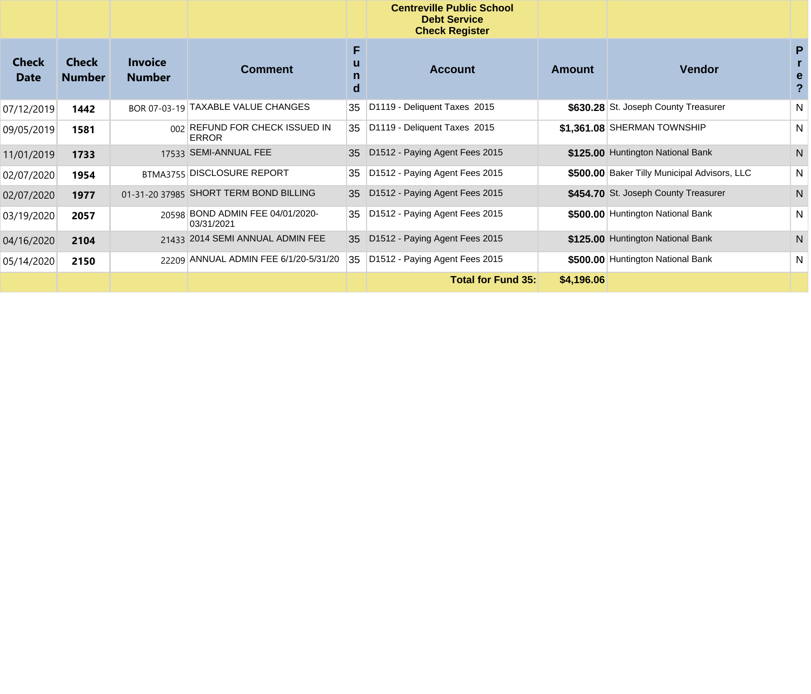|                             |                               |                                 |                                                |                  | <b>Centreville Public School</b><br><b>Debt Service</b><br><b>Check Register</b> |            |                                              |                                   |
|-----------------------------|-------------------------------|---------------------------------|------------------------------------------------|------------------|----------------------------------------------------------------------------------|------------|----------------------------------------------|-----------------------------------|
| <b>Check</b><br><b>Date</b> | <b>Check</b><br><b>Number</b> | <b>Invoice</b><br><b>Number</b> | <b>Comment</b>                                 | F<br>u<br>n<br>d | <b>Account</b>                                                                   | Amount     | <b>Vendor</b>                                | P<br>е<br>$\overline{\mathbf{?}}$ |
| 07/12/2019                  | 1442                          |                                 | BOR 07-03-19 TAXABLE VALUE CHANGES             | 35               | D1119 - Deliquent Taxes 2015                                                     |            | \$630.28 St. Joseph County Treasurer         | N                                 |
| 09/05/2019                  | 1581                          |                                 | 002 REFUND FOR CHECK ISSUED IN<br><b>ERROR</b> | 35               | D1119 - Deliquent Taxes 2015                                                     |            | \$1.361.08 SHERMAN TOWNSHIP                  | N                                 |
| 11/01/2019                  | 1733                          |                                 | 17533 SEMI-ANNUAL FEE                          | 35               | D1512 - Paying Agent Fees 2015                                                   |            | \$125.00 Huntington National Bank            | N                                 |
| 02/07/2020                  | 1954                          |                                 | BTMA3755 DISCLOSURE REPORT                     | 35               | D1512 - Paying Agent Fees 2015                                                   |            | \$500.00 Baker Tilly Municipal Advisors, LLC | N                                 |
| 02/07/2020                  | 1977                          |                                 | 01-31-20 37985 SHORT TERM BOND BILLING         | 35               | D1512 - Paying Agent Fees 2015                                                   |            | \$454.70 St. Joseph County Treasurer         | N                                 |
| 03/19/2020                  | 2057                          |                                 | 20598 BOND ADMIN FEE 04/01/2020-<br>03/31/2021 | 35               | D1512 - Paying Agent Fees 2015                                                   |            | \$500.00 Huntington National Bank            | N                                 |
| 04/16/2020                  | 2104                          |                                 | 21433 2014 SEMI ANNUAL ADMIN FEE               | 35               | D1512 - Paying Agent Fees 2015                                                   |            | \$125.00 Huntington National Bank            | N                                 |
| 05/14/2020                  | 2150                          |                                 | 22209 ANNUAL ADMIN FEE 6/1/20-5/31/20          | 35               | D1512 - Paying Agent Fees 2015                                                   |            | \$500.00 Huntington National Bank            | N                                 |
|                             |                               |                                 |                                                |                  | <b>Total for Fund 35:</b>                                                        | \$4,196.06 |                                              |                                   |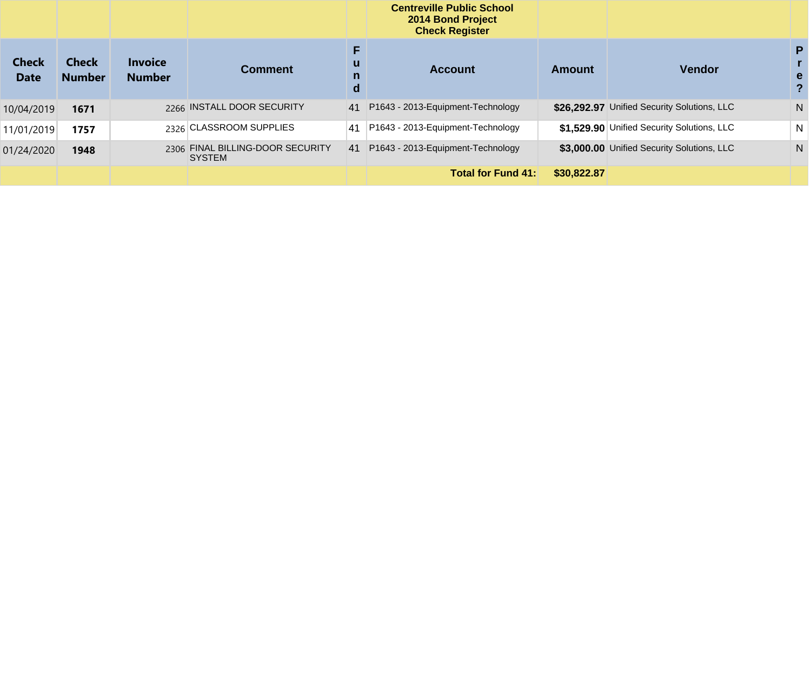|                             |                               |                                 |                                                   |                        | <b>Centreville Public School</b><br>2014 Bond Project<br><b>Check Register</b> |               |                                             |        |
|-----------------------------|-------------------------------|---------------------------------|---------------------------------------------------|------------------------|--------------------------------------------------------------------------------|---------------|---------------------------------------------|--------|
| <b>Check</b><br><b>Date</b> | <b>Check</b><br><b>Number</b> | <b>Invoice</b><br><b>Number</b> | <b>Comment</b>                                    | u<br>$\mathsf{n}$<br>d | <b>Account</b>                                                                 | <b>Amount</b> | <b>Vendor</b>                               | P<br>e |
| 10/04/2019                  | 1671                          |                                 | 2266 INSTALL DOOR SECURITY                        | 41                     | P1643 - 2013-Equipment-Technology                                              |               | \$26.292.97 Unified Security Solutions, LLC | N.     |
| 11/01/2019                  | 1757                          |                                 | 2326 CLASSROOM SUPPLIES                           | 41                     | P1643 - 2013-Equipment-Technology                                              |               | \$1,529.90 Unified Security Solutions, LLC  | N      |
| 01/24/2020                  | 1948                          |                                 | 2306 FINAL BILLING-DOOR SECURITY<br><b>SYSTEM</b> | 41                     | P1643 - 2013-Equipment-Technology                                              |               | \$3,000.00 Unified Security Solutions, LLC  | N      |
|                             |                               |                                 |                                                   |                        | <b>Total for Fund 41:</b>                                                      | \$30,822,87   |                                             |        |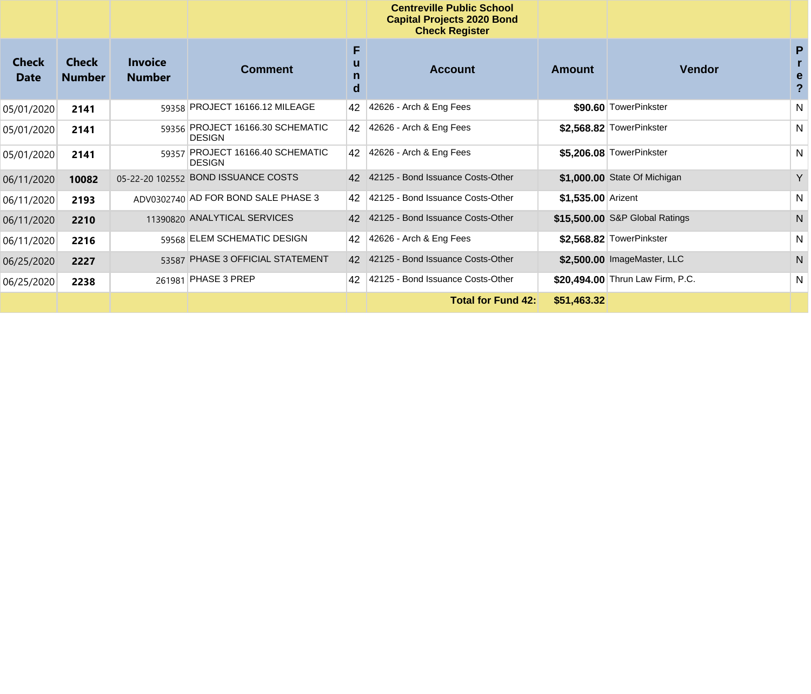|                             |                               |                                 |                                                   |        | <b>Centreville Public School</b><br><b>Capital Projects 2020 Bond</b><br><b>Check Register</b> |                    |                                  |              |
|-----------------------------|-------------------------------|---------------------------------|---------------------------------------------------|--------|------------------------------------------------------------------------------------------------|--------------------|----------------------------------|--------------|
| <b>Check</b><br><b>Date</b> | <b>Check</b><br><b>Number</b> | <b>Invoice</b><br><b>Number</b> | <b>Comment</b>                                    | F<br>d | <b>Account</b>                                                                                 | <b>Amount</b>      | <b>Vendor</b>                    | P<br>е       |
| 05/01/2020                  | 2141                          |                                 | 59358 PROJECT 16166.12 MILEAGE                    | 42     | 42626 - Arch & Eng Fees                                                                        |                    | \$90.60 TowerPinkster            | N            |
| 05/01/2020                  | 2141                          |                                 | 59356 PROJECT 16166.30 SCHEMATIC<br><b>DESIGN</b> | 42     | 42626 - Arch & Eng Fees                                                                        |                    | \$2,568.82 TowerPinkster         | N            |
| 05/01/2020                  | 2141                          |                                 | 59357 PROJECT 16166.40 SCHEMATIC<br><b>DESIGN</b> | 42     | $ 42626 -$ Arch & Eng Fees                                                                     |                    | \$5,206.08 TowerPinkster         | N            |
| 06/11/2020                  | 10082                         |                                 | 05-22-20 102552 BOND ISSUANCE COSTS               | 42     | 42125 - Bond Issuance Costs-Other                                                              |                    | \$1,000.00 State Of Michigan     | Y            |
| 06/11/2020                  | 2193                          |                                 | ADV0302740 AD FOR BOND SALE PHASE 3               | 42     | 42125 - Bond Issuance Costs-Other                                                              | \$1,535.00 Arizent |                                  | N            |
| 06/11/2020                  | 2210                          |                                 | 11390820 ANALYTICAL SERVICES                      | 42     | 42125 - Bond Issuance Costs-Other                                                              |                    | \$15,500.00 S&P Global Ratings   | $\mathsf{N}$ |
| 06/11/2020                  | 2216                          |                                 | 59568 ELEM SCHEMATIC DESIGN                       | 42     | 42626 - Arch & Eng Fees                                                                        |                    | \$2,568.82 TowerPinkster         | N            |
| 06/25/2020                  | 2227                          |                                 | 53587 PHASE 3 OFFICIAL STATEMENT                  | 42     | 42125 - Bond Issuance Costs-Other                                                              |                    | \$2.500.00 ImageMaster, LLC      | N            |
| 06/25/2020                  | 2238                          |                                 | 261981 PHASE 3 PREP                               | 42     | 42125 - Bond Issuance Costs-Other                                                              |                    | \$20,494.00 Thrun Law Firm, P.C. | N            |
|                             |                               |                                 |                                                   |        | <b>Total for Fund 42:</b>                                                                      | \$51,463.32        |                                  |              |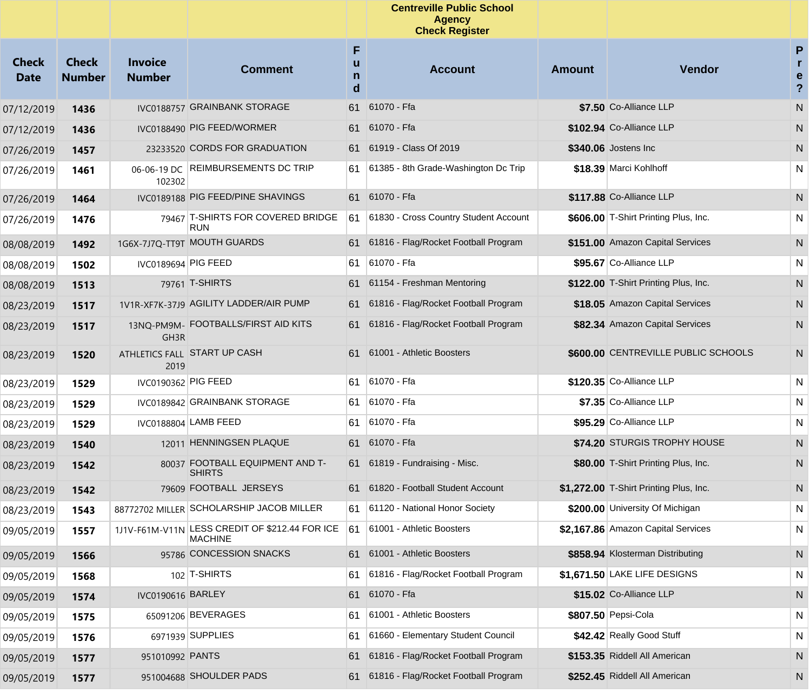|                             |                               |                                 |                                                                  |        | <b>Centreville Public School</b><br><b>Agency</b><br><b>Check Register</b> |               |                                        |                                         |
|-----------------------------|-------------------------------|---------------------------------|------------------------------------------------------------------|--------|----------------------------------------------------------------------------|---------------|----------------------------------------|-----------------------------------------|
| <b>Check</b><br><b>Date</b> | <b>Check</b><br><b>Number</b> | <b>Invoice</b><br><b>Number</b> | <b>Comment</b>                                                   | F<br>d | <b>Account</b>                                                             | <b>Amount</b> | Vendor                                 | P<br>r.<br>e<br>$\overline{\mathbf{?}}$ |
| 07/12/2019                  | 1436                          |                                 | IVC0188757 GRAINBANK STORAGE                                     | 61     | 61070 - Ffa                                                                |               | \$7.50 Co-Alliance LLP                 | N                                       |
| 07/12/2019                  | 1436                          |                                 | IVC0188490 PIG FEED/WORMER                                       | 61     | 61070 - Ffa                                                                |               | \$102.94 Co-Alliance LLP               | N                                       |
| 07/26/2019                  | 1457                          |                                 | 23233520 CORDS FOR GRADUATION                                    |        | 61 61919 - Class Of 2019                                                   |               | \$340.06 Jostens Inc                   | N.                                      |
| 07/26/2019                  | 1461                          | 102302                          | 06-06-19 DC REIMBURSEMENTS DC TRIP                               | 61     | 61385 - 8th Grade-Washington Dc Trip                                       |               | \$18.39 Marci Kohlhoff                 | N                                       |
| 07/26/2019                  | 1464                          |                                 | IVC0189188 PIG FEED/PINE SHAVINGS                                |        | 61 61070 - Ffa                                                             |               | \$117.88 Co-Alliance LLP               | N                                       |
| 07/26/2019                  | 1476                          |                                 | 79467 T-SHIRTS FOR COVERED BRIDGE<br><b>RUN</b>                  | 61     | 61830 - Cross Country Student Account                                      |               | \$606.00 T-Shirt Printing Plus, Inc.   | N                                       |
| 08/08/2019                  | 1492                          |                                 | 1G6X-7J7Q-TT9T MOUTH GUARDS                                      |        | 61 61816 - Flag/Rocket Football Program                                    |               | \$151.00 Amazon Capital Services       | N                                       |
| 08/08/2019                  | 1502                          | IVC0189694 PIG FEED             |                                                                  | 61     | 61070 - Ffa                                                                |               | \$95.67 Co-Alliance LLP                | N                                       |
| 08/08/2019                  | 1513                          |                                 | 79761 T-SHIRTS                                                   |        | 61 61154 - Freshman Mentoring                                              |               | \$122.00 T-Shirt Printing Plus, Inc.   | N                                       |
| 08/23/2019                  | 1517                          |                                 | 1V1R-XF7K-37J9 AGILITY LADDER/AIR PUMP                           |        | 61 61816 - Flag/Rocket Football Program                                    |               | \$18.05 Amazon Capital Services        | N                                       |
| 08/23/2019                  | 1517                          | GH3R                            | 13NQ-PM9M- FOOTBALLS/FIRST AID KITS                              |        | 61 61816 - Flag/Rocket Football Program                                    |               | \$82.34 Amazon Capital Services        | N                                       |
| 08/23/2019                  | 1520                          | 2019                            | ATHLETICS FALL START UP CASH                                     | 61.    | 61001 - Athletic Boosters                                                  |               | \$600.00 CENTREVILLE PUBLIC SCHOOLS    | N                                       |
| 08/23/2019                  | 1529                          | IVC0190362 PIG FEED             |                                                                  | 61     | 61070 - Ffa                                                                |               | \$120.35 Co-Alliance LLP               | N                                       |
| 08/23/2019                  | 1529                          |                                 | IVC0189842 GRAINBANK STORAGE                                     | 61     | 61070 - Ffa                                                                |               | \$7.35 Co-Alliance LLP                 | N                                       |
| 08/23/2019                  | 1529                          |                                 | IVC0188804 LAMB FEED                                             | 61     | 61070 - Ffa                                                                |               | \$95.29 Co-Alliance LLP                | N                                       |
| 08/23/2019                  | 1540                          |                                 | 12011 HENNINGSEN PLAQUE                                          | 61     | 61070 - Ffa                                                                |               | \$74.20 STURGIS TROPHY HOUSE           | N                                       |
| 08/23/2019                  | 1542                          |                                 | 80037 FOOTBALL EQUIPMENT AND T-<br><b>SHIRTS</b>                 | 61.    | 61819 - Fundraising - Misc.                                                |               | \$80.00 T-Shirt Printing Plus, Inc.    | N.                                      |
| 08/23/2019                  | 1542                          |                                 | 79609 FOOTBALL JERSEYS                                           |        | 61 61820 - Football Student Account                                        |               | \$1,272.00 T-Shirt Printing Plus, Inc. | N.                                      |
| 08/23/2019                  | 1543                          |                                 | 88772702 MILLER SCHOLARSHIP JACOB MILLER                         |        | 61 61120 - National Honor Society                                          |               | \$200.00 University Of Michigan        | N.                                      |
| 09/05/2019                  | 1557                          |                                 | 1J1V-F61M-V11N LESS CREDIT OF \$212.44 FOR ICE<br><b>MACHINE</b> | l61.   | 61001 - Athletic Boosters                                                  |               | \$2,167.86 Amazon Capital Services     | N                                       |
| 09/05/2019                  | 1566                          |                                 | 95786 CONCESSION SNACKS                                          |        | 61 61001 - Athletic Boosters                                               |               | \$858.94 Klosterman Distributing       | N                                       |
| 09/05/2019                  | 1568                          |                                 | $102$ T-SHIRTS                                                   | 61     | 61816 - Flag/Rocket Football Program                                       |               | \$1,671.50 LAKE LIFE DESIGNS           | N                                       |
| 09/05/2019                  | 1574                          | IVC0190616 BARLEY               |                                                                  | 61     | 61070 - Ffa                                                                |               | \$15.02 Co-Alliance LLP                | N                                       |
| 09/05/2019                  | 1575                          |                                 | 65091206 BEVERAGES                                               | 61     | 61001 - Athletic Boosters                                                  |               | \$807.50 Pepsi-Cola                    | N                                       |
| 09/05/2019                  | 1576                          |                                 | 6971939 SUPPLIES                                                 | 61     | 61660 - Elementary Student Council                                         |               | \$42.42 Really Good Stuff              | N                                       |
| 09/05/2019                  | 1577                          | 951010992 PANTS                 |                                                                  | 61     | 61816 - Flag/Rocket Football Program                                       |               | \$153.35 Riddell All American          | N                                       |
| 09/05/2019                  | 1577                          |                                 | 951004688 SHOULDER PADS                                          | 61.    | 61816 - Flag/Rocket Football Program                                       |               | \$252.45 Riddell All American          | N,                                      |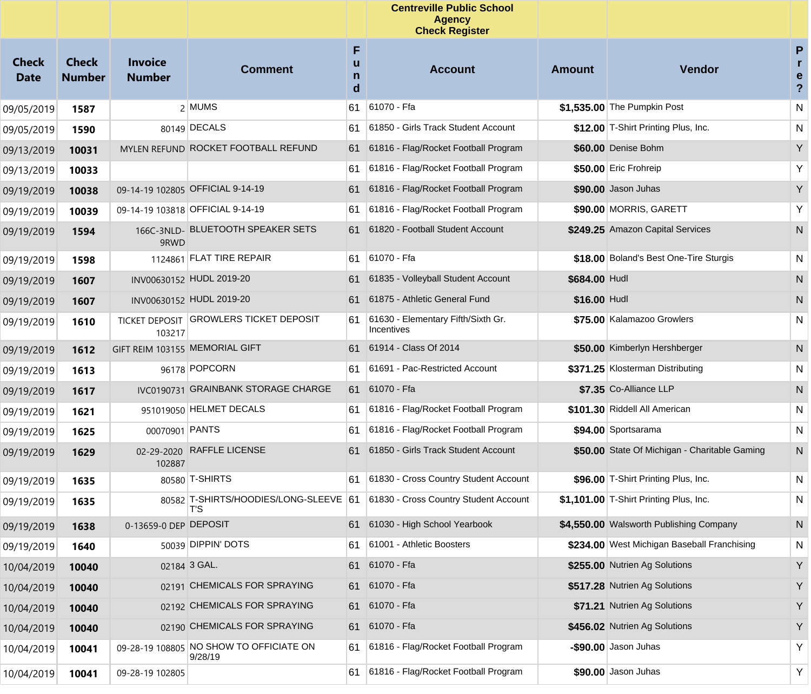|                             |                               |                                 |                                                    |                  | <b>Centreville Public School</b><br><b>Agency</b><br><b>Check Register</b>  |               |                                               |                                     |
|-----------------------------|-------------------------------|---------------------------------|----------------------------------------------------|------------------|-----------------------------------------------------------------------------|---------------|-----------------------------------------------|-------------------------------------|
| <b>Check</b><br><b>Date</b> | <b>Check</b><br><b>Number</b> | <b>Invoice</b><br><b>Number</b> | <b>Comment</b>                                     | F<br>u<br>n<br>d | <b>Account</b>                                                              | Amount        | <b>Vendor</b>                                 | P<br>r<br>e<br>$\ddot{\phantom{0}}$ |
| 09/05/2019                  | 1587                          |                                 | 2 MUMS                                             | 61               | 61070 - Ffa                                                                 |               | \$1,535.00 The Pumpkin Post                   | N                                   |
| 09/05/2019                  | 1590                          |                                 | 80149 DECALS                                       | 61               | 61850 - Girls Track Student Account                                         |               | \$12.00 T-Shirt Printing Plus, Inc.           | N                                   |
| 09/13/2019                  | 10031                         |                                 | MYLEN REFUND ROCKET FOOTBALL REFUND                | 61               | 61816 - Flag/Rocket Football Program                                        |               | \$60.00 Denise Bohm                           | Y                                   |
| 09/13/2019                  | 10033                         |                                 |                                                    | 61               | 61816 - Flag/Rocket Football Program                                        |               | \$50.00 Eric Frohreip                         | Υ                                   |
| 09/19/2019                  | 10038                         |                                 | 09-14-19 102805 OFFICIAL 9-14-19                   | 61               | 61816 - Flag/Rocket Football Program                                        |               | \$90.00 Jason Juhas                           | Y                                   |
| 09/19/2019                  | 10039                         |                                 | 09-14-19 103818 OFFICIAL 9-14-19                   | 61               | 61816 - Flag/Rocket Football Program                                        |               | \$90.00 MORRIS, GARETT                        | Υ                                   |
| 09/19/2019                  | 1594                          | 9RWD                            | 166C-3NLD- BLUETOOTH SPEAKER SETS                  | 61               | 61820 - Football Student Account                                            |               | \$249.25 Amazon Capital Services              | N                                   |
| 09/19/2019                  | 1598                          |                                 | 1124861 FLAT TIRE REPAIR                           | 61               | 61070 - Ffa                                                                 |               | \$18.00 Boland's Best One-Tire Sturgis        | N                                   |
| 09/19/2019                  | 1607                          |                                 | INV00630152 HUDL 2019-20                           | 61               | 61835 - Volleyball Student Account                                          | \$684.00 Hudl |                                               | N                                   |
| 09/19/2019                  | 1607                          |                                 | INV00630152 HUDL 2019-20                           | 61               | 61875 - Athletic General Fund                                               | \$16.00 Hudl  |                                               | N                                   |
| 09/19/2019                  | 1610                          | 103217                          | TICKET DEPOSIT GROWLERS TICKET DEPOSIT             | 61               | 61630 - Elementary Fifth/Sixth Gr.<br>Incentives                            |               | \$75.00 Kalamazoo Growlers                    | N                                   |
| 09/19/2019                  | 1612                          | GIFT REIM 103155 MEMORIAL GIFT  |                                                    | 61               | 61914 - Class Of 2014                                                       |               | \$50.00 Kimberlyn Hershberger                 | N                                   |
| 09/19/2019                  | 1613                          |                                 | 96178 POPCORN                                      | 61               | 61691 - Pac-Restricted Account                                              |               | \$371.25 Klosterman Distributing              | N                                   |
| 09/19/2019                  | 1617                          |                                 | IVC0190731 GRAINBANK STORAGE CHARGE                | 61.              | 61070 - Ffa                                                                 |               | \$7.35 Co-Alliance LLP                        | N                                   |
| 09/19/2019                  | 1621                          |                                 | 951019050 HELMET DECALS                            | 61               | 61816 - Flag/Rocket Football Program                                        |               | \$101.30 Riddell All American                 | N                                   |
| 09/19/2019                  | 1625                          | 00070901 PANTS                  |                                                    | 61               | 61816 - Flag/Rocket Football Program                                        |               | \$94.00 Sportsarama                           | N                                   |
| 09/19/2019                  | 1629                          | 02-29-2020<br>102887            | <b>RAFFLE LICENSE</b>                              | 61               | 61850 - Girls Track Student Account                                         |               | \$50.00 State Of Michigan - Charitable Gaming | N                                   |
| 09/19/2019                  | 1635                          |                                 | 80580 T-SHIRTS                                     | 61               | 61830 - Cross Country Student Account                                       |               | \$96.00 T-Shirt Printing Plus, Inc.           | N                                   |
| 09/19/2019                  | 1635                          |                                 | $ T$ 'S                                            |                  | 80582 T-SHIRTS/HOODIES/LONG-SLEEVE 61 61830 - Cross Country Student Account |               | \$1,101.00 T-Shirt Printing Plus, Inc.        | N                                   |
| 09/19/2019                  | 1638                          | 0-13659-0 DEP DEPOSIT           |                                                    | 61               | 61030 - High School Yearbook                                                |               | \$4,550.00 Walsworth Publishing Company       | ${\sf N}$                           |
| 09/19/2019                  | 1640                          |                                 | 50039 DIPPIN' DOTS                                 | 61               | 61001 - Athletic Boosters                                                   |               | \$234.00 West Michigan Baseball Franchising   | N                                   |
| 10/04/2019                  | 10040                         |                                 | 02184 3 GAL.                                       | 61               | 61070 - Ffa                                                                 |               | \$255.00 Nutrien Ag Solutions                 | Y                                   |
| 10/04/2019                  | 10040                         |                                 | 02191 CHEMICALS FOR SPRAYING                       | 61               | 61070 - Ffa                                                                 |               | \$517.28 Nutrien Ag Solutions                 | Υ                                   |
| 10/04/2019                  | 10040                         |                                 | 02192 CHEMICALS FOR SPRAYING                       | 61               | 61070 - Ffa                                                                 |               | \$71.21 Nutrien Ag Solutions                  | Y                                   |
| 10/04/2019                  | 10040                         |                                 | 02190 CHEMICALS FOR SPRAYING                       | 61               | 61070 - Ffa                                                                 |               | \$456.02 Nutrien Ag Solutions                 | Υ                                   |
| 10/04/2019                  | 10041                         |                                 | 09-28-19 108805 NO SHOW TO OFFICIATE ON<br>9/28/19 | 61               | 61816 - Flag/Rocket Football Program                                        |               | $-$ \$90.00 Jason Juhas                       | Y                                   |
| 10/04/2019                  | 10041                         | 09-28-19 102805                 |                                                    | 61               | 61816 - Flag/Rocket Football Program                                        |               | \$90.00 Jason Juhas                           | Y                                   |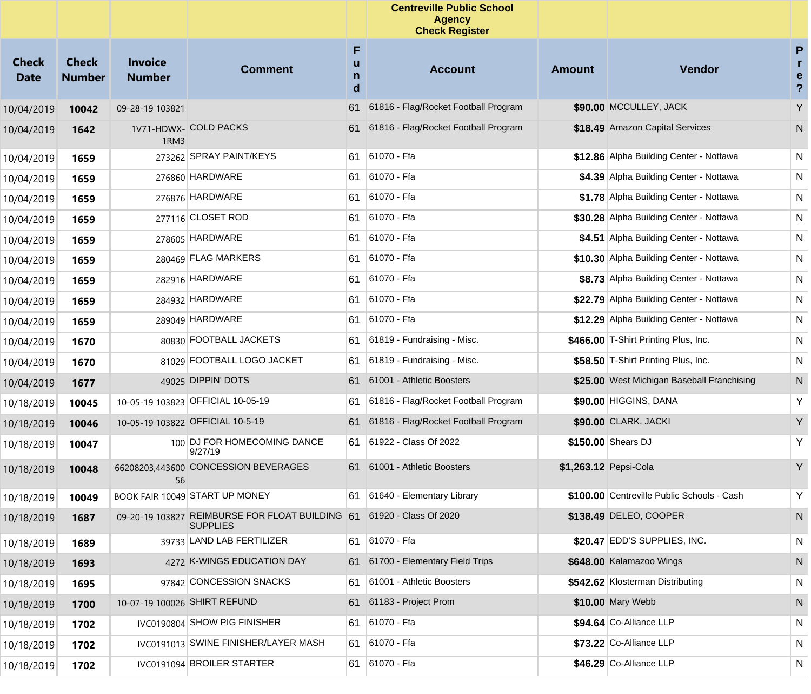|                             |                               |                                 |                                                                                          |                  | <b>Centreville Public School</b><br><b>Agency</b><br><b>Check Register</b> |                       |                                            |                                 |
|-----------------------------|-------------------------------|---------------------------------|------------------------------------------------------------------------------------------|------------------|----------------------------------------------------------------------------|-----------------------|--------------------------------------------|---------------------------------|
| <b>Check</b><br><b>Date</b> | <b>Check</b><br><b>Number</b> | <b>Invoice</b><br><b>Number</b> | <b>Comment</b>                                                                           | F<br>u<br>n<br>d | <b>Account</b>                                                             | Amount                | <b>Vendor</b>                              | P<br>r<br>e<br>$\boldsymbol{?}$ |
| 10/04/2019                  | 10042                         | 09-28-19 103821                 |                                                                                          | 61               | 61816 - Flag/Rocket Football Program                                       |                       | \$90.00 MCCULLEY, JACK                     | Y                               |
| 10/04/2019                  | 1642                          | 1RM3                            | 1V71-HDWX- COLD PACKS                                                                    | 61               | 61816 - Flag/Rocket Football Program                                       |                       | \$18.49 Amazon Capital Services            | N                               |
| 10/04/2019                  | 1659                          |                                 | 273262 SPRAY PAINT/KEYS                                                                  | 61               | 61070 - Ffa                                                                |                       | \$12.86 Alpha Building Center - Nottawa    | N                               |
| 10/04/2019                  | 1659                          |                                 | 276860 HARDWARE                                                                          | 61               | 61070 - Ffa                                                                |                       | \$4.39 Alpha Building Center - Nottawa     | N                               |
| 10/04/2019                  | 1659                          |                                 | 276876 HARDWARE                                                                          | 61               | 61070 - Ffa                                                                |                       | \$1.78 Alpha Building Center - Nottawa     | N                               |
| 10/04/2019                  | 1659                          |                                 | 277116 CLOSET ROD                                                                        | 61               | 61070 - Ffa                                                                |                       | \$30.28 Alpha Building Center - Nottawa    | N                               |
| 10/04/2019                  | 1659                          |                                 | 278605 HARDWARE                                                                          | 61               | 61070 - Ffa                                                                |                       | \$4.51 Alpha Building Center - Nottawa     | N                               |
| 10/04/2019                  | 1659                          |                                 | 280469 FLAG MARKERS                                                                      | 61               | 61070 - Ffa                                                                |                       | \$10.30 Alpha Building Center - Nottawa    | N                               |
| 10/04/2019                  | 1659                          |                                 | 282916 HARDWARE                                                                          | 61               | 61070 - Ffa                                                                |                       | \$8.73 Alpha Building Center - Nottawa     | N                               |
| 10/04/2019                  | 1659                          |                                 | 284932 HARDWARE                                                                          | 61               | 61070 - Ffa                                                                |                       | \$22.79 Alpha Building Center - Nottawa    | N                               |
| 10/04/2019                  | 1659                          |                                 | 289049 HARDWARE                                                                          | 61               | 61070 - Ffa                                                                |                       | \$12.29 Alpha Building Center - Nottawa    | N                               |
| 10/04/2019                  | 1670                          |                                 | 80830 FOOTBALL JACKETS                                                                   | 61               | 61819 - Fundraising - Misc.                                                |                       | \$466.00 T-Shirt Printing Plus, Inc.       | N                               |
| 10/04/2019                  | 1670                          |                                 | 81029 FOOTBALL LOGO JACKET                                                               | 61               | 61819 - Fundraising - Misc.                                                |                       | \$58.50 T-Shirt Printing Plus, Inc.        | N                               |
| 10/04/2019                  | 1677                          |                                 | 49025 DIPPIN' DOTS                                                                       | 61               | 61001 - Athletic Boosters                                                  |                       | \$25.00 West Michigan Baseball Franchising | N                               |
| 10/18/2019                  | 10045                         |                                 | 10-05-19 103823 OFFICIAL 10-05-19                                                        | 61               | 61816 - Flag/Rocket Football Program                                       |                       | \$90.00 HIGGINS, DANA                      | Y                               |
| 10/18/2019                  | 10046                         |                                 | 10-05-19 103822 OFFICIAL 10-5-19                                                         | 61               | 61816 - Flag/Rocket Football Program                                       |                       | \$90.00 CLARK, JACKI                       | Y                               |
| 10/18/2019                  | 10047                         |                                 | 100 DJ FOR HOMECOMING DANCE<br>9/27/19                                                   | 61               | 61922 - Class Of 2022                                                      |                       | \$150.00 Shears DJ                         | Υ                               |
| 10/18/2019                  | 10048                         | 56                              | 66208203,443600 CONCESSION BEVERAGES                                                     | 61               | 61001 - Athletic Boosters                                                  | \$1,263.12 Pepsi-Cola |                                            | Y                               |
| 10/18/2019                  | 10049                         |                                 | BOOK FAIR 10049 START UP MONEY                                                           | 61               | 61640 - Elementary Library                                                 |                       | \$100.00 Centreville Public Schools - Cash | Y                               |
| 10/18/2019                  | 1687                          |                                 | 09-20-19 103827 REIMBURSE FOR FLOAT BUILDING 61 61920 - Class Of 2020<br><b>SUPPLIES</b> |                  |                                                                            |                       | \$138.49 DELEO, COOPER                     | N                               |
| 10/18/2019                  | 1689                          |                                 | 39733 LAND LAB FERTILIZER                                                                |                  | 61 61070 - Ffa                                                             |                       | \$20.47 EDD'S SUPPLIES, INC.               | N                               |
| 10/18/2019                  | 1693                          |                                 | 4272 K-WINGS EDUCATION DAY                                                               |                  | 61 61700 - Elementary Field Trips                                          |                       | \$648.00 Kalamazoo Wings                   | N                               |
| 10/18/2019                  | 1695                          |                                 | 97842 CONCESSION SNACKS                                                                  | 61               | 61001 - Athletic Boosters                                                  |                       | \$542.62 Klosterman Distributing           | N                               |
| 10/18/2019                  | 1700                          | 10-07-19 100026 SHIRT REFUND    |                                                                                          | 61               | 61183 - Project Prom                                                       |                       | \$10.00 Mary Webb                          | N                               |
| 10/18/2019                  | 1702                          |                                 | IVC0190804 SHOW PIG FINISHER                                                             | 61               | 61070 - Ffa                                                                |                       | \$94.64 Co-Alliance LLP                    | N                               |
| 10/18/2019                  | 1702                          |                                 | IVC0191013 SWINE FINISHER/LAYER MASH                                                     |                  | 61 61070 - Ffa                                                             |                       | \$73.22 Co-Alliance LLP                    | N                               |
| 10/18/2019                  | 1702                          |                                 | IVC0191094 BROILER STARTER                                                               | 61               | 61070 - Ffa                                                                |                       | \$46.29 Co-Alliance LLP                    | N                               |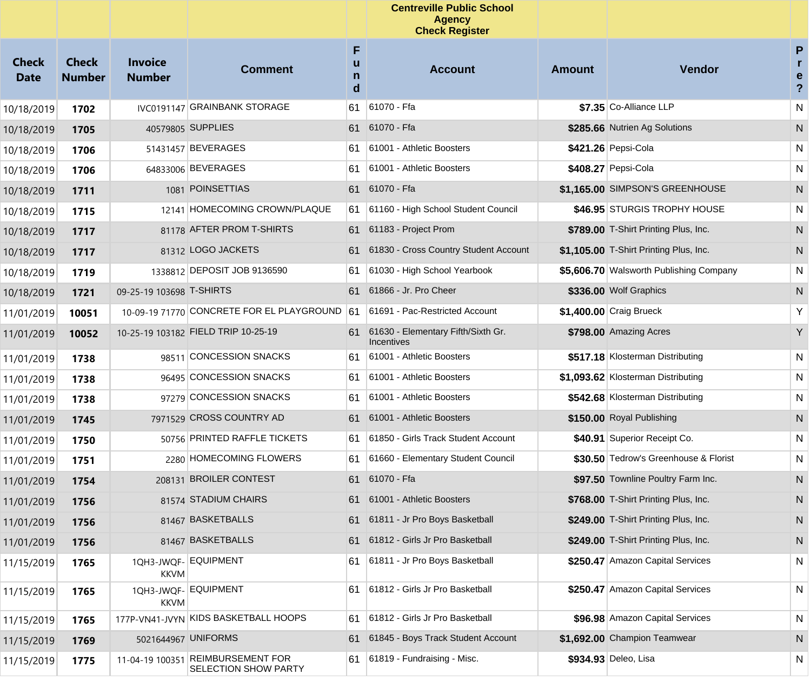|                             |                               |                                 |                                                           |                  | <b>Centreville Public School</b><br><b>Agency</b><br><b>Check Register</b> |               |                                         |                                                   |
|-----------------------------|-------------------------------|---------------------------------|-----------------------------------------------------------|------------------|----------------------------------------------------------------------------|---------------|-----------------------------------------|---------------------------------------------------|
| <b>Check</b><br><b>Date</b> | <b>Check</b><br><b>Number</b> | <b>Invoice</b><br><b>Number</b> | <b>Comment</b>                                            | F<br>u<br>n<br>d | <b>Account</b>                                                             | <b>Amount</b> | Vendor                                  | P<br>$\mathbf{r}$<br>e<br>$\overline{\mathbf{?}}$ |
| 10/18/2019                  | 1702                          |                                 | IVC0191147 GRAINBANK STORAGE                              | 61               | 61070 - Ffa                                                                |               | \$7.35 Co-Alliance LLP                  | N                                                 |
| 10/18/2019                  | 1705                          |                                 | 40579805 SUPPLIES                                         | 61               | 61070 - Ffa                                                                |               | \$285.66 Nutrien Ag Solutions           | N                                                 |
| 10/18/2019                  | 1706                          |                                 | 51431457 BEVERAGES                                        | 61               | 61001 - Athletic Boosters                                                  |               | \$421.26 Pepsi-Cola                     | N                                                 |
| 10/18/2019                  | 1706                          |                                 | 64833006 BEVERAGES                                        | 61               | 61001 - Athletic Boosters                                                  |               | \$408.27 Pepsi-Cola                     | N                                                 |
| 10/18/2019                  | 1711                          |                                 | 1081 POINSETTIAS                                          | 61               | 61070 - Ffa                                                                |               | \$1,165.00 SIMPSON'S GREENHOUSE         | N                                                 |
| 10/18/2019                  | 1715                          |                                 | 12141 HOMECOMING CROWN/PLAQUE                             | 61               | 61160 - High School Student Council                                        |               | \$46.95 STURGIS TROPHY HOUSE            | N                                                 |
| 10/18/2019                  | 1717                          |                                 | 81178 AFTER PROM T-SHIRTS                                 | 61               | 61183 - Project Prom                                                       |               | \$789.00 T-Shirt Printing Plus, Inc.    | N                                                 |
| 10/18/2019                  | 1717                          |                                 | 81312 LOGO JACKETS                                        | 61               | 61830 - Cross Country Student Account                                      |               | \$1,105.00 T-Shirt Printing Plus, Inc.  | N                                                 |
| 10/18/2019                  | 1719                          |                                 | 1338812 DEPOSIT JOB 9136590                               | 61               | 61030 - High School Yearbook                                               |               | \$5,606.70 Walsworth Publishing Company | N                                                 |
| 10/18/2019                  | 1721                          | 09-25-19 103698 T-SHIRTS        |                                                           | 61               | 61866 - Jr. Pro Cheer                                                      |               | \$336.00 Wolf Graphics                  | N                                                 |
| 11/01/2019                  | 10051                         |                                 | 10-09-19 71770 CONCRETE FOR EL PLAYGROUND                 | 61               | 61691 - Pac-Restricted Account                                             |               | \$1,400.00 Craig Brueck                 | Υ                                                 |
| 11/01/2019                  | 10052                         |                                 | 10-25-19 103182 FIELD TRIP 10-25-19                       | 61.              | 61630 - Elementary Fifth/Sixth Gr.<br>Incentives                           |               | \$798.00 Amazing Acres                  | Y                                                 |
| 11/01/2019                  | 1738                          | 98511                           | <b>CONCESSION SNACKS</b>                                  | 61               | 61001 - Athletic Boosters                                                  |               | \$517.18 Klosterman Distributing        | N                                                 |
| 11/01/2019                  | 1738                          |                                 | 96495 CONCESSION SNACKS                                   | 61               | 61001 - Athletic Boosters                                                  |               | \$1,093.62 Klosterman Distributing      | N                                                 |
| 11/01/2019                  | 1738                          |                                 | 97279 CONCESSION SNACKS                                   | 61               | 61001 - Athletic Boosters                                                  |               | \$542.68 Klosterman Distributing        | N                                                 |
| 11/01/2019                  | 1745                          |                                 | 7971529 CROSS COUNTRY AD                                  | 61               | 61001 - Athletic Boosters                                                  |               | \$150.00 Royal Publishing               | N                                                 |
| 11/01/2019                  | 1750                          |                                 | 50756 PRINTED RAFFLE TICKETS                              | 61               | 61850 - Girls Track Student Account                                        |               | \$40.91 Superior Receipt Co.            | N                                                 |
| 11/01/2019                  | 1751                          |                                 | 2280 HOMECOMING FLOWERS                                   | 61               | 61660 - Elementary Student Council                                         |               | \$30.50 Tedrow's Greenhouse & Florist   | N                                                 |
| 11/01/2019                  | 1754                          | 208131                          | <b>BROILER CONTEST</b>                                    |                  | 61 61070 - Ffa                                                             |               | \$97.50 Townline Poultry Farm Inc.      | N                                                 |
| 11/01/2019                  | 1756                          |                                 | 81574 STADIUM CHAIRS                                      | 61               | 61001 - Athletic Boosters                                                  |               | \$768.00 T-Shirt Printing Plus, Inc.    | N                                                 |
| 11/01/2019                  | 1756                          |                                 | 81467 BASKETBALLS                                         | 61               | 61811 - Jr Pro Boys Basketball                                             |               | \$249.00 T-Shirt Printing Plus, Inc.    | N                                                 |
| 11/01/2019                  | 1756                          |                                 | 81467 BASKETBALLS                                         | 61               | 61812 - Girls Jr Pro Basketball                                            |               | \$249.00 T-Shirt Printing Plus, Inc.    | N                                                 |
| 11/15/2019                  | 1765                          | <b>KKVM</b>                     | 1QH3-JWQF- EQUIPMENT                                      | 61               | 61811 - Jr Pro Boys Basketball                                             |               | \$250.47 Amazon Capital Services        | N                                                 |
| 11/15/2019                  | 1765                          | KKVM                            | 1QH3-JWQF- EQUIPMENT                                      | 61               | 61812 - Girls Jr Pro Basketball                                            |               | \$250.47 Amazon Capital Services        | N                                                 |
| 11/15/2019                  | 1765                          |                                 | 177P-VN41-JVYN KIDS BASKETBALL HOOPS                      | 61               | 61812 - Girls Jr Pro Basketball                                            |               | \$96.98 Amazon Capital Services         | N                                                 |
| 11/15/2019                  | 1769                          |                                 | 5021644967 UNIFORMS                                       | 61               | 61845 - Boys Track Student Account                                         |               | \$1,692.00 Champion Teamwear            | N                                                 |
| 11/15/2019                  | 1775                          |                                 | 11-04-19 100351 REIMBURSEMENT FOR<br>SELECTION SHOW PARTY | 61               | 61819 - Fundraising - Misc.                                                |               | \$934.93 Deleo, Lisa                    | N                                                 |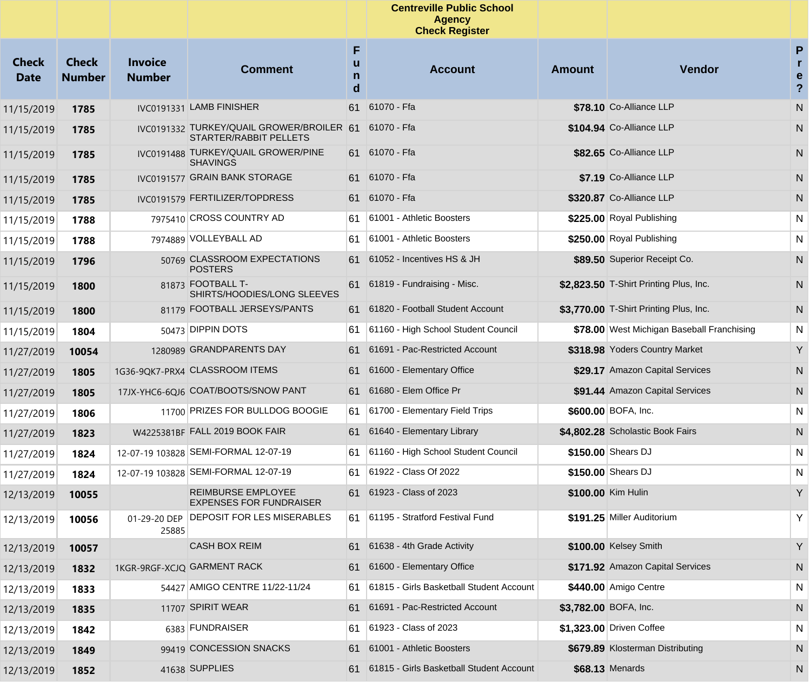|                             |                               |                                 |                                                                            |                  | <b>Centreville Public School</b><br><b>Agency</b><br><b>Check Register</b> |                       |                                            |                                                   |
|-----------------------------|-------------------------------|---------------------------------|----------------------------------------------------------------------------|------------------|----------------------------------------------------------------------------|-----------------------|--------------------------------------------|---------------------------------------------------|
| <b>Check</b><br><b>Date</b> | <b>Check</b><br><b>Number</b> | <b>Invoice</b><br><b>Number</b> | <b>Comment</b>                                                             | F<br>u<br>n<br>d | <b>Account</b>                                                             | <b>Amount</b>         | Vendor                                     | P<br>$\mathbf{r}$<br>e<br>$\overline{\mathbf{?}}$ |
| 11/15/2019                  | 1785                          |                                 | IVC0191331 LAMB FINISHER                                                   | 61               | 61070 - Ffa                                                                |                       | \$78.10 Co-Alliance LLP                    | N                                                 |
| 11/15/2019                  | 1785                          |                                 | IVC0191332 TURKEY/QUAIL GROWER/BROILER 61<br><b>STARTER/RABBIT PELLETS</b> |                  | 61070 - Ffa                                                                |                       | \$104.94 Co-Alliance LLP                   | N                                                 |
| 11/15/2019                  | 1785                          |                                 | IVC0191488 TURKEY/QUAIL GROWER/PINE<br><b>SHAVINGS</b>                     |                  | 61 61070 - Ffa                                                             |                       | \$82.65 Co-Alliance LLP                    | N                                                 |
| 11/15/2019                  | 1785                          |                                 | IVC0191577 GRAIN BANK STORAGE                                              |                  | 61 61070 - Ffa                                                             |                       | \$7.19 Co-Alliance LLP                     | N                                                 |
| 11/15/2019                  | 1785                          |                                 | IVC0191579 FERTILIZER/TOPDRESS                                             |                  | 61 61070 - Ffa                                                             |                       | \$320.87 Co-Alliance LLP                   | N                                                 |
| 11/15/2019                  | 1788                          |                                 | 7975410 CROSS COUNTRY AD                                                   | 61               | 61001 - Athletic Boosters                                                  |                       | \$225.00 Royal Publishing                  | N                                                 |
| 11/15/2019                  | 1788                          |                                 | 7974889 VOLLEYBALL AD                                                      | 61               | 61001 - Athletic Boosters                                                  |                       | \$250.00 Royal Publishing                  | N                                                 |
| 11/15/2019                  | 1796                          |                                 | 50769 CLASSROOM EXPECTATIONS<br><b>POSTERS</b>                             | 61               | 61052 - Incentives HS & JH                                                 |                       | \$89.50 Superior Receipt Co.               | N                                                 |
| 11/15/2019                  | 1800                          |                                 | 81873 FOOTBALL T-<br>SHIRTS/HOODIES/LONG SLEEVES                           | 61               | 61819 - Fundraising - Misc.                                                |                       | \$2,823.50 T-Shirt Printing Plus, Inc.     | N                                                 |
| 11/15/2019                  | 1800                          |                                 | 81179 FOOTBALL JERSEYS/PANTS                                               |                  | 61 61820 - Football Student Account                                        |                       | \$3,770.00 T-Shirt Printing Plus, Inc.     | N                                                 |
| 11/15/2019                  | 1804                          |                                 | 50473 DIPPIN DOTS                                                          | 61               | 61160 - High School Student Council                                        |                       | \$78.00 West Michigan Baseball Franchising | N                                                 |
| 11/27/2019                  | 10054                         |                                 | 1280989 GRANDPARENTS DAY                                                   | 61               | 61691 - Pac-Restricted Account                                             |                       | \$318.98 Yoders Country Market             | Y                                                 |
| 11/27/2019                  | 1805                          |                                 | 1G36-9QK7-PRX4 CLASSROOM ITEMS                                             | 61               | 61600 - Elementary Office                                                  |                       | \$29.17 Amazon Capital Services            | N                                                 |
| 11/27/2019                  | 1805                          |                                 | 17JX-YHC6-6QJ6 COAT/BOOTS/SNOW PANT                                        |                  | 61 61680 - Elem Office Pr                                                  |                       | \$91.44 Amazon Capital Services            | N                                                 |
| 11/27/2019                  | 1806                          |                                 | 11700 PRIZES FOR BULLDOG BOOGIE                                            | 61               | 61700 - Elementary Field Trips                                             |                       | \$600.00 BOFA, Inc.                        | N                                                 |
| 11/27/2019                  | 1823                          |                                 | W4225381BF FALL 2019 BOOK FAIR                                             | 61               | 61640 - Elementary Library                                                 |                       | \$4,802.28 Scholastic Book Fairs           | N                                                 |
| 11/27/2019                  | 1824                          |                                 | 12-07-19 103828 SEMI-FORMAL 12-07-19                                       | 61               | 61160 - High School Student Council                                        |                       | \$150.00 Shears DJ                         | N                                                 |
| 11/27/2019                  | 1824                          |                                 | 12-07-19 103828 SEMI-FORMAL 12-07-19                                       | 61               | 61922 - Class Of 2022                                                      |                       | \$150.00 Shears DJ                         | N                                                 |
| 12/13/2019                  | 10055                         |                                 | <b>REIMBURSE EMPLOYEE</b><br><b>EXPENSES FOR FUNDRAISER</b>                | 61               | 61923 - Class of 2023                                                      |                       | \$100.00 Kim Hulin                         | Y                                                 |
| 12/13/2019                  | 10056                         | 25885                           | 01-29-20 DEP DEPOSIT FOR LES MISERABLES                                    |                  | 61 61195 - Stratford Festival Fund                                         |                       | \$191.25 Miller Auditorium                 | Y                                                 |
| 12/13/2019                  | 10057                         |                                 | CASH BOX REIM                                                              |                  | 61 61638 - 4th Grade Activity                                              |                       | \$100.00 Kelsey Smith                      | Y                                                 |
| 12/13/2019                  | 1832                          |                                 | 1KGR-9RGF-XCJQ GARMENT RACK                                                | 61               | 61600 - Elementary Office                                                  |                       | \$171.92 Amazon Capital Services           | N.                                                |
| 12/13/2019                  | 1833                          |                                 | 54427 AMIGO CENTRE 11/22-11/24                                             | 61               | 61815 - Girls Basketball Student Account                                   |                       | \$440.00 Amigo Centre                      | N                                                 |
| 12/13/2019                  | 1835                          |                                 | 11707 SPIRIT WEAR                                                          | 61               | 61691 - Pac-Restricted Account                                             | \$3,782.00 BOFA, Inc. |                                            | N                                                 |
| 12/13/2019                  | 1842                          |                                 | 6383 FUNDRAISER                                                            | 61               | 61923 - Class of 2023                                                      |                       | \$1,323.00 Driven Coffee                   | N                                                 |
| 12/13/2019                  | 1849                          |                                 | 99419 CONCESSION SNACKS                                                    | 61               | 61001 - Athletic Boosters                                                  |                       | \$679.89 Klosterman Distributing           | N                                                 |
| 12/13/2019                  | 1852                          |                                 | 41638 SUPPLIES                                                             |                  | 61815 - Girls Basketball Student Account                                   |                       | \$68.13 Menards                            | N                                                 |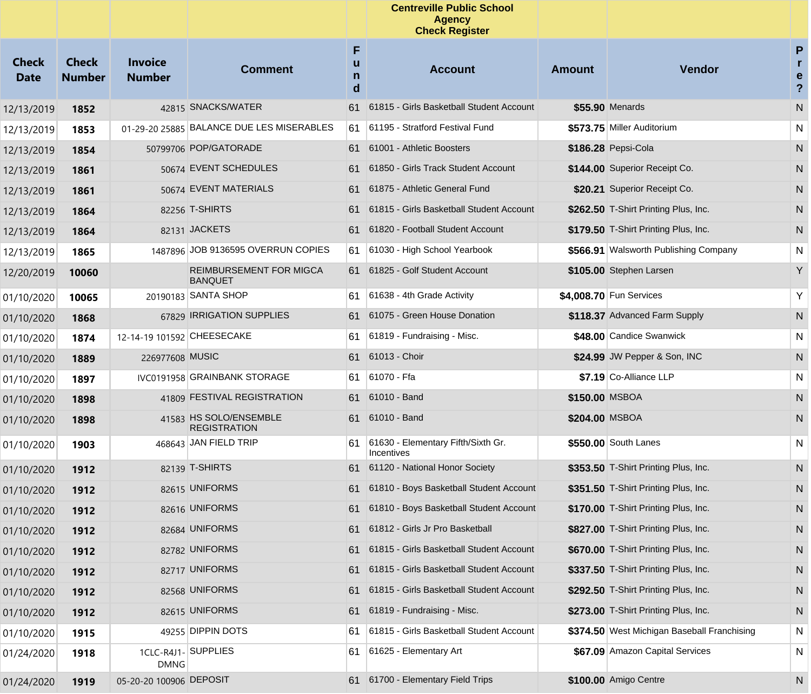|                             |                               |                                 |                                               |             | <b>Centreville Public School</b><br><b>Agency</b><br><b>Check Register</b> |                |                                             |                                         |
|-----------------------------|-------------------------------|---------------------------------|-----------------------------------------------|-------------|----------------------------------------------------------------------------|----------------|---------------------------------------------|-----------------------------------------|
| <b>Check</b><br><b>Date</b> | <b>Check</b><br><b>Number</b> | <b>Invoice</b><br><b>Number</b> | <b>Comment</b>                                | F<br>n<br>d | <b>Account</b>                                                             | Amount         | Vendor                                      | P<br>r.<br>e<br>$\overline{\mathbf{?}}$ |
| 12/13/2019                  | 1852                          |                                 | 42815 SNACKS/WATER                            | 61          | 61815 - Girls Basketball Student Account                                   |                | \$55.90 Menards                             | N                                       |
| 12/13/2019                  | 1853                          |                                 | 01-29-20 25885 BALANCE DUE LES MISERABLES     | 61          | 61195 - Stratford Festival Fund                                            |                | \$573.75 Miller Auditorium                  | N                                       |
| 12/13/2019                  | 1854                          |                                 | 50799706 POP/GATORADE                         | 61          | 61001 - Athletic Boosters                                                  |                | \$186.28 Pepsi-Cola                         | N                                       |
| 12/13/2019                  | 1861                          |                                 | 50674 EVENT SCHEDULES                         | 61          | 61850 - Girls Track Student Account                                        |                | \$144.00 Superior Receipt Co.               | N                                       |
| 12/13/2019                  | 1861                          |                                 | 50674 EVENT MATERIALS                         | 61.         | 61875 - Athletic General Fund                                              |                | \$20.21 Superior Receipt Co.                | N                                       |
| 12/13/2019                  | 1864                          |                                 | 82256 T-SHIRTS                                | 61          | 61815 - Girls Basketball Student Account                                   |                | \$262.50 T-Shirt Printing Plus, Inc.        | N                                       |
| 12/13/2019                  | 1864                          |                                 | 82131 JACKETS                                 |             | 61 61820 - Football Student Account                                        |                | \$179.50 T-Shirt Printing Plus, Inc.        | N                                       |
| 12/13/2019                  | 1865                          |                                 | 1487896 JOB 9136595 OVERRUN COPIES            | 61          | 61030 - High School Yearbook                                               |                | \$566.91 Walsworth Publishing Company       | N                                       |
| 12/20/2019                  | 10060                         |                                 | REIMBURSEMENT FOR MIGCA<br><b>BANQUET</b>     |             | 61 61825 - Golf Student Account                                            |                | \$105.00 Stephen Larsen                     | Y                                       |
| 01/10/2020                  | 10065                         |                                 | 20190183 SANTA SHOP                           | 61          | 61638 - 4th Grade Activity                                                 |                | \$4,008.70 Fun Services                     | Υ                                       |
| 01/10/2020                  | 1868                          |                                 | 67829 IRRIGATION SUPPLIES                     | 61          | 61075 - Green House Donation                                               |                | \$118.37 Advanced Farm Supply               | N                                       |
| 01/10/2020                  | 1874                          | 12-14-19 101592 CHEESECAKE      |                                               | 61          | 61819 - Fundraising - Misc.                                                |                | \$48.00 Candice Swanwick                    | N                                       |
| 01/10/2020                  | 1889                          | 226977608 MUSIC                 |                                               | 61          | 61013 - Choir                                                              |                | \$24.99 JW Pepper & Son, INC                | N                                       |
| 01/10/2020                  | 1897                          |                                 | IVC0191958 GRAINBANK STORAGE                  | 61          | 61070 - Ffa                                                                |                | \$7.19 Co-Alliance LLP                      | N                                       |
| 01/10/2020                  | 1898                          |                                 | 41809 FESTIVAL REGISTRATION                   | 61          | 61010 - Band                                                               | \$150.00 MSBOA |                                             | N                                       |
| 01/10/2020                  | 1898                          |                                 | 41583 HS SOLO/ENSEMBLE<br><b>REGISTRATION</b> |             | 61 61010 - Band                                                            | \$204.00 MSBOA |                                             | N                                       |
| 01/10/2020                  | 1903                          |                                 | 468643 JAN FIELD TRIP                         | 61.         | 61630 - Elementary Fifth/Sixth Gr.<br>Incentives                           |                | \$550.00 South Lanes                        | N                                       |
| 01/10/2020                  | 1912                          |                                 | 82139 T-SHIRTS                                | 61.         | 61120 - National Honor Society                                             |                | \$353.50 T-Shirt Printing Plus, Inc.        | N                                       |
| 01/10/2020                  | 1912                          |                                 | 82615 UNIFORMS                                |             | 61810 - Boys Basketball Student Account                                    |                | \$351.50 T-Shirt Printing Plus, Inc.        | N                                       |
| 01/10/2020                  | 1912                          |                                 | 82616 UNIFORMS                                |             | 61 61810 - Boys Basketball Student Account                                 |                | \$170.00 T-Shirt Printing Plus, Inc.        | N                                       |
| 01/10/2020                  | 1912                          |                                 | 82684 UNIFORMS                                |             | 61 61812 - Girls Jr Pro Basketball                                         |                | \$827.00 T-Shirt Printing Plus, Inc.        | N                                       |
| 01/10/2020                  | 1912                          |                                 | 82782 UNIFORMS                                | 61          | 61815 - Girls Basketball Student Account                                   |                | \$670.00 T-Shirt Printing Plus, Inc.        | N                                       |
| 01/10/2020                  | 1912                          |                                 | 82717 UNIFORMS                                | 61          | 61815 - Girls Basketball Student Account                                   |                | \$337.50 T-Shirt Printing Plus, Inc.        | N                                       |
| 01/10/2020                  | 1912                          |                                 | 82568 UNIFORMS                                | 61          | 61815 - Girls Basketball Student Account                                   |                | \$292.50 T-Shirt Printing Plus, Inc.        | N                                       |
| 01/10/2020                  | 1912                          |                                 | 82615 UNIFORMS                                | 61          | 61819 - Fundraising - Misc.                                                |                | \$273.00 T-Shirt Printing Plus, Inc.        | N                                       |
| 01/10/2020                  | 1915                          |                                 | 49255 DIPPIN DOTS                             | 61          | 61815 - Girls Basketball Student Account                                   |                | \$374.50 West Michigan Baseball Franchising | N                                       |
| 01/24/2020                  | 1918                          | <b>DMNG</b>                     | 1CLC-R4J1-SUPPLIES                            | 61          | 61625 - Elementary Art                                                     |                | \$67.09 Amazon Capital Services             | N                                       |
| 01/24/2020                  | 1919                          | 05-20-20 100906 DEPOSIT         |                                               |             | 61 61700 - Elementary Field Trips                                          |                | \$100.00 Amigo Centre                       | N,                                      |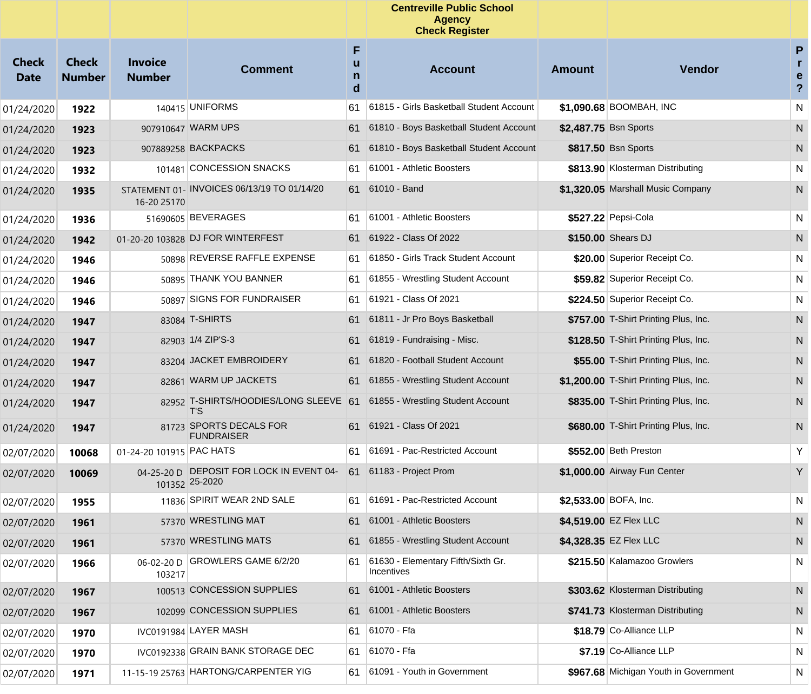|                             |                               |                                 |                                                            |                  | <b>Centreville Public School</b><br><b>Agency</b><br><b>Check Register</b> |                       |                                        |                                                   |
|-----------------------------|-------------------------------|---------------------------------|------------------------------------------------------------|------------------|----------------------------------------------------------------------------|-----------------------|----------------------------------------|---------------------------------------------------|
| <b>Check</b><br><b>Date</b> | <b>Check</b><br><b>Number</b> | <b>Invoice</b><br><b>Number</b> | <b>Comment</b>                                             | F<br>u<br>n<br>d | <b>Account</b>                                                             | <b>Amount</b>         | <b>Vendor</b>                          | P<br>$\mathbf{r}$<br>e<br>$\overline{\mathbf{?}}$ |
| 01/24/2020                  | 1922                          |                                 | 140415 UNIFORMS                                            | 61               | 61815 - Girls Basketball Student Account                                   |                       | \$1,090.68 BOOMBAH, INC                | N                                                 |
| 01/24/2020                  | 1923                          |                                 | 907910647 WARM UPS                                         | 61               | 61810 - Boys Basketball Student Account                                    | \$2,487.75 Bsn Sports |                                        | N                                                 |
| 01/24/2020                  | 1923                          |                                 | 907889258 BACKPACKS                                        | 61               | 61810 - Boys Basketball Student Account                                    |                       | \$817.50 Bsn Sports                    | N                                                 |
| 01/24/2020                  | 1932                          | 101481                          | <b>CONCESSION SNACKS</b>                                   | 61               | 61001 - Athletic Boosters                                                  |                       | \$813.90 Klosterman Distributing       | N                                                 |
| 01/24/2020                  | 1935                          | 16-20 25170                     | STATEMENT 01- INVOICES 06/13/19 TO 01/14/20                | 61               | 61010 - Band                                                               |                       | \$1,320.05 Marshall Music Company      | N                                                 |
| 01/24/2020                  | 1936                          |                                 | 51690605 BEVERAGES                                         | 61               | 61001 - Athletic Boosters                                                  |                       | \$527.22 Pepsi-Cola                    | N                                                 |
| 01/24/2020                  | 1942                          |                                 | 01-20-20 103828 DJ FOR WINTERFEST                          | 61               | 61922 - Class Of 2022                                                      |                       | \$150.00 Shears DJ                     | N                                                 |
| 01/24/2020                  | 1946                          |                                 | 50898 REVERSE RAFFLE EXPENSE                               | 61               | 61850 - Girls Track Student Account                                        |                       | \$20.00 Superior Receipt Co.           | N                                                 |
| 01/24/2020                  | 1946                          |                                 | 50895 THANK YOU BANNER                                     | 61               | 61855 - Wrestling Student Account                                          |                       | \$59.82 Superior Receipt Co.           | N                                                 |
| 01/24/2020                  | 1946                          |                                 | 50897 SIGNS FOR FUNDRAISER                                 | 61               | 61921 - Class Of 2021                                                      |                       | \$224.50 Superior Receipt Co.          | N                                                 |
| 01/24/2020                  | 1947                          |                                 | 83084 T-SHIRTS                                             | 61               | 61811 - Jr Pro Boys Basketball                                             |                       | \$757.00 T-Shirt Printing Plus, Inc.   | N                                                 |
| 01/24/2020                  | 1947                          |                                 | 82903 1/4 ZIP'S-3                                          | 61               | 61819 - Fundraising - Misc.                                                |                       | \$128.50 T-Shirt Printing Plus, Inc.   | N                                                 |
| 01/24/2020                  | 1947                          |                                 | 83204 JACKET EMBROIDERY                                    | 61               | 61820 - Football Student Account                                           |                       | \$55.00 T-Shirt Printing Plus, Inc.    | N.                                                |
| 01/24/2020                  | 1947                          |                                 | 82861 WARM UP JACKETS                                      | 61               | 61855 - Wrestling Student Account                                          |                       | \$1,200.00 T-Shirt Printing Plus, Inc. | N                                                 |
| 01/24/2020                  | 1947                          |                                 | 82952 T-SHIRTS/HOODIES/LONG SLEEVE 61<br>T'S               |                  | 61855 - Wrestling Student Account                                          |                       | \$835.00 T-Shirt Printing Plus, Inc.   | N.                                                |
| 01/24/2020                  | 1947                          |                                 | 81723 SPORTS DECALS FOR<br><b>FUNDRAISER</b>               |                  | 61 61921 - Class Of 2021                                                   |                       | \$680.00 T-Shirt Printing Plus, Inc.   | N                                                 |
| 02/07/2020                  | 10068                         | 01-24-20 101915 PAC HATS        |                                                            | 61               | 61691 - Pac-Restricted Account                                             |                       | \$552.00 Beth Preston                  | Υ                                                 |
| 02/07/2020                  | 10069                         |                                 | 04-25-20 D DEPOSIT FOR LOCK IN EVENT 04-<br>101352 25-2020 | 61               | 61183 - Project Prom                                                       |                       | \$1,000.00 Airway Fun Center           | Y                                                 |
| 02/07/2020                  | 1955                          |                                 | 11836 SPIRIT WEAR 2ND SALE                                 | 61               | 61691 - Pac-Restricted Account                                             | \$2,533.00 BOFA, Inc. |                                        | N                                                 |
| 02/07/2020                  | 1961                          |                                 | 57370 WRESTLING MAT                                        |                  | 61 61001 - Athletic Boosters                                               |                       | \$4,519.00 EZ Flex LLC                 | N                                                 |
| 02/07/2020                  | 1961                          |                                 | 57370 WRESTLING MATS                                       |                  | 61 61855 - Wrestling Student Account                                       |                       | \$4,328.35 EZ Flex LLC                 | N                                                 |
| 02/07/2020                  | 1966                          | 06-02-20 D<br>103217            | GROWLERS GAME 6/2/20                                       | 61               | 61630 - Elementary Fifth/Sixth Gr.<br>Incentives                           |                       | \$215.50 Kalamazoo Growlers            | N                                                 |
| 02/07/2020                  | 1967                          |                                 | 100513 CONCESSION SUPPLIES                                 | 61               | 61001 - Athletic Boosters                                                  |                       | \$303.62 Klosterman Distributing       | N                                                 |
| 02/07/2020                  | 1967                          |                                 | 102099 CONCESSION SUPPLIES                                 | 61               | 61001 - Athletic Boosters                                                  |                       | \$741.73 Klosterman Distributing       | N                                                 |
| 02/07/2020                  | 1970                          |                                 | IVC0191984 LAYER MASH                                      | 61               | 61070 - Ffa                                                                |                       | \$18.79 Co-Alliance LLP                | N                                                 |
| 02/07/2020                  | 1970                          |                                 | IVC0192338 GRAIN BANK STORAGE DEC                          | 61               | 61070 - Ffa                                                                |                       | \$7.19 Co-Alliance LLP                 | N                                                 |
| 02/07/2020                  | 1971                          |                                 | 11-15-19 25763 HARTONG/CARPENTER YIG                       | 61               | 61091 - Youth in Government                                                |                       | \$967.68 Michigan Youth in Government  | N                                                 |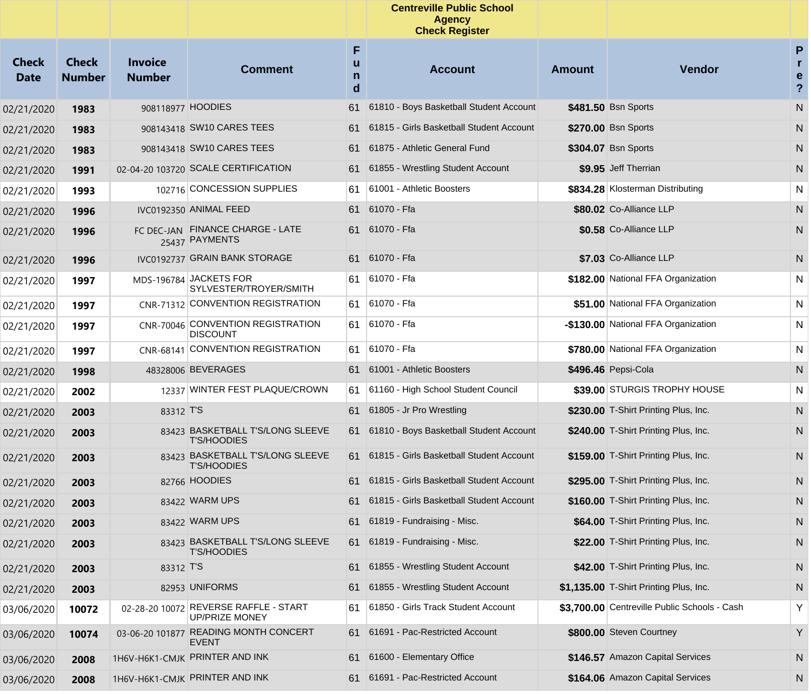|                             |                               |                                 |                                                         |                  | <b>Centreville Public School</b><br><b>Agency</b><br><b>Check Register</b> |        |                                              |                                             |
|-----------------------------|-------------------------------|---------------------------------|---------------------------------------------------------|------------------|----------------------------------------------------------------------------|--------|----------------------------------------------|---------------------------------------------|
| <b>Check</b><br><b>Date</b> | <b>Check</b><br><b>Number</b> | <b>Invoice</b><br><b>Number</b> | <b>Comment</b>                                          | F<br>u<br>n<br>d | <b>Account</b>                                                             | Amount | <b>Vendor</b>                                | ${\sf P}$<br>r<br>e<br>$\ddot{\phantom{0}}$ |
| 02/21/2020                  | 1983                          | 908118977 HOODIES               |                                                         | 61               | 61810 - Boys Basketball Student Account                                    |        | \$481.50 Bsn Sports                          | ${\sf N}$                                   |
| 02/21/2020                  | 1983                          |                                 | 908143418 SW10 CARES TEES                               | 61               | 61815 - Girls Basketball Student Account                                   |        | \$270.00 Bsn Sports                          | N                                           |
| 02/21/2020                  | 1983                          |                                 | 908143418 SW10 CARES TEES                               | 61               | 61875 - Athletic General Fund                                              |        | \$304.07 Bsn Sports                          | N                                           |
| 02/21/2020                  | 1991                          |                                 | 02-04-20 103720 SCALE CERTIFICATION                     | 61               | 61855 - Wrestling Student Account                                          |        | \$9.95 Jeff Therrian                         | N                                           |
| 02/21/2020                  | 1993                          |                                 | 102716 CONCESSION SUPPLIES                              | 61               | 61001 - Athletic Boosters                                                  |        | \$834.28 Klosterman Distributing             | N                                           |
| 02/21/2020                  | 1996                          |                                 | IVC0192350 ANIMAL FEED                                  | 61               | 61070 - Ffa                                                                |        | \$80.02 Co-Alliance LLP                      | N                                           |
| 02/21/2020                  | 1996                          |                                 | FC DEC-JAN FINANCE CHARGE - LATE<br>25437 PAYMENTS      |                  | 61 61070 - Ffa                                                             |        | \$0.58 Co-Alliance LLP                       | N                                           |
| 02/21/2020                  | 1996                          |                                 | IVC0192737 GRAIN BANK STORAGE                           |                  | 61 61070 - Ffa                                                             |        | \$7.03 Co-Alliance LLP                       | N                                           |
| 02/21/2020                  | 1997                          |                                 | MDS-196784 JACKETS FOR<br>SYLVESTER/TROYER/SMITH        | 61               | ∣61070 - Ffa                                                               |        | \$182.00 National FFA Organization           | N                                           |
| 02/21/2020                  | 1997                          |                                 | CNR-71312 CONVENTION REGISTRATION                       | 61               | 61070 - Ffa                                                                |        | \$51.00 National FFA Organization            | N                                           |
| 02/21/2020                  | 1997                          |                                 | CNR-70046 CONVENTION REGISTRATION<br><b>DISCOUNT</b>    | 61               | 61070 - Ffa                                                                |        | -\$130.00 National FFA Organization          | N                                           |
| 02/21/2020                  | 1997                          | CNR-68141                       | <b>CONVENTION REGISTRATION</b>                          | 61               | 61070 - Ffa                                                                |        | \$780.00 National FFA Organization           | N                                           |
| 02/21/2020                  | 1998                          |                                 | 48328006 BEVERAGES                                      | 61               | 61001 - Athletic Boosters                                                  |        | \$496.46 Pepsi-Cola                          | N                                           |
| 02/21/2020                  | 2002                          |                                 | 12337 WINTER FEST PLAQUE/CROWN                          | 61               | 61160 - High School Student Council                                        |        | \$39.00 STURGIS TROPHY HOUSE                 | N                                           |
| 02/21/2020                  | 2003                          | 83312 T'S                       |                                                         | 61               | 61805 - Jr Pro Wrestling                                                   |        | \$230.00 T-Shirt Printing Plus, Inc.         | N                                           |
| 02/21/2020                  | 2003                          |                                 | 83423 BASKETBALL T'S/LONG SLEEVE<br><b>T'S/HOODIES</b>  | 61               | 61810 - Boys Basketball Student Account                                    |        | \$240.00 T-Shirt Printing Plus, Inc.         | N                                           |
| 02/21/2020                  | 2003                          |                                 | 83423 BASKETBALL T'S/LONG SLEEVE<br><b>T'S/HOODIES</b>  |                  | 61 61815 - Girls Basketball Student Account                                |        | \$159.00 T-Shirt Printing Plus, Inc.         | N                                           |
| 02/21/2020                  | 2003                          |                                 | 82766 HOODIES                                           | 61               | 61815 - Girls Basketball Student Account                                   |        | \$295.00 T-Shirt Printing Plus, Inc.         | N                                           |
| 02/21/2020                  | 2003                          |                                 | 83422 WARM UPS                                          | 61.              | 61815 - Girls Basketball Student Account                                   |        | \$160.00 T-Shirt Printing Plus, Inc.         | N                                           |
| 02/21/2020                  | 2003                          |                                 | 83422 WARM UPS                                          | 61               | 61819 - Fundraising - Misc.                                                |        | \$64.00 T-Shirt Printing Plus, Inc.          | N                                           |
| 02/21/2020                  | 2003                          |                                 | 83423 BASKETBALL T'S/LONG SLEEVE<br><b>T'S/HOODIES</b>  | 61               | 61819 - Fundraising - Misc.                                                |        | \$22.00 T-Shirt Printing Plus, Inc.          | N                                           |
| 02/21/2020                  | 2003                          | 83312 T'S                       |                                                         | 61               | 61855 - Wrestling Student Account                                          |        | \$42.00 T-Shirt Printing Plus, Inc.          | N                                           |
| 02/21/2020                  | 2003                          |                                 | 82953 UNIFORMS                                          | 61               | 61855 - Wrestling Student Account                                          |        | \$1,135.00 T-Shirt Printing Plus, Inc.       | N                                           |
| 03/06/2020                  | 10072                         |                                 | 02-28-20 10072 REVERSE RAFFLE - START<br>UP/PRIZE MONEY | 61               | 61850 - Girls Track Student Account                                        |        | \$3,700.00 Centreville Public Schools - Cash | Y                                           |
| 03/06/2020                  | 10074                         | 03-06-20 101877                 | READING MONTH CONCERT<br>EVENT                          | 61               | 61691 - Pac-Restricted Account                                             |        | \$800.00 Steven Courtney                     | Y                                           |
| 03/06/2020                  | 2008                          |                                 | 1H6V-H6K1-CMJK PRINTER AND INK                          | 61               | 61600 - Elementary Office                                                  |        | \$146.57 Amazon Capital Services             | N                                           |
| 03/06/2020                  | 2008                          |                                 | 1H6V-H6K1-CMJK PRINTER AND INK                          | 61               | 61691 - Pac-Restricted Account                                             |        | \$164.06 Amazon Capital Services             | N                                           |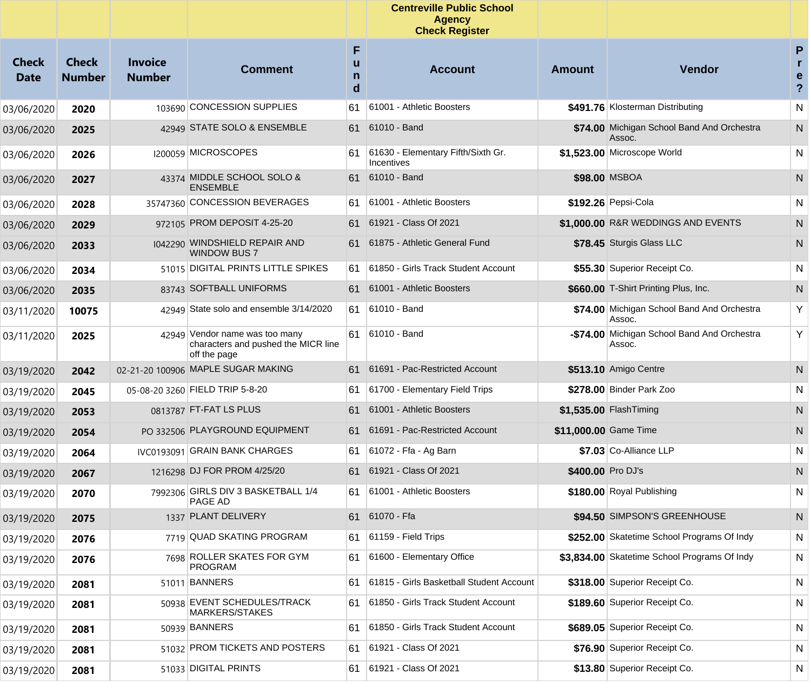|                      |                               |                                 |                                                                                       |                  | <b>Centreville Public School</b><br><b>Agency</b><br><b>Check Register</b> |                       |                                                       |                                                     |
|----------------------|-------------------------------|---------------------------------|---------------------------------------------------------------------------------------|------------------|----------------------------------------------------------------------------|-----------------------|-------------------------------------------------------|-----------------------------------------------------|
| Check<br><b>Date</b> | <b>Check</b><br><b>Number</b> | <b>Invoice</b><br><b>Number</b> | <b>Comment</b>                                                                        | F<br>u<br>n<br>d | <b>Account</b>                                                             | Amount                | <b>Vendor</b>                                         | P<br>$\mathbf{r}$<br>e<br>$\boldsymbol{\mathsf{?}}$ |
| 03/06/2020           | 2020                          |                                 | 103690 CONCESSION SUPPLIES                                                            | 61               | 61001 - Athletic Boosters                                                  |                       | \$491.76 Klosterman Distributing                      | N                                                   |
| 03/06/2020           | 2025                          |                                 | 42949 STATE SOLO & ENSEMBLE                                                           | 61               | 61010 - Band                                                               |                       | \$74.00 Michigan School Band And Orchestra<br>Assoc.  | N                                                   |
| 03/06/2020           | 2026                          |                                 | 1200059 MICROSCOPES                                                                   | 61               | 61630 - Elementary Fifth/Sixth Gr.<br>Incentives                           |                       | \$1,523.00 Microscope World                           | N                                                   |
| 03/06/2020           | 2027                          |                                 | 43374 MIDDLE SCHOOL SOLO &<br><b>ENSEMBLE</b>                                         | 61               | 61010 - Band                                                               |                       | \$98.00 MSBOA                                         | N                                                   |
| 03/06/2020           | 2028                          |                                 | 35747360 CONCESSION BEVERAGES                                                         | 61               | 61001 - Athletic Boosters                                                  |                       | \$192.26 Pepsi-Cola                                   | N                                                   |
| 03/06/2020           | 2029                          |                                 | 972105 PROM DEPOSIT 4-25-20                                                           | 61               | 61921 - Class Of 2021                                                      |                       | \$1,000.00 R&R WEDDINGS AND EVENTS                    | N                                                   |
| 03/06/2020           | 2033                          |                                 | 1042290 WINDSHIELD REPAIR AND<br><b>WINDOW BUS 7</b>                                  | 61               | 61875 - Athletic General Fund                                              |                       | \$78.45 Sturgis Glass LLC                             | N                                                   |
| 03/06/2020           | 2034                          |                                 | 51015 DIGITAL PRINTS LITTLE SPIKES                                                    | 61               | 61850 - Girls Track Student Account                                        |                       | \$55.30 Superior Receipt Co.                          | N                                                   |
| 03/06/2020           | 2035                          |                                 | 83743 SOFTBALL UNIFORMS                                                               | 61               | 61001 - Athletic Boosters                                                  |                       | \$660.00 T-Shirt Printing Plus, Inc.                  | ${\sf N}$                                           |
| 03/11/2020           | 10075                         |                                 | 42949 State solo and ensemble 3/14/2020                                               | 61               | 61010 - Band                                                               |                       | \$74.00 Michigan School Band And Orchestra<br>Assoc.  | Υ                                                   |
| 03/11/2020           | 2025                          |                                 | 42949 Vendor name was too many<br>characters and pushed the MICR line<br>off the page | 61               | 61010 - Band                                                               |                       | -\$74.00 Michigan School Band And Orchestra<br>Assoc. | Y                                                   |
| 03/19/2020           | 2042                          |                                 | 02-21-20 100906 MAPLE SUGAR MAKING                                                    | 61               | 61691 - Pac-Restricted Account                                             |                       | \$513.10 Amigo Centre                                 | N                                                   |
| 03/19/2020           | 2045                          |                                 | 05-08-20 3260 FIELD TRIP 5-8-20                                                       | 61               | 61700 - Elementary Field Trips                                             |                       | \$278.00 Binder Park Zoo                              | N                                                   |
| 03/19/2020           | 2053                          |                                 | 0813787 FT-FAT LS PLUS                                                                | 61               | 61001 - Athletic Boosters                                                  |                       | \$1,535.00 FlashTiming                                | N                                                   |
| 03/19/2020           | 2054                          |                                 | PO 332506 PLAYGROUND EQUIPMENT                                                        | 61               | 61691 - Pac-Restricted Account                                             | \$11,000.00 Game Time |                                                       | N                                                   |
| 03/19/2020           | 2064                          |                                 | IVC0193091 GRAIN BANK CHARGES                                                         | 61               | 61072 - Ffa - Ag Barn                                                      |                       | \$7.03 Co-Alliance LLP                                | N                                                   |
| 03/19/2020           | 2067                          |                                 | 1216298 DJ FOR PROM 4/25/20                                                           | 61               | 61921 - Class Of 2021                                                      | \$400.00 Pro DJ's     |                                                       | N                                                   |
| 03/19/2020           | 2070                          |                                 | 7992306 GIRLS DIV 3 BASKETBALL 1/4<br>PAGE AD                                         | 61               | 61001 - Athletic Boosters                                                  |                       | \$180.00 Royal Publishing                             | N                                                   |
| 03/19/2020           | 2075                          |                                 | 1337 PLANT DELIVERY                                                                   |                  | 61 61070 - Ffa                                                             |                       | \$94.50 SIMPSON'S GREENHOUSE                          | N                                                   |
| 03/19/2020           | 2076                          |                                 | 7719 QUAD SKATING PROGRAM                                                             | 61               | 61159 - Field Trips                                                        |                       | \$252.00 Skatetime School Programs Of Indy            | N                                                   |
| 03/19/2020           | 2076                          |                                 | 7698 ROLLER SKATES FOR GYM<br><b>PROGRAM</b>                                          | 61               | 61600 - Elementary Office                                                  |                       | \$3,834.00 Skatetime School Programs Of Indy          | N                                                   |
| 03/19/2020           | 2081                          |                                 | 51011 BANNERS                                                                         | 61               | 61815 - Girls Basketball Student Account                                   |                       | \$318.00 Superior Receipt Co.                         | N                                                   |
| 03/19/2020           | 2081                          |                                 | 50938 EVENT SCHEDULES/TRACK<br>MARKERS/STAKES                                         | 61               | 61850 - Girls Track Student Account                                        |                       | \$189.60 Superior Receipt Co.                         | N                                                   |
| 03/19/2020           | 2081                          |                                 | 50939 BANNERS                                                                         | 61               | 61850 - Girls Track Student Account                                        |                       | \$689.05 Superior Receipt Co.                         | N.                                                  |
| 03/19/2020           | 2081                          |                                 | 51032 PROM TICKETS AND POSTERS                                                        | 61               | 61921 - Class Of 2021                                                      |                       | \$76.90 Superior Receipt Co.                          | N.                                                  |
| 03/19/2020           | 2081                          |                                 | 51033 DIGITAL PRINTS                                                                  | 61               | 61921 - Class Of 2021                                                      |                       | \$13.80 Superior Receipt Co.                          | N.                                                  |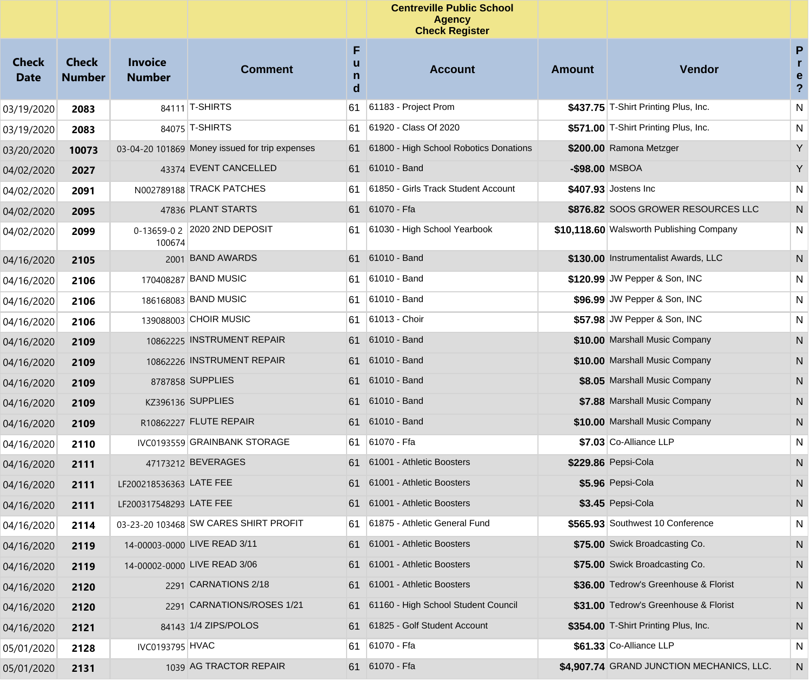|                             |                               |                                 |                                                |                  | <b>Centreville Public School</b><br><b>Agency</b><br><b>Check Register</b> |                |                                           |                                                   |
|-----------------------------|-------------------------------|---------------------------------|------------------------------------------------|------------------|----------------------------------------------------------------------------|----------------|-------------------------------------------|---------------------------------------------------|
| <b>Check</b><br><b>Date</b> | <b>Check</b><br><b>Number</b> | <b>Invoice</b><br><b>Number</b> | <b>Comment</b>                                 | F<br>u<br>n<br>d | <b>Account</b>                                                             | <b>Amount</b>  | <b>Vendor</b>                             | P<br>$\mathbf{r}$<br>e<br>$\overline{\mathbf{?}}$ |
| 03/19/2020                  | 2083                          |                                 | 84111 T-SHIRTS                                 | 61               | 61183 - Project Prom                                                       |                | \$437.75 T-Shirt Printing Plus, Inc.      | N                                                 |
| 03/19/2020                  | 2083                          |                                 | 84075 T-SHIRTS                                 | 61               | 61920 - Class Of 2020                                                      |                | \$571.00 T-Shirt Printing Plus, Inc.      | N                                                 |
| 03/20/2020                  | 10073                         |                                 | 03-04-20 101869 Money issued for trip expenses | 61               | 61800 - High School Robotics Donations                                     |                | \$200.00 Ramona Metzger                   | Y                                                 |
| 04/02/2020                  | 2027                          |                                 | 43374 EVENT CANCELLED                          | 61               | 61010 - Band                                                               | -\$98.00 MSBOA |                                           | Y                                                 |
| 04/02/2020                  | 2091                          |                                 | N002789188 TRACK PATCHES                       | 61               | 61850 - Girls Track Student Account                                        |                | \$407.93 Jostens Inc                      | N                                                 |
| 04/02/2020                  | 2095                          |                                 | 47836 PLANT STARTS                             | 61               | 61070 - Ffa                                                                |                | \$876.82 SOOS GROWER RESOURCES LLC        | N                                                 |
| 04/02/2020                  | 2099                          | 100674                          | 0-13659-0 2 2020 2ND DEPOSIT                   | 61               | 61030 - High School Yearbook                                               |                | \$10,118.60 Walsworth Publishing Company  | N                                                 |
| 04/16/2020                  | 2105                          | 2001                            | <b>BAND AWARDS</b>                             |                  | 61 61010 - Band                                                            |                | \$130.00 Instrumentalist Awards, LLC      | N                                                 |
| 04/16/2020                  | 2106                          |                                 | 170408287 BAND MUSIC                           | 61               | 61010 - Band                                                               |                | \$120.99 JW Pepper & Son, INC             | N                                                 |
| 04/16/2020                  | 2106                          |                                 | 186168083 BAND MUSIC                           | 61               | 61010 - Band                                                               |                | \$96.99 JW Pepper & Son, INC              | N                                                 |
| 04/16/2020                  | 2106                          |                                 | 139088003 CHOIR MUSIC                          | 61.              | 61013 - Choir                                                              |                | \$57.98 JW Pepper & Son, INC              | N                                                 |
| 04/16/2020                  | 2109                          |                                 | 10862225 INSTRUMENT REPAIR                     | 61               | 61010 - Band                                                               |                | \$10.00 Marshall Music Company            | N                                                 |
| 04/16/2020                  | 2109                          |                                 | 10862226 INSTRUMENT REPAIR                     | 61               | 61010 - Band                                                               |                | \$10.00 Marshall Music Company            | N                                                 |
| 04/16/2020                  | 2109                          |                                 | 8787858 SUPPLIES                               | 61               | 61010 - Band                                                               |                | \$8.05 Marshall Music Company             | N                                                 |
| 04/16/2020                  | 2109                          |                                 | KZ396136 SUPPLIES                              |                  | 61 61010 - Band                                                            |                | \$7.88 Marshall Music Company             | N                                                 |
| 04/16/2020                  | 2109                          |                                 | R10862227 FLUTE REPAIR                         | 61               | 61010 - Band                                                               |                | \$10.00 Marshall Music Company            | N                                                 |
| 04/16/2020                  | 2110                          |                                 | IVC0193559 GRAINBANK STORAGE                   | 61               | 61070 - Ffa                                                                |                | \$7.03 Co-Alliance LLP                    | N                                                 |
| 04/16/2020                  | 2111                          |                                 | 47173212 BEVERAGES                             | 61               | 61001 - Athletic Boosters                                                  |                | \$229.86 Pepsi-Cola                       | N                                                 |
| 04/16/2020                  | 2111                          | LF200218536363 LATE FEE         |                                                | 61               | 61001 - Athletic Boosters                                                  |                | \$5.96 Pepsi-Cola                         | N                                                 |
| 04/16/2020                  | 2111                          | LF200317548293 LATE FEE         |                                                | 61.              | 61001 - Athletic Boosters                                                  |                | \$3.45 Pepsi-Cola                         | N.                                                |
| 04/16/2020                  | 2114                          |                                 | 03-23-20 103468 SW CARES SHIRT PROFIT          | 61               | 61875 - Athletic General Fund                                              |                | \$565.93 Southwest 10 Conference          | N                                                 |
| 04/16/2020                  | 2119                          |                                 | 14-00003-0000 LIVE READ 3/11                   | 61               | 61001 - Athletic Boosters                                                  |                | \$75.00 Swick Broadcasting Co.            | N                                                 |
| 04/16/2020                  | 2119                          |                                 | 14-00002-0000 LIVE READ 3/06                   | 61               | 61001 - Athletic Boosters                                                  |                | \$75.00 Swick Broadcasting Co.            | N                                                 |
| 04/16/2020                  | 2120                          |                                 | 2291 CARNATIONS 2/18                           | 61               | 61001 - Athletic Boosters                                                  |                | \$36.00 Tedrow's Greenhouse & Florist     | N                                                 |
| 04/16/2020                  | 2120                          | 2291                            | CARNATIONS/ROSES 1/21                          | 61               | 61160 - High School Student Council                                        |                | \$31.00 Tedrow's Greenhouse & Florist     | N                                                 |
| 04/16/2020                  | 2121                          |                                 | 84143 1/4 ZIPS/POLOS                           | 61               | 61825 - Golf Student Account                                               |                | \$354.00 T-Shirt Printing Plus, Inc.      | N                                                 |
| 05/01/2020                  | 2128                          | IVC0193795 HVAC                 |                                                | 61               | 61070 - Ffa                                                                |                | \$61.33 Co-Alliance LLP                   | N                                                 |
| 05/01/2020                  | 2131                          |                                 | 1039 AG TRACTOR REPAIR                         | 61               | 61070 - Ffa                                                                |                | \$4,907.74 GRAND JUNCTION MECHANICS, LLC. | N                                                 |
|                             |                               |                                 |                                                |                  |                                                                            |                |                                           |                                                   |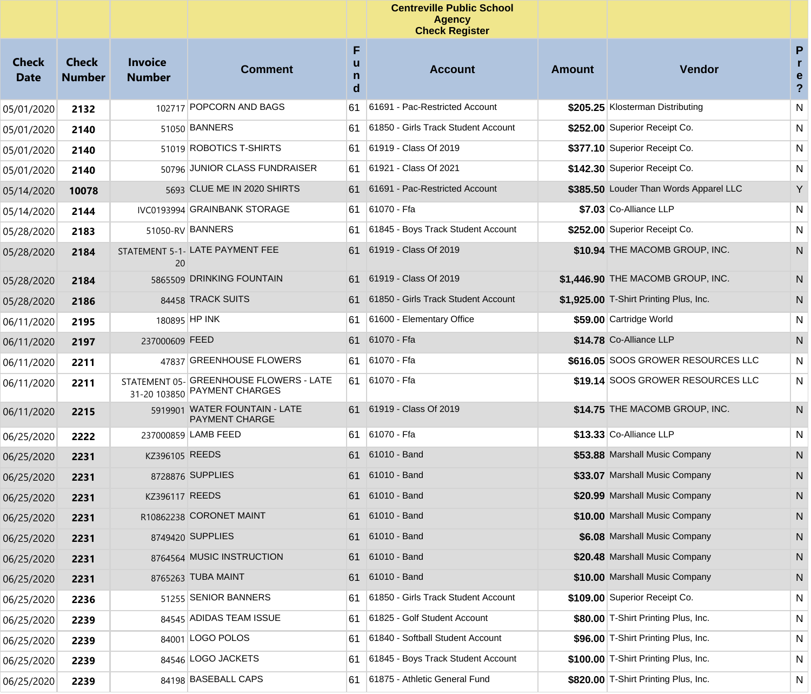|                             |                               |                                 |                                                                         |                             | <b>Centreville Public School</b><br><b>Agency</b><br><b>Check Register</b> |               |                                        |                                                  |
|-----------------------------|-------------------------------|---------------------------------|-------------------------------------------------------------------------|-----------------------------|----------------------------------------------------------------------------|---------------|----------------------------------------|--------------------------------------------------|
| <b>Check</b><br><b>Date</b> | <b>Check</b><br><b>Number</b> | <b>Invoice</b><br><b>Number</b> | <b>Comment</b>                                                          | F<br>u<br>$\mathsf{n}$<br>d | <b>Account</b>                                                             | <b>Amount</b> | Vendor                                 | P<br>r<br>$\mathbf e$<br>$\overline{\mathbf{r}}$ |
| 05/01/2020                  | 2132                          |                                 | 102717 POPCORN AND BAGS                                                 | 61                          | 61691 - Pac-Restricted Account                                             |               | \$205.25 Klosterman Distributing       | ${\sf N}$                                        |
| 05/01/2020                  | 2140                          |                                 | 51050 BANNERS                                                           | 61                          | 61850 - Girls Track Student Account                                        |               | \$252.00 Superior Receipt Co.          | N                                                |
| 05/01/2020                  | 2140                          |                                 | 51019 ROBOTICS T-SHIRTS                                                 | 61                          | 61919 - Class Of 2019                                                      |               | \$377.10 Superior Receipt Co.          | N                                                |
| 05/01/2020                  | 2140                          |                                 | 50796 JUNIOR CLASS FUNDRAISER                                           | 61                          | 61921 - Class Of 2021                                                      |               | \$142.30 Superior Receipt Co.          | N                                                |
| 05/14/2020                  | 10078                         |                                 | 5693 CLUE ME IN 2020 SHIRTS                                             | 61                          | 61691 - Pac-Restricted Account                                             |               | \$385.50 Louder Than Words Apparel LLC | Y                                                |
| 05/14/2020                  | 2144                          |                                 | IVC0193994 GRAINBANK STORAGE                                            | 61                          | 61070 - Ffa                                                                |               | \$7.03 Co-Alliance LLP                 | N                                                |
| 05/28/2020                  | 2183                          |                                 | 51050-RV BANNERS                                                        | 61                          | 61845 - Boys Track Student Account                                         |               | \$252.00 Superior Receipt Co.          | N                                                |
| 05/28/2020                  | 2184                          | 20                              | STATEMENT 5-1- LATE PAYMENT FEE                                         | 61                          | 61919 - Class Of 2019                                                      |               | \$10.94 THE MACOMB GROUP, INC.         | N                                                |
| 05/28/2020                  | 2184                          |                                 | 5865509 DRINKING FOUNTAIN                                               |                             | 61 61919 - Class Of 2019                                                   |               | \$1,446.90 THE MACOMB GROUP, INC.      | N                                                |
| 05/28/2020                  | 2186                          |                                 | 84458 TRACK SUITS                                                       |                             | 61 61850 - Girls Track Student Account                                     |               | \$1,925.00 T-Shirt Printing Plus, Inc. | N                                                |
| 06/11/2020                  | 2195                          |                                 | 180895 HP INK                                                           | 61                          | 61600 - Elementary Office                                                  |               | \$59.00 Cartridge World                | N                                                |
| 06/11/2020                  | 2197                          | 237000609 FEED                  |                                                                         |                             | 61 61070 - Ffa                                                             |               | \$14.78 Co-Alliance LLP                | N                                                |
| 06/11/2020                  | 2211                          |                                 | 47837 GREENHOUSE FLOWERS                                                | 61                          | 61070 - Ffa                                                                |               | \$616.05 SOOS GROWER RESOURCES LLC     | N                                                |
| 06/11/2020                  | 2211                          |                                 | STATEMENT 05- GREENHOUSE FLOWERS - LATE<br>31-20 103850 PAYMENT CHARGES | 61                          | 61070 - Ffa                                                                |               | \$19.14 SOOS GROWER RESOURCES LLC      | N                                                |
| 06/11/2020                  | 2215                          |                                 | 5919901 WATER FOUNTAIN - LATE<br><b>PAYMENT CHARGE</b>                  | 61                          | 61919 - Class Of 2019                                                      |               | \$14.75 THE MACOMB GROUP, INC.         | $\mathsf{N}$                                     |
| 06/25/2020                  | 2222                          |                                 | 237000859 LAMB FEED                                                     | 61                          | 61070 - Ffa                                                                |               | \$13.33 Co-Alliance LLP                | N                                                |
| 06/25/2020                  | 2231                          | KZ396105 REEDS                  |                                                                         |                             | 61 61010 - Band                                                            |               | \$53.88 Marshall Music Company         | N                                                |
| 06/25/2020                  | 2231                          |                                 | 8728876 SUPPLIES                                                        | 61                          | 61010 - Band                                                               |               | \$33.07 Marshall Music Company         | N                                                |
| 06/25/2020                  | 2231                          | KZ396117 REEDS                  |                                                                         |                             | 61 61010 - Band                                                            |               | \$20.99 Marshall Music Company         | N                                                |
| 06/25/2020                  | 2231                          |                                 | R10862238 CORONET MAINT                                                 |                             | 61 61010 - Band                                                            |               | \$10.00 Marshall Music Company         | N                                                |
| 06/25/2020                  | 2231                          |                                 | 8749420 SUPPLIES                                                        |                             | 61 61010 - Band                                                            |               | \$6.08 Marshall Music Company          | N                                                |
| 06/25/2020                  | 2231                          |                                 | 8764564 MUSIC INSTRUCTION                                               |                             | 61 61010 - Band                                                            |               | \$20.48 Marshall Music Company         | N                                                |
| 06/25/2020                  | 2231                          |                                 | 8765263 TUBA MAINT                                                      |                             | 61 61010 - Band                                                            |               | \$10.00 Marshall Music Company         | N                                                |
| 06/25/2020                  | 2236                          |                                 | 51255 SENIOR BANNERS                                                    | 61                          | 61850 - Girls Track Student Account                                        |               | \$109.00 Superior Receipt Co.          | N                                                |
| 06/25/2020                  | 2239                          |                                 | 84545 ADIDAS TEAM ISSUE                                                 | 61                          | 61825 - Golf Student Account                                               |               | \$80.00 T-Shirt Printing Plus, Inc.    | N                                                |
| 06/25/2020                  | 2239                          | 84001                           | LOGO POLOS                                                              | 61                          | 61840 - Softball Student Account                                           |               | \$96.00 T-Shirt Printing Plus, Inc.    | N                                                |
| 06/25/2020                  | 2239                          |                                 | 84546 LOGO JACKETS                                                      | 61                          | 61845 - Boys Track Student Account                                         |               | \$100.00 T-Shirt Printing Plus, Inc.   | N                                                |
| 06/25/2020                  | 2239                          |                                 | 84198 BASEBALL CAPS                                                     | 61                          | 61875 - Athletic General Fund                                              |               | \$820.00 T-Shirt Printing Plus, Inc.   | N                                                |